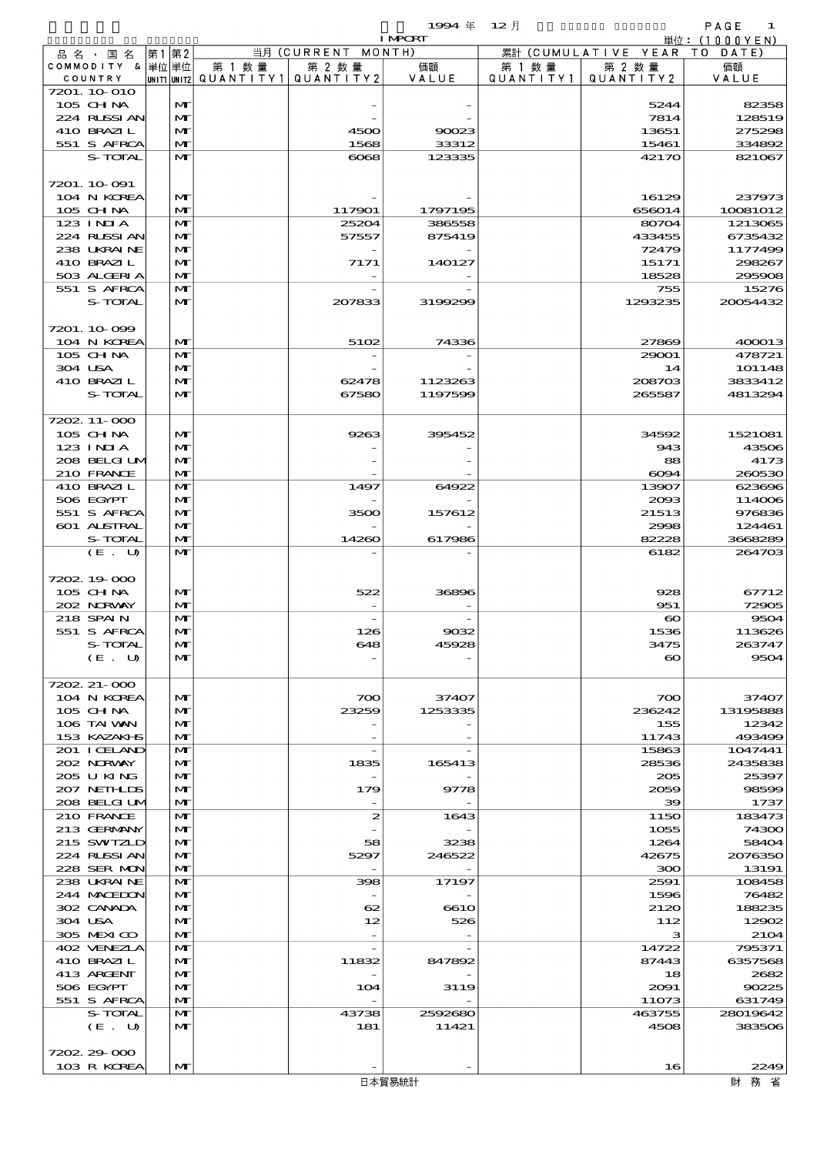$1$ 994  $\#$  12  $\#$  (Fixed Annual) 1994  $\#$  12  $\#$ 

|                            |    |                              |                                 |                                   | <b>I MPORT</b>   |           |                              | 単位: (1000YEN)      |
|----------------------------|----|------------------------------|---------------------------------|-----------------------------------|------------------|-----------|------------------------------|--------------------|
| 品名・国名                      | 第1 | 第2                           |                                 | 当月 (CURRENT MONTH)                |                  |           | 累計 (CUMULATIVE YEAR TO DATE) |                    |
| COMMODITY & 単位単位           |    |                              | 第 1 数量                          | 第 2 数量                            | 価額               | 第 1 数 量   | 第 2 数量                       | 価額                 |
| COUNTRY<br>7201. 10 010    |    |                              | UNIT1 UNIT2 QUANTITY1 QUANTITY2 |                                   | VALUE            | QUANTITY1 | QUANTITY 2                   | VALUE              |
| 105 CHNA                   |    | M                            |                                 |                                   |                  |           | 5244                         | 82358              |
| 224 RUSSIAN                |    | M                            |                                 |                                   |                  |           | 7814                         | 128519             |
| 410 BRAZIL                 |    | $\mathbf{M}$                 |                                 | 4500                              | 90023            |           | 13651                        | 275298             |
| 551 S AFRCA                |    | $\mathbf{M}$                 |                                 | 1568                              | 33312            |           | 15461                        | 334892             |
| S-TOTAL                    |    | $\mathbf{M}$                 |                                 | $\infty$                          | 123335           |           | 42170                        | 821067             |
|                            |    |                              |                                 |                                   |                  |           |                              |                    |
| 7201. 10.091               |    |                              |                                 |                                   |                  |           |                              |                    |
| 104 N KOREA                |    | M                            |                                 |                                   |                  |           | 16129                        | 237973             |
| 105 CHNA                   |    | $\mathbf{M}$                 |                                 | 117901                            | 1797195          |           | 656014                       | 10081012           |
| $123$ INIA<br>224 RUSSI AN |    | $\mathbf{M}$<br>$\mathbf{M}$ |                                 | 25201<br>57557                    | 386558<br>875419 |           | 80704<br>433455              | 1213065<br>6735432 |
| 238 UKRAINE                |    | M                            |                                 |                                   |                  |           | 72479                        | 1177499            |
| 410 BRAZIL                 |    | $\mathbf{M}$                 |                                 | 7171                              | 140127           |           | 15171                        | 298267             |
| 503 ALGERIA                |    | $\mathbf{M}$                 |                                 |                                   |                  |           | 18528                        | 295908             |
| 551 S AFRCA                |    | $\mathbf{M}$                 |                                 |                                   |                  |           | 755                          | 15276              |
| S-TOTAL                    |    | M                            |                                 | 207833                            | 3199299          |           | 1293235                      | 20054432           |
|                            |    |                              |                                 |                                   |                  |           |                              |                    |
| 7201.10.099                |    |                              |                                 |                                   |                  |           |                              |                    |
| 104 N KOREA                |    | M                            |                                 | 5102                              | 74336            |           | 27869                        | 400013             |
| 105 CH NA<br>304 USA       |    | $\mathbf{M}$<br>M            |                                 |                                   |                  |           | 29001                        | 478721             |
| 410 BRAZIL                 |    | M                            |                                 | 62478                             | 1123263          |           | 14<br>208703                 | 101148<br>3833412  |
| S-TOTAL                    |    | $\mathbf{M}$                 |                                 | 67580                             | 1197599          |           | 265587                       | 4813294            |
|                            |    |                              |                                 |                                   |                  |           |                              |                    |
| 7202. 11-000               |    |                              |                                 |                                   |                  |           |                              |                    |
| 105 CH NA                  |    | M                            |                                 | 9263                              | 395452           |           | 34592                        | 1521081            |
| 123 INIA                   |    | $\mathbf{M}$                 |                                 |                                   |                  |           | 943                          | 43506              |
| 208 BELGI UM               |    | M                            |                                 |                                   |                  |           | 88                           | 4173               |
| 210 FRANCE                 |    | $\mathbf{M}$                 |                                 |                                   |                  |           | 6094                         | 260530             |
| 410 BRAZIL                 |    | $\mathbf{M}$                 |                                 | 1497                              | 64922            |           | 13907                        | 623696             |
| 506 EGYPT                  |    | M                            |                                 |                                   |                  |           | 2093                         | 114006             |
| 551 S AFRCA<br>601 ALSTRAL |    | M<br>$\mathbf{M}$            |                                 | 3500                              | 157612           |           | 21513<br>2998                | 976836<br>124461   |
| S-TOTAL                    |    | M                            |                                 | 14260                             | 617986           |           | 82228                        | 3668289            |
| (E. U)                     |    | $\mathbf{M}$                 |                                 |                                   |                  |           | 6182                         | 264703             |
|                            |    |                              |                                 |                                   |                  |           |                              |                    |
| 7202.19000                 |    |                              |                                 |                                   |                  |           |                              |                    |
| 105 CH NA                  |    | M                            |                                 | 522                               | 36896            |           | 928                          | 67712              |
| 202 NORWAY                 |    | $\mathbf{M}$                 |                                 |                                   |                  |           | 951                          | 72905              |
| 218 SPAIN                  |    | $\mathbf{M}$                 |                                 |                                   |                  |           | $\boldsymbol{\infty}$        | 9504               |
| 551 S AFRCA                |    | M                            |                                 | 126                               | 9032             |           | 1536                         | 113626             |
| S-TOTAL                    |    | M                            |                                 | 648                               | 45928            |           | 3475                         | 263747             |
| (E. U)                     |    | M                            |                                 |                                   |                  |           | $\boldsymbol{\infty}$        | 9504               |
| 7202 21 000                |    |                              |                                 |                                   |                  |           |                              |                    |
| 104 N KOREA                |    | M                            |                                 | 700                               | 37407            |           | 700                          | 37407              |
| $105$ CHNA                 |    | M                            |                                 | 23259                             | 1253335          |           | 236242                       | 13195888           |
| 106 TAI VAN                |    | $\mathbf{M}$                 |                                 |                                   |                  |           | 155                          | 12342              |
| 153 KAZAKI S               |    | $\mathbf{M}$                 |                                 |                                   |                  |           | 11743                        | 493499             |
| 201 I CELAND               |    | M                            |                                 |                                   |                  |           | 15863                        | 1047441            |
| 202 NORWAY                 |    | $\mathbf{M}$                 |                                 | 1835                              | 165413           |           | 28536                        | 2435838            |
| 205 U KING                 |    | M                            |                                 |                                   |                  |           | 205                          | 25397              |
| 207 NETHLIS                |    | $\mathbf{M}$                 |                                 | 179                               | 9778             |           | 2059                         | 98599              |
| 208 BELGI UM<br>210 FRANCE |    | $\mathbf{M}$<br>M            |                                 | 2                                 | 1643             |           | 39<br>1150                   | 1737<br>183473     |
| 213 GERMANY                |    | M                            |                                 |                                   |                  |           | 1055                         | 74300              |
| 215 SWIZLD                 |    | M                            |                                 | 58                                | 3238             |           | 1264                         | 58404              |
| 224 RUSSI AN               |    | M                            |                                 | 5297                              | 246522           |           | 42675                        | 2076350            |
| 228 SER MON                |    | $\mathbf{M}$                 |                                 |                                   |                  |           | 300                          | 13191              |
| 238 UKRAINE                |    | M                            |                                 | 398                               | 17197            |           | 2591                         | 108458             |
| 244 MACEDON                |    | M                            |                                 |                                   |                  |           | 1596                         | 76482              |
| 302 CANADA                 |    | M                            |                                 | 62                                | 6610             |           | 2120                         | 188235             |
| 304 USA                    |    | $\mathbf{M}$                 |                                 | 12                                | 526              |           | 112                          | 12902              |
| 305 MEXICO                 |    | $\mathbf{M}$                 |                                 |                                   |                  |           | з                            | 2104               |
| 402 VENEZIA<br>410 BRAZIL  |    | M<br>$\mathbf{M}$            |                                 | $\overline{\phantom{a}}$<br>11832 | 847892           |           | 14722<br>87443               | 795371<br>6357568  |
| 413 ARGENT                 |    | M                            |                                 |                                   |                  |           | 18                           | 2682               |
| 506 EGYPT                  |    | $\mathbf{M}$                 |                                 | 104                               | 3119             |           | 2091                         | 90225              |
| 551 S AFRCA                |    | M                            |                                 |                                   |                  |           | 11073                        | 631749             |
| S-TOTAL                    |    | M                            |                                 | 43738                             | 2592680          |           | 463755                       | 28019642           |
| (E. U)                     |    | M                            |                                 | 181                               | 11421            |           | 4508                         | 383506             |
|                            |    |                              |                                 |                                   |                  |           |                              |                    |
| 7202 29 000                |    |                              |                                 |                                   |                  |           |                              |                    |
| 103 R KOREA                |    | M                            |                                 |                                   |                  |           | 16                           | 2249               |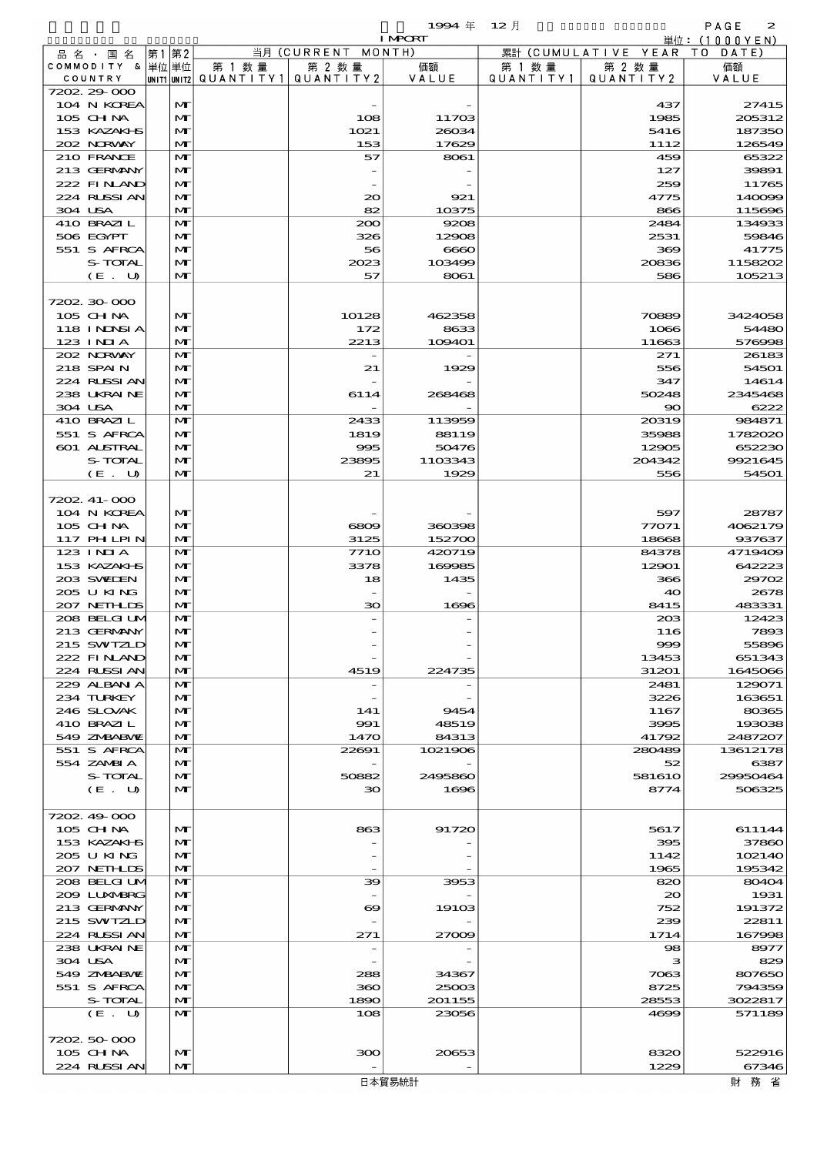|                   |    |                 |           |                    | 1994年 12月      |           |                              | PAGE<br>$\mathbf{z}$ |
|-------------------|----|-----------------|-----------|--------------------|----------------|-----------|------------------------------|----------------------|
|                   |    |                 |           |                    | <b>I MPORT</b> |           |                              | 単位:(1000YEN)         |
| 品名・国名             | 第1 | 第2              |           | 当月 (CURRENT MONTH) |                |           | 累計 (CUMULATIVE YEAR TO DATE) |                      |
| COMMODITY & 単位単位  |    |                 | 第 1 数量    | 第 2 数量             | 価額             | 第 1 数量    | 第 2 数量                       | 価額                   |
| COUNTRY           |    | IUNIT1 IUNIT2 I | QUANTITY1 | QUANTITY2          | VALUE          | QUANTITY1 | QUANTITY2                    | VALUE                |
| 7202 29 000       |    |                 |           |                    |                |           |                              |                      |
| 104 N KOREA       |    | $\mathbf{M}$    |           |                    |                |           | 437                          | 27415                |
| $105$ CHNA        |    | $\mathbf{M}$    |           | 108                | 11703          |           | 1985                         | 205312               |
| 153 KAZAKI B      |    | $\mathbf{M}$    |           | 1021               | 26034          |           | 5416                         | 187350               |
| 202 NRWAY         |    | $\mathbf{M}$    |           | 153                | 17629          |           | 1112                         | 126549               |
| 210 FRANCE        |    | $\mathbf{M}$    |           | 57                 | 8061           |           | 459                          | 65322                |
| 213 GERMANY       |    | $\mathbf{M}$    |           |                    |                |           | 127                          | 39891                |
| 222 FINAND        |    | $\mathbf{M}$    |           |                    |                |           | 259                          | 11765                |
| 224 RUSSI AN      |    | $\mathbf{M}$    |           | 20                 | 921            |           | 4775                         | 140099               |
| 304 USA           |    | $\mathbf{M}$    |           | 82                 | 10375          |           | 866                          | 115696               |
| 410 BRAZIL        |    | $\mathbf{M}$    |           | 200                | 9208           |           | 2484                         | 134933               |
| 506 EGYPT         |    | $\mathbf{M}$    |           | 326                | 12908          |           | 2531                         | 59846                |
| 551 S AFRCA       |    | $\mathbf{M}$    |           | 56                 | 6660           |           | 369                          | 41775                |
| S-TOTAL           |    | $\mathbf{M}$    |           | 2023               | 103499         |           | 20836                        | 1158202              |
| $(E_U U)$         |    | $\mathbf{M}$    |           | 57                 | 8061           |           | 586                          | 105213               |
|                   |    |                 |           |                    |                |           |                              |                      |
| 7202 30 000       |    |                 |           |                    |                |           |                              |                      |
| $105$ CHNA        |    | $\mathbf{M}$    |           | 10128              | 462358         |           | 70889                        | 3424058              |
| <b>118 INDSIA</b> |    | $\mathbf{M}$    |           | 172                | 8633           |           | 1066                         | 54480                |
| $123$ INIA        |    | $\mathbf{M}$    |           | 2213               | 109401         |           | 11663                        | 576998               |
| 202 NRWAY         |    | $\mathbf{M}$    |           |                    |                |           | 271                          | 26183                |
| 218 SPAIN         |    | $\mathbf{M}$    |           | 21                 | 1929           |           | 556                          | 54501                |
| 224 RUSSI AN      |    | $\mathbf{M}$    |           |                    |                |           | 347                          | 14614                |
| 238 UKRAINE       |    | $\mathbf{M}$    |           | 6114               | 268468         |           | 50248                        | 2345468              |
| 304 USA           |    | $\mathbf{M}$    |           |                    |                |           | $\infty$                     | 6222                 |
| 410 BRAZIL        |    | $\mathbf{M}$    |           | 2433               | 113959         |           | 20319                        | 984871               |
| 551 S AFRCA       |    | $\mathbf{M}$    |           | 1819               | 88119          |           | 35988                        | 1782020              |
|                   |    |                 |           |                    |                |           |                              |                      |

| $\approx$ RUSSIAN | IVI          | $\infty$              | 521     | 4775        | 14003    |
|-------------------|--------------|-----------------------|---------|-------------|----------|
| 304 USA           | M            | 82                    | 10375   | 866         | 115696   |
| 410 BRAZIL        | M            | 200                   | 9208    | 2484        | 134933   |
| 506 EGYPT         | $\mathbf{M}$ | 326                   | 12908   | 2531        | 59846    |
| 551 S AFRCA       | $\mathbf{M}$ | 56                    | 6660    | 369         | 41775    |
| S-TOTAL           |              |                       |         |             |          |
|                   | M            | 2023                  | 103499  | 20836       | 1158202  |
| (E. U)            | $\mathbf{M}$ | 57                    | 8061    | 586         | 105213   |
|                   |              |                       |         |             |          |
| 7202 30 000       |              |                       |         |             |          |
| 105 CH NA         | MГ           | 10128                 | 462358  | 70889       | 3424058  |
| 118 INNSI A       | M            | 172                   | 8633    | 1066        | 54480    |
| 123 INIA          | M            | 2213                  | 109401  | 11663       | 576998   |
| 202 NORWAY        | M            |                       |         | 271         | 26183    |
| 218 SPAIN         | $\mathbf{M}$ | 21                    | 1929    | 556         | 54501    |
|                   |              |                       |         |             |          |
| 224 RUSSI AN      | $\mathbf{M}$ |                       |         | 347         | 14614    |
| 238 UKRAINE       | M            | 6114                  | 268468  | 50248       | 2345468  |
| 304 USA           | M            |                       |         | $\infty$    | 6222     |
| 410 BRAZIL        | M            | 2433                  | 113959  | 20319       | 984871   |
| 551 S AFRCA       | $\mathbf{M}$ | 1819                  | 88119   | 35988       | 1782020  |
| 601 ALSTRAL       | M            | 995                   | 50476   | 12905       | 652230   |
| S-TOTAL           | M            | 23895                 | 1103343 | 204342      | 9921645  |
| (E. U)            | $\mathbf{M}$ | 21                    | 1929    | 556         | 54501    |
|                   |              |                       |         |             |          |
|                   |              |                       |         |             |          |
| 7202. 41-000      |              |                       |         |             |          |
| 104 N KOREA       | MГ           |                       |         | 597         | 28787    |
| $105$ CHNA        | $\mathbf{M}$ | 6809                  | 360398  | 77071       | 4062179  |
| 117 PHLPIN        | M            | 3125                  | 152700  | 18668       | 937637   |
| $123$ INIA        | M            | <b>7710</b>           | 420719  | 84378       | 4719409  |
| 153 KAZAKI B      | $\mathbf{M}$ | 3378                  | 169985  | 12901       | 642223   |
| 203 SWIDEN        | $\mathbf{M}$ | 18                    | 1435    | 366         | 29702    |
| 205 U KING        | M            |                       |         | 40          | 2678     |
|                   |              |                       |         |             |          |
| 207 NETHLIS       | M            | 30                    | 1696    | 8415        | 483331   |
| 208 BELGI UM      | M            |                       |         | 20B         | 12423    |
| 213 GERMANY       | $\mathbf{M}$ |                       |         | 116         | 7893     |
| 215 SWIZLD        | $\mathbf{M}$ |                       |         | 999         | 55896    |
| 222 FINAND        | M            |                       |         | 13453       | 651343   |
| 224 RUSSI AN      | $\mathbf{M}$ | 4519                  | 224735  | 31201       | 1645066  |
| 229 ALBAN A       | M            |                       |         | 2481        | 129071   |
| 234 TURKEY        | $\mathbf{M}$ |                       |         | 3226        | 163651   |
|                   |              |                       |         |             |          |
| 246 SLOVAK        | $\mathbf{M}$ | 141                   | 9454    | 1167        | 80365    |
| 410 BRAZIL        | M            | 991                   | 48519   | 3995        | 193038   |
| 549 ZNBABVE       | $\mathbf{M}$ | 1470                  | 84313   | 41792       | 2487207  |
| 551 S AFRCA       | M            | 22691                 | 1021906 | 280489      | 13612178 |
| 554 ZAMBIA        | $\mathbf{M}$ |                       |         | 52          | 6387     |
| S-TOTAL           | $\mathbf{M}$ | 50882                 | 2495860 | 581610      | 29950464 |
| (E. U)            | $\mathbf{M}$ | 30                    | 1696    | 8774        | 506325   |
|                   |              |                       |         |             |          |
|                   |              |                       |         |             |          |
| 7202.49-000       |              |                       |         |             |          |
| 105 CH NA         | $\mathbf{M}$ | 863                   | 91720   | 5617        | 611144   |
| 153 KAZAKI B      | $\mathbf{M}$ |                       |         | 395         | 37860    |
| 205 U KING        | M            |                       |         | 1142        | 102140   |
| 207 NETHLIS       | M            |                       |         | 1965        | 195342   |
| 208 BELGI UM      | M            | 39                    | 3953    | 820         | 80404    |
| 209 LUXMBRG       | $\mathbf{M}$ |                       |         | $_{\infty}$ | 1931     |
| 213 GERMANY       | M            | $\boldsymbol{\infty}$ | 19103   | 752         | 191372   |
|                   |              |                       |         |             |          |
| 215 SWIZLD        | M            |                       |         | 239         | 22811    |
| 224 RUSSI AN      | M            | 271                   | 27009   | 1714        | 167998   |
| 238 UKRAINE       | M            |                       |         | 98          | 8977     |
| 304 USA           | $\mathbf{M}$ |                       |         | з           | 829      |
| 549 ZNBABNE       | M            | 288                   | 34367   | 7063        | 807650   |
| 551 S AFRCA       | M            | 360                   | 25003   | 8725        | 794359   |
| S-TOTAL           | M            | 1890                  | 201155  | 28553       | 3022817  |
| (E. U)            | $\mathbf{M}$ | 108                   | 23056   | 4699        | 571189   |
|                   |              |                       |         |             |          |
|                   |              |                       |         |             |          |
| 7202 50 000       |              |                       |         |             |          |
| $105$ CHNA        | $\mathbf{M}$ | 300                   | 20653   | 8320        | 522916   |
| 224 RUSSIAN       | $\mathbf{M}$ |                       |         | 1229        | 67346    |
|                   |              |                       | 日本貿易統計  |             | 財務省      |
|                   |              |                       |         |             |          |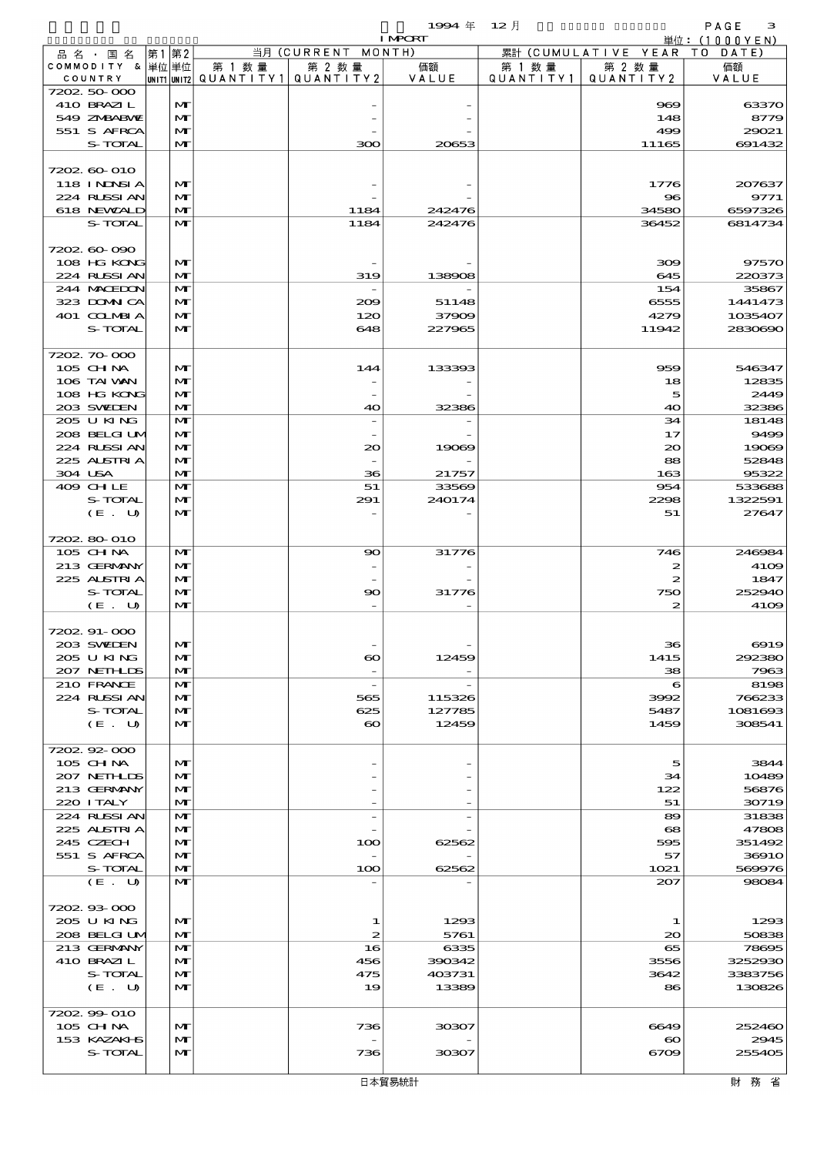$\begin{array}{cccc}\n 1994 & \# & 12 \end{array}$ 

|                           |                   |        |                                       | <b>I MPORT</b>  |         |                              | 単位: (1000YEN)     |
|---------------------------|-------------------|--------|---------------------------------------|-----------------|---------|------------------------------|-------------------|
| 品 名 ・ 国 名                 | 第1第2              |        | 当月 (CURRENT MONTH)                    |                 |         | 累計 (CUMULATIVE YEAR TO DATE) |                   |
| COMMODITY & 単位単位          |                   | 第 1 数量 | 第 2 数量                                | 価額              | 第 1 数 量 | 第 2 数量                       | 価額                |
| COUNTRY                   |                   |        | UNIT1 UNIT2  QUANT   TY1  QUANT   TY2 | VALUE           |         | QUANTITY1   QUANTITY2        | VALUE             |
| 7202 50 000<br>410 BRAZIL | M                 |        |                                       |                 |         | 969                          | 6337C             |
| 549 ZNBABVIE              | $\mathbf{M}$      |        |                                       |                 |         | 148                          | 8779              |
| 551 S AFRCA               | M                 |        |                                       |                 |         | 499                          | 29021             |
| S-TOTAL                   | $\mathbf{M}$      |        | 300                                   | 20653           |         | 11165                        | 691432            |
|                           |                   |        |                                       |                 |         |                              |                   |
| 7202 60 010               |                   |        |                                       |                 |         |                              |                   |
| 118 INNSI A               | M                 |        |                                       |                 |         | 1776                         | 207637            |
| 224 RUSSI AN              | M                 |        |                                       |                 |         | 96                           | 9771              |
| 618 NEWALD                | M                 |        | 1184                                  | 242476          |         | 34580                        | 6597326           |
| S-TOTAL                   | M                 |        | 1184                                  | 242476          |         | 36452                        | 6814734           |
| 7202 60 090               |                   |        |                                       |                 |         |                              |                   |
| 108 HG KONG               | M                 |        |                                       |                 |         | 309                          | 97570             |
| 224 RUSSI AN              | M                 |        | 319                                   | 138908          |         | 645                          | 220373            |
| 244 MACHION               | M                 |        |                                       |                 |         | 154                          | 35867             |
| 323 DOMN CA               | M                 |        | 209                                   | 51148           |         | 6555                         | 1441473           |
| 401 CCLMBIA               | M                 |        | 120                                   | 37909           |         | 4279                         | 1035407           |
| S-TOTAL                   | $\mathbf{M}$      |        | 648                                   | 227965          |         | 11942                        | 2830690           |
| 7202 70 000               |                   |        |                                       |                 |         |                              |                   |
| 105 CHNA                  | M                 |        | 144                                   | 133393          |         | 959                          | 546347            |
| 106 TAI VAN               | $\mathbf{M}$      |        |                                       |                 |         | 18                           | 12835             |
| 108 HG KONG               | $\mathbf{M}$      |        |                                       |                 |         | 5                            | 2449              |
| 203 SWIEN                 | $\mathbf{M}$      |        | 40                                    | 32386           |         | 40                           | 32386             |
| 205 U KING                | M                 |        |                                       |                 |         | 34                           | 18148             |
| 208 BELGI UM              | M                 |        |                                       |                 |         | 17                           | 9496              |
| 224 RUSSI AN              | M                 |        | $\infty$                              | 19069           |         | $\infty$                     | 19069             |
| 225 ALSTRIA               | $\mathbf{M}$      |        |                                       |                 |         | 88                           | 52848             |
| 304 USA<br>409 CHLE       | $\mathbf{M}$<br>M |        | 36<br>51                              | 21757<br>33569  |         | 163<br>954                   | 95322<br>533686   |
| S-TOTAL                   | M                 |        | 291                                   | 240174          |         | 2298                         | 1322591           |
| (E. U)                    | $\mathbf{M}$      |        |                                       |                 |         | 51                           | 27647             |
|                           |                   |        |                                       |                 |         |                              |                   |
| 7202 80 010               |                   |        |                                       |                 |         |                              |                   |
| 105 CH NA                 | M                 |        | $\infty$                              | 31776           |         | 746                          | 246984            |
| 213 GERMANY               | M                 |        |                                       |                 |         | 2                            | 41CE              |
| 225 ALSTRIA               | M                 |        |                                       |                 |         | $\boldsymbol{z}$             | 1847              |
| S-TOTAL                   | M                 |        | 90                                    | 31776           |         | 750                          | 25294C            |
| (E. U)                    | $\mathbf{M}$      |        |                                       |                 |         | 2                            | 41CE              |
| 7202.91-000               |                   |        |                                       |                 |         |                              |                   |
| 203 SVELEN                | $\mathbf{M}$      |        |                                       |                 |         | 36                           | $\Theta$ 19       |
| 205 U KING                | M                 |        | $\boldsymbol{\infty}$                 | 12459           |         | 1415                         | 292380            |
| 207 NETHLIS               | M                 |        |                                       |                 |         | 38                           | 7963              |
| 210 FRANCE                | M                 |        | $\overline{\phantom{a}}$              |                 |         | $\epsilon$                   | 8196              |
| 224 RUSSIAN               | M                 |        | 565                                   | 115326          |         | 3992                         | 766233            |
| S-TOTAL                   | M                 |        | 625                                   | 127785          |         | 5487                         | 1081693           |
| (E. U)                    | $\mathbf{M}$      |        | $\infty$                              | 12459           |         | 1459                         | 308541            |
| 7202.92-000               |                   |        |                                       |                 |         |                              |                   |
| 105 CH NA                 | $\mathbf{M}$      |        |                                       |                 |         | 5                            | 3844              |
| 207 NETHLIS               | $\mathbf{M}$      |        |                                       |                 |         | 34                           | 10489             |
| 213 GERMANY               | M                 |        |                                       |                 |         | 122                          | 56876             |
| 220 I TALY                | $\mathbf{M}$      |        |                                       |                 |         | 51                           | 30719             |
| 224 RUSSI AN              | M                 |        |                                       |                 |         | 89                           | 31838             |
| 225 ALSTRIA               | M                 |        |                                       |                 |         | $\mathbf{e}\mathbf{s}$       | 47806             |
| 245 CZECH<br>551 S AFRCA  | M<br>$\mathbf{M}$ |        | 100                                   | 62562           |         | 595<br>57                    | 351492<br>3691C   |
| S-TOTAL                   | $\mathbf{M}$      |        | 100                                   | 62562           |         | 1021                         | 569976            |
| (E. U)                    | M                 |        |                                       |                 |         | 207                          | 98084             |
|                           |                   |        |                                       |                 |         |                              |                   |
| 720293000                 |                   |        |                                       |                 |         |                              |                   |
| 205 U KING                | M                 |        | 1                                     | 1293            |         | 1                            | 1296              |
| 208 BELGI UM              | $\mathbf{M}$      |        | 2                                     | 5761            |         | 20                           | 50838             |
| 213 GERMANY               | M                 |        | 16                                    | 6335            |         | 65                           | <b>78695</b>      |
| 410 BRAZIL                | M                 |        | 456                                   | 390342          |         | 3556                         | 3252930           |
| S-TOTAL<br>(E. U)         | M<br>$\mathbf{M}$ |        | 475<br>19                             | 403731<br>13389 |         | 3642<br>86                   | 3383756<br>130826 |
|                           |                   |        |                                       |                 |         |                              |                   |
| 7202.99-010               |                   |        |                                       |                 |         |                              |                   |
| $105$ CHNA                | M                 |        | 736                                   | 30307           |         | 6649                         | 252460            |
| 153 KAZAKI B              | $\mathbf{M}$      |        |                                       |                 |         | $\boldsymbol{\infty}$        | 2945              |
| S-TOTAL                   | $\mathbf{M}$      |        | 736                                   | 30307           |         | 6709                         | 25540E            |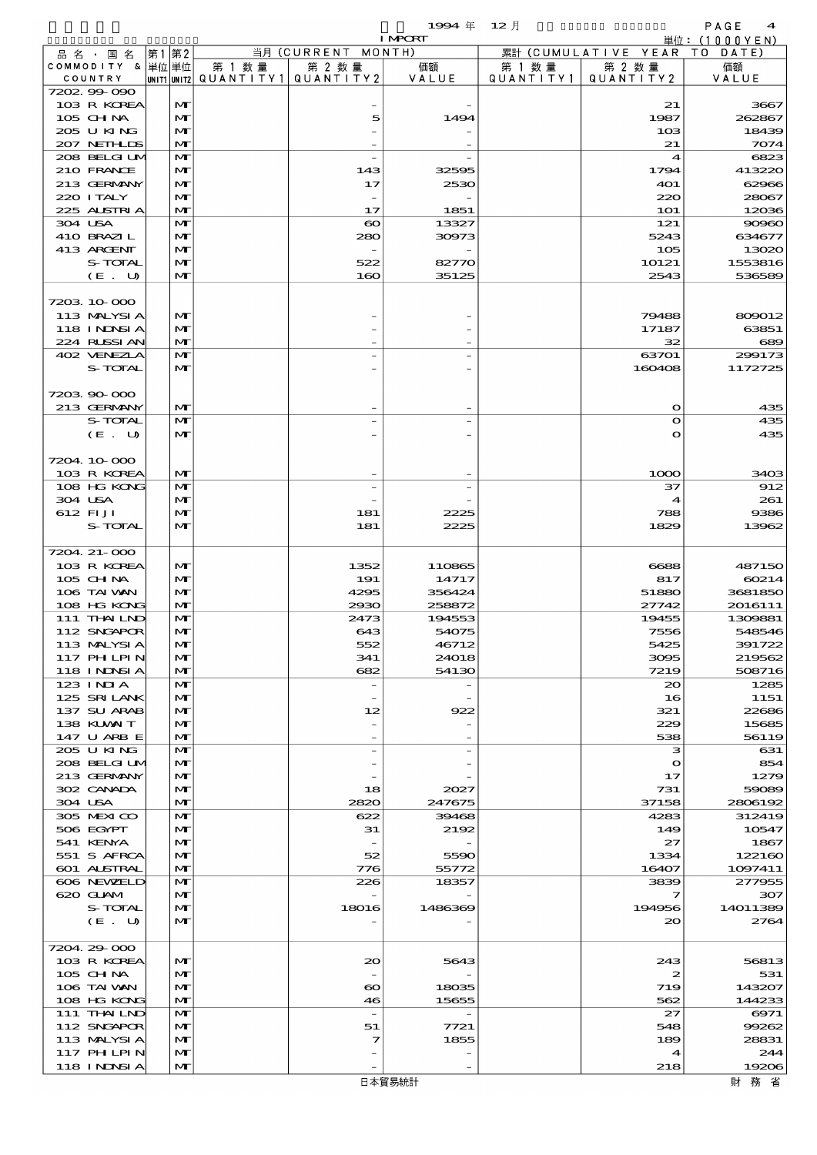$\begin{array}{cccc}\n 1994 & \# & 12 \end{array}$ 

|                             |                   |        |                                                  | <b>I MPCRT</b>   |                     |                              | 単位: (1000YEN)      |
|-----------------------------|-------------------|--------|--------------------------------------------------|------------------|---------------------|------------------------------|--------------------|
| 品名・国名                       | 第1第2              |        | 当月 (CURRENT MONTH)                               |                  |                     | 累計 (CUMULATIVE YEAR TO DATE) |                    |
| COMMODITY & 単位単位<br>COUNTRY |                   | 第 1 数量 | 第 2 数量<br> UNIT1 UNIT2  QUANT I TY1  QUANT I TY2 | 価額<br>VALUE      | 第 1 数量<br>QUANTITY1 | 第 2 数量<br>QUANTITY 2         | 価額<br>VALUE        |
| 7202.99-090                 |                   |        |                                                  |                  |                     |                              |                    |
| 103 R KOREA                 | M                 |        |                                                  |                  |                     | 21                           | 3667               |
| 105 CH NA                   | $\mathbf{M}$      |        | 5                                                | 1494             |                     | 1987                         | 262867             |
| 205 U KING                  | $\mathbf{M}$      |        |                                                  |                  |                     | 103                          | 18439              |
| 207 NETHLIS                 | M                 |        |                                                  |                  |                     | 21                           | 7074               |
| 208 BELGI UM<br>210 FRANCE  | $\mathbf{M}$<br>M |        | 143                                              | 32595            |                     | 4<br>1794                    | 6823<br>413220     |
| 213 GERMANY                 | M                 |        | 17                                               | 2530             |                     | 401                          | 62966              |
| 220 I TALY                  | M                 |        |                                                  |                  |                     | 220                          | 28067              |
| 225 ALSTRIA                 | $\mathbf{M}$      |        | 17                                               | 1851             |                     | <b>1O1</b>                   | 12036              |
| 304 USA                     | M                 |        | $\boldsymbol{\infty}$                            | 13327            |                     | 121                          | 90960              |
| 410 BRAZIL                  | M                 |        | 280                                              | 30973            |                     | 5243                         | 634677             |
| 413 ARCENT                  | M                 |        | 522                                              |                  |                     | 105                          | 13020              |
| S-TOTAL<br>(E. U)           | M<br>$\mathbf{M}$ |        | 160                                              | 82770<br>35125   |                     | 10121<br>2543                | 1553816<br>536589  |
|                             |                   |        |                                                  |                  |                     |                              |                    |
| 7203 10 000                 |                   |        |                                                  |                  |                     |                              |                    |
| 113 MALYSIA                 | M                 |        |                                                  |                  |                     | 79488                        | 809012             |
| 118 I NDSI A                | M                 |        |                                                  |                  |                     | 17187                        | 63851              |
| 224 RUSSIAN                 | M                 |        |                                                  |                  |                     | 32                           | 689                |
| 402 VENEZLA                 | M                 |        |                                                  |                  |                     | 63701                        | 299173             |
| S-TOTAL                     | M                 |        |                                                  |                  |                     | 160408                       | 1172725            |
| 720390000                   |                   |        |                                                  |                  |                     |                              |                    |
| 213 GERMANY                 | M                 |        |                                                  |                  |                     | $\mathbf o$                  | 435                |
| S-TOTAL                     | M                 |        |                                                  |                  |                     | $\bullet$                    | 435                |
| (E. U)                      | $\mathbf{M}$      |        |                                                  |                  |                     | $\mathbf{o}$                 | 435                |
|                             |                   |        |                                                  |                  |                     |                              |                    |
| 7204 10 000                 |                   |        |                                                  |                  |                     |                              |                    |
| 103 R KOREA<br>108 HG KONG  | M<br>M            |        |                                                  |                  |                     | 1000<br>37                   | 3403<br>912        |
| 304 USA                     | M                 |        |                                                  |                  |                     | 4                            | 261                |
| 612 FI JI                   | M                 |        | 181                                              | 2225             |                     | 788                          | 9386               |
| S-TOTAL                     | $\mathbf{M}$      |        | 181                                              | 2225             |                     | 1829                         | 13962              |
|                             |                   |        |                                                  |                  |                     |                              |                    |
| 7204. 21-000                |                   |        |                                                  |                  |                     |                              |                    |
| 103 R KOREA                 | M                 |        | 1352                                             | 110865           |                     | 6688                         | 487150             |
| 105 CH NA                   | M                 |        | 191                                              | 14717            |                     | 817                          | 60214              |
| 106 TAI VAN<br>108 HG KONG  | M<br>M            |        | 4295<br>2930                                     | 356424<br>258872 |                     | 51880<br>27742               | 3681850<br>2016111 |
| 111 THAILND                 | M                 |        | 2473                                             | 194553           |                     | 19455                        | 1309881            |
| 112 SNGAPOR                 | M                 |        | 643                                              | 54075            |                     | 7556                         | 548546             |
| 113 MALYSIA                 | $\mathbf{M}$      |        | 552                                              | 46712            |                     | 5425                         | 391722             |
| 117 PH LPIN                 | M                 |        | 341                                              | 24018            |                     | 3095                         | 219562             |
| 118 I NDSI A                | M                 |        | 682                                              | 54130            |                     | 7219                         | 508716             |
| 123 INIA                    | M                 |        |                                                  |                  |                     | $\infty$                     | 1285               |
| 125 SRILANK<br>137 SU ARAB  | M<br>M            |        | 12                                               | 922              |                     | 16<br>321                    | 1151<br>22686      |
| 138 KUWAIT                  | M                 |        |                                                  |                  |                     | 229                          | 15685              |
| 147 U ARB E                 | M                 |        |                                                  |                  |                     | 538                          | 56119              |
| 205 U KING                  | M                 |        |                                                  |                  |                     | з                            | 631                |
| 208 BELGI UM                | M                 |        |                                                  |                  |                     | $\mathbf o$                  | 854                |
| 213 GERMANY                 | M                 |        |                                                  |                  |                     | 17                           | 1279               |
| 302 CANADA<br>304 USA       | M<br>M            |        | 18<br>2820                                       | 2027<br>247675   |                     | 731<br>37158                 | 59089<br>2806192   |
| 305 MEXICO                  | M                 |        | 622                                              | 39468            |                     | 4283                         | 312419             |
| 506 EGYPT                   | M                 |        | 31                                               | 2192             |                     | 149                          | 10547              |
| 541 KENYA                   | M                 |        | $\overline{\phantom{a}}$                         |                  |                     | 27                           | 1867               |
| 551 S AFRCA                 | M                 |        | 52                                               | 5590             |                     | 1334                         | 122160             |
| 601 ALSTRAL                 | M                 |        | 776                                              | 55772            |                     | 16407                        | 1097411            |
| 606 NEWELD                  | M                 |        | 226                                              | 18357            |                     | 3839                         | 277955             |
| 620 GLAM<br>S-TOTAL         | M<br>M            |        | 18016                                            | 1486369          |                     | 7<br>194956                  | 307<br>14011389    |
| (E. U)                      | M                 |        |                                                  |                  |                     | 20                           | 2764               |
|                             |                   |        |                                                  |                  |                     |                              |                    |
| 7204.29-000                 |                   |        |                                                  |                  |                     |                              |                    |
| 103 R KOREA                 | M                 |        | 20                                               | 5643             |                     | 243                          | 56813              |
| $105$ CHNA                  | M                 |        |                                                  |                  |                     | 2                            | 531                |
| 106 TAI VAN                 | M                 |        | $\boldsymbol{\infty}$                            | 18035            |                     | 719                          | 143207             |
| 108 HG KONG<br>111 THAILND  | M<br>M            |        | 46<br>$\overline{\phantom{a}}$                   | 15655            |                     | 562<br>27                    | 144233<br>6971     |
| 112 SNGAPOR                 | M                 |        | 51                                               | 7721             |                     | 548                          | 99262              |
| 113 MALYSIA                 | M                 |        | 7                                                | 1855             |                     | 189                          | 28831              |
| 117 PH LPIN                 | M                 |        |                                                  |                  |                     | 4                            | 244                |
| 118 I NDSI A                | M                 |        |                                                  |                  |                     | 218                          | 19206              |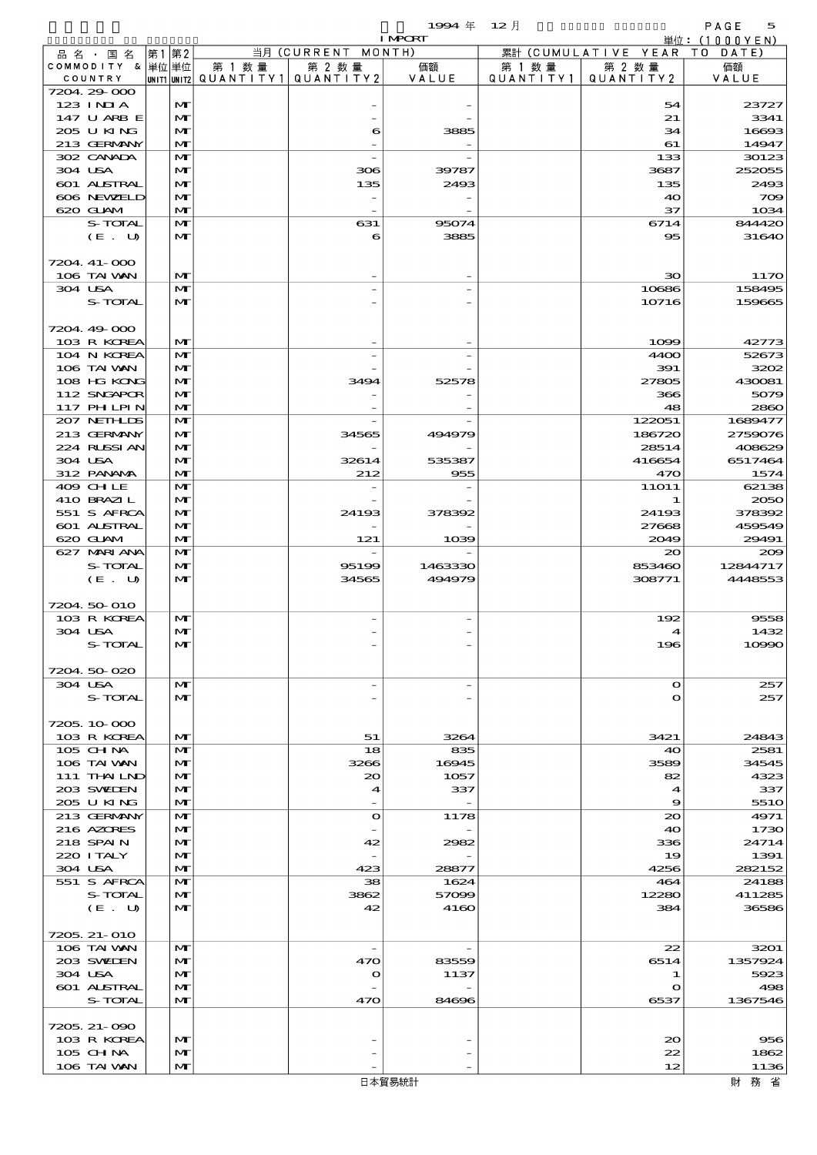|                            |       |                   |                                                   |                                 | $1994$ 年                         | $12$ 月               |                        | PAGE<br>5        |
|----------------------------|-------|-------------------|---------------------------------------------------|---------------------------------|----------------------------------|----------------------|------------------------|------------------|
|                            |       |                   |                                                   |                                 | <b>I MPCRT</b>                   |                      |                        | 単位: (1000YEN)    |
| 品名・国名<br>COMMODITY & 単位単位  | 第1 第2 |                   |                                                   | 当月 (CURRENT MONTH)              |                                  |                      | 累計 (CUMULATIVE YEAR TO | DATE)            |
| COUNTRY                    |       |                   | 第 1 数 量<br> unit1 unit2  Q∪ANT   TY1  Q∪ANT   TY2 | 第 2 数量                          | 価額<br>VALUE                      | 第 1 数 量<br>QUANTITY1 | 第 2 数量<br>QUANTITY2    | 価額<br>VALUE      |
| 7204 29 000                |       |                   |                                                   |                                 |                                  |                      |                        |                  |
| $123$ INIA                 |       | M                 |                                                   |                                 |                                  |                      | 54                     | 23727            |
| 147 U ARB E<br>205 U KING  |       | $\mathbf{M}$<br>M |                                                   |                                 |                                  |                      | 21<br>34               | 3341<br>16693    |
| 213 GERMANY                |       | $\mathbf{M}$      |                                                   | 6                               | 3885<br>$\overline{\phantom{m}}$ |                      | 61                     | 14947            |
| 302 CANADA                 |       | M                 |                                                   |                                 |                                  |                      | 133                    | 30123            |
| 304 USA                    |       | M                 |                                                   | 306                             | 39787                            |                      | 3687                   | 252055           |
| 601 ALSTRAL                |       | M                 |                                                   | 135                             | 2493                             |                      | 135                    | 2493             |
| 606 NEWELD                 |       | M                 |                                                   |                                 |                                  |                      | 40                     | 709              |
| 620 GLAM<br>S-TOTAL        |       | M<br>M            |                                                   | $\overline{\phantom{a}}$<br>631 | 95074                            |                      | 37<br>6714             | 1034<br>844420   |
| (E. U)                     |       | $\mathbf{M}$      |                                                   | 6                               | 3885                             |                      | 95                     | 31640            |
|                            |       |                   |                                                   |                                 |                                  |                      |                        |                  |
| 7204. 41-000               |       |                   |                                                   |                                 |                                  |                      |                        |                  |
| 106 TAI VAN                |       | M                 |                                                   |                                 | $\overline{\phantom{0}}$         |                      | ЗО                     | 1170             |
| 304 USA<br>S-TOTAL         |       | M<br>$\mathbf{M}$ |                                                   |                                 |                                  |                      | 10686<br>10716         | 158495<br>159665 |
|                            |       |                   |                                                   |                                 |                                  |                      |                        |                  |
| 7204.49-000                |       |                   |                                                   |                                 |                                  |                      |                        |                  |
| 103 R KOREA                |       | M                 |                                                   |                                 |                                  |                      | 1099                   | 42773            |
| 104 N KOREA                |       | M                 |                                                   |                                 | $\overline{\phantom{0}}$         |                      | 4400                   | 52673            |
| 106 TAI VAN                |       | M                 |                                                   |                                 |                                  |                      | 391                    | 3202             |
| 108 HG KONG<br>112 SNGAPOR |       | M<br>M            |                                                   | 3494                            | 52578                            |                      | 27805<br>366           | 430081<br>5079   |
| 117 PH LPIN                |       | M                 |                                                   |                                 |                                  |                      | 48                     | 2860             |
| 207 NETHLIS                |       | M                 |                                                   |                                 |                                  |                      | 122051                 | 1689477          |
| 213 GERMANY                |       | M                 |                                                   | 34565                           | 494979                           |                      | 186720                 | 2759076          |
| 224 RUSSI AN               |       | M                 |                                                   |                                 | $\overline{\phantom{m}}$         |                      | 28514                  | 408629           |
| 304 USA                    |       | M                 |                                                   | 32614                           | 535387                           |                      | 416654                 | 6517464          |
| 312 PANAMA<br>409 CHLE     |       | $\mathbf{M}$<br>M |                                                   | 212                             | 955<br>$\overline{\phantom{0}}$  |                      | 470<br><b>11O11</b>    | 1574<br>62138    |
| 410 BRAZIL                 |       | M                 |                                                   |                                 |                                  |                      | $\mathbf 1$            | 2050             |
| 551 S AFRCA                |       | M                 |                                                   | 24193                           | 378392                           |                      | 24193                  | 378392           |
| 601 ALSTRAL                |       | M                 |                                                   |                                 |                                  |                      | 27668                  | 459549           |
| 620 GLAM                   |       | M                 |                                                   | 121                             | 1039                             |                      | 2049                   | 29491            |
| 627 MARIANA<br>S-TOTAL     |       | M<br>$\mathbf{M}$ |                                                   |                                 |                                  |                      | 20                     | 200<br>12844717  |
| (E. U)                     |       | M                 |                                                   | 95199<br>34565                  | 1463330<br>494979                |                      | 853460<br>308771       | 4448553          |
|                            |       |                   |                                                   |                                 |                                  |                      |                        |                  |
| 7204 50 010                |       |                   |                                                   |                                 |                                  |                      |                        |                  |
| 103 R KOREA                |       | M                 |                                                   |                                 |                                  |                      | 192                    | 9558             |
| 304 USA                    |       | M<br>M            |                                                   |                                 |                                  |                      |                        | 1432             |
| S-TOTAL                    |       |                   |                                                   |                                 |                                  |                      | 196                    | 10990            |
| 7204 50 020                |       |                   |                                                   |                                 |                                  |                      |                        |                  |
| 304 USA                    |       | M                 |                                                   |                                 | $\overline{\phantom{0}}$         |                      | $\mathbf{o}$           | 257              |
| S-TOTAL                    |       | M                 |                                                   |                                 |                                  |                      | $\bullet$              | 257              |
|                            |       |                   |                                                   |                                 |                                  |                      |                        |                  |
| 7205.10.000<br>103 R KOREA |       | $\mathbf{M}$      |                                                   | 51                              | 3264                             |                      | 3421                   | 24843            |
| 105 CH NA                  |       | M                 |                                                   | 18                              | 835                              |                      | 40                     | 2581             |
| 106 TAI VAN                |       | M                 |                                                   | 3266                            | 16945                            |                      | 3589                   | 34545            |
| 111 THAILND                |       | M                 |                                                   | 20                              | 1057                             |                      | 82                     | 4323             |
| 203 SWIEN                  |       | M                 |                                                   | 4                               | 337                              |                      | 4                      | 337              |
| 205 U KING<br>213 GERMANY  |       | M<br>M            |                                                   | $\bullet$                       | $\overline{a}$<br>1178           |                      | 9<br>20                | 551O<br>4971     |
| 216 AZORES                 |       | M                 |                                                   |                                 |                                  |                      | 40                     | 1730             |
| 218 SPAIN                  |       | M                 |                                                   | 42                              | 2982                             |                      | 336                    | 24714            |
| 220 I TALY                 |       | M                 |                                                   |                                 |                                  |                      | 19                     | 1391             |
| 304 USA                    |       | M                 |                                                   | 423                             | 28877                            |                      | 4256                   | 282152           |
| 551 S AFRCA                |       | M                 |                                                   | 38                              | 1624                             |                      | 464                    | 24188            |
| S-TOTAL<br>(E. U)          |       | M<br>$\mathbf{M}$ |                                                   | 3862<br>42                      | 57099<br>4160                    |                      | 12280<br>384           | 411285<br>36586  |
|                            |       |                   |                                                   |                                 |                                  |                      |                        |                  |
| 7205, 21-010               |       |                   |                                                   |                                 |                                  |                      |                        |                  |
| 106 TAI VAN                |       | M                 |                                                   |                                 |                                  |                      | 22                     | 3201             |
| 203 SWIDEN                 |       | M                 |                                                   | 470                             | 83559                            |                      | 6514                   | 1357924          |
| 304 USA<br>601 ALSTRAL     |       | M<br>$\mathbf{M}$ |                                                   | $\mathbf o$                     | 1137                             |                      | 1<br>$\mathbf o$       | 5923<br>498      |
| S-TOTAL                    |       | M                 |                                                   | 470                             | 84696                            |                      | 6537                   | 1367546          |
|                            |       |                   |                                                   |                                 |                                  |                      |                        |                  |

 103 R KOREA MT - - 20 956 105 CHINA MT - - 22 1862  $106$  TAI WAN  $\begin{vmatrix} 1 \end{vmatrix}$   $\begin{vmatrix} 1136 \end{vmatrix}$ 

7205.21-090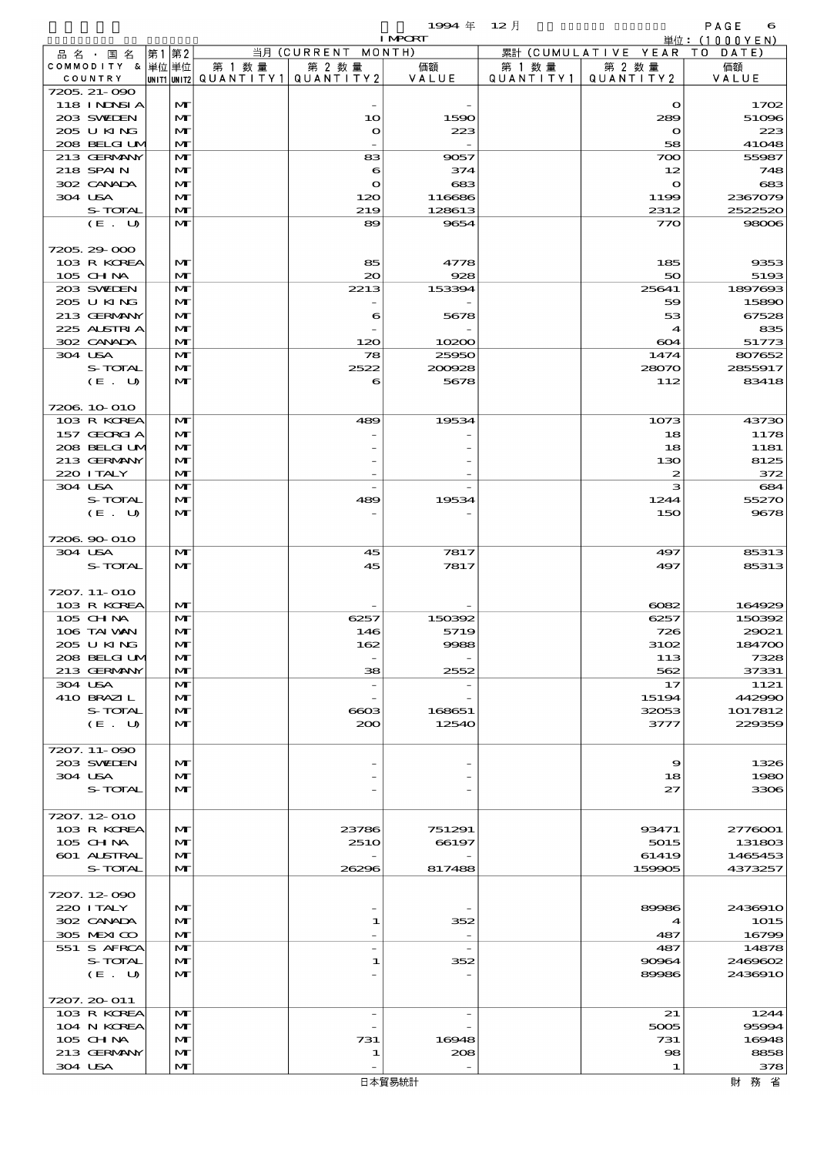$1$ SS4  $\#$  12  $\bar{e}$  and  $\bar{e}$  and  $\bar{e}$  and  $\bar{e}$  and  $\bar{e}$  and  $\bar{e}$  and  $\bar{e}$  and  $\bar{e}$  and  $\bar{e}$  and  $\bar{e}$  and  $\bar{e}$  and  $\bar{e}$  and  $\bar{e}$  and  $\bar{e}$  and  $\bar{e}$  and  $\bar{e}$  and  $\bar{e}$  and  $\$ 

|                       |                          |      |                              |        |                                                  | <b>I MPORT</b>  |                      |                              | 単位: (1000YEN)      |
|-----------------------|--------------------------|------|------------------------------|--------|--------------------------------------------------|-----------------|----------------------|------------------------------|--------------------|
|                       | 品 名 ・ 国 名                | 第1第2 |                              |        | 当月 (CURRENT MONTH)                               |                 |                      | 累計 (CUMULATIVE YEAR TO DATE) |                    |
| COUNTRY               | COMMODITY & 単位単位         |      |                              | 第 1 数量 | 第 2 数量<br> UNIT1 UNIT2  QUANT I TY1  QUANT I TY2 | 価額<br>VALUE     | 第 1 数 量<br>QUANTITY1 | 第 2 数量<br>QUANTITY 2         | 価額<br>VALUE        |
|                       | 7205, 21-090             |      |                              |        |                                                  |                 |                      |                              |                    |
|                       | 118 I NINSI A            |      | M                            |        |                                                  |                 |                      | $\mathbf o$                  | 1702               |
|                       | 203 SWIEN                |      | $\mathbf{M}$                 |        | 10                                               | 1590            |                      | 289                          | 51096              |
|                       | 205 U KING               |      | $\mathbf{M}$                 |        | $\mathbf{o}$                                     | 223             |                      | $\mathbf o$                  | 223                |
|                       | 208 BELGI UM             |      | $\mathbf{M}$                 |        |                                                  |                 |                      | 58                           | 41048              |
|                       | 213 GERMANY<br>218 SPAIN |      | $\mathbf{M}$<br>M            |        | 83<br>6                                          | 9057<br>374     |                      | 700<br>12                    | 55987<br>748       |
|                       | 302 CANADA               |      | $\mathbf{M}$                 |        | $\bullet$                                        | 683             |                      | $\bullet$                    | 683                |
| 304 USA               |                          |      | $\mathbf{M}$                 |        | 120                                              | 116686          |                      | 1199                         | 2367079            |
|                       | S-TOTAL                  |      | $\mathbf{M}$                 |        | 219                                              | 128613          |                      | 2312                         | 2522520            |
|                       | (E. U)                   |      | $\mathbf{M}$                 |        | 89                                               | 9654            |                      | 770                          | 98006              |
|                       |                          |      |                              |        |                                                  |                 |                      |                              |                    |
| 7205.29-000           | 103 R KOREA              |      | M                            |        |                                                  | 4778            |                      | 185                          | 9353               |
|                       | 105 CH NA                |      | $\mathbf{M}$                 |        | 85<br>20                                         | 928             |                      | 50                           | 5193               |
|                       | 203 SWIEN                |      | $\mathbf{M}$                 |        | 2213                                             | 153394          |                      | 25641                        | 1897693            |
|                       | 205 U KING               |      | M                            |        |                                                  |                 |                      | 59                           | 15890              |
|                       | 213 GERMANY              |      | M                            |        | 6                                                | 5678            |                      | 53                           | 67528              |
|                       | 225 ALSTRIA              |      | $\mathbf{M}$                 |        |                                                  |                 |                      | $\boldsymbol{4}$             | 835                |
|                       | 302 CANADA               |      | $\mathbf{M}$                 |        | 120                                              | 10200           |                      | 604                          | 51773              |
| 304 USA               | S-TOTAL                  |      | $\mathbf{M}$<br>M            |        | 78<br>2522                                       | 25950<br>200928 |                      | 1474<br>28070                | 807652<br>2855917  |
|                       | (E. U)                   |      | $\mathbf{M}$                 |        | 6                                                | 5678            |                      | 112                          | 83418              |
|                       |                          |      |                              |        |                                                  |                 |                      |                              |                    |
| 7206 10 010           |                          |      |                              |        |                                                  |                 |                      |                              |                    |
|                       | 103 R KOREA              |      | M                            |        | 489                                              | 19534           |                      | 1073                         | 43730              |
|                       | 157 GEORGIA              |      | M                            |        |                                                  |                 |                      | 18                           | 1178               |
|                       | 208 BELGI UM             |      | M                            |        |                                                  |                 |                      | 18                           | 1181               |
|                       | 213 GERMANY              |      | $\mathbf{M}$<br>$\mathbf{M}$ |        |                                                  |                 |                      | 130                          | 8125               |
| 220 I TALY<br>304 USA |                          |      | $\mathbf{M}$                 |        |                                                  |                 |                      | 2<br>з                       | 372<br>684         |
|                       | S-TOTAL                  |      | M                            |        | 489                                              | 19534           |                      | 1244                         | 55270              |
|                       | (E. U)                   |      | $\mathbf{M}$                 |        |                                                  |                 |                      | 150                          | 9678               |
|                       |                          |      |                              |        |                                                  |                 |                      |                              |                    |
|                       | 7206.90-010              |      |                              |        |                                                  |                 |                      |                              |                    |
| 304 USA               |                          |      | $\mathbf{M}$                 |        | 45                                               | 7817            |                      | 497                          | 85313              |
|                       | S-TOTAL                  |      | $\mathbf{M}$                 |        | 45                                               | 7817            |                      | 497                          | 85313              |
| 7207. 11-010          |                          |      |                              |        |                                                  |                 |                      |                              |                    |
|                       | 103 R KOREA              |      | M                            |        |                                                  |                 |                      | $\cos\!2$                    | 164929             |
| 105 CHNA              |                          |      | $\mathbf{M}$                 |        | 6257                                             | 150392          |                      | 6257                         | 150392             |
|                       | 106 TAI VAN              |      | M                            |        | 146                                              | 5719            |                      | 726                          | 29021              |
|                       | 2005 U KING              |      | M                            |        | 162                                              | 9988            |                      | 3102                         | 184700             |
|                       | 208 BELGI UM             |      | M                            |        |                                                  |                 |                      | 113                          | 7328               |
| 304 USA               | 213 GERMANY              |      | M<br>$\mathbf{M}$            |        | 38                                               | 2552            |                      | 562<br>17                    | 37331<br>1121      |
|                       | 410 BRAZIL               |      | M                            |        |                                                  |                 |                      | 15194                        | 442990             |
|                       | S-TOTAL                  |      | M                            |        | 6603                                             | 168651          |                      | 32053                        | 1017812            |
|                       | (E. U)                   |      | M                            |        | 200                                              | 12540           |                      | 3777                         | 229359             |
|                       |                          |      |                              |        |                                                  |                 |                      |                              |                    |
| 7207. 11-090          |                          |      |                              |        |                                                  |                 |                      |                              |                    |
| 304 USA               | 203 SWIEN                |      | $\mathbf{M}$<br>$\mathbf{M}$ |        |                                                  |                 |                      | 9<br>18                      | 1326<br>1980       |
|                       | S-TOTAL                  |      | $\mathbf{M}$                 |        |                                                  |                 |                      | 27                           | 3306               |
|                       |                          |      |                              |        |                                                  |                 |                      |                              |                    |
| 7207.12-010           |                          |      |                              |        |                                                  |                 |                      |                              |                    |
|                       | 103 R KOREA              |      | $\mathbf{M}$                 |        | 23786                                            | 751291          |                      | 93471                        | 2776001            |
|                       | 105 CH NA                |      | $\mathbf{M}$                 |        | <b>2510</b>                                      | 66197           |                      | 5015                         | 131803             |
|                       | 601 ALSTRAL<br>S-TOTAL   |      | $\mathbf{M}$<br>$\mathbf{M}$ |        | 26296                                            | 817488          |                      | 61419<br>159905              | 1465453<br>4373257 |
|                       |                          |      |                              |        |                                                  |                 |                      |                              |                    |
| 7207.12-090           |                          |      |                              |        |                                                  |                 |                      |                              |                    |
|                       | 220 I TALY               |      | $\mathbf{M}$                 |        |                                                  |                 |                      | 89986                        | 2436910            |
|                       | 302 CANADA               |      | M                            |        | 1                                                | 352             |                      | $\blacktriangleleft$         | 1015               |
|                       | 305 MEXICO               |      | M                            |        |                                                  |                 |                      | 487                          | 16799              |
|                       | 551 S AFRCA<br>S-TOTAL   |      | $\mathbf{M}$<br>M            |        | 1                                                | 352             |                      | 487<br>90964                 | 14878<br>2469602   |
|                       | (E. U)                   |      | M                            |        |                                                  |                 |                      | 89986                        | 2436910            |
|                       |                          |      |                              |        |                                                  |                 |                      |                              |                    |
| 7207. 20-011          |                          |      |                              |        |                                                  |                 |                      |                              |                    |
|                       | 103 R KOREA              |      | M                            |        | $\qquad \qquad -$                                |                 |                      | 21                           | 1244               |
|                       | 104 N KOREA              |      | M                            |        |                                                  |                 |                      | 5005                         | 95994              |
|                       | 105 CH NA<br>213 GERMANY |      | M<br>M                       |        | 731<br>1                                         | 16948<br>208    |                      | 731<br>98                    | 16948<br>8858      |
| 304 USA               |                          |      | M                            |        |                                                  |                 |                      | 1                            | 378                |
|                       |                          |      |                              |        |                                                  |                 |                      |                              |                    |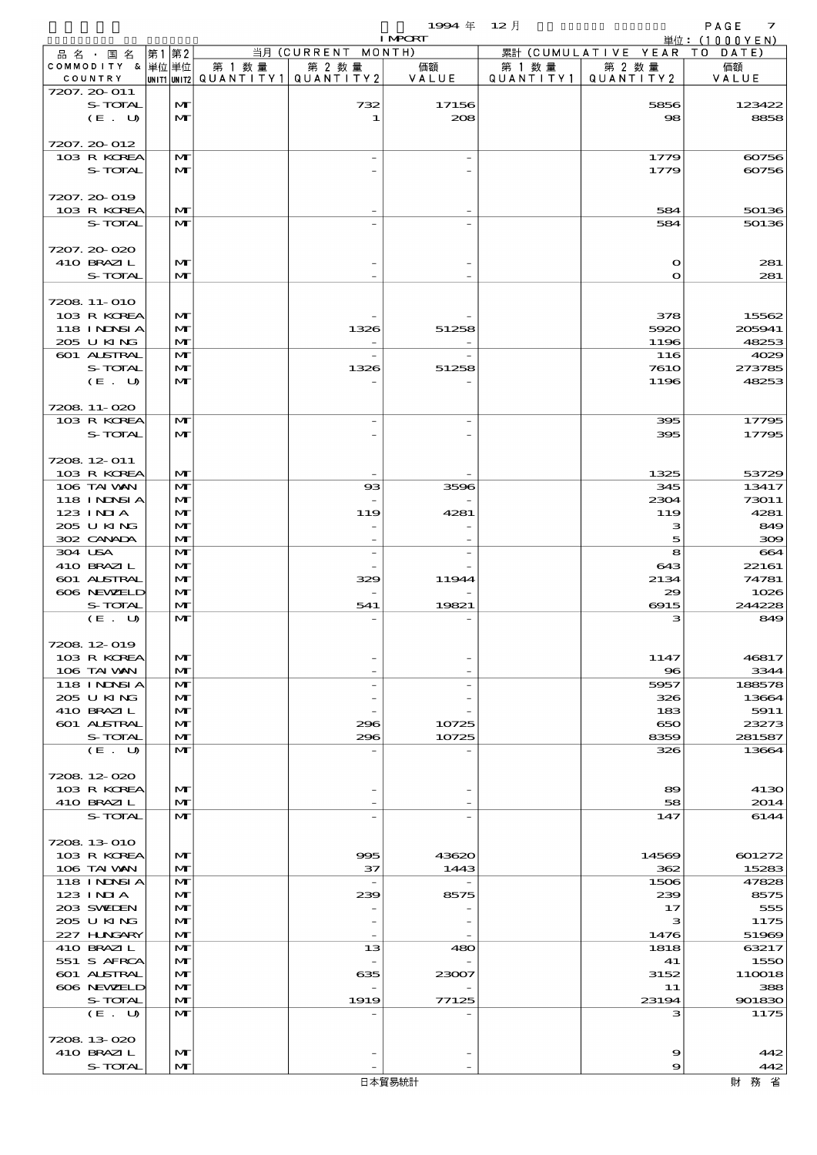$1994 \& 12 \cancel{7}$ 

|                  |              |        |                                               | <b>I MPORT</b> |        |                              | 単位: (1000YEN) |
|------------------|--------------|--------|-----------------------------------------------|----------------|--------|------------------------------|---------------|
| 品名・国名            | 第1第2         |        | 当月 (CURRENT MONTH)                            |                |        | 累計 (CUMULATIVE YEAR TO DATE) |               |
| COMMODITY & 単位単位 |              | 第 1 数量 | 第 2 数量                                        | 価額             | 第 1 数量 | 第 2 数量                       | 価額            |
| COUNTRY          |              |        | $ $ UNIT1 $ $ UNIT2 $ $ QUANTITY1   QUANTITY2 | VALUE          |        | QUANTITY1 QUANTITY2          | VALUE         |
| 7207. 20-011     |              |        |                                               |                |        |                              |               |
| S-TOTAL          | $\mathbf{M}$ |        | 732                                           | 17156          |        | 5856                         | 123422        |
| (E. U)           | $\mathbf{M}$ |        | 1                                             | 208            |        | 98                           | 8858          |
|                  |              |        |                                               |                |        |                              |               |
| 7207. 20-012     |              |        |                                               |                |        |                              |               |
| 103 R KOREA      | $\mathbf{M}$ |        |                                               |                |        | 1779                         | 60756         |
| S-TOTAL          | $\mathbf{M}$ |        |                                               |                |        | 1779                         | 60756         |
|                  |              |        |                                               |                |        |                              |               |
| 7207. 20-019     |              |        |                                               |                |        |                              |               |
| 103 R KOREA      | $\mathbf{M}$ |        |                                               |                |        | 584                          | 50136         |
| S-TOTAL          | $\mathbf{M}$ |        |                                               |                |        | 584                          | 50136         |
|                  |              |        |                                               |                |        |                              |               |
| 7207.20-020      |              |        |                                               |                |        |                              |               |
| 410 BRAZIL       | M            |        |                                               |                |        | $\Omega$                     | 281           |
| S-TOTAL          | $\mathbf{M}$ |        |                                               |                |        | $\Omega$                     | 281           |
|                  |              |        |                                               |                |        |                              |               |
| 7208 11-010      |              |        |                                               |                |        |                              |               |
| 103 R KOREA      | M            |        |                                               |                |        | 378                          | 15562         |
|                  |              |        |                                               |                |        |                              |               |
| 118 INNSI A      | $\mathbf{M}$ |        | 1326                                          | 51258          |        | 5920                         | 205941        |
| 205 U KING       | $\mathbf{M}$ |        |                                               |                |        | 1196                         | 48253         |
| 601 ALSTRAL      | $\mathbf{M}$ |        |                                               |                |        | 116                          | 4029          |
| S-TOTAL          | M            |        | 1326                                          | 51258          |        | <b>7610</b>                  | 273785        |
| (E. U)           | $\mathbf{M}$ |        |                                               |                |        | 1196                         | 48253         |
|                  |              |        |                                               |                |        |                              |               |
| 7208 11-020      |              |        |                                               |                |        |                              |               |
| 103 R KOREA      | $\mathbf{M}$ |        |                                               |                |        | 395                          | 17795         |
| S-TOTAL          | $\mathbf{M}$ |        |                                               |                |        | 395                          | 17795         |
|                  |              |        |                                               |                |        |                              |               |
| 7208 12 011      |              |        |                                               |                |        |                              |               |
| 103 R KOREA      | M            |        |                                               |                |        | 1325                         | 53729         |
| 106 TAI VAN      | $\mathbf{M}$ |        | $_{\rm ss}$                                   | 3596           |        | 345                          | 13417         |
| 118 INNSI A      | $\mathbf{M}$ |        |                                               |                |        | 2304                         | 73011         |
| 123 INIA         | M            |        | 119                                           | 4281           |        | 119                          | 4281          |
| 205 U KING       | M            |        |                                               |                |        | з                            | 849           |
| 302 CANADA       | $\mathbf{M}$ |        |                                               |                |        | 5                            | 300           |
| 304 USA          | $\mathbf{M}$ |        | $\overline{\phantom{a}}$                      |                |        | 8                            | 664           |
| 410 BRAZIL       | $\mathbf{M}$ |        |                                               |                |        | 643                          | 22161         |
|                  |              |        |                                               |                |        |                              |               |
| 601 ALSTRAL      | $\mathbf{M}$ |        | 329                                           | 11944          |        | 2134                         | 74781         |
| 606 NEWELD       | $\mathbf{M}$ |        |                                               |                |        | 29                           | 1026          |
| S-TOTAL          | $\mathbf{M}$ |        | 541                                           | 19821          |        | 6915                         | 244228        |
| (E. U)           | $\mathbf{M}$ |        |                                               |                |        | з                            | 849           |
|                  |              |        |                                               |                |        |                              |               |
| 7208 12 019      |              |        |                                               |                |        |                              |               |
| 103 R KOREA      | $\mathbf{M}$ |        |                                               |                |        | 1147                         | 46817         |
| 106 TAI VAN      | M            |        |                                               |                |        | $\bf{8}$                     | 3344          |
| 118 I NDSI A     | M            |        |                                               |                |        | 5957                         | 188578        |
| 205 U KING       | $\mathbf{M}$ |        |                                               |                |        | 326                          | 13664         |
| 410 BRAZIL       | M            |        |                                               |                |        | 183                          | 5911          |
| 601 ALSTRAL      | M            |        | 296                                           | 10725          |        | 650                          | 23273         |
| S-TOTAL          | $\mathbf{M}$ |        | 296                                           | 10725          |        | 8359                         | 281587        |
| (E. U)           | $\mathbf{M}$ |        |                                               |                |        | 326                          | 13664         |
|                  |              |        |                                               |                |        |                              |               |
| 7208 12 020      |              |        |                                               |                |        |                              |               |
| 103 R KOREA      | $\mathbf{M}$ |        |                                               |                |        | 89                           | 4130          |
| 410 BRAZIL       | M            |        |                                               |                |        | 58                           | 2014          |
| S-TOTAL          | $\mathbf{M}$ |        |                                               |                |        | 147                          | 6144          |
|                  |              |        |                                               |                |        |                              |               |
| 7208 13 010      |              |        |                                               |                |        |                              |               |
| 103 R KOREA      | $\mathbf{M}$ |        | 995                                           | 43620          |        |                              | 601272        |
|                  |              |        |                                               |                |        | 14569                        |               |
| 106 TAI VAN      | $\mathbf{M}$ |        | 37                                            | 1443           |        | 362                          | 15283         |
| 118 INNSI A      | M            |        | $\overline{\phantom{a}}$                      |                |        | 1506                         | 47828         |
| 123 INIA         | $\mathbf{M}$ |        | 239                                           | 8575           |        | 239                          | 8575          |
| 203 SWIDEN       | M            |        |                                               |                |        | 17                           | 555           |
| 205 U KING       | M            |        |                                               |                |        | з                            | 1175          |
| 227 H.NGARY      | M            |        |                                               |                |        | 1476                         | 51969         |
| 410 BRAZIL       | M            |        | 13                                            | 480            |        | 1818                         | 63217         |
| 551 S AFRCA      | $\mathbf{M}$ |        |                                               |                |        | 41                           | 1550          |
| 601 ALSTRAL      | M            |        | 635                                           | 23007          |        | 3152                         | 110018        |
| 606 NEWELD       | M            |        |                                               |                |        | 11                           | 388           |
| S-TOTAL          | $\mathbf{M}$ |        | 1919                                          | 77125          |        | 23194                        | 901830        |
| (E. U)           | $\mathbf{M}$ |        |                                               |                |        | з                            | 1175          |
|                  |              |        |                                               |                |        |                              |               |
| 7208 13 020      |              |        |                                               |                |        |                              |               |
| 410 BRAZIL       | M            |        |                                               |                |        | 9                            | 442           |
| S-TOTAL          | M            |        |                                               |                |        | 9                            | 442           |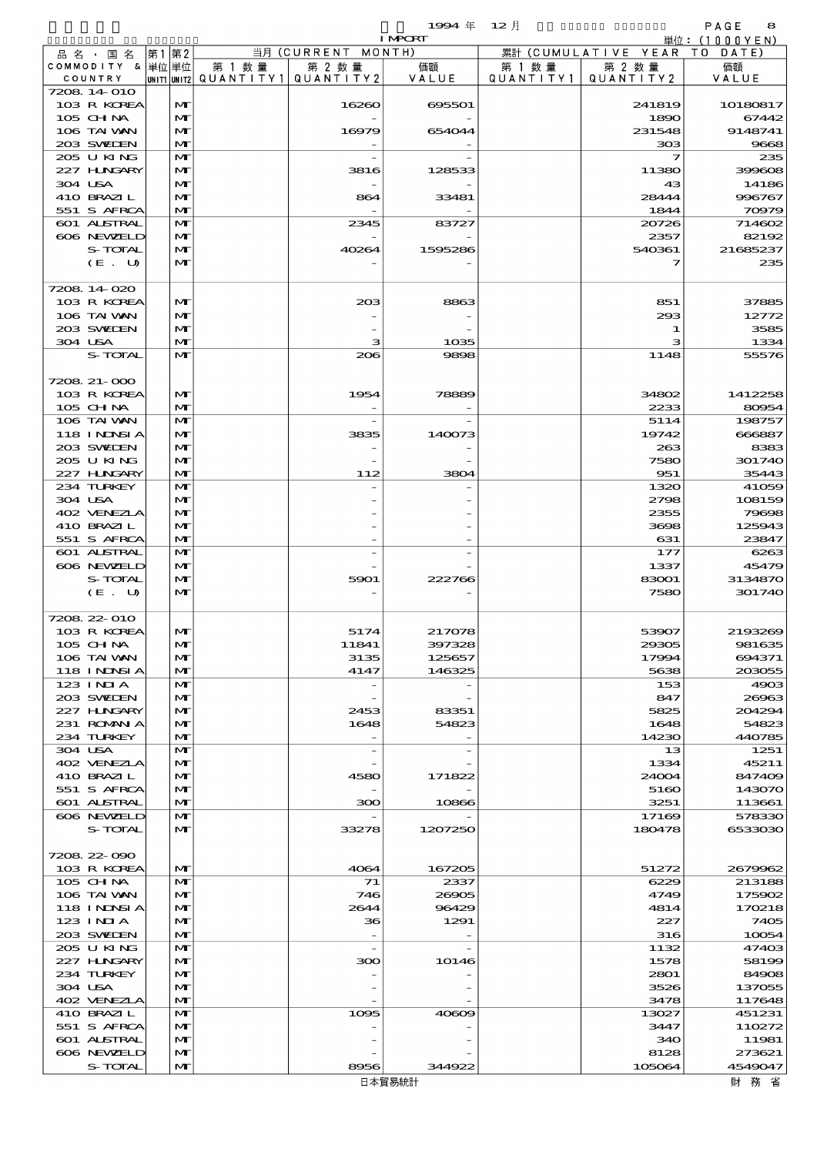品別国別表 輸 入 1994 12 確定 (Fixed Annual) 8

|                            |                              |        |                                       | <b>I MPORT</b> |           |                              | 単位: (1000YEN)    |
|----------------------------|------------------------------|--------|---------------------------------------|----------------|-----------|------------------------------|------------------|
| 品名・国名                      | 第1 第2                        |        | 当月 (CURRENT MONTH)                    |                |           | 累計 (CUMULATIVE YEAR TO DATE) |                  |
| COMMODITY & 単位単位           |                              | 第 1 数量 | 第 2 数量                                | 価額             | 第 1 数 量   | 第 2 数量                       | 価額               |
| COUNTRY                    |                              |        | unit1 unit2  QUANT   TY1  QUANT   TY2 | VALUE          | QUANTITY1 | QUANTITY 2                   | VALUE            |
| 7208 14 010                |                              |        |                                       |                |           |                              |                  |
| 103 R KOREA                | M                            |        | 16260                                 | 695501         |           | 241819                       | 10180817         |
| 105 CH NA                  | $\mathbf{M}$                 |        |                                       |                |           | 1890                         | 67442            |
| 106 TAI VAN                | M                            |        | 16979                                 | 654044         |           | 231548                       | 9148741          |
| 203 SWEDEN                 | M                            |        |                                       |                |           | 308                          | 9668             |
| 205 U KING                 | M                            |        |                                       |                |           | 7                            | 235              |
| 227 H.NGARY                | M                            |        | 3816                                  | 128533         |           | 11380                        | 399608           |
| 304 USA<br>410 BRAZIL      | $\mathbf{M}$<br>M            |        |                                       | 33481          |           | 43<br>28444                  | 14186<br>996767  |
| 551 S AFRCA                | M                            |        | 864                                   |                |           | 1844                         | 70979            |
| 601 ALSTRAL                | M                            |        | 2345                                  | 83727          |           | 20726                        | 714602           |
| 606 NEWELD                 | M                            |        |                                       |                |           | 2357                         | 82192            |
| S-TOTAL                    | $\mathbf{M}$                 |        | 40264                                 | 1595286        |           | 540361                       | 21685237         |
| (E. U)                     | $\mathbf{M}$                 |        |                                       |                |           | フ                            | 235              |
|                            |                              |        |                                       |                |           |                              |                  |
| 7208 14 020                |                              |        |                                       |                |           |                              |                  |
| 103 R KOREA                | M                            |        | 20B                                   | 8863           |           | 851                          | 37885            |
| 106 TAI VAN                | $\mathbf{M}$                 |        |                                       |                |           | 293                          | 12772            |
| 203 SWIDEN                 | M                            |        |                                       |                |           | 1                            | 3585             |
| 304 USA                    | M                            |        | з                                     | 1035           |           | з                            | 1334             |
| S-TOTAL                    | $\mathbf{M}$                 |        | 206                                   | 9898           |           | 1148                         | 55576            |
|                            |                              |        |                                       |                |           |                              |                  |
| 7208 21-000                |                              |        |                                       |                |           |                              |                  |
| 103 R KOREA                | M                            |        | 1954                                  | 78889          |           | 34802                        | 1412258          |
| $105$ CHNA                 | $\mathbf{M}$                 |        |                                       |                |           | 2233                         | 80954            |
| 106 TAI VAN                | $\mathbf{M}$                 |        |                                       |                |           | 5114                         | 198757           |
| 118 I NDSI A               | M                            |        | 3835                                  | 140073         |           | 19742                        | 666887           |
| 203 SWIEN                  | $\mathbf{M}$                 |        |                                       |                |           | 263                          | 8383             |
| 205 U KING                 | M                            |        |                                       |                |           | 7580                         | 301740           |
| 227 H.NGARY                | $\mathbf{M}$<br>$\mathbf{M}$ |        | 112                                   | 3804           |           | 951                          | 35443            |
| 234 TURKEY<br>304 USA      | $\mathbf{M}$                 |        |                                       |                |           | 1320<br>2798                 | 41059<br>108159  |
| 402 VENEZIA                | $\mathbf{M}$                 |        |                                       |                |           | 2355                         | 79698            |
| 410 BRAZIL                 | M                            |        |                                       |                |           | 3698                         | 125943           |
| 551 S AFRCA                | $\mathbf{M}$                 |        |                                       |                |           | 631                          | 23847            |
| <b>601 ALSTRAL</b>         | $\mathbf{M}$                 |        |                                       |                |           | 177                          | 6263             |
| 606 NEWELD                 | M                            |        |                                       |                |           | 1337                         | 45479            |
| S-TOTAL                    | $\mathbf{M}$                 |        | 5901                                  | 222766         |           | 83001                        | 3134870          |
| (E. U)                     | $\mathbf{M}$                 |        |                                       |                |           | 7580                         | 301740           |
|                            |                              |        |                                       |                |           |                              |                  |
| 7208 22 010                |                              |        |                                       |                |           |                              |                  |
| 103 R KOREA                | M                            |        | 5174                                  | 217078         |           | 53907                        | 2193269          |
| 105 CH NA                  | $\mathbf{M}$                 |        | 11841                                 | 397328         |           | 29305                        | 981635           |
| 106 TAI VAN                | M                            |        | 3135                                  | 125657         |           | 17994                        | 694371           |
| 118 INDSIA                 | $\mathbf{M}$                 |        | 4147                                  | 146325         |           | 5638                         | 203055           |
| 123 INIA                   | M                            |        |                                       |                |           | 153                          | 4903             |
| 203 SWIDEN                 | $\mathbf{M}$                 |        |                                       |                |           | 847                          | 26963            |
| 227 H.NGARY                | $\mathbf{M}$                 |        | 2453                                  | 83351          |           | 5825                         | 204294           |
| 231 ROMANIA                | M                            |        | 1648                                  | 54823          |           | 1648                         | 54823            |
| 234 TURKEY                 | $\mathbf{M}$                 |        |                                       |                |           | 14230                        | 440785           |
| 304 USA                    | M                            |        |                                       |                |           | 13                           | 1251             |
| 402 VENEZIA                | M                            |        |                                       |                |           | 1334                         | 45211            |
| 410 BRAZIL                 | $\mathbf{M}$                 |        | 4580                                  | 171822         |           | 24004                        | 847409           |
| 551 S AFRCA<br>601 ALSTRAL | M                            |        |                                       | 10866          |           | 5160                         | 143070<br>113661 |
| 606 NEWELD                 | M<br>M                       |        | 300                                   |                |           | 3251<br>17169                | 578330           |
| S-TOTAL                    | M                            |        | 33278                                 | 1207250        |           | 180478                       | 6533030          |
|                            |                              |        |                                       |                |           |                              |                  |
| 7208 22 090                |                              |        |                                       |                |           |                              |                  |
| 103 R KOREA                | $\mathbf{M}$                 |        | 4064                                  | 167205         |           | 51272                        | 2679962          |
| 105 CH NA                  | $\mathbf{M}$                 |        | 71                                    | 2337           |           | 6229                         | 213188           |
| 106 TAI VAN                | M                            |        | 746                                   | 26905          |           | 4749                         | 175902           |
| 118 I NJNSI A              | M                            |        | 2644                                  | 96429          |           | 4814                         | 170218           |
| $123$ INIA                 | M                            |        | 36                                    | 1291           |           | 227                          | 7405             |
| 203 SWIEN                  | $\mathbf{M}$                 |        |                                       |                |           | 316                          | 10054            |
| 205 U KING                 | M                            |        |                                       |                |           | 1132                         | 47403            |
| 227 H.NGARY                | M                            |        | 300                                   | 10146          |           | 1578                         | 58199            |
| 234 TURKEY                 | M                            |        |                                       |                |           | 2801                         | 84908            |
| 304 USA                    | M                            |        |                                       |                |           | 3526                         | 137055           |
| 402 VENEZLA                | $\mathbf{M}$                 |        |                                       |                |           | 3478                         | 117648           |
| 410 BRAZIL                 | M                            |        | 1095                                  | 40609          |           | 13027                        | 451231           |
| 551 S AFRCA                | M                            |        |                                       |                |           | 3447                         | 110272           |
| 601 ALSTRAL                | M                            |        |                                       |                |           | 340                          | 11981            |
| 606 NEWELD                 | M                            |        |                                       |                |           | 8128                         | 273621           |
| S-TOTAL                    | $\mathbf{M}$                 |        | 8956                                  | 344922         |           | 105064                       | 4549047          |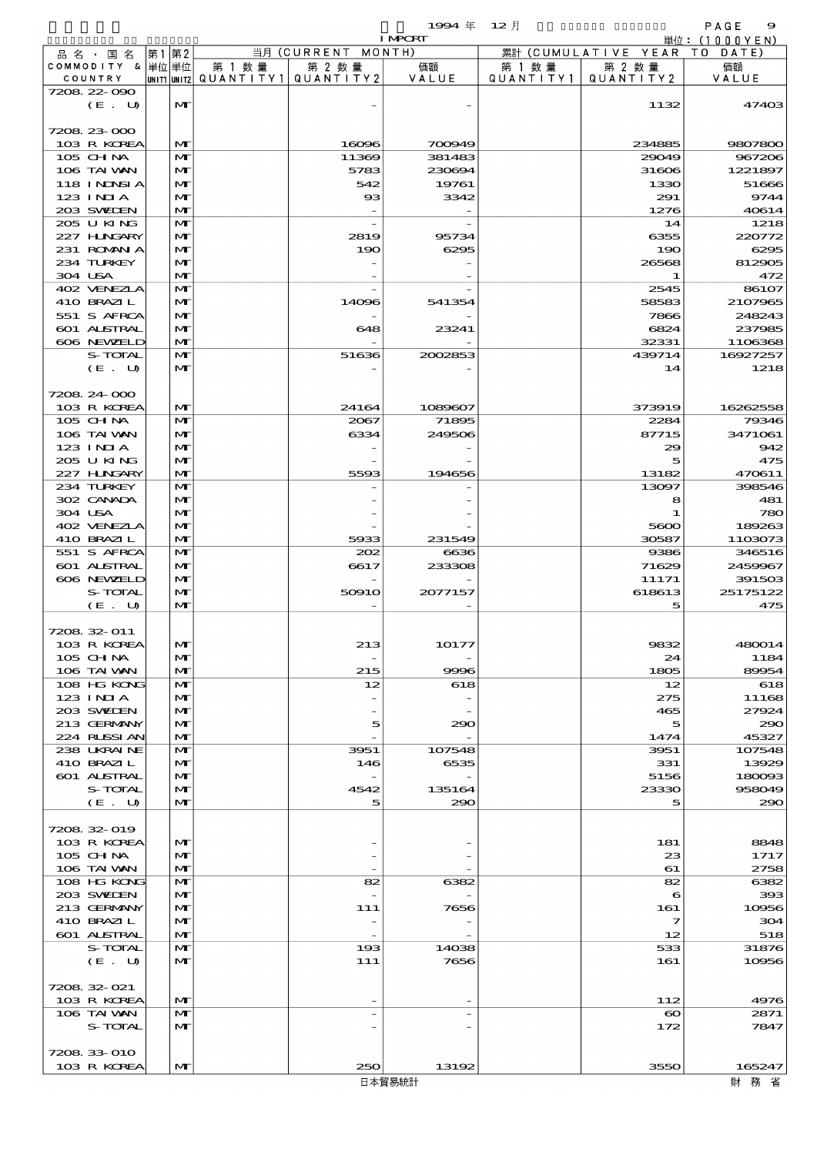|  |                           |                   |                                       |                    | 1994 $#$                 | $12$ 月    |                              | PAGE<br>9         |
|--|---------------------------|-------------------|---------------------------------------|--------------------|--------------------------|-----------|------------------------------|-------------------|
|  |                           |                   |                                       |                    | <b>I MPCRT</b>           |           |                              | 単位:(1000YEN)      |
|  | 品 名 ・ 国 名                 | 第1第2              |                                       | 当月 (CURRENT MONTH) |                          |           | 累計 (CUMULATIVE YEAR TO DATE) |                   |
|  | COMMODITY & 単位単位          |                   | 第 1 数 量                               | 第 2 数量             | 価額                       | 第 1 数 量   | 第 2 数量                       | 価額                |
|  | COUNTRY<br>7208 22 090    |                   | unit1 unit2  Q∪ANT   TY1  Q∪ANT   TY2 |                    | VALUE                    | QUANTITY1 | QUANTITY2                    | VALUE             |
|  | (E. U)                    | $\mathbf{M}$      |                                       |                    |                          |           | 1132                         | 47403             |
|  |                           |                   |                                       |                    |                          |           |                              |                   |
|  | 7208 23 000               |                   |                                       |                    |                          |           |                              |                   |
|  | 103 R KOREA               | $\mathbf{M}$      |                                       | 16096              | 700949                   |           | 234885                       | 9807800           |
|  | $105$ CHNA                | $\mathbf{M}$      |                                       | 11369              | 381483                   |           | 29049                        | 967206            |
|  | 106 TAI VAN               | M                 |                                       | 5783               | 230694                   |           | 31606                        | 1221897           |
|  | <b>118 INNSIA</b>         | $\mathbf{M}$      |                                       | 542                | 19761                    |           | 1330                         | 51666             |
|  | $123$ INIA                | M                 |                                       | $_{\rm ss}$        | 3342                     |           | 291                          | 9744              |
|  | 203 SWIDEN                | $\mathbf{M}$      |                                       |                    | $\overline{\phantom{a}}$ |           | 1276                         | 40614             |
|  | 205 U KING                | $\mathbf{M}$      |                                       |                    |                          |           | 14                           | 1218              |
|  | 227 H.NGARY               | $\mathbf{M}$      |                                       | 2819               | 95734                    |           | 6355                         | 220772            |
|  | 231 ROMNA                 | $\mathbf{M}$      |                                       | 190                | 6295                     |           | 190                          | 6295              |
|  | 234 TURKEY<br>304 USA     | M<br>$\mathbf{M}$ |                                       |                    |                          |           | 26568<br>-1                  | 812905<br>472     |
|  | 402 VENEZLA               | $\mathbf{M}$      |                                       |                    |                          |           | 2545                         | 86107             |
|  | 410 BRAZIL                | M                 |                                       | 14096              | 541354                   |           | 58583                        | 2107965           |
|  | 551 S AFRCA               | $\mathbf{M}$      |                                       |                    |                          |           | 7866                         | 248243            |
|  | <b>601 ALSTRAL</b>        | M                 |                                       | 648                | 23241                    |           | 6824                         | 237985            |
|  | 606 NEWELD                | $\mathbf{M}$      |                                       |                    |                          |           | 32331                        | 1106368           |
|  | S-TOTAL                   | M                 |                                       | 51636              | 2002853                  |           | 439714                       | 16927257          |
|  | (E. U)                    | $\mathbf{M}$      |                                       |                    |                          |           | 14                           | 1218              |
|  |                           |                   |                                       |                    |                          |           |                              |                   |
|  | 7208 24 000               |                   |                                       |                    |                          |           |                              |                   |
|  | 103 R KOREA               | $\mathbf{M}$      |                                       | 24164              | 1089607                  |           | 373919                       | 16262558          |
|  | $105$ CHNA                | $\mathbf{M}$      |                                       | 2067               | 71895                    |           | 2284                         | 79346             |
|  | 106 TAI VAN               | $\mathbf{M}$      |                                       | 6334               | 249506                   |           | 87715                        | 3471061           |
|  | $123$ INIA                | $\mathbf{M}$      |                                       |                    |                          |           | 29                           | 942               |
|  | 205 U KING                | M                 |                                       |                    |                          |           | 5                            | 475               |
|  | 227 H.NGARY               | $\mathbf{M}$      |                                       | 5593               | 194656                   |           | 13182                        | 470611            |
|  | 234 TURKEY                | $\mathbf{M}$      |                                       |                    |                          |           | 13097                        | 398546            |
|  | 302 CANADA                | $\mathbf{M}$      |                                       |                    |                          |           | 8                            | 481               |
|  | 304 USA<br>402 VENEZIA    | $\mathbf{M}$      |                                       |                    |                          |           |                              | 780               |
|  | 410 BRAZIL                | M<br>$\mathbf{M}$ |                                       | 5933               | 231549                   |           | 5600<br>30587                | 189263<br>1103073 |
|  | 551 S AFRCA               | $\mathbf{M}$      |                                       | 202                | 6636                     |           | 9386                         | 346516            |
|  | 601 ALSTRAL               | $\mathbf{M}$      |                                       | 6617               | 233308                   |           | 71629                        | 2459967           |
|  | 606 NEWELD                | $\mathbf{M}$      |                                       |                    |                          |           | 11171                        | 391503            |
|  | S-TOTAL                   | M                 |                                       | 50910              | 2077157                  |           | 618613                       | 25175122          |
|  | (E. U)                    | $\mathbf{M}$      |                                       |                    |                          |           | 5                            | 475               |
|  |                           |                   |                                       |                    |                          |           |                              |                   |
|  | 7208 32 011               |                   |                                       |                    |                          |           |                              |                   |
|  | 103 R KOREA               | $\mathbf{M}$      |                                       | 213                | 10177                    |           | 9832                         | 480014            |
|  | 105 CHNA                  | M                 |                                       |                    |                          |           | 24                           | 1184              |
|  | 106 TAI WAN               | $\mathbf{M}$      |                                       | 215                | 9996                     |           | 1805                         | 89954             |
|  | 108 HG KONG               | M                 |                                       | 12                 | 618                      |           | 12                           | 618               |
|  | 123 INIA                  | $\mathbf{M}$      |                                       |                    |                          |           | 275                          | 11168             |
|  | 203 SWIDEN                | M                 |                                       |                    |                          |           | 465                          | 27924             |
|  | 213 GERMANY               | M                 |                                       | 5                  | 290                      |           | 5                            | 290               |
|  | 224 RUSSIAN               | M                 |                                       |                    |                          |           | 1474                         | 45327             |
|  | 238 UKRAINE<br>410 BRAZIL | M<br>$\mathbf{M}$ |                                       | 3951<br>146        | 107548<br>6535           |           | 3951<br>331                  | 107548<br>13929   |
|  | <b>601 ALSTRAL</b>        | M                 |                                       |                    |                          |           | 5156                         | 180093            |
|  | S-TOTAL                   | M                 |                                       | 4542               | 135164                   |           | 23330                        | 958049            |
|  | (E. U)                    | $\mathbf{M}$      |                                       | 5                  | 290                      |           | 5                            | 290               |
|  |                           |                   |                                       |                    |                          |           |                              |                   |
|  | 7208 32 019               |                   |                                       |                    |                          |           |                              |                   |
|  | 103 R KOREA               | M                 |                                       |                    |                          |           | 181                          | 8848              |
|  | $105$ CHNA                | M                 |                                       |                    |                          |           | 23                           | 1717              |
|  | 106 TAI VAN               | M                 |                                       |                    |                          |           | 61                           | 2758              |
|  | 108 HG KONG               | M                 |                                       | 82                 | 6382                     |           | 82                           | 6382              |
|  | 203 SWIEN                 | $\mathbf{M}$      |                                       |                    |                          |           | 6                            | 393               |
|  | 213 GERMANY               | M                 |                                       | 111                | 7656                     |           | 161                          | 10956             |
|  | 410 BRAZIL                | M                 |                                       |                    |                          |           | 7                            | 304               |
|  | 601 ALSTRAL               | $\mathbf{M}$      |                                       |                    |                          |           | 12                           | 518               |
|  | S-TOTAL<br>(E. U)         | M<br>$\mathbf{M}$ |                                       | 193<br>111         | 14038<br>7656            |           | 533<br>161                   | 31876<br>10956    |
|  |                           |                   |                                       |                    |                          |           |                              |                   |
|  | 7208.32-021               |                   |                                       |                    |                          |           |                              |                   |
|  | 103 R KOREA               | $\mathbf{M}$      |                                       |                    |                          |           | 112                          | 4976              |
|  | 106 TAI VAN               | M                 |                                       |                    |                          |           | $\boldsymbol{\infty}$        | 2871              |
|  | S-TOTAL                   | $\mathbf{M}$      |                                       |                    |                          |           | 172                          | 7847              |
|  |                           |                   |                                       |                    |                          |           |                              |                   |
|  | 7208 33 010               |                   |                                       |                    |                          |           |                              |                   |
|  | 103 R KOREA               | M                 |                                       | 250                | 13192                    |           | 3550                         | 165247            |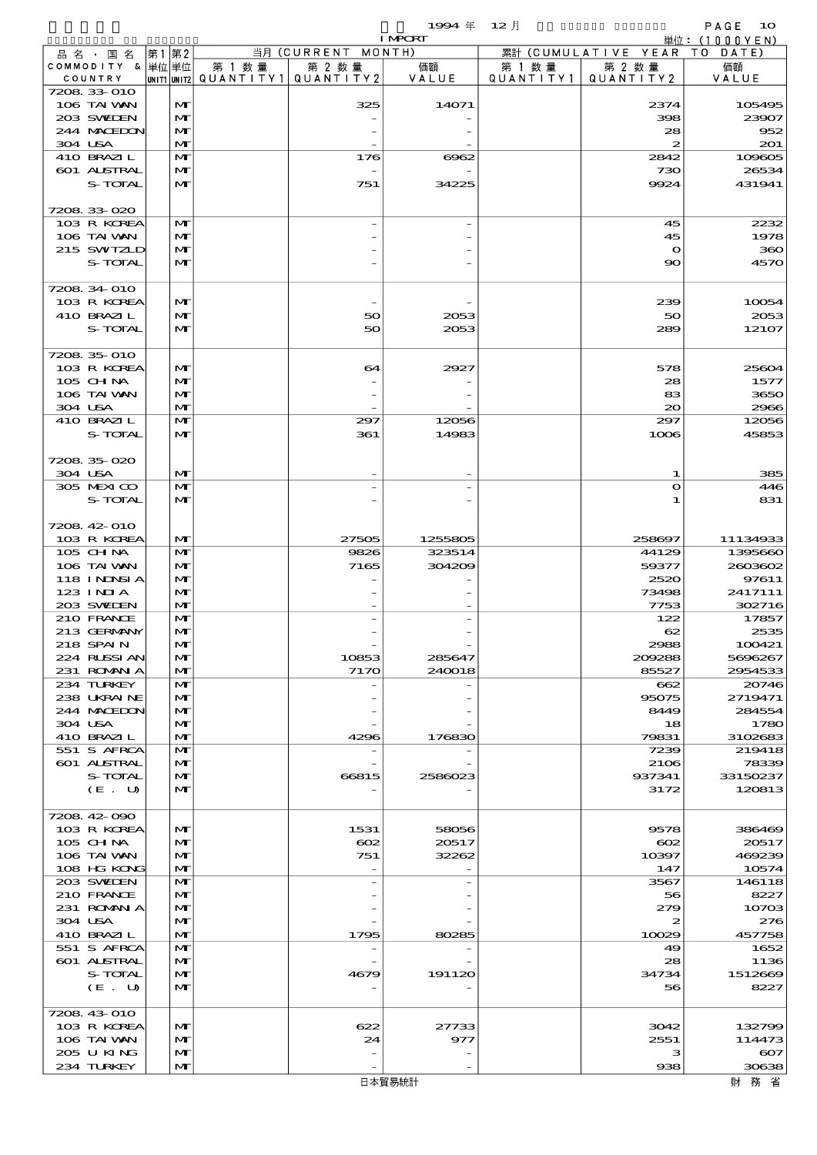$1994 \& 12 \&$ 

|         |                              |                              |        |                                | <b>I MPORT</b>   |           |                              | 単位: (1000YEN)    |
|---------|------------------------------|------------------------------|--------|--------------------------------|------------------|-----------|------------------------------|------------------|
|         | 品 名 ・ 国 名                    | 第1第2                         |        | 当月 (CURRENT MONTH)             |                  |           | 累計 (CUMULATIVE YEAR TO DATE) |                  |
|         | COMMODITY & 単位単位             |                              | 第 1 数量 | 第 2 数量                         | 価額               | 第 1 数 量   | 第 2 数量                       | 価額               |
|         | COUNTRY                      |                              |        | UNITIUNIT2 QUANTITY1 QUANTITY2 | VALUE            | QUANTITY1 | QUANTITY 2                   | VALUE            |
|         | 7208 33 010                  |                              |        |                                |                  |           |                              |                  |
|         | 106 TAI VAN                  | $\mathbf{M}$                 |        | 325                            | 14071            |           | 2374                         | 105495           |
|         | 203 SWIDEN                   | $\mathbf{M}$                 |        |                                |                  |           | 398                          | 23907            |
|         | 244 MOEDON                   | $\mathbf{M}$                 |        |                                |                  |           | 28                           | 952              |
| 304 USA |                              | $\mathbf{M}$                 |        |                                |                  |           | $\boldsymbol{z}$             | 201              |
|         | 410 BRAZIL                   | $\mathbf{M}$                 |        | 176                            | 6062             |           | 2842                         | 109605           |
|         | 601 ALSTRAL<br>S-TOTAL       | $\mathbf{M}$                 |        | 751                            | 34225            |           | 730<br>9924                  | 26534            |
|         |                              | M                            |        |                                |                  |           |                              | 431941           |
|         | 7208.33-020                  |                              |        |                                |                  |           |                              |                  |
|         | 103 R KOREA                  | $\mathbf{M}$                 |        |                                |                  |           | 45                           | 2232             |
|         | 106 TAI VAN                  | $\mathbf{M}$                 |        |                                |                  |           | 45                           | 1978             |
|         | 215 SWIZLD                   | M                            |        |                                |                  |           | $\bullet$                    | 360              |
|         | S-TOTAL                      | $\mathbf{M}$                 |        |                                |                  |           | $\infty$                     | 4570             |
|         |                              |                              |        |                                |                  |           |                              |                  |
|         | 7208 34 010                  |                              |        |                                |                  |           |                              |                  |
|         | 103 R KOREA                  | $\mathbf{M}$                 |        |                                |                  |           | 239                          | 10054            |
|         | 410 BRAZIL                   | M                            |        | 50                             | 2053             |           | 50                           | 2053             |
|         | S-TOTAL                      | $\mathbf{M}$                 |        | 50                             | 2053             |           | 289                          | 12107            |
|         |                              |                              |        |                                |                  |           |                              |                  |
|         | 7208 35 010                  |                              |        |                                |                  |           |                              |                  |
|         | 103 R KOREA                  | $\mathbf{M}$                 |        | 64                             | 2927             |           | 578                          | 25604            |
|         | $105$ CHNA                   | $\mathbf{M}$                 |        |                                |                  |           | 28                           | 1577             |
|         | 106 TAI VAN                  | $\mathbf{M}$                 |        |                                |                  |           | 83                           | 3650             |
| 304 USA |                              | $\mathbf{M}$                 |        |                                |                  |           | $\infty$                     | 2966             |
|         | 410 BRAZIL                   | $\mathbf{M}$                 |        | 297                            | 12056            |           | 297                          | 12056            |
|         | S-TOTAL                      | $\mathbf{M}$                 |        | 361                            | 14983            |           | 1006                         | 45853            |
|         |                              |                              |        |                                |                  |           |                              |                  |
|         | 7208 35 020                  |                              |        |                                |                  |           |                              |                  |
| 304 USA |                              | $\mathbf{M}$                 |        |                                |                  |           | 1                            | 385              |
|         | 305 MEXICO                   | $\mathbf{M}$                 |        |                                |                  |           | $\mathbf{o}$                 | 446              |
|         | S-TOTAL                      | $\mathbf{M}$                 |        |                                |                  |           |                              | 831              |
|         |                              |                              |        |                                |                  |           |                              |                  |
|         | 7208 42 010                  |                              |        |                                |                  |           |                              |                  |
|         | 103 R KOREA                  | $\mathbf{M}$                 |        | 27505                          | 1255805          |           | 258697                       | 11134933         |
|         | $105$ CHNA                   | $\mathbf{M}$                 |        | 9826                           | 323514<br>304209 |           | 44129                        | 1395660          |
|         | 106 TAI VAN<br>118 I NINSI A | $\mathbf{M}$<br>$\mathbf{M}$ |        | 7165                           |                  |           | 59377<br>2520                | 2603602<br>97611 |
|         | 123 INIA                     | $\mathbf{M}$                 |        |                                |                  |           | 73498                        | 2417111          |
|         | 203 SWIDEN                   | $\mathbf{M}$                 |        |                                |                  |           | 7753                         | 302716           |
|         | 210 FRANCE                   | $\mathbf{M}$                 |        |                                |                  |           | 122                          | 17857            |
|         | 213 GERMANY                  | $\mathbf{M}$                 |        |                                |                  |           | 62                           | 2535             |
|         | 218 SPAIN                    | $\mathbf{M}$                 |        |                                |                  |           | 2988                         | 100421           |
|         | 224 RUSSI AN                 | $\mathbf{M}$                 |        | 10853                          | 285647           |           | 209288                       | 5696267          |
|         | 231 ROMAN A                  | M                            |        | 7170                           | 240018           |           | 85527                        | 2954533          |
|         | 234 TURKEY                   | $\mathbf{M}$                 |        |                                |                  |           | 662                          | 20746            |
|         | 238 UKRAINE                  | $\mathbf{M}$                 |        |                                |                  |           | 95075                        | 2719471          |
|         | 244 MOEDON                   | $\mathbf{M}$                 |        |                                |                  |           | 8449                         | 284554           |
|         | 304 USA                      | $\mathbf{M}$                 |        |                                |                  |           | 18                           | 1780             |
|         | 410 BRAZIL                   | $\mathbf{M}$                 |        | 4296                           | 176830           |           | 79831                        | 3102683          |
|         | 551 S AFRCA                  | $\mathbf{M}$                 |        |                                |                  |           | 7239                         | 219418           |
|         | 601 ALSTRAL                  | $\mathbf{M}$                 |        |                                |                  |           | 2106                         | 78339            |
|         | S-TOTAL                      | M                            |        | 66815                          | 2586023          |           | 937341                       | 33150237         |
|         | (E. U)                       | $\mathbf{M}$                 |        |                                |                  |           | 3172                         | 120813           |
|         |                              |                              |        |                                |                  |           |                              |                  |
|         | 7208 42 090                  |                              |        |                                |                  |           |                              |                  |
|         | 103 R KOREA                  | $\mathbf{M}$                 |        | 1531                           | 58056            |           | 9578                         | 386469           |
|         | 105 CHNA                     | $\mathbf{M}$                 |        | $\infty$                       | 20517            |           | $\infty$                     | 20517            |
|         | 106 TAI VAN                  | $\mathbf{M}$                 |        | 751                            | 32262            |           | 10397                        | 469239           |
|         | 108 HG KONG                  | $\mathbf{M}$                 |        |                                |                  |           | 147                          | 10574            |
|         | 203 SWIDEN                   | $\mathbf{M}$                 |        |                                |                  |           | 3567                         | 146118           |
|         | 210 FRANCE                   | $\mathbf{M}$                 |        |                                |                  |           | 56                           | 8227             |
|         | 231 ROMANIA<br>304 USA       | $\mathbf{M}$<br>$\mathbf{M}$ |        |                                |                  |           | 279<br>2                     | 10703<br>276     |
|         | 410 BRAZIL                   | $\mathbf{M}$                 |        | 1795                           | 80285            |           | 10029                        | 457758           |
|         | 551 S AFRCA                  | $\mathbf{M}$                 |        |                                |                  |           | 49                           | 1652             |
|         | 601 ALSTRAL                  | M                            |        |                                |                  |           | 28                           | 1136             |
|         | S-TOTAL                      | M                            |        | 4679                           | 191120           |           | 34734                        | 1512669          |
|         | (E. U)                       | $\mathbf{M}$                 |        |                                |                  |           | 56                           | 8227             |
|         |                              |                              |        |                                |                  |           |                              |                  |
|         | 7208 43 010                  |                              |        |                                |                  |           |                              |                  |
|         | 103 R KOREA                  | $\mathbf{M}$                 |        | 622                            | 27733            |           | 3042                         | 132799           |
|         | 106 TAI VAN                  | $\mathbf{M}$                 |        | 24                             | 977              |           | 2551                         | 114473           |
|         | 205 U KING                   | $\mathbf{M}$                 |        |                                |                  |           | з                            | $\infty$         |
|         | 234 TURKEY                   | M                            |        |                                |                  |           | 938                          | 30638            |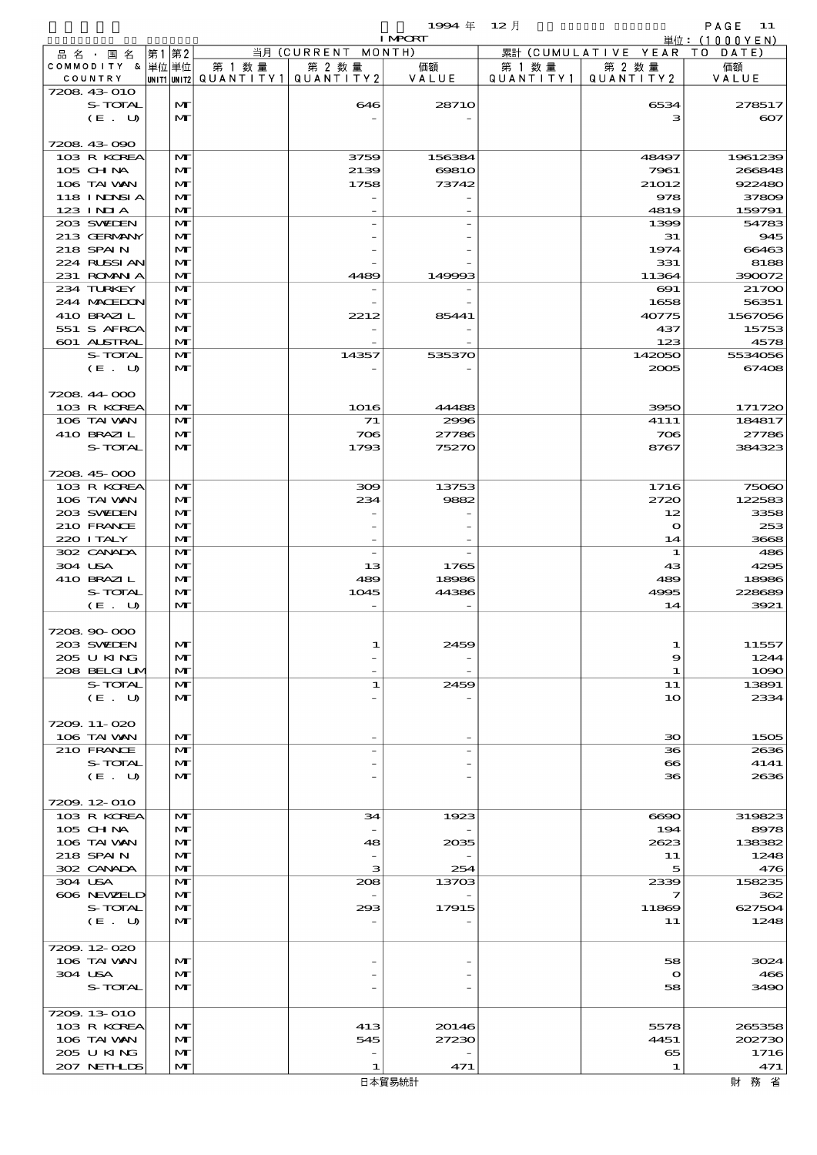|                            |       |                              |                                                  |                          | 19994年 12月      |                      |                              | PAGE 11           |
|----------------------------|-------|------------------------------|--------------------------------------------------|--------------------------|-----------------|----------------------|------------------------------|-------------------|
|                            |       |                              |                                                  |                          | <b>I MPCRT</b>  |                      |                              | 単位: (1000YEN)     |
| 品名・国名<br>COMMODITY & 単位単位  | 第1 第2 |                              |                                                  | 当月 (CURRENT MONTH)       |                 |                      | 累計 (CUMULATIVE YEAR TO DATE) |                   |
| COUNTRY                    |       |                              | 第 1 数量<br> unit1 unit2  QUANT   TY1  QUANT   TY2 | 第 2 数量                   | 価額<br>VALUE     | 第 1 数 量<br>QUANTITY1 | 第 2 数量<br>QUANTITY 2         | 価額<br>VALUE       |
| 7208 43 010                |       |                              |                                                  |                          |                 |                      |                              |                   |
| S-TOTAL                    |       | M                            |                                                  | 646                      | 2871O           |                      | 6534                         | 278517            |
| (E. U)                     |       | $\mathbf{M}$                 |                                                  |                          |                 |                      | з                            | $\infty$          |
|                            |       |                              |                                                  |                          |                 |                      |                              |                   |
| 7208 43 090                |       |                              |                                                  |                          |                 |                      |                              |                   |
| 103 R KOREA<br>105 CHNA    |       | M<br>M                       |                                                  | 3759<br>2139             | 156384<br>6981O |                      | 48497<br>7961                | 1961239<br>266848 |
| 106 TAI VAN                |       | $\mathbf{M}$                 |                                                  | 1758                     | 73742           |                      | 21012                        | 922480            |
| 118 I NDNSI A              |       | $\mathbf{M}$                 |                                                  |                          |                 |                      | 978                          | 37809             |
| 123 INIA                   |       | $\mathbf{M}$                 |                                                  |                          |                 |                      | 4819                         | 159791            |
| 203 SWIDEN                 |       | M                            |                                                  |                          |                 |                      | 1399                         | 54783             |
| 213 GERMANY                |       | M                            |                                                  |                          |                 |                      | 31                           | 945               |
| 218 SPAIN                  |       | $\mathbf{M}$                 |                                                  |                          |                 |                      | 1974                         | 66463             |
| 224 RUSSI AN<br>231 ROMNA  |       | $\mathbf{M}$<br>$\mathbf{M}$ |                                                  | 4489                     | 149993          |                      | 331                          | 8188              |
| 234 TURKEY                 |       | M                            |                                                  |                          |                 |                      | 11364<br>$\infty$            | 390072<br>21700   |
| 244 MACEDON                |       | $\mathbf{M}$                 |                                                  |                          |                 |                      | 1658                         | 56351             |
| 410 BRAZIL                 |       | $\mathbf{M}$                 |                                                  | 2212                     | 85441           |                      | 40775                        | 1567056           |
| 551 S AFRCA                |       | $\mathbf{M}$                 |                                                  |                          |                 |                      | 437                          | 15753             |
| 601 ALSTRAL                |       | $\mathbf{M}$                 |                                                  |                          |                 |                      | 123                          | 4578              |
| S-TOTAL                    |       | M                            |                                                  | 14357                    | 535370          |                      | 142050                       | 5534056           |
| (E. U)                     |       | $\mathbf{M}$                 |                                                  |                          |                 |                      | 2005                         | 67408             |
|                            |       |                              |                                                  |                          |                 |                      |                              |                   |
| 7208 44 000<br>103 R KOREA |       | M                            |                                                  | 1016                     | 44488           |                      | 3950                         | 171720            |
| 106 TAI VAN                |       | M                            |                                                  | 71                       | 2996            |                      | 4111                         | 184817            |
| 410 BRAZIL                 |       | M                            |                                                  | 706                      | 27786           |                      | 706                          | 27786             |
| S-TOTAL                    |       | $\mathbf{M}$                 |                                                  | 1793                     | 75270           |                      | 8767                         | 384323            |
|                            |       |                              |                                                  |                          |                 |                      |                              |                   |
| 7208 45 000                |       |                              |                                                  |                          |                 |                      |                              |                   |
| 103 R KOREA                |       | M                            |                                                  | 300                      | 13753           |                      | 1716                         | 75060             |
| 106 TAI VAN                |       | $\mathbf{M}$                 |                                                  | 234                      | 9882            |                      | 2720                         | 122583            |
| 203 SWIDEN<br>210 FRANCE   |       | $\mathbf{M}$<br>$\mathbf{M}$ |                                                  |                          |                 |                      | 12<br>$\mathbf{o}$           | 3358<br>253       |
| 220 I TALY                 |       | $\mathbf{M}$                 |                                                  | $\overline{\phantom{a}}$ |                 |                      | 14                           | 3668              |
| 302 CANADA                 |       | M                            |                                                  |                          |                 |                      | 1                            | 486               |
| 304 USA                    |       | M                            |                                                  | 13                       | 1765            |                      | 43                           | 4295              |
| 410 BRAZIL                 |       | $\mathbf{M}$                 |                                                  | 489                      | 18986           |                      | 489                          | 18986             |
| S-TOTAL                    |       | M                            |                                                  | 1045                     | 44386           |                      | 4995                         | 228689            |
| (E. U)                     |       | M                            |                                                  | $\overline{\phantom{0}}$ |                 |                      | 14                           | 3921              |
|                            |       |                              |                                                  |                          |                 |                      |                              |                   |
| 7208 90 000<br>203 SWIDEN  |       | $\mathbf{M}$                 |                                                  | 1                        | 2459            |                      |                              |                   |
| 205 U KING                 |       | M                            |                                                  |                          |                 |                      | 1<br>9                       | 11557<br>1244     |
| 208 BELGI UM               |       | M                            |                                                  |                          |                 |                      | 1                            | 1090              |
| S-TOTAL                    |       | M                            |                                                  | 1                        | 2459            |                      | 11                           | 13891             |
| (E. U)                     |       | $\mathbf{M}$                 |                                                  |                          |                 |                      | 10                           | 2334              |
|                            |       |                              |                                                  |                          |                 |                      |                              |                   |
| 7209.11-020                |       |                              |                                                  |                          |                 |                      |                              |                   |
| 106 TAI VAN                |       | $\mathbf{M}$                 |                                                  |                          |                 |                      | $30^{\circ}$                 | 1505              |
| 210 FRANCE                 |       | $\mathbf{M}$                 |                                                  |                          |                 |                      | 36                           | 2636              |
| S-TOTAL<br>(E. U)          |       | M<br>$\mathbf{M}$            |                                                  |                          |                 |                      | $\infty$<br>36               | 4141<br>2636      |
|                            |       |                              |                                                  |                          |                 |                      |                              |                   |
| 7209.12-010                |       |                              |                                                  |                          |                 |                      |                              |                   |
| 103 R KOREA                |       | M                            |                                                  | 34                       | 1923            |                      | 6690                         | 319823            |
| $105$ CHNA                 |       | M                            |                                                  |                          |                 |                      | 194                          | 8978              |
| 106 TAI VAN                |       | $\mathbf{M}$                 |                                                  | 48                       | 2035            |                      | 2623                         | 138382            |
| 218 SPAIN                  |       | M                            |                                                  |                          |                 |                      | 11                           | 1248              |
| 302 CANADA                 |       | M                            |                                                  | з                        | 254             |                      | 5                            | 476               |
| 304 USA<br>606 NEWELD      |       | $\mathbf{M}$<br>M            |                                                  | 208                      | 13703           |                      | 2339<br>7                    | 158235<br>362     |
| S-TOTAL                    |       | M                            |                                                  | 293                      | 17915           |                      | 11869                        | 627504            |
| (E. U)                     |       | $\mathbf{M}$                 |                                                  |                          |                 |                      | 11                           | 1248              |
|                            |       |                              |                                                  |                          |                 |                      |                              |                   |
| 7209.12-020                |       |                              |                                                  |                          |                 |                      |                              |                   |
| 106 TAI VAN                |       | M                            |                                                  |                          |                 |                      | 58                           | 3024              |
| 304 USA                    |       | M                            |                                                  |                          |                 |                      | $\mathbf o$                  | 466               |
| S-TOTAL                    |       | M                            |                                                  |                          |                 |                      | 58                           | 3490              |
| 7209.13-010                |       |                              |                                                  |                          |                 |                      |                              |                   |
| 103 R KOREA                |       | M                            |                                                  | 413                      | 20146           |                      | 5578                         | 265358            |
| 106 TAI VAN                |       | $\mathbf{M}$                 |                                                  | 545                      | 27230           |                      | 4451                         | 202730            |
| 205 U KING                 |       | M                            |                                                  |                          |                 |                      | 65                           | 1716              |
| 207 NETHLIS                |       | M                            |                                                  | 1                        | 471             |                      | 1                            | 471               |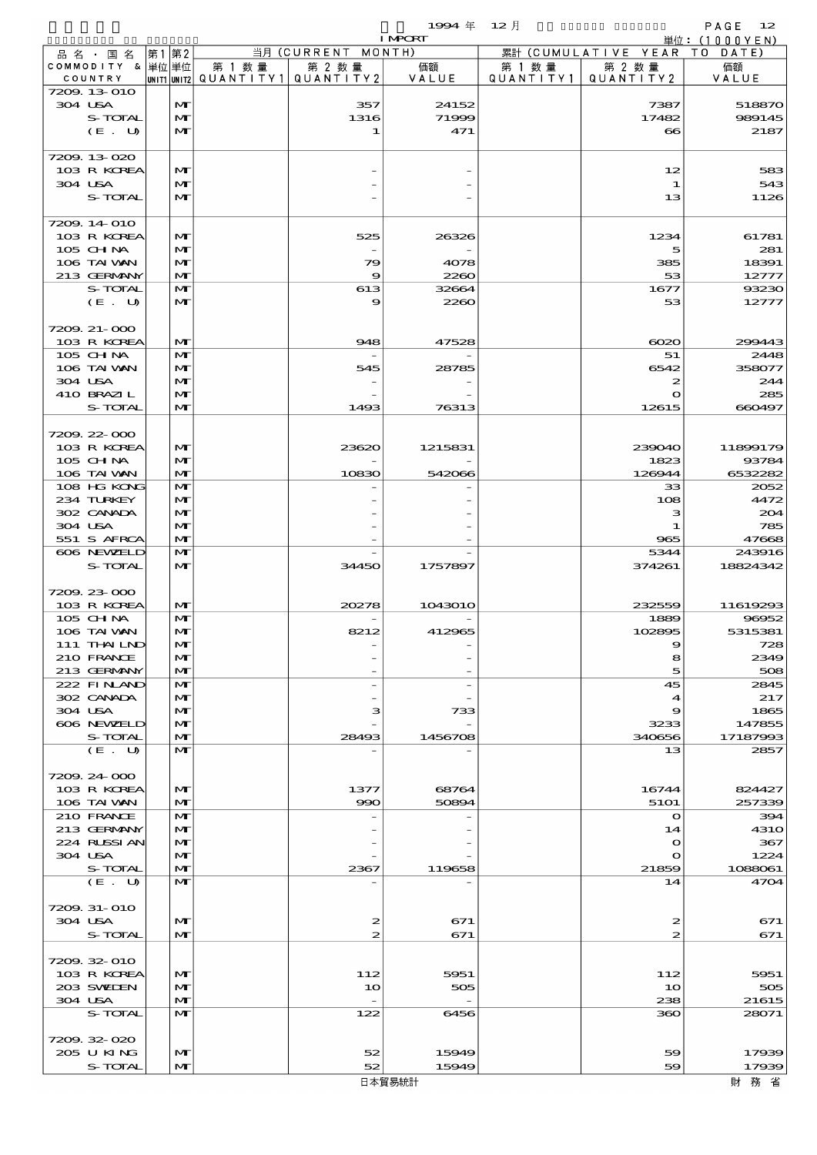$1$ <del>994</del>  $\#$  12  $\bar{e}$  12  $\bar{e}$  12  $\bar{e}$  PAGE 12

|                             |       |                              |        |                                                  | <b>I MPORT</b> |                      |                              | 単位: (1000YEN)      |
|-----------------------------|-------|------------------------------|--------|--------------------------------------------------|----------------|----------------------|------------------------------|--------------------|
| 品名・国名                       | 第1 第2 |                              |        | 当月(CURRENT                                       | MONTH)         |                      | 累計 (CUMULATIVE YEAR TO DATE) |                    |
| COMMODITY & 単位単位<br>COUNTRY |       |                              | 第 1 数量 | 第 2 数量<br> UNIT1 UNIT2  QUANT   TY1  QUANT   TY2 | 価額<br>VALUE    | 第 1 数 量<br>QUANTITY1 | 第 2 数量<br>QUANTITY 2         | 価額<br>VALUE        |
| 7209.13-010                 |       |                              |        |                                                  |                |                      |                              |                    |
| 304 USA                     |       | $\mathbf{M}$                 |        | 357                                              | 24152          |                      | 7387                         | 518870             |
| S-TOTAL                     |       | $\mathbf{M}$                 |        | 1316                                             | 71999          |                      | 17482                        | 989145             |
| (E. U)                      |       | $\mathbf{M}$                 |        | 1                                                | 471            |                      | $\bf{8}$                     | 2187               |
| 7209.13-020                 |       |                              |        |                                                  |                |                      |                              |                    |
| 103 R KOREA                 |       | M                            |        |                                                  |                |                      | 12                           | 583                |
| 304 USA                     |       | M                            |        |                                                  |                |                      | 1                            | 543                |
| S-TOTAL                     |       | $\mathbf{M}$                 |        |                                                  |                |                      | 13                           | 1126               |
| 7209.14 010                 |       |                              |        |                                                  |                |                      |                              |                    |
| 103 R KOREA                 |       | M                            |        | 525                                              | 26326          |                      | 1234                         | 61781              |
| 105 CHNA                    |       | M                            |        |                                                  |                |                      | 5                            | 281                |
| 106 TAI VAN                 |       | M                            |        | 79                                               | 4078           |                      | 385                          | 18391              |
| 213 GERMANY<br>S-TOTAL      |       | $\mathbf{M}$<br>$\mathbf{M}$ |        | 9                                                | 2260           |                      | 53<br>1677                   | 12777              |
| (E. U)                      |       | M                            |        | 613<br>9                                         | 32664<br>2260  |                      | 53                           | 93230<br>12777     |
|                             |       |                              |        |                                                  |                |                      |                              |                    |
| 7209.21-000                 |       |                              |        |                                                  |                |                      |                              |                    |
| 103 R KOREA                 |       | M                            |        | 948                                              | 47528          |                      | $\infty$                     | 299443             |
| 105 CH NA                   |       | $\mathbf{M}$                 |        |                                                  |                |                      | 51                           | 2448               |
| 106 TAI VAN                 |       | M                            |        | 545                                              | 28785          |                      | 6542                         | 358077             |
| 304 USA                     |       | M                            |        |                                                  |                |                      | 2                            | 244                |
| 410 BRAZIL                  |       | $\mathbf{M}$                 |        |                                                  |                |                      | $\mathbf O$                  | 285                |
| S-TOTAL                     |       | $\mathbf{M}$                 |        | 1493                                             | 76313          |                      | 12615                        | 660497             |
|                             |       |                              |        |                                                  |                |                      |                              |                    |
| 7209.22-000<br>103 R KOREA  |       | M                            |        | 23620                                            | 1215831        |                      | 239040                       | 11899179           |
| 105 CH NA                   |       | M                            |        |                                                  |                |                      | 1823                         | 93784              |
| 106 TAI VAN                 |       | $\mathbf{M}$                 |        | 10830                                            | 542066         |                      | 126944                       | 6532282            |
| 108 HG KONG                 |       | $\mathbf{M}$                 |        |                                                  |                |                      | 33                           | 2052               |
| 234 TURKEY                  |       | M                            |        |                                                  |                |                      | 108                          | 4472               |
| 302 CANADA                  |       | M                            |        |                                                  |                |                      | з                            | 204                |
| 304 USA                     |       | $\mathbf{M}$                 |        |                                                  |                |                      | 1                            | 785                |
| 551 S AFRCA                 |       | $\mathbf{M}$                 |        |                                                  |                |                      | 965                          | 47668              |
| 606 NEWELD                  |       | M                            |        |                                                  |                |                      | 5344                         | 243916             |
| S-TOTAL                     |       | $\mathbf{M}$                 |        | 34450                                            | 1757897        |                      | 374261                       | 18824342           |
| 7209.23-000                 |       |                              |        |                                                  |                |                      |                              |                    |
| 103 R KOREA                 |       | $\mathbf{M}$                 |        | 20278                                            | 1043010        |                      | 232559                       | 11619293           |
| 105 CHNA                    |       | $\mathbf{M}$                 |        |                                                  |                |                      | 1889                         | 96952              |
| 106 TAI VAN                 |       | M                            |        | 8212                                             | 412965         |                      | 102895                       | 5315381            |
| 111 THAILND                 |       | M                            |        |                                                  |                |                      | Q                            | 728                |
| 210 FRANCE                  |       | M                            |        |                                                  |                |                      | 8                            | 2349               |
| 213 GERMANY                 |       | M                            |        |                                                  |                |                      | 5                            | 508                |
| 222 FINAND                  |       | M                            |        |                                                  |                |                      | 45                           | 2845               |
| 302 CANADA<br>304 USA       |       | M                            |        |                                                  |                |                      | $\boldsymbol{\mathcal{A}}$   | 217<br>1865        |
| 606 NEWELD                  |       | M<br>$\mathbf{M}$            |        | з                                                | 733            |                      | 9<br>3233                    | 147855             |
| S-TOTAL                     |       | M                            |        | 28493                                            | 1456708        |                      | 340656                       | 17187993           |
| (E. U)                      |       | $\mathbf{M}$                 |        |                                                  |                |                      | 13                           | 2857               |
|                             |       |                              |        |                                                  |                |                      |                              |                    |
| 7209.24 000                 |       |                              |        |                                                  |                |                      |                              |                    |
| 103 R KOREA                 |       | M                            |        | 1377                                             | 68764          |                      | 16744                        | 824427             |
| 106 TAI VAN                 |       | M                            |        | 990                                              | 50894          |                      | 5101                         | 257339             |
| 210 FRANCE                  |       | M                            |        |                                                  |                |                      | $\mathbf{\Omega}$            | 394                |
| 213 GERMANY<br>224 RUSSIAN  |       | M                            |        |                                                  |                |                      | 14                           | <b>4310</b><br>367 |
| 304 USA                     |       | M<br>$\mathbf{M}$            |        |                                                  |                |                      | $\mathbf o$<br>$\mathbf o$   | 1224               |
| S-TOTAL                     |       | M                            |        | 2367                                             | 119658         |                      | 21859                        | 1088061            |
| (E. U)                      |       | $\mathbf{M}$                 |        |                                                  |                |                      | 14                           | 4704               |
|                             |       |                              |        |                                                  |                |                      |                              |                    |
| 7209. 31-010                |       |                              |        |                                                  |                |                      |                              |                    |
| 304 USA                     |       | M                            |        | $\boldsymbol{z}$                                 | 671            |                      | 2                            | 671                |
| S-TOTAL                     |       | $\mathbf{M}$                 |        | 2                                                | 671            |                      | 2                            | 671                |
|                             |       |                              |        |                                                  |                |                      |                              |                    |
| 7209.32-010<br>103 R KOREA  |       | $\mathbf{M}$                 |        |                                                  |                |                      |                              |                    |
| 203 SWIEN                   |       | M                            |        | 112<br>10                                        | 5951<br>505    |                      | 112<br>10                    | 5951<br>505        |
| 304 USA                     |       | M                            |        | $\overline{\phantom{a}}$                         |                |                      | 238                          | 21615              |
| S-TOTAL                     |       | $\mathbf{M}$                 |        | 122                                              | 6456           |                      | 360                          | 28071              |
|                             |       |                              |        |                                                  |                |                      |                              |                    |
| 7209.32-020                 |       |                              |        |                                                  |                |                      |                              |                    |
| 205 U KING                  |       | M                            |        | 52                                               | 15949          |                      | 59                           | 17939              |
| S-TOTAL                     |       | M                            |        | 52                                               | 15949          |                      | 59                           | 17939              |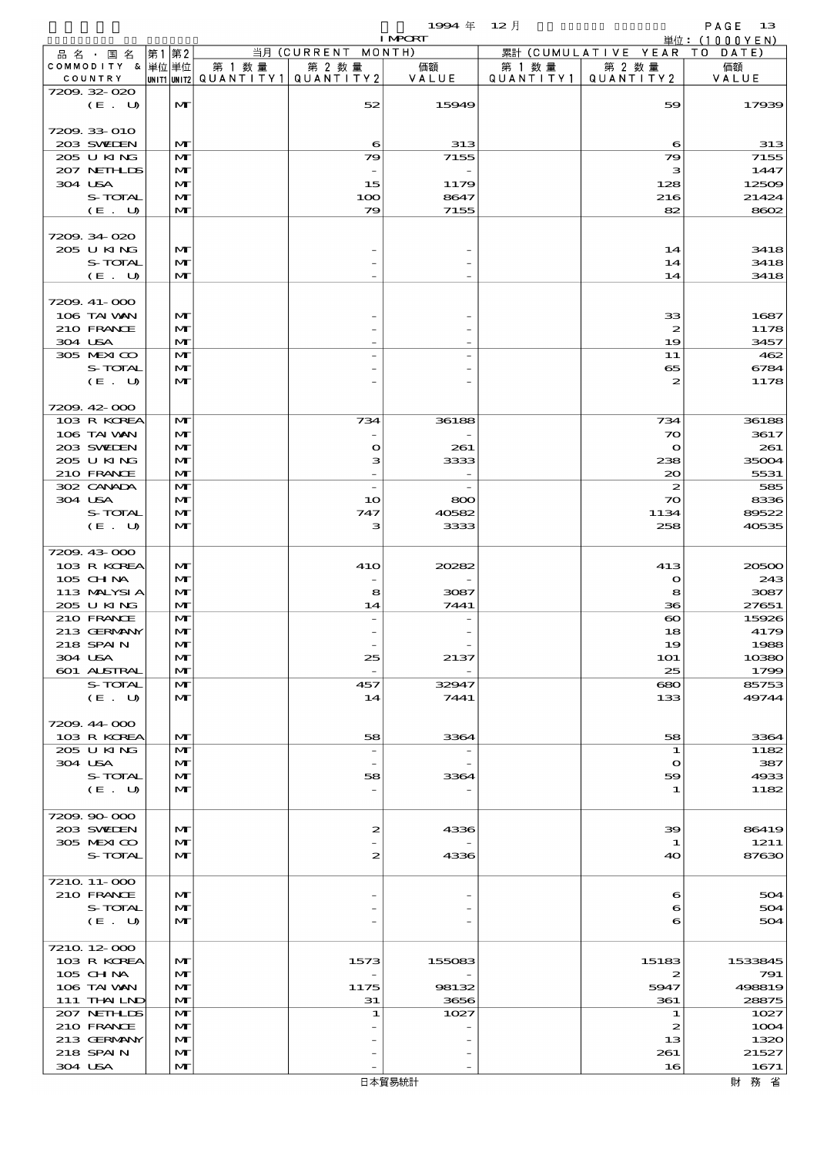$1994 \quad \text{#} \quad 12 \quad \text{#}$  PAGE 13

|                        |    |                   |        |                                       | <b>I MPORT</b> |        |                              | 単位: (1000YEN)  |
|------------------------|----|-------------------|--------|---------------------------------------|----------------|--------|------------------------------|----------------|
| 品名・国名                  | 第1 | 第2                |        | 当月 (CURRENT MONTH)                    |                |        | 累計 (CUMULATIVE YEAR TO DATE) |                |
| COMMODITY & 単位単位       |    |                   | 第 1 数量 | 第 2 数量                                | 価額             | 第 1 数量 | 第 2 数量                       | 価額             |
| COUNTRY                |    |                   |        | UNIT1 UNIT2  QUANT I TY1  QUANT I TY2 | VALUE          |        | QUANTITY1   QUANTITY2        | VALUE          |
| 7209.32-020<br>(E. U)  |    | $\mathbf{M}$      |        | 52                                    | 15949          |        | 59                           | 17939          |
|                        |    |                   |        |                                       |                |        |                              |                |
| 7209.33-010            |    |                   |        |                                       |                |        |                              |                |
| 203 SWIEN              |    | M                 |        | 6                                     | 313            |        | 6                            | 313            |
| 205 U KING             |    | M                 |        | 79                                    | 7155           |        | 79                           | 7155           |
| 207 NETHLIS            |    | M                 |        |                                       |                |        | з                            | 1447           |
| 304 USA                |    | M                 |        | 15                                    | 1179           |        | 128                          | 12509          |
| S-TOTAL                |    | $\mathbf{M}$      |        | 100                                   | 8647           |        | 216                          | 21424          |
| (E. U)                 |    | $\mathbf{M}$      |        | 79                                    | 7155           |        | 82                           | 8602           |
| 7209.34020             |    |                   |        |                                       |                |        |                              |                |
| 205 U KING             |    | M                 |        |                                       |                |        | 14                           | 3418           |
| S-TOTAL                |    | M                 |        |                                       |                |        | 14                           | 3418           |
| (E. U)                 |    | M                 |        |                                       |                |        | 14                           | 3418           |
|                        |    |                   |        |                                       |                |        |                              |                |
| 7209.41-000            |    |                   |        |                                       |                |        |                              |                |
| 106 TAI VAN            |    | M                 |        |                                       |                |        | 33                           | 1687           |
| 210 FRANCE             |    | $\mathbf{M}$      |        |                                       |                |        | $\boldsymbol{z}$             | 1178           |
| 304 USA                |    | $\mathbf{M}$      |        |                                       |                |        | 19                           | 3457           |
| 305 MEXICO<br>S-TOTAL  |    | M<br>M            |        |                                       |                |        | 11<br>65                     | 462<br>6784    |
| (E. U)                 |    | $\mathbf{M}$      |        |                                       |                |        | 2                            | 1178           |
|                        |    |                   |        |                                       |                |        |                              |                |
| 7209.42-000            |    |                   |        |                                       |                |        |                              |                |
| 103 R KOREA            |    | M                 |        | 734                                   | 36188          |        | 734                          | 36188          |
| 106 TAI VAN            |    | M                 |        |                                       |                |        | $\infty$                     | 3617           |
| 203 SWIEN              |    | $\mathbf{M}$      |        | $\bullet$                             | 261            |        | $\bullet$                    | 261            |
| 205 U KING             |    | $\mathbf{M}$      |        | з                                     | 3333           |        | 238                          | 35004          |
| 210 FRANCE             |    | $\mathbf{M}$      |        |                                       |                |        | 20                           | 5531           |
| 302 CANADA             |    | M                 |        | $\overline{\phantom{a}}$              |                |        | $\boldsymbol{z}$             | 585            |
| 304 USA                |    | M                 |        | 10                                    | 800            |        | $\infty$                     | 8336           |
| S-TOTAL<br>(E. U)      |    | M<br>$\mathbf{M}$ |        | 747<br>з                              | 40582<br>3333  |        | 1134<br>258                  | 89522<br>40535 |
|                        |    |                   |        |                                       |                |        |                              |                |
| 7209.43-000            |    |                   |        |                                       |                |        |                              |                |
| 103 R KOREA            |    | M                 |        | <b>41O</b>                            | 20282          |        | 413                          | 20500          |
| 105 CHNA               |    | $\mathbf{M}$      |        |                                       |                |        | $\mathbf{o}$                 | 243            |
| 113 MALYSIA            |    | M                 |        | 8                                     | 3087           |        | 8                            | 3087           |
| 205 U KING             |    | $\mathbf{M}$      |        | 14                                    | 7441           |        | 36                           | 27651          |
| 210 FRANCE             |    | M                 |        |                                       |                |        | $\boldsymbol{\infty}$        | 15926          |
| 213 GERMANY            |    | M                 |        |                                       |                |        | 18                           | 4179           |
| 218 SPAIN              |    | $\mathbf{M}$      |        |                                       |                |        | 19                           | 1988           |
| 304 USA<br>601 ALSTRAL |    | M<br>M            |        | 25                                    | 2137           |        | 101<br>25                    | 10380<br>1799  |
| S-TOTAL                |    | M                 |        | 457                                   | 32947          |        | 680                          | 85753          |
| (E. U)                 |    | $\mathbf{M}$      |        | 14                                    | 7441           |        | 133                          | 49744          |
|                        |    |                   |        |                                       |                |        |                              |                |
| 7209.44-000            |    |                   |        |                                       |                |        |                              |                |
| 103 R KOREA            |    | M                 |        | 58                                    | 3364           |        | 58                           | 3364           |
| 205 U KING             |    | M                 |        | $\overline{\phantom{a}}$              |                |        | 1                            | 1182           |
| 304 USA                |    | M                 |        |                                       |                |        | $\mathbf o$                  | 387            |
| S-TOTAL                |    | M                 |        | 58                                    | 3364           |        | 59                           | 4933           |
| $(E_U U)$              |    | M                 |        |                                       |                |        | 1                            | 1182           |
| 7209.90-000            |    |                   |        |                                       |                |        |                              |                |
| 203 SWIEN              |    | M                 |        | $\boldsymbol{z}$                      | 4336           |        | 39                           | 86419          |
| 305 MEXICO             |    | M                 |        |                                       |                |        | 1                            | 1211           |
| S-TOTAL                |    | $\mathbf{M}$      |        | 2                                     | 4336           |        | 40                           | 87630          |
|                        |    |                   |        |                                       |                |        |                              |                |
| 7210 11-000            |    |                   |        |                                       |                |        |                              |                |
| 210 FRANCE             |    | M                 |        |                                       |                |        | 6                            | 504            |
| S-TOTAL                |    | $\mathbf{M}$      |        |                                       |                |        | 6                            | 504            |
| (E. U)                 |    | $\mathbf{M}$      |        |                                       |                |        | 6                            | 504            |
| 7210 12 000            |    |                   |        |                                       |                |        |                              |                |
| 103 R KOREA            |    | M                 |        | 1573                                  | 155083         |        | 15183                        | 1533845        |
| 105 CH NA              |    | $\mathbf{M}$      |        |                                       |                |        | 2                            | 791            |
| 106 TAI VAN            |    | $\mathbf{M}$      |        | 1175                                  | 98132          |        | 5947                         | 498819         |
| 111 THAILND            |    | M                 |        | 31                                    | 3656           |        | 361                          | 28875          |
| 207 NETHLIDS           |    | M                 |        | 1                                     | 1027           |        | 1                            | 1027           |
| 210 FRANCE             |    | M                 |        |                                       |                |        | 2                            | 1004           |
| 213 GERMANY            |    | M                 |        |                                       |                |        | 13                           | 1320           |
| 218 SPAIN              |    | M                 |        |                                       |                |        | 261                          | 21527          |
| 304 USA                |    | M                 |        |                                       |                |        | 16                           | 1671           |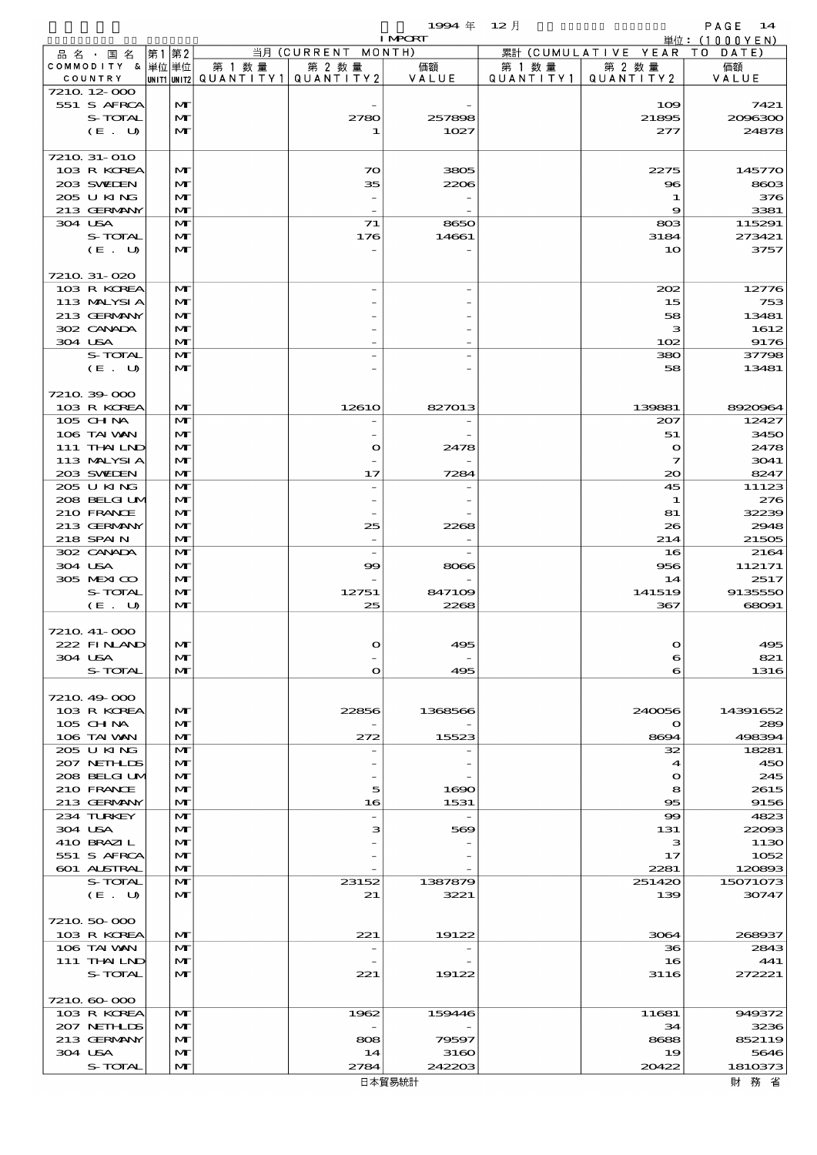$1994 \text{ } \# \text{ } 12 \text{ } \frac{1}{2}$  PAGE 14

|                            |                              |         |                                 | <b>I MPORT</b> |           |                              | 単位: $(1000YEN)$ |
|----------------------------|------------------------------|---------|---------------------------------|----------------|-----------|------------------------------|-----------------|
| 品名·国名                      | 第1 第2                        |         | 当月 (CURRENT MONTH)              |                |           | 累計 (CUMULATIVE YEAR TO DATE) |                 |
| COMMODITY & 単位単位           |                              | 第 1 数 量 | 第 2 数量                          | 価額             | 第 1 数 量   | 第 2 数量                       | 価額              |
| COUNTRY                    |                              |         | UNIT1 UNIT2 QUANTITY1 QUANTITY2 | VALUE          | QUANTITY1 | QUANTITY 2                   | VALUE           |
| 7210 12 000<br>551 S AFRCA | $\mathbf{M}$                 |         |                                 |                |           | 109                          | 7421            |
| S-TOTAL                    | $\mathbf{M}$                 |         | 2780                            | 257898         |           | 21895                        | 2006300         |
| (E. U)                     | $\mathbf{M}$                 |         | 1                               | 1027           |           | 277                          | 24878           |
|                            |                              |         |                                 |                |           |                              |                 |
| 7210 31-010                |                              |         |                                 |                |           |                              |                 |
| 103 R KOREA                | $\mathbf{M}$                 |         | $\infty$                        | 3805           |           | 2275                         | 145770          |
| 203 SWIDEN                 | $\mathbf{M}$                 |         | 35                              | 2206           |           | $\bf{8}$                     | 8603            |
| 205 U KING                 | $\mathbf{M}$                 |         |                                 |                |           | 1                            | 376             |
| 213 GERMANY<br>304 USA     | $\mathbf{M}$<br>$\mathbf{M}$ |         | 71                              | 8650           |           | 9<br>803                     | 3381<br>115291  |
| S-TOTAL                    | $\mathbf{M}$                 |         | 176                             | 14661          |           | 3184                         | 273421          |
| (E. U)                     | $\mathbf{M}$                 |         |                                 |                |           | 10                           | 3757            |
|                            |                              |         |                                 |                |           |                              |                 |
| 7210 31-020                |                              |         |                                 |                |           |                              |                 |
| 103 R KOREA                | $\mathbf{M}$                 |         |                                 |                |           | 202                          | 12776           |
| 113 MALYSIA                | $\mathbf{M}$                 |         |                                 |                |           | 15                           | 753             |
| 213 GERMANY                | $\mathbf{M}$                 |         |                                 |                |           | 58                           | 13481           |
| 302 CANADA<br>304 USA      | $\mathbf{M}$                 |         |                                 |                |           | з<br>102                     | 1612            |
| S-TOTAL                    | $\mathbf{M}$<br>$\mathbf{M}$ |         |                                 |                |           | 380                          | 9176<br>37798   |
| (E. U)                     | $\mathbf{M}$                 |         |                                 |                |           | 58                           | 13481           |
|                            |                              |         |                                 |                |           |                              |                 |
| 7210 39 000                |                              |         |                                 |                |           |                              |                 |
| 103 R KOREA                | $\mathbf{M}$                 |         | 1261O                           | 827013         |           | 139881                       | 8920964         |
| 105 CH NA                  | $\mathbf{M}$                 |         |                                 |                |           | 207                          | 12427           |
| 106 TAI VAN                | $\mathbf{M}$                 |         |                                 |                |           | 51                           | 3450            |
| 111 THAILND                | $\mathbf{M}$                 |         | $\mathbf o$                     | 2478           |           | $\mathbf o$                  | 2478            |
| 113 MALYSIA<br>203 SWIDEN  | $\mathbf{M}$                 |         |                                 |                |           | 7<br>$\infty$                | 3041            |
| 205 U KING                 | $\mathbf{M}$<br>$\mathbf{M}$ |         | 17                              | 7284           |           | 45                           | 8247<br>11123   |
| 208 BELGI UM               | $\mathbf{M}$                 |         |                                 |                |           | 1                            | 276             |
| 210 FRANCE                 | $\mathbf{M}$                 |         |                                 |                |           | 81                           | 32239           |
| 213 GERMANY                | $\mathbf{M}$                 |         | 25                              | 2268           |           | 26                           | 2948            |
| 218 SPAIN                  | $\mathbf{M}$                 |         |                                 |                |           | 214                          | 21505           |
| 302 CANADA                 | $\mathbf{M}$                 |         |                                 |                |           | 16                           | 2164            |
| 304 USA                    | $\mathbf{M}$                 |         | $\infty$                        | 8066           |           | 956                          | 112171          |
| 305 MEXICO                 | $\mathbf{M}$                 |         |                                 |                |           | 14                           | 2517            |
| S-TOTAL                    | $\mathbf{M}$<br>$\mathbf{M}$ |         | 12751<br>25                     | 847109<br>2268 |           | 141519<br>367                | 9135550         |
| (E. U)                     |                              |         |                                 |                |           |                              | 68091           |
| 7210 41-000                |                              |         |                                 |                |           |                              |                 |
| 222 FINAND                 | M                            |         |                                 | 49 X           |           |                              | 495             |
| 304 USA                    | $\mathbf{M}$                 |         |                                 |                |           | 6                            | 821             |
| S-TOTAL                    | M                            |         | $\Omega$                        | 495            |           | 6                            | 1316            |
|                            |                              |         |                                 |                |           |                              |                 |
| 7210 49 000                |                              |         |                                 |                |           |                              |                 |
| 103 R KOREA                | M                            |         | 22856                           | 1368566        |           | 240056                       | 14391652        |
| 105 CH NA                  | $\mathbf{M}$                 |         |                                 |                |           | $\mathbf o$                  | 289<br>498394   |
| 106 TAI VAN<br>205 U KING  | $\mathbf{M}$<br>$\mathbf{M}$ |         | 272                             | 15523          |           | 8694<br>32                   | 18281           |
| 207 NETHLIS                | $\mathbf{M}$                 |         |                                 |                |           | 4                            | 450             |
| 208 BELGI UM               | $\mathbf{M}$                 |         |                                 |                |           | $\mathbf o$                  | 245             |
| 210 FRANCE                 | $\mathbf{M}$                 |         | 5                               | 1690           |           | 8                            | 2615            |
| 213 GERMANY                | $\mathbf{M}$                 |         | 16                              | 1531           |           | 95                           | 9156            |
| 234 TURKEY                 | $\mathbf{M}$                 |         |                                 |                |           | $\infty$                     | 4823            |
| 304 USA                    | $\mathbf{M}$                 |         | з                               | 569            |           | 131                          | 22003           |
| 410 BRAZIL<br>551 S AFRCA  | $\mathbf{M}$<br>$\mathbf{M}$ |         |                                 |                |           | з                            | 1130<br>1052    |
| 601 ALSTRAL                | $\mathbf{M}$                 |         |                                 |                |           | 17<br>2281                   | 120893          |
| S-TOTAL                    | $\mathbf{M}$                 |         | 23152                           | 1387879        |           | 251420                       | 15071073        |
| (E. U)                     | $\mathbf{M}$                 |         | 21                              | 3221           |           | 139                          | 30747           |
|                            |                              |         |                                 |                |           |                              |                 |
| 7210 50 000                |                              |         |                                 |                |           |                              |                 |
| 103 R KOREA                | $\mathbf{M}$                 |         | 221                             | 19122          |           | 3064                         | 268937          |
| 106 TAI VAN                | $\mathbf{M}$                 |         |                                 |                |           | 36                           | 2843            |
| 111 THAILND                | $\mathbf{M}$                 |         |                                 |                |           | 16                           | 441             |
| S-TOTAL                    | $\mathbf{M}$                 |         | 221                             | 19122          |           | 3116                         | 272221          |
| 7210 60 000                |                              |         |                                 |                |           |                              |                 |
| 103 R KOREA                | $\mathbf{M}$                 |         | 1962                            | 159446         |           | 11681                        | 949372          |
| 207 NETHLIS                | $\mathbf{M}$                 |         |                                 |                |           | 34                           | 3236            |
| 213 GERMANY                | $\mathbf{M}$                 |         | 808                             | 79597          |           | 8688                         | 852119          |
| 304 USA                    | $\mathbf{M}$                 |         | 14                              | 3160           |           | 19                           | 5646            |
| S-TOTAL                    | M                            |         | 2784                            | 242203         |           | 20422                        | 1810373         |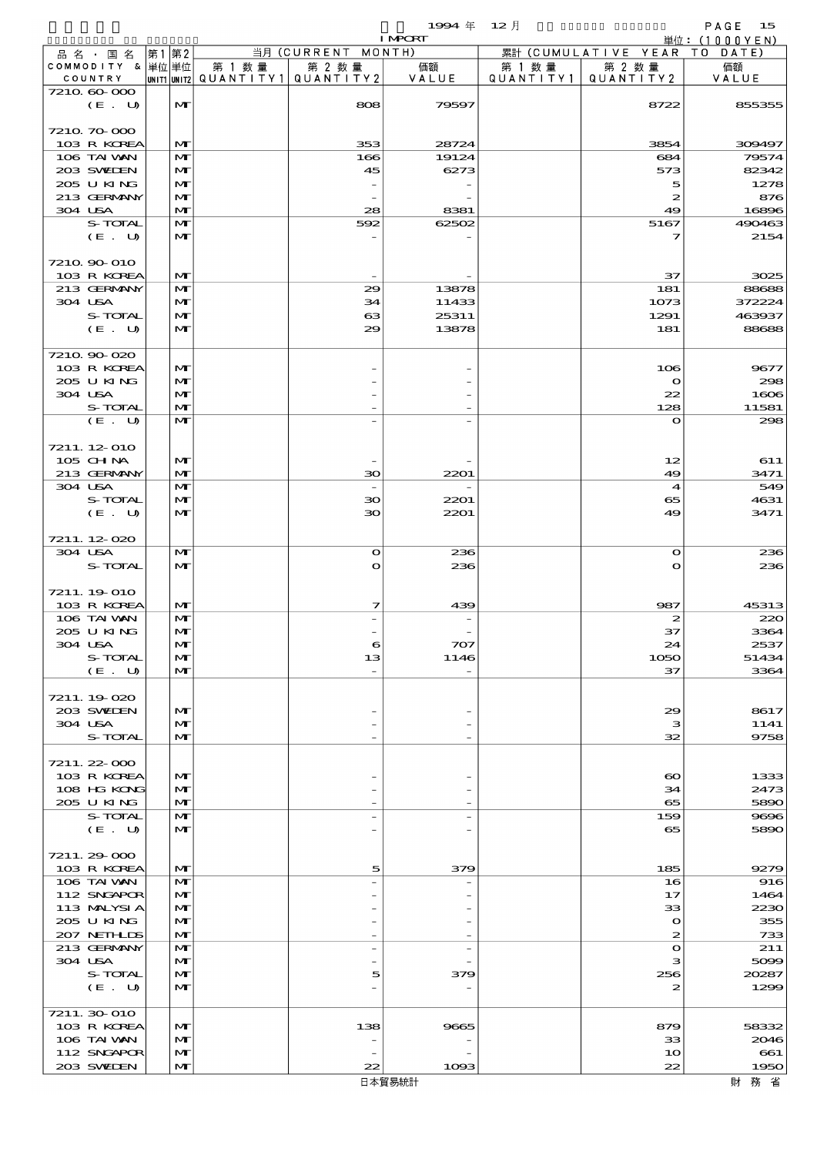|                               |          |                              |        |                                         | 19994年 12月               |           |                             | PAGE<br>15               |
|-------------------------------|----------|------------------------------|--------|-----------------------------------------|--------------------------|-----------|-----------------------------|--------------------------|
|                               | 第2<br>第1 |                              |        | 当月 (CURRENT MONTH)                      | <b>I MPORT</b>           |           | 累計 (CUMULATIVE YEAR TO      | 単位: $(1000YEN)$<br>DATE) |
| 品 名 ・ 国 名<br>COMMODITY & 単位単位 |          |                              | 第 1 数量 | 第 2 数量                                  | 価額                       | 第 1 数 量   | 第 2 数量                      | 価額                       |
| COUNTRY                       |          |                              |        | UNIT1 UNIT2   QUANT   TY1   QUANT   TY2 | VALUE                    | QUANTITY1 | QUANTITY 2                  | VALUE                    |
| 7210 60 000                   |          |                              |        |                                         |                          |           |                             |                          |
| (E. U)                        |          | M                            |        | 808                                     | 79597                    |           | 8722                        | 855355                   |
| 7210 70 000                   |          |                              |        |                                         |                          |           |                             |                          |
| 103 R KOREA                   |          | M                            |        | 353                                     | 28724                    |           | 3854                        | 309497                   |
| 106 TAI VAN                   |          | $\mathbf{M}$                 |        | 166                                     | 19124                    |           | 684                         | 79574                    |
| 203 SWIEN                     |          | M                            |        | 45                                      | 6273                     |           | 573                         | 82342                    |
| 205 U KING<br>213 GERMANY     |          | $\mathbf{M}$                 |        | $\overline{\phantom{a}}$                |                          |           | 5<br>$\boldsymbol{z}$       | 1278                     |
| 304 USA                       |          | M<br>$\mathbf{M}$            |        | 28                                      | 8381                     |           | 49                          | 876<br>16896             |
| S-TOTAL                       |          | M                            |        | 592                                     | 62502                    |           | 5167                        | 490463                   |
| (E. U)                        |          | M                            |        |                                         |                          |           | 7                           | 2154                     |
|                               |          |                              |        |                                         |                          |           |                             |                          |
| 7210 90 010                   |          |                              |        |                                         |                          |           |                             |                          |
| 103 R KOREA                   |          | M                            |        |                                         |                          |           | 37                          | 3025                     |
| 213 GERMANY<br>304 USA        |          | M<br>M                       |        | 29<br>34                                | 13878<br>11433           |           | 181<br>1073                 | 88688<br>372224          |
| S-TOTAL                       |          | $\mathbf{M}$                 |        | 63                                      | 25311                    |           | 1291                        | 463937                   |
| (E. U)                        |          | M                            |        | 29                                      | 13878                    |           | 181                         | 88688                    |
|                               |          |                              |        |                                         |                          |           |                             |                          |
| 7210 90 020                   |          |                              |        |                                         |                          |           |                             |                          |
| 103 R KOREA                   |          | M                            |        |                                         |                          |           | 106                         | 9677                     |
| 205 U KING                    |          | $\mathbf{M}$<br>$\mathbf{M}$ |        |                                         |                          |           | $\mathbf o$                 | 298                      |
| 304 USA<br>S-TOTAL            |          | $\mathbf{M}$                 |        |                                         |                          |           | 22<br>128                   | 1606<br>11581            |
| (E. U)                        |          | M                            |        |                                         |                          |           | $\mathbf o$                 | 298                      |
|                               |          |                              |        |                                         |                          |           |                             |                          |
| 7211.12-010                   |          |                              |        |                                         |                          |           |                             |                          |
| 105 CHNA                      |          | M                            |        |                                         |                          |           | 12                          | 611                      |
| 213 GERMANY                   |          | $\mathbf{M}$                 |        | 30                                      | 2201                     |           | 49                          | 3471                     |
| 304 USA<br>S-TOTAL            |          | M<br>M                       |        |                                         |                          |           | 4                           | 549                      |
| (E. U)                        |          | $\mathbf{M}$                 |        | 30<br>30                                | 2201<br>2201             |           | 65<br>49                    | 4631<br>3471             |
|                               |          |                              |        |                                         |                          |           |                             |                          |
| 7211.12-020                   |          |                              |        |                                         |                          |           |                             |                          |
| 304 USA                       |          | M                            |        | $\Omega$                                | 236                      |           | $\mathbf o$                 | 236                      |
| S-TOTAL                       |          | $\mathbf{M}$                 |        | $\Omega$                                | 236                      |           | $\mathbf o$                 | 236                      |
|                               |          |                              |        |                                         |                          |           |                             |                          |
| 7211.19-010<br>103 R KOREA    |          | M                            |        | 7                                       | 439                      |           | 987                         | 45313                    |
| 106 TAI VAN                   |          | M                            |        |                                         |                          |           | $\boldsymbol{z}$            | 220                      |
| 2005 U KING                   |          | $\mathbf{M}$                 |        |                                         |                          |           | 37                          | 3364                     |
| 304 USA                       |          | M                            |        | 6                                       | 707                      |           | 24                          | 2537                     |
| S-TOTAL                       |          | M                            |        | 13                                      | 1146                     |           | 1050                        | 51434                    |
| (E. U)                        |          | M                            |        |                                         |                          |           | 37                          | 3364                     |
| 7211.19-020                   |          |                              |        |                                         |                          |           |                             |                          |
| 203 SWIEN                     |          | M                            |        |                                         |                          |           | 29                          | 8617                     |
| 304 USA                       |          | M                            |        |                                         |                          |           | з                           | 1141                     |
| S-TOTAL                       |          | M                            |        |                                         | $\overline{\phantom{a}}$ |           | 32                          | 9758                     |
|                               |          |                              |        |                                         |                          |           |                             |                          |
| 7211.22-000                   |          |                              |        |                                         |                          |           |                             |                          |
| 103 R KOREA<br>108 HG KONG    |          | M<br>M                       |        |                                         |                          |           | $\boldsymbol{\infty}$<br>34 | 1333<br>2473             |
| 205 U KING                    |          | M                            |        |                                         | $\overline{\phantom{a}}$ |           | 65                          | 5890                     |
| S-TOTAL                       |          | M                            |        |                                         |                          |           | 159                         | 9696                     |
| (E. U)                        |          | M                            |        |                                         |                          |           | 65                          | 5890                     |
|                               |          |                              |        |                                         |                          |           |                             |                          |
| 7211.29-000                   |          |                              |        |                                         |                          |           |                             |                          |
| 103 R KOREA                   |          | $\mathbf{M}$                 |        | 5                                       | 379                      |           | 185                         | 9279                     |
| 106 TAI VAN<br>112 SNGAPOR    |          | M<br>M                       |        |                                         |                          |           | 16<br>17                    | 916<br>1464              |
| 113 MALYSIA                   |          | M                            |        |                                         |                          |           | 33                          | 2230                     |
| 205 U KING                    |          | M                            |        |                                         |                          |           | $\mathbf{\Omega}$           | 355                      |
| 207 NETHLIS                   |          | $\mathbf{M}$                 |        |                                         | $\overline{\phantom{a}}$ |           | 2                           | 733                      |
| 213 GERMANY                   |          | M                            |        |                                         |                          |           | $\mathbf{o}$                | 211                      |
| 304 USA                       |          | M                            |        |                                         |                          |           | з                           | 5099                     |
| S-TOTAL<br>(E. U)             |          | M<br>M                       |        | 5                                       | 379                      |           | 256<br>2                    | 20287<br>1299            |
|                               |          |                              |        |                                         |                          |           |                             |                          |
| 7211.30-010                   |          |                              |        |                                         |                          |           |                             |                          |
| 103 R KOREA                   |          | M                            |        | 138                                     | 9665                     |           | 879                         | 58332                    |
| 106 TAI VAN                   |          | M                            |        |                                         |                          |           | 33                          | 2046                     |
| 112 SNGAPOR                   |          | M                            |        |                                         |                          |           | 10                          | 661                      |
| 203 SWIEN                     |          | $\mathbf{M}$                 |        | 22                                      | 1093                     |           | 22                          | 1950                     |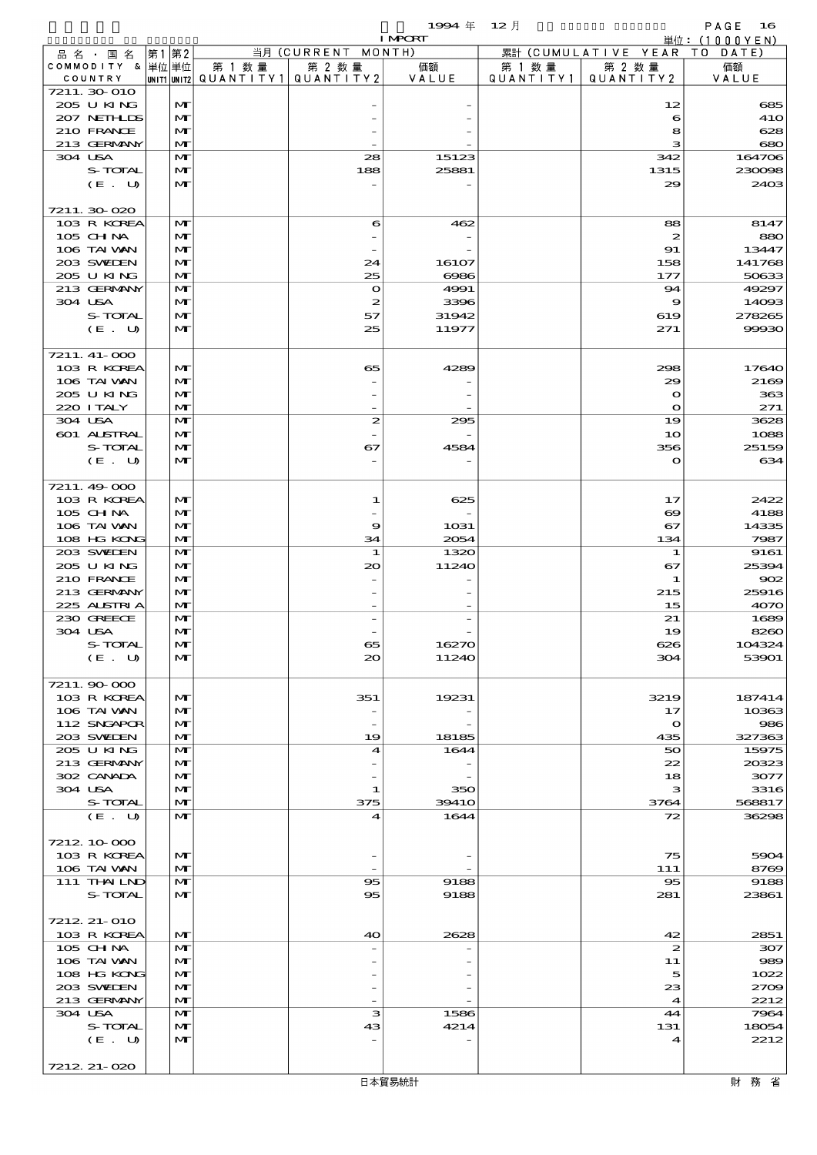$1994 \quad \text{#} \quad 12 \quad \text{#}$  PAGE 16

|                            |                              |        |                                                  | <b>I MPORT</b> |           |                              | 単位: (1000YEN)    |
|----------------------------|------------------------------|--------|--------------------------------------------------|----------------|-----------|------------------------------|------------------|
| 品名・国名                      | 第1 第2                        |        | 当月 (CURRENT MONTH)                               |                |           | 累計 (CUMULATIVE YEAR TO DATE) |                  |
| COMMODITY & 単位単位           |                              | 第 1 数量 | 第 2 数量<br> unit1 unit2  QUANT   TY1  QUANT   TY2 | 価額             | 第 1 数 量   | 第 2 数量                       | 価額               |
| COUNTRY<br>7211.30 010     |                              |        |                                                  | VALUE          | QUANTITY1 | QUANTITY 2                   | VALUE            |
| 205 U KING                 | M                            |        |                                                  |                |           | 12                           | 685              |
| 207 NETHLIS                | M                            |        |                                                  |                |           | 6                            | <b>41O</b>       |
| 210 FRANCE                 | M                            |        |                                                  |                |           | 8                            | 628              |
| 213 GERMANY                | $\mathbf{M}$                 |        |                                                  |                |           | з                            | 680              |
| 304 USA<br>S-TOTAL         | M<br>M                       |        | 28<br>188                                        | 15123<br>25881 |           | 342<br>1315                  | 164706<br>230098 |
| (E. U)                     | $\mathbf{M}$                 |        |                                                  |                |           | 29                           | 2403             |
|                            |                              |        |                                                  |                |           |                              |                  |
| 7211.30020                 |                              |        |                                                  |                |           |                              |                  |
| 103 R KOREA                | $\mathbf{M}$                 |        | 6                                                | 462            |           | 88                           | 8147             |
| 105 CH NA                  | M                            |        |                                                  |                |           | $\boldsymbol{z}$             | 880              |
| 106 TAI VAN                | $\mathbf{M}$                 |        |                                                  |                |           | 91                           | 13447            |
| 203 SWIEN<br>205 U KING    | $\mathbf{M}$<br>$\mathbf{M}$ |        | 24                                               | 16107          |           | 158                          | 141768           |
| 213 GERMANY                | M                            |        | 25<br>$\mathbf{o}$                               | 6986<br>4991   |           | 177<br>94                    | 50633<br>49297   |
| 304 USA                    | M                            |        | $\boldsymbol{z}$                                 | 3396           |           | 9                            | 14093            |
| S-TOTAL                    | M                            |        | 57                                               | 31942          |           | 619                          | 278265           |
| (E. U)                     | $\mathbf{M}$                 |        | 25                                               | 11977          |           | 271                          | 99930            |
|                            |                              |        |                                                  |                |           |                              |                  |
| 7211. 41-000               |                              |        |                                                  |                |           |                              |                  |
| 103 R KOREA                | $\mathbf{M}$                 |        | 65                                               | 4289           |           | 298                          | 17640            |
| 106 TAI VAN<br>205 U KING  | $\mathbf{M}$<br>$\mathbf{M}$ |        |                                                  |                |           | 29<br>$\bullet$              | 2169<br>363      |
| 220 I TALY                 | M                            |        |                                                  |                |           | $\mathbf o$                  | 271              |
| 304 USA                    | $\mathbf{M}$                 |        | $\boldsymbol{z}$                                 | 295            |           | 19                           | 3628             |
| 601 ALSTRAL                | M                            |        |                                                  |                |           | 10                           | 1088             |
| S-TOTAL                    | M                            |        | 67                                               | 4584           |           | 356                          | 25159            |
| (E. U)                     | $\mathbf{M}$                 |        |                                                  |                |           | O                            | 634              |
|                            |                              |        |                                                  |                |           |                              |                  |
| 7211.49-000                |                              |        |                                                  |                |           |                              |                  |
| 103 R KOREA<br>105 CH NA   | $\mathbf{M}$<br>$\mathbf{M}$ |        | 1                                                | 625            |           | 17<br>$\boldsymbol{\infty}$  | 2422<br>4188     |
| 106 TAI VAN                | $\mathbf{M}$                 |        | 9                                                | 1031           |           | 67                           | 14335            |
| 108 HG KONG                | $\mathbf{M}$                 |        | 34                                               | 2054           |           | 134                          | 7987             |
| 203 SWIEN                  | M                            |        | 1                                                | 1320           |           | 1                            | 9161             |
| 205 U KING                 | M                            |        | 20                                               | 11240          |           | 67                           | 25394            |
| 210 FRANCE                 | M                            |        |                                                  |                |           | 1                            | $\infty$         |
| 213 GERMANY                | $\mathbf{M}$                 |        |                                                  |                |           | 215                          | 25916            |
| 225 ALSTRIA<br>230 GREECE  | M<br>$\mathbf{M}$            |        |                                                  |                |           | 15<br>21                     | 4070<br>1689     |
| 304 USA                    | M                            |        |                                                  |                |           | 19                           | 8260             |
| S-TOTAL                    | $\mathbf{M}$                 |        | 65                                               | 16270          |           | 626                          | 104324           |
| (E. U)                     | M                            |        | 20                                               | 11240          |           | 304                          | 53901            |
|                            |                              |        |                                                  |                |           |                              |                  |
| 7211.90 000                |                              |        |                                                  |                |           |                              |                  |
| 103 R KOREA<br>106 TAI VAN | $\mathbf{M}$<br>$\mathbf{M}$ |        | 351<br>$\overline{\phantom{a}}$                  | 19231          |           | 3219<br>17                   | 187414<br>10363  |
| 112 SNGAPOR                | M                            |        | $\overline{\phantom{m}}$                         |                |           | $\mathbf o$                  | 986              |
| 203 SWIEN                  | M                            |        | 19                                               | 18185          |           | 435                          | 327363           |
| 205 U KING                 | M                            |        | 4                                                | 1644           |           | 50                           | 15975            |
| 213 GERMANY                | $\mathbf{M}$                 |        |                                                  |                |           | 22                           | 20323            |
| 302 CANADA                 | $\mathbf{M}$                 |        |                                                  |                |           | 18                           | 3077             |
| 304 USA<br>S-TOTAL         | M<br>$\mathbf{M}$            |        | 1                                                | 350            |           | з                            | 3316             |
| (E. U)                     | $\mathbf{M}$                 |        | 375<br>4                                         | 3941O<br>1644  |           | 3764<br>72                   | 568817<br>36298  |
|                            |                              |        |                                                  |                |           |                              |                  |
| 7212 10 000                |                              |        |                                                  |                |           |                              |                  |
| 103 R KOREA                | $\mathbf{M}$                 |        |                                                  |                |           | 75                           | 5904             |
| 106 TAI VAN                | $\mathbf{M}$                 |        |                                                  |                |           | 111                          | 8769             |
| 111 THAILND                | M                            |        | $\bf{95}$                                        | 9188           |           | $\infty$                     | 9188             |
| S-TOTAL                    | $\mathbf{M}$                 |        | 95                                               | 9188           |           | 281                          | 23861            |
| 7212 21-010                |                              |        |                                                  |                |           |                              |                  |
| 103 R KOREA                | $\mathbf{M}$                 |        | 40                                               | 2628           |           | 42                           | 2851             |
| 105 CH NA                  | $\mathbf{M}$                 |        |                                                  |                |           | 2                            | 307              |
| 106 TAI VAN                | $\mathbf{M}$                 |        |                                                  |                |           | 11                           | 989              |
| 108 HG KONG                | M                            |        |                                                  |                |           | 5                            | 1022             |
| 203 SWIDEN                 | M                            |        |                                                  |                |           | 23                           | 2709             |
| 213 GERMANY<br>304 USA     | $\mathbf{M}$<br>M            |        | з                                                | 1586           |           | $\boldsymbol{4}$<br>44       | 2212<br>7964     |
| S-TOTAL                    | M                            |        | 43                                               | 4214           |           | 131                          | 18054            |
| (E. U)                     | $\mathbf{M}$                 |        |                                                  |                |           | 4                            | 2212             |
|                            |                              |        |                                                  |                |           |                              |                  |
| 7212 21-020                |                              |        |                                                  |                |           |                              |                  |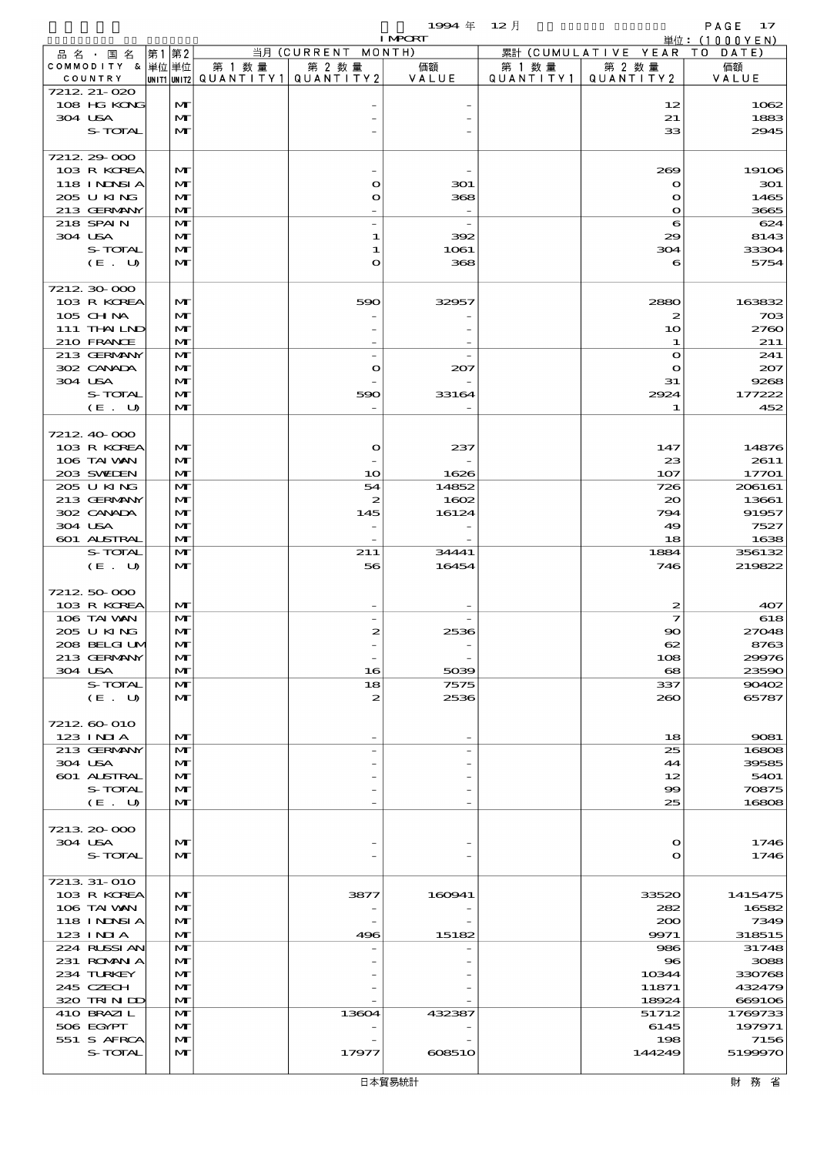$1994 \text{ } \# \quad 12 \text{ } \frac{1}{2}$ 

|                             |  |                   |        |                                                     | <b>I MPORT</b> |                     |                              | 単位: $(1000YEN)$  |
|-----------------------------|--|-------------------|--------|-----------------------------------------------------|----------------|---------------------|------------------------------|------------------|
| 品 名 ・ 国 名                   |  | 第1 第2             |        | 当月 (CURRENT MONTH)                                  |                |                     | 累計 (CUMULATIVE YEAR TO DATE) |                  |
| COMMODITY & 単位単位<br>COUNTRY |  |                   | 第 1 数量 | 第 2 数量<br> UNIT1  UNIT2   QUANT I TY1   QUANT I TY2 | 価額<br>VALUE    | 第 1 数量<br>QUANTITY1 | 第 2 数量<br>QUANTITY 2         | 価額<br>VALUE      |
| 7212 21-020                 |  |                   |        |                                                     |                |                     |                              |                  |
| 108 HG KONG                 |  | M                 |        |                                                     |                |                     | 12                           | 1062             |
| 304 USA                     |  | M                 |        |                                                     |                |                     | 21                           | 1883             |
| S-TOTAL                     |  | $\mathbf{M}$      |        |                                                     |                |                     | 33                           | 2945             |
| 7212 29 000                 |  |                   |        |                                                     |                |                     |                              |                  |
| 103 R KOREA                 |  | M                 |        |                                                     |                |                     | 269                          | 19106            |
| 118 INNSI A                 |  | $\mathbf{M}$      |        | O                                                   | 301            |                     | $\mathbf{o}$                 | 301              |
| 205 U KING                  |  | $\mathbf{M}$      |        | O                                                   | 368            |                     | $\mathbf o$                  | 1465             |
| 213 GERMANY                 |  | $\mathbf{M}$      |        |                                                     |                |                     | $\mathbf{o}$                 | 3665             |
| 218 SPAIN<br>304 USA        |  | $\mathbf{M}$<br>M |        | 1                                                   | 392            |                     | 6<br>29                      | 624<br>8143      |
| S-TOTAL                     |  | $\mathbf{M}$      |        | 1                                                   | 1061           |                     | 304                          | 33304            |
| (E. U)                      |  | $\mathbf{M}$      |        | O                                                   | 368            |                     | 6                            | 5754             |
|                             |  |                   |        |                                                     |                |                     |                              |                  |
| 7212 30 000                 |  |                   |        |                                                     |                |                     |                              |                  |
| 103 R KOREA<br>105 CHNA     |  | M<br>$\mathbf{M}$ |        | 590                                                 | 32957          |                     | 2880<br>$\boldsymbol{z}$     | 163832<br>703    |
| 111 THAILND                 |  | M                 |        |                                                     |                |                     | 10                           | 2760             |
| 210 FRANCE                  |  | M                 |        |                                                     |                |                     | 1                            | 211              |
| 213 GERMANY                 |  | $\mathbf{M}$      |        |                                                     |                |                     | $\mathbf{o}$                 | 241              |
| 302 CANADA                  |  | M                 |        | $\mathbf o$                                         | 207            |                     | $\mathbf{o}$                 | 207              |
| 304 USA                     |  | M                 |        |                                                     |                |                     | 31                           | 9268             |
| S-TOTAL<br>(E. U)           |  | M<br>$\mathbf{M}$ |        | 590                                                 | 33164          |                     | 2924<br>1                    | 177222<br>452    |
|                             |  |                   |        |                                                     |                |                     |                              |                  |
| 7212 40 000                 |  |                   |        |                                                     |                |                     |                              |                  |
| 103 R KOREA                 |  | M                 |        | $\bullet$                                           | 237            |                     | 147                          | 14876            |
| 106 TAI VAN                 |  | M                 |        |                                                     |                |                     | 23                           | 2611             |
| 203 SWIEN                   |  | $\mathbf{M}$      |        | 10                                                  | 1626           |                     | 107                          | 17701            |
| 205 U KING<br>213 GERMANY   |  | $\mathbf{M}$<br>M |        | 54<br>2                                             | 14852<br>1602  |                     | 726<br>$\infty$              | 206161<br>13661  |
| 302 CANADA                  |  | M                 |        | 145                                                 | 16124          |                     | 794                          | 91957            |
| 304 USA                     |  | $\mathbf{M}$      |        |                                                     |                |                     | 49                           | 7527             |
| 601 ALSTRAL                 |  | $\mathbf{M}$      |        |                                                     |                |                     | 18                           | 1638             |
| S-TOTAL                     |  | M                 |        | 211                                                 | 34441          |                     | 1884                         | 356132           |
| (E. U)                      |  | $\mathbf{M}$      |        | 56                                                  | 16454          |                     | 746                          | 219822           |
| 7212 50 000                 |  |                   |        |                                                     |                |                     |                              |                  |
| 103 R KOREA                 |  | M                 |        |                                                     |                |                     | 2                            | 407              |
| 106 TAI VAN                 |  | M                 |        |                                                     |                |                     | 7                            | 618              |
| 205 U KING                  |  | M                 |        | 2                                                   | 2536           |                     | $\infty$                     | 27048            |
| 208 BELGI UN                |  | $\mathbf{M}$      |        |                                                     |                |                     | 62                           | 8763             |
| 213 GERMANY<br>304 USA      |  | $\mathbf{M}$<br>M |        | 16                                                  | 5039           |                     | 108<br>$\mathbf{68}$         | 29976<br>23590   |
| S-TOTAL                     |  | $\mathbf{M}$      |        | 18                                                  | 7575           |                     | 337                          | 90402            |
| (E. U)                      |  | M                 |        | 2                                                   | 2536           |                     | 260                          | 65787            |
|                             |  |                   |        |                                                     |                |                     |                              |                  |
| 7212 60 010                 |  |                   |        |                                                     |                |                     |                              |                  |
| $123$ INIA<br>213 GERMANY   |  | M<br>M            |        |                                                     |                |                     | 18                           | 9081             |
| 304 USA                     |  | M                 |        |                                                     |                |                     | 25<br>44                     | 16808<br>39585   |
| 601 ALSTRAL                 |  | M                 |        |                                                     |                |                     | 12                           | 5401             |
| S-TOTAL                     |  | M                 |        |                                                     |                |                     | 99                           | 70875            |
| (E. U)                      |  | M                 |        |                                                     |                |                     | 25                           | 16808            |
|                             |  |                   |        |                                                     |                |                     |                              |                  |
| 7213 20 000<br>304 USA      |  | M                 |        |                                                     |                |                     | $\Omega$                     | 1746             |
| S-TOTAL                     |  | $\mathbf{M}$      |        |                                                     |                |                     | $\mathbf o$                  | 1746             |
|                             |  |                   |        |                                                     |                |                     |                              |                  |
| 7213 31-010                 |  |                   |        |                                                     |                |                     |                              |                  |
| 103 R KOREA                 |  | M                 |        | 3877                                                | 160941         |                     | 33520                        | 1415475          |
| 106 TAI VAN<br>118 I NDSI A |  | M<br>$\mathbf{M}$ |        |                                                     |                |                     | 282<br>200                   | 16582<br>7349    |
| 123 INIA                    |  | M                 |        | 496                                                 | 15182          |                     | 9971                         | 318515           |
| 224 RUSSI AN                |  | M                 |        |                                                     |                |                     | 986                          | 31748            |
| 231 ROMANIA                 |  | M                 |        |                                                     |                |                     | $\bf{8}$                     | 3088             |
| 234 TURKEY                  |  | M                 |        |                                                     |                |                     | 10344                        | 330768           |
| 245 CZECH<br>320 TRINDO     |  | M<br>M            |        |                                                     |                |                     | 11871<br>18924               | 432479<br>669106 |
| 410 BRAZIL                  |  | M                 |        | 13604                                               | 432387         |                     | 51712                        | 1769733          |
| 506 EGYPT                   |  | M                 |        |                                                     |                |                     | 6145                         | 197971           |
| 551 S AFRCA                 |  | M                 |        |                                                     |                |                     | 198                          | 7156             |
| S-TOTAL                     |  | M                 |        | 17977                                               | 608510         |                     | 144249                       | 5199970          |
|                             |  |                   |        |                                                     |                |                     |                              |                  |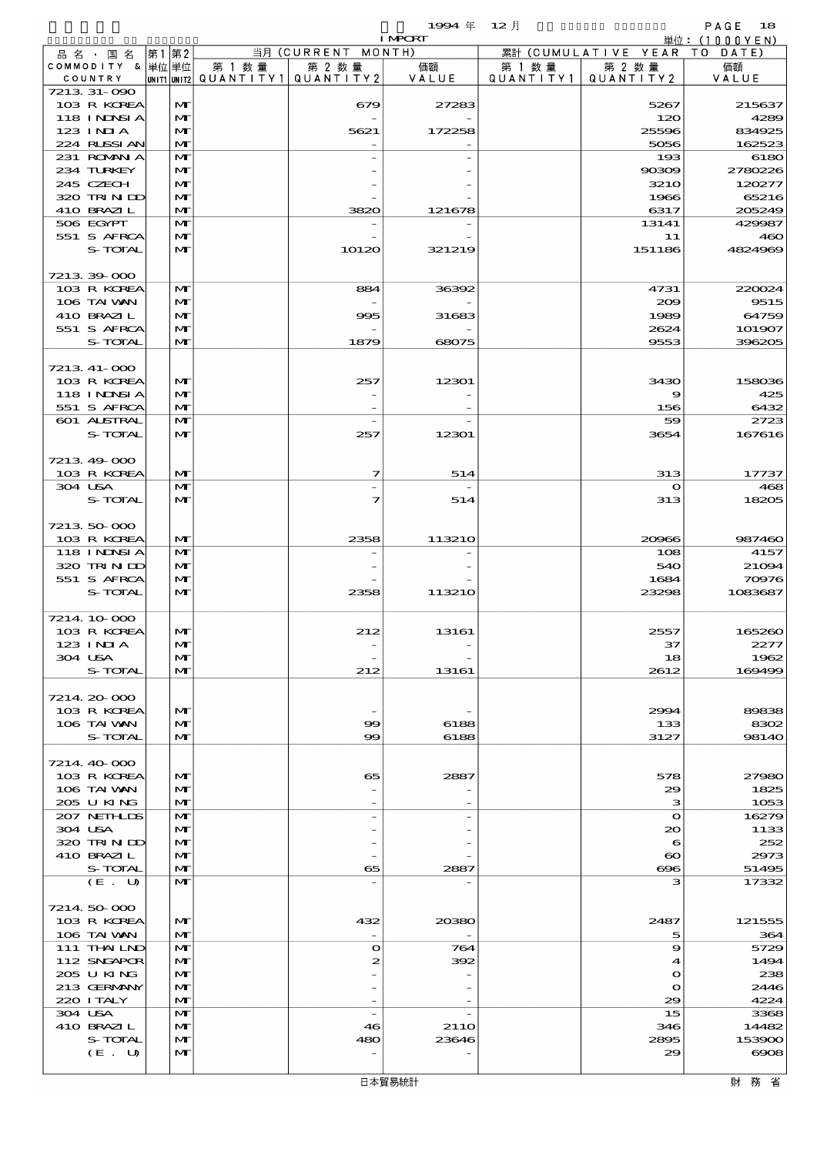$1$ 994  $\#$  12  $\bar{e}$  12  $\bar{e}$  12  $\bar{e}$  18

|                           |                   |        |                                                  | <b>I MPORT</b> |           |                              | 単位: $(1000YEN)$  |
|---------------------------|-------------------|--------|--------------------------------------------------|----------------|-----------|------------------------------|------------------|
| 品名・国名                     | 第1第2              |        | 当月 (CURRENT MONTH)                               |                |           | 累計 (CUMULATIVE YEAR TO DATE) |                  |
| COMMODITY & 単位単位          |                   | 第 1 数量 | 第 2 数量<br> UNIT1 UNIT2  QUANT   TY1  QUANT   TY2 | 価額             | 第 1 数 量   | 第 2 数量                       | 価額               |
| COUNTRY<br>7213 31-090    |                   |        |                                                  | VALUE          | QUANTITY1 | QUANTITY 2                   | VALUE            |
| 103 R KOREA               | M                 |        | 679                                              | 27283          |           | 5267                         | 215637           |
| 118 INNSI A               | M                 |        |                                                  |                |           | 120                          | 4289             |
| 123 INIA                  | M                 |        | 5621                                             | 172258         |           | 25596                        | 834925           |
| 224 RUSSIAN               | M                 |        |                                                  |                |           | 5056                         | 162523           |
| 231 ROMANIA               | M                 |        |                                                  |                |           | 193                          | 6180             |
| 234 TURKEY                | M                 |        |                                                  |                |           | 90309                        | 2780226          |
| 245 CZECH                 | M                 |        |                                                  |                |           | <b>3210</b>                  | 120277           |
| 320 TRIND<br>410 BRAZIL   | M<br>M            |        | 3820                                             | 121678         |           | 1966<br>6317                 | 65216<br>205249  |
| 506 EGYPT                 | M                 |        |                                                  |                |           | 13141                        | 429987           |
| 551 S AFRCA               | M                 |        |                                                  |                |           | 11                           | 460              |
| S-TOTAL                   | M                 |        | 10120                                            | 321219         |           | 151186                       | 4824969          |
|                           |                   |        |                                                  |                |           |                              |                  |
| 7213 39 000               |                   |        |                                                  |                |           |                              |                  |
| 103 R KOREA               | $\mathbf{M}$      |        | 884                                              | 36392          |           | 4731                         | 220024           |
| 106 TAI VAN               | M                 |        |                                                  |                |           | 200                          | 9515             |
| 410 BRAZIL                | M                 |        | 995                                              | 31683          |           | 1989                         | 64759            |
| 551 S AFRCA<br>S-TOTAL    | M<br>$\mathbf{M}$ |        | 1879                                             | 68075          |           | 2624<br>9553                 | 101907<br>396205 |
|                           |                   |        |                                                  |                |           |                              |                  |
| 7213 41-000               |                   |        |                                                  |                |           |                              |                  |
| 103 R KOREA               | M                 |        | 257                                              | 12301          |           | 3430                         | 158036           |
| 118 INNSI A               | M                 |        |                                                  |                |           | 9                            | 425              |
| 551 S AFRCA               | M                 |        |                                                  |                |           | 156                          | 6432             |
| 601 ALSTRAL               | M                 |        | $\overline{a}$                                   |                |           | 59                           | 2723             |
| S-TOTAL                   | M                 |        | 257                                              | 12301          |           | 3654                         | 167616           |
|                           |                   |        |                                                  |                |           |                              |                  |
| 7213 49 000               |                   |        |                                                  |                |           |                              |                  |
| 103 R KOREA<br>304 USA    | M<br>M            |        | 7                                                | 514            |           | 313<br>$\mathbf o$           | 17737<br>468     |
| S-TOTAL                   | M                 |        | 7                                                | 514            |           | 313                          | 18205            |
|                           |                   |        |                                                  |                |           |                              |                  |
| 7213 50 000               |                   |        |                                                  |                |           |                              |                  |
| 103 R KOREA               | M                 |        | 2358                                             | 113210         |           | 20966                        | 987460           |
| 118 I NDSI A              | M                 |        |                                                  |                |           | 108                          | 4157             |
| 320 TRINID                | M                 |        |                                                  |                |           | 540                          | 21094            |
| 551 S AFRCA               | M                 |        |                                                  |                |           | 1684                         | 70976            |
| S-TOTAL                   | M                 |        | 2358                                             | 113210         |           | 23298                        | 1083687          |
| 7214 10 000               |                   |        |                                                  |                |           |                              |                  |
| 103 R KOREA               | M                 |        | 212                                              | 13161          |           | 2557                         | 165260           |
| 123 INIA                  | M                 |        |                                                  |                |           | 37                           | 2277             |
| 304 USA                   | M                 |        |                                                  |                |           | 18                           | 1962             |
| S-TOTAL                   | M                 |        | 212                                              | 13161          |           | 2612                         | 169499           |
|                           |                   |        |                                                  |                |           |                              |                  |
| 7214 20 000               |                   |        |                                                  |                |           |                              |                  |
| 103 R KOREA               | M                 |        |                                                  |                |           | 2994                         | 89838            |
| 106 TAI VAN<br>S-TOTAL    | M<br>M            |        | 99<br>$\infty$                                   | 6188           |           | 133                          | 8302             |
|                           |                   |        |                                                  | 6188           |           | 3127                         | 98140            |
| 7214 40 000               |                   |        |                                                  |                |           |                              |                  |
| 103 R KOREA               | M                 |        | 65                                               | 2887           |           | 578                          | 27980            |
| 106 TAI VAN               | M                 |        |                                                  |                |           | 29                           | 1825             |
| 205 U KING                | M                 |        |                                                  |                |           | з                            | 1053             |
| 207 NETHLIS               | M                 |        | $\overline{a}$                                   |                |           | $\mathbf{\Omega}$            | 16279            |
| 304 USA                   | M                 |        |                                                  |                |           | $\infty$                     | 1133             |
| 320 TRINDO<br>410 BRAZIL  | M<br>M            |        |                                                  |                |           | 6<br>$\boldsymbol{\infty}$   | 252<br>2973      |
| S-TOTAL                   | M                 |        | 65                                               | 2887           |           | $\bf{cos}$                   | 51495            |
| (E. U)                    | M                 |        |                                                  |                |           | з                            | 17332            |
|                           |                   |        |                                                  |                |           |                              |                  |
| 7214 50 000               |                   |        |                                                  |                |           |                              |                  |
| 103 R KOREA               | M                 |        | 432                                              | 20380          |           | 2487                         | 121555           |
| 106 TAI VAN               | M                 |        |                                                  |                |           | 5                            | 364              |
| 111 THAILND               | M                 |        | $\mathbf o$                                      | 764            |           | 9                            | 5729             |
| 112 SNGAPOR               | M                 |        | 2                                                | 392            |           | 4                            | 1494             |
| 205 U KING<br>213 GERMANY | $\mathbf{M}$<br>M |        |                                                  |                |           | $\mathbf o$<br>$\mathbf o$   | 238<br>2446      |
| 220 I TALY                | M                 |        |                                                  |                |           | 29                           | 4224             |
| 304 USA                   | M                 |        | $\overline{\phantom{a}}$                         |                |           | 15                           | 3368             |
| 410 BRAZIL                | M                 |        | 46                                               | <b>2110</b>    |           | 346                          | 14482            |
| S-TOTAL                   | M                 |        | 480                                              | 23646          |           | 2895                         | 153900           |
| (E. U)                    | M                 |        |                                                  |                |           | 29                           | $\cos$           |
|                           |                   |        |                                                  |                |           |                              |                  |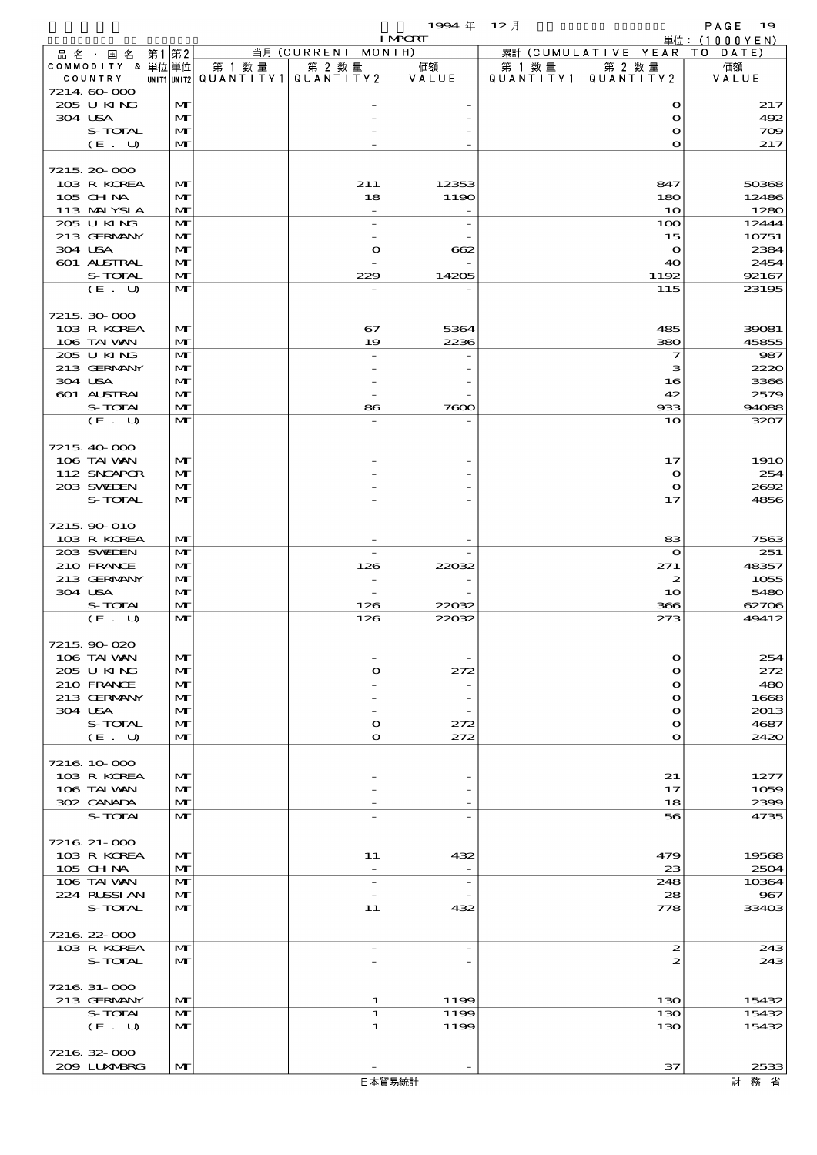$1994 \quad \text{#} \quad 12 \quad \text{#}$  PAGE 19

|                            |                              |                                          |                          | <b>I MPORT</b> |         |                              | 単位: (1000YEN) |
|----------------------------|------------------------------|------------------------------------------|--------------------------|----------------|---------|------------------------------|---------------|
| 品名・国名                      | 第1第2                         |                                          | 当月 (CURRENT MONTH)       |                |         | 累計 (CUMULATIVE YEAR TO DATE) |               |
| COMMODITY & 単位単位           |                              | 第 1 数量                                   | 第 2 数量                   | 価額             | 第 1 数 量 | 第 2 数量                       | 価額            |
| COUNTRY<br>7214 60 000     |                              | UNIT1 UNIT2  QUANT I TY 1   QUANT I TY 2 |                          | VALUE          |         | QUANTITY1   QUANTITY2        | VALUE         |
| 205 U KING                 | M                            |                                          |                          |                |         | $\mathbf o$                  | 217           |
| 304 USA                    | M                            |                                          |                          |                |         | $\mathbf o$                  | 492           |
| S-TOTAL                    | $\mathbf{M}$                 |                                          |                          |                |         | $\mathbf{\Omega}$            | 709           |
| (E. U)                     | $\mathbf{M}$                 |                                          |                          |                |         | $\mathbf{o}$                 | 217           |
|                            |                              |                                          |                          |                |         |                              |               |
| 7215, 20-000               |                              |                                          |                          |                |         |                              |               |
| 103 R KOREA                | M                            |                                          | 211                      | 12353          |         | 847                          | 50368         |
| 105 CHNA<br>113 MALYSIA    | M<br>M                       |                                          | 18                       | 1190           |         | 180<br>10                    | 12486<br>1280 |
| 205 U KING                 | M                            |                                          | $\overline{a}$           |                |         | 100                          | 12444         |
| 213 GERMANY                | M                            |                                          |                          |                |         | 15                           | 10751         |
| 304 USA                    | M                            |                                          | $\mathbf{\Omega}$        | 662            |         | $\bullet$                    | 2384          |
| 601 ALSTRAL                | $\mathbf{M}$                 |                                          |                          |                |         | 40                           | 2454          |
| S-TOTAL                    | $\mathbf{M}$                 |                                          | 229                      | 14205          |         | 1192                         | 92167         |
| (E. U)                     | $\mathbf{M}$                 |                                          |                          |                |         | 115                          | 23195         |
|                            |                              |                                          |                          |                |         |                              |               |
| 7215 30 000<br>103 R KOREA | M                            |                                          | 67                       | 5364           |         | 485                          | 39081         |
| 106 TAI VAN                | $\mathbf{M}$                 |                                          | 19                       | 2236           |         | 380                          | 45855         |
| 205 U KING                 | $\mathbf{M}$                 |                                          |                          |                |         | $\overline{\mathbf{z}}$      | 987           |
| 213 GERMANY                | M                            |                                          |                          |                |         | з                            | 2220          |
| 304 USA                    | M                            |                                          |                          |                |         | 16                           | 3366          |
| 601 ALSTRAL                | $\mathbf{M}$                 |                                          |                          |                |         | 42                           | 2579          |
| S-TOTAL                    | $\mathbf{M}$                 |                                          | 86                       | 7000           |         | 933                          | 94088         |
| (E. U)                     | $\mathbf{M}$                 |                                          |                          |                |         | 10                           | 3207          |
| 7215 40 000                |                              |                                          |                          |                |         |                              |               |
| 106 TAI VAN                | M                            |                                          |                          |                |         | 17                           | <b>1910</b>   |
| 112 SNGAPOR                | $\mathbf{M}$                 |                                          |                          |                |         | $\mathbf o$                  | 254           |
| 203 SWIEN                  | $\mathbf{M}$                 |                                          |                          |                |         | $\mathbf o$                  | 2692          |
| S-TOTAL                    | M                            |                                          |                          |                |         | 17                           | 4856          |
|                            |                              |                                          |                          |                |         |                              |               |
| 7215 90 010                |                              |                                          |                          |                |         |                              |               |
| 103 R KOREA                | M                            |                                          |                          |                |         | 83                           | 7563          |
| 203 SWIEN                  | $\mathbf{M}$                 |                                          | $\overline{\phantom{a}}$ |                |         | $\mathbf o$                  | 251           |
| 210 FRANCE<br>213 GERMANY  | M<br>M                       |                                          | 126                      | 22032          |         | 271<br>$\boldsymbol{z}$      | 48357<br>1055 |
| 304 USA                    | $\mathbf{M}$                 |                                          |                          |                |         | 10                           | 5480          |
| S-TOTAL                    | $\mathbf{M}$                 |                                          | 126                      | 22032          |         | 366                          | 62706         |
| (E. U)                     | M                            |                                          | 126                      | 22032          |         | 273                          | 49412         |
|                            |                              |                                          |                          |                |         |                              |               |
| 7215 90 020                |                              |                                          |                          |                |         |                              |               |
| 106 TAI VAN                | M                            |                                          |                          |                |         | $\mathbf o$                  | 254           |
| 205 U KING                 | $\mathbf{M}$                 |                                          | $\Omega$                 | 272            |         | $\mathbf o$                  | 272           |
| 210 FRANCE<br>213 GERMANY  | M<br>M                       |                                          |                          |                |         | $\Omega$<br>$\mathbf o$      | 480<br>1668   |
| 304 USA                    | M                            |                                          |                          |                |         | $\mathbf o$                  | 2013          |
| S-TOTAL                    | $\mathbf{M}$                 |                                          | O                        | 272            |         | O                            | 4687          |
| (E. U)                     | M                            |                                          | $\mathbf o$              | 272            |         | O                            | 2420          |
|                            |                              |                                          |                          |                |         |                              |               |
| 7216 10 000                |                              |                                          |                          |                |         |                              |               |
| 103 R KOREA                | M                            |                                          |                          |                |         | 21                           | 1277          |
| 106 TAI VAN                | M                            |                                          |                          |                |         | 17                           | 1059          |
| 302 CANADA<br>S-TOTAL      | $\mathbf{M}$<br>$\mathbf{M}$ |                                          |                          |                |         | 18<br>56                     | 2399<br>4735  |
|                            |                              |                                          |                          |                |         |                              |               |
| 7216 21-000                |                              |                                          |                          |                |         |                              |               |
| 103 R KOREA                | M                            |                                          | 11                       | 432            |         | 479                          | 19568         |
| 105 CHNA                   | M                            |                                          |                          |                |         | 23                           | 2504          |
| 106 TAI VAN                | $\mathbf{M}$                 |                                          | $\overline{\phantom{a}}$ |                |         | 248                          | 10364         |
| 224 RUSSI AN               | M                            |                                          |                          |                |         | 28                           | 967           |
| S-TOTAL                    | $\mathbf{M}$                 |                                          | 11                       | 432            |         | 778                          | 33403         |
| 7216 22 000                |                              |                                          |                          |                |         |                              |               |
| 103 R KOREA                | M                            |                                          | $\overline{\phantom{0}}$ |                |         | $\mathbf{z}$                 | 243           |
| S-TOTAL                    | $\mathbf{M}$                 |                                          |                          |                |         | 2                            | 243           |
|                            |                              |                                          |                          |                |         |                              |               |
| 7216 31-000                |                              |                                          |                          |                |         |                              |               |
| 213 GERMANY                | M                            |                                          | 1                        | 1199           |         | 130                          | 15432         |
| S-TOTAL                    | M                            |                                          | 1                        | 1199           |         | 130                          | 15432         |
| (E. U)                     | M                            |                                          | 1                        | 1199           |         | 130                          | 15432         |
| 7216 32 000                |                              |                                          |                          |                |         |                              |               |
| 2009 LUNABRG               | M                            |                                          |                          |                |         | 37                           | 2533          |
|                            |                              |                                          |                          |                |         |                              |               |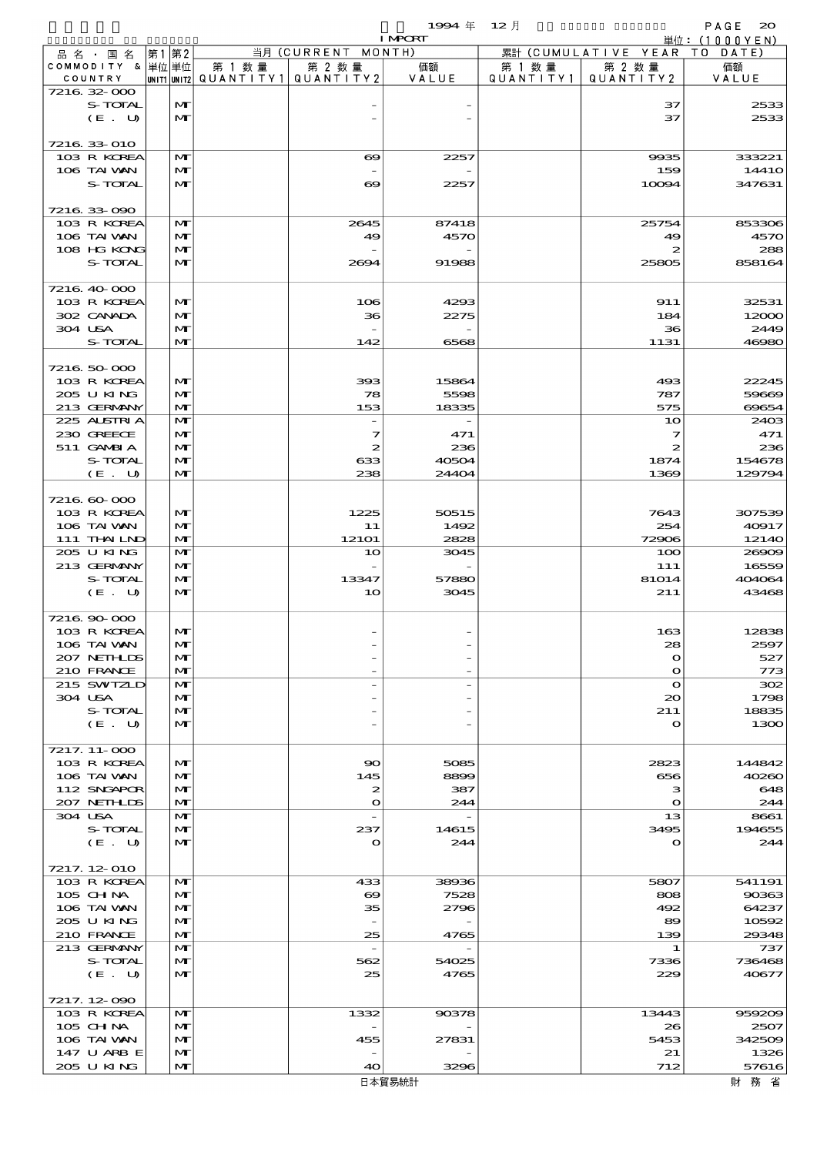|                               |       |                              |                                       |                                      | 1994 $#$       | $12$ 月    |                            | PAGE<br>$\infty$         |
|-------------------------------|-------|------------------------------|---------------------------------------|--------------------------------------|----------------|-----------|----------------------------|--------------------------|
|                               | 第1 第2 |                              |                                       | 当月 (CURRENT MONTH)                   | <b>I MPORT</b> |           | 累計 (CUMULATIVE YEAR        | 単位:(1000YEN)<br>TO DATE) |
| 品 名 ・ 国 名<br>COMMODITY & 単位単位 |       |                              | 第 1 数量                                | 第 2 数量                               | 価額             | 第 1 数 量   | 第 2 数量                     | 価額                       |
| COUNTRY                       |       |                              | unit1 unit2  Q∪ANT   TY1  Q∪ANT   TY2 |                                      | VALUE          | QUANTITY1 | QUANTITY 2                 | VALUE                    |
| 7216 32 000                   |       |                              |                                       |                                      |                |           |                            |                          |
| S-TOTAL<br>(E. U)             |       | $\mathbf{M}$<br>$\mathbf{M}$ |                                       |                                      |                |           | 37<br>37                   | 2533<br>2533             |
|                               |       |                              |                                       |                                      |                |           |                            |                          |
| 7216 33 010                   |       |                              |                                       |                                      |                |           |                            |                          |
| 103 R KOREA<br>106 TAI VAN    |       | M<br>$\mathbf{M}$            |                                       | $\infty$                             | 2257           |           | 9935                       | 333221                   |
| S-TOTAL                       |       | $\mathbf{M}$                 |                                       | $\overline{\phantom{a}}$<br>$\infty$ | 2257           |           | 159<br>10094               | 1441O<br>347631          |
|                               |       |                              |                                       |                                      |                |           |                            |                          |
| 7216 33 090                   |       |                              |                                       |                                      |                |           |                            |                          |
| 103 R KOREA                   |       | $\mathbf{M}$                 |                                       | 2645                                 | 87418          |           | 25754                      | 853306                   |
| 106 TAI VAN<br>108 HG KONG    |       | $\mathbf{M}$<br>$\mathbf{M}$ |                                       | 49                                   | 4570           |           | 49<br>2                    | 4570<br>288              |
| S-TOTAL                       |       | $\mathbf{M}$                 |                                       | 2694                                 | 91988          |           | 25805                      | 858164                   |
|                               |       |                              |                                       |                                      |                |           |                            |                          |
| 7216 40 000                   |       |                              |                                       |                                      |                |           |                            |                          |
| 103 R KOREA<br>302 CANADA     |       | $\mathbf{M}$<br>$\mathbf{M}$ |                                       | 106<br>36                            | 4293<br>2275   |           | 911<br>184                 | 32531<br>12000           |
| 304 USA                       |       | $\mathbf{M}$                 |                                       |                                      |                |           | 36                         | 2449                     |
| S-TOTAL                       |       | $\mathbf{M}$                 |                                       | 142                                  | 6568           |           | 1131                       | 46980                    |
|                               |       |                              |                                       |                                      |                |           |                            |                          |
| 7216 50 000                   |       |                              |                                       |                                      |                |           |                            |                          |
| 103 R KOREA<br>205 U KING     |       | $\mathbf{M}$<br>$\mathbf{M}$ |                                       | 393<br>78                            | 15864<br>5598  |           | 493<br>787                 | 22245<br>59669           |
| 213 GERMANY                   |       | $\mathbf{M}$                 |                                       | 153                                  | 18335          |           | 575                        | 69654                    |
| 225 ALSTRIA                   |       | M                            |                                       | $\overline{\phantom{a}}$             |                |           | 10                         | 2403                     |
| 230 GREECE                    |       | $\mathbf{M}$                 |                                       | 7                                    | 471            |           | $\overline{\mathbf{z}}$    | 471                      |
| 511 GAMBIA<br>S-TOTAL         |       | $\mathbf{M}$                 |                                       | $\boldsymbol{z}$                     | 236            |           | 2                          | 236                      |
| (E. U)                        |       | $\mathbf{M}$<br>$\mathbf{M}$ |                                       | 633<br>238                           | 40504<br>24404 |           | 1874<br>1369               | 154678<br>129794         |
|                               |       |                              |                                       |                                      |                |           |                            |                          |
| 7216 60 000                   |       |                              |                                       |                                      |                |           |                            |                          |
| 103 R KOREA                   |       | $\mathbf{M}$                 |                                       | 1225                                 | 50515          |           | 7643                       | 307539                   |
| 106 TAI VAN<br>111 THAILND    |       | $\mathbf{M}$<br>$\mathbf{M}$ |                                       | 11<br>12101                          | 1492<br>2828   |           | 254<br>72906               | 40917<br>12140           |
| 205 U KING                    |       | $\mathbf{M}$                 |                                       | 10                                   | 3045           |           | 100                        | 26909                    |
| 213 GERMANY                   |       | $\mathbf{M}$                 |                                       |                                      |                |           | 111                        | 16559                    |
| S-TOTAL                       |       | $\mathbf{M}$                 |                                       | 13347                                | 57880          |           | 81014                      | 404064                   |
| (E. U)                        |       | $\mathbf{M}$                 |                                       | 10                                   | 3045           |           | 211                        | 43468                    |
| 7216.90-000                   |       |                              |                                       |                                      |                |           |                            |                          |
| 103 R KOREA                   |       | M                            |                                       |                                      |                |           | 163                        | 12838                    |
| 106 TAI VAN                   |       | $\mathbf{M}$                 |                                       |                                      |                |           | 28                         | 2597                     |
| 207 NETHLIS<br>210 FRANCE     |       | $\mathbf{M}$<br>$\mathbf{M}$ |                                       |                                      |                |           | $\mathbf o$<br>$\mathbf o$ | 527<br>773               |
| 215 SWIZLD                    |       | $\mathbf{M}$                 |                                       |                                      |                |           | $\mathbf o$                | 302                      |
| 304 USA                       |       | $\mathbf{M}$                 |                                       |                                      |                |           | 20                         | 1798                     |
| S-TOTAL                       |       | $\mathbf{M}$                 |                                       |                                      |                |           | 211                        | 18835                    |
| (E. U)                        |       | $\mathbf{M}$                 |                                       |                                      |                |           | $\mathbf o$                | 1300                     |
| 7217. 11-000                  |       |                              |                                       |                                      |                |           |                            |                          |
| 103 R KOREA                   |       | $\mathbf{M}$                 |                                       | $\infty$                             | 5085           |           | 2823                       | 144842                   |
| 106 TAI VAN                   |       | $\mathbf{M}$                 |                                       | 145                                  | 8899           |           | 656                        | 40260                    |
| 112 SNGAPOR<br>207 NETHLIS    |       | $\mathbf{M}$<br>$\mathbf{M}$ |                                       | 2<br>$\mathbf o$                     | 387<br>244     |           | з<br>$\mathbf o$           | 648<br>244               |
| 304 USA                       |       | $\mathbf{M}$                 |                                       |                                      |                |           | 13                         | 8661                     |
| S-TOTAL                       |       | $\mathbf{M}$                 |                                       | 237                                  | 14615          |           | 3495                       | 194655                   |
| (E. U)                        |       | $\mathbf{M}$                 |                                       | $\mathbf o$                          | 244            |           | $\mathbf o$                | 244                      |
| 7217.12-010                   |       |                              |                                       |                                      |                |           |                            |                          |
| 103 R KOREA                   |       | M                            |                                       | 433                                  | 38936          |           | 5807                       | 541191                   |
| 105 CH NA                     |       | $\mathbf{M}$                 |                                       | $\infty$                             | 7528           |           | 808                        | 90363                    |
| 106 TAI VAN                   |       | $\mathbf{M}$                 |                                       | 35                                   | 2796           |           | 492                        | 64237                    |
| 205 U KING<br>210 FRANCE      |       | $\mathbf{M}$<br>$\mathbf{M}$ |                                       | $\overline{\phantom{a}}$<br>25       | 4765           |           | 89<br>139                  | 10592<br>29348           |
| 213 GERMANY                   |       | $\mathbf{M}$                 |                                       | $\overline{\phantom{m}}$             |                |           | 1                          | 737                      |
| S-TOTAL                       |       | $\mathbf{M}$                 |                                       | 562                                  | 54025          |           | 7336                       | 736468                   |
| (E. U)                        |       | $\mathbf{M}$                 |                                       | 25                                   | 4765           |           | 229                        | 40677                    |
| 7217.12-090                   |       |                              |                                       |                                      |                |           |                            |                          |
| 103 R KOREA                   |       | M                            |                                       | 1332                                 | 90378          |           | 13443                      | 959209                   |
| 105 CH NA                     |       | $\mathbf{M}$                 |                                       |                                      |                |           | 26                         | 2507                     |
| 106 TAI VAN<br>147 U ARB E    |       | $\mathbf{M}$                 |                                       | 455                                  | 27831          |           | 5453                       | 342509                   |
| 205 U KING                    |       | $\mathbf{M}$<br>$\mathbf{M}$ |                                       | 40                                   | 3296           |           | 21<br>712                  | 1326<br>57616            |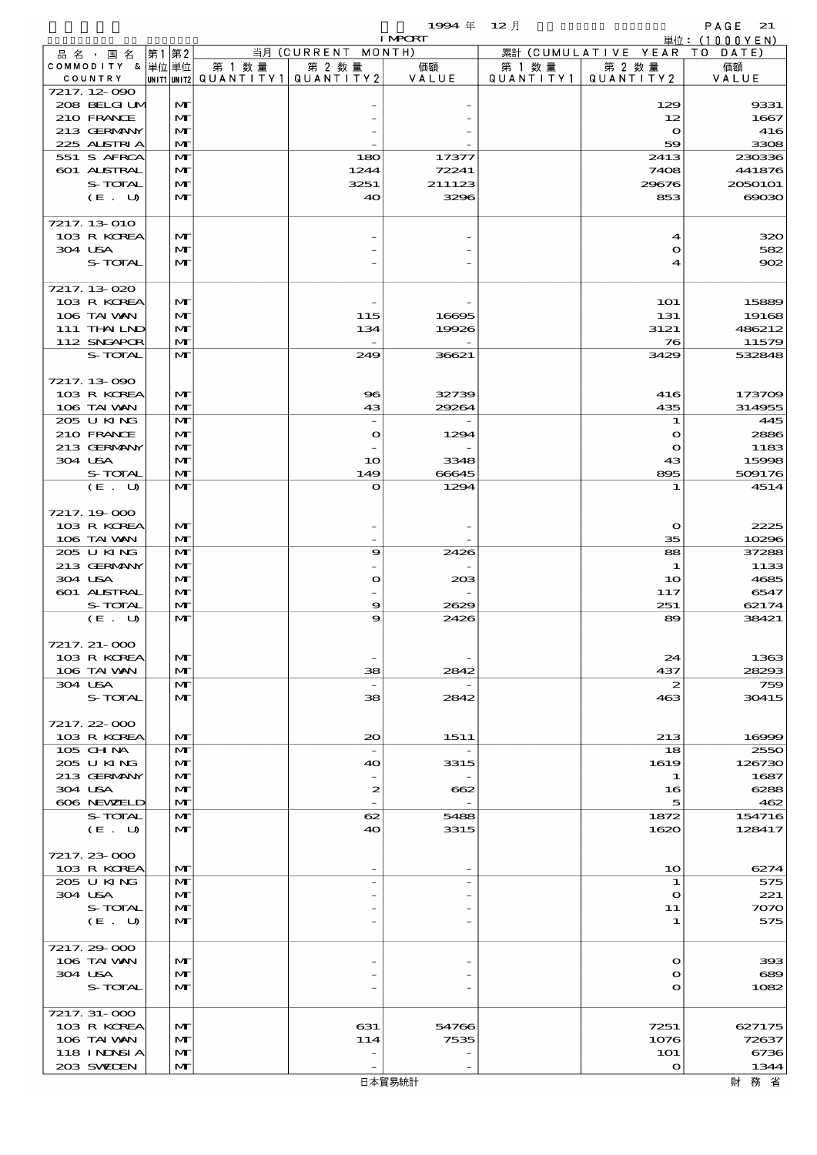$1994 \text{ } \# \text{ } 12 \text{ } \frac{1}{2}$  PAGE 21

|                             |                              |        |                                       | <b>I MPORT</b>           |           |                              | 単位: (1000YEN)   |
|-----------------------------|------------------------------|--------|---------------------------------------|--------------------------|-----------|------------------------------|-----------------|
| 品 名 ・ 国 名                   | 第1第2                         |        | 当月 (CURRENT MONTH)                    |                          |           | 累計 (CUMULATIVE YEAR TO DATE) |                 |
| COMMODITY & 単位単位            |                              | 第 1 数量 | 第 2 数量                                | 価額                       | 第 1 数 量   | 第 2 数量                       | 価額              |
| COUNTRY<br>7217.12-090      |                              |        | UNIT1 UNIT2  QUANT   TY1  QUANT   TY2 | VALUE                    | QUANTITY1 | QUANTITY 2                   | VALUE           |
| 208 BELGI UM                | M                            |        |                                       |                          |           | 129                          | 9331            |
| 210 FRANCE                  | $\mathbf{M}$                 |        |                                       |                          |           | 12                           | 1667            |
| 213 GERMANY                 | M                            |        |                                       |                          |           | $\mathbf{o}$                 | 416             |
| 225 ALSTRIA                 | $\mathbf{M}$                 |        |                                       |                          |           | 59                           | 3308            |
| 551 S AFRCA                 | $\mathbf{M}$                 |        | 180                                   | 17377                    |           | 2413                         | 230336          |
| 601 ALSTRAL                 | M                            |        | 1244                                  | 72241                    |           | 7408                         | 441876          |
| S-TOTAL                     | $\mathbf{M}$                 |        | 3251                                  | 211123                   |           | 29676                        | 2050101         |
| (E. U)                      | $\mathbf{M}$                 |        | 40                                    | 3296                     |           | 853                          | $\infty$        |
| 7217.13-010                 |                              |        |                                       |                          |           |                              |                 |
| 103 R KOREA                 | M                            |        |                                       |                          |           | 4                            | 320             |
| 304 USA                     | M                            |        |                                       |                          |           | $\mathbf o$                  | 582             |
| S-TOTAL                     | $\mathbf{M}$                 |        |                                       |                          |           | 4                            | 902             |
|                             |                              |        |                                       |                          |           |                              |                 |
| 7217.13-020                 |                              |        |                                       |                          |           |                              |                 |
| 103 R KOREA                 | M                            |        |                                       |                          |           | <b>1O1</b>                   | 15889           |
| 106 TAI VAN                 | $\mathbf{M}$<br>$\mathbf{M}$ |        | 115                                   | 16695                    |           | 131                          | 19168           |
| 111 THAILND<br>112 SNGAPOR  | M                            |        | 134                                   | 19926                    |           | 3121<br>76                   | 486212<br>11579 |
| S-TOTAL                     | $\mathbf{M}$                 |        | 249                                   | 36621                    |           | 3429                         | 532848          |
|                             |                              |        |                                       |                          |           |                              |                 |
| 7217.13-090                 |                              |        |                                       |                          |           |                              |                 |
| 103 R KOREA                 | $\mathbf{M}$                 |        | 96                                    | 32739                    |           | 416                          | 173709          |
| 106 TAI VAN                 | $\mathbf{M}$                 |        | 43                                    | 29264                    |           | 435                          | 314955          |
| 205 U KING                  | M                            |        | $\overline{\phantom{a}}$              |                          |           | 1                            | 445             |
| 210 FRANCE                  | M                            |        | $\bullet$                             | 1294                     |           | $\mathbf{o}$                 | 2886            |
| 213 GERMANY                 | $\mathbf{M}$                 |        |                                       |                          |           | $\mathbf{o}$                 | 1183            |
| 304 USA                     | $\mathbf{M}$                 |        | 10                                    | 3348                     |           | 43                           | 15998           |
| S-TOTAL                     | $\mathbf{M}$<br>$\mathbf{M}$ |        | 149                                   | 66645                    |           | 895                          | 509176          |
| (E. U)                      |                              |        | O                                     | 1294                     |           | 1                            | 4514            |
| 7217.19-000                 |                              |        |                                       |                          |           |                              |                 |
| 103 R KOREA                 | $\mathbf{M}$                 |        |                                       |                          |           | $\mathbf{o}$                 | 2225            |
| 106 TAI VAN                 | $\mathbf{M}$                 |        |                                       |                          |           | 35                           | 10296           |
| 205 U KING                  | M                            |        | 9                                     | 2426                     |           | 88                           | 37288           |
| 213 GERMANY                 | M                            |        |                                       |                          |           | 1                            | 1133            |
| 304 USA                     | $\mathbf{M}$                 |        | $\mathbf o$                           | 203                      |           | 10                           | 4685            |
| 601 ALSTRAL                 | $\mathbf{M}$                 |        |                                       |                          |           | 117                          | 6547            |
| S-TOTAL                     | $\mathbf{M}$                 |        | 9                                     | 2629                     |           | 251                          | 62174           |
| (E. U)                      | M                            |        | 9                                     | 2426                     |           | 89                           | 38421           |
| 7217. 21-000                |                              |        |                                       |                          |           |                              |                 |
| 103 R KOREA                 | M                            |        |                                       |                          |           | 24                           | 1363            |
| 106 TAI VAN                 | M                            |        | 38                                    | 2842                     |           | 437                          | 28293           |
| 304 USA                     | M                            |        | $\overline{\phantom{a}}$              |                          |           | 2                            | 759             |
| S-TOTAL                     | M                            |        | 38                                    | 2842                     |           | 463                          | 30415           |
|                             |                              |        |                                       |                          |           |                              |                 |
| 7217.22-000                 |                              |        |                                       |                          |           |                              |                 |
| 103 R KOREA                 | M                            |        | $\infty$                              | 1511                     |           | 213                          | 16999           |
| 105 CHNA<br>205 U KING      | M<br>M                       |        | $\overline{\phantom{a}}$<br>40        | 3315                     |           | 18<br>1619                   | 2550<br>126730  |
| 213 GERMANY                 | M                            |        |                                       |                          |           | 1                            | 1687            |
| 304 USA                     | M                            |        | 2                                     | 662                      |           | 16                           | 6288            |
| 606 NEWELD                  | M                            |        |                                       |                          |           | 5                            | 462             |
| S-TOTAL                     | $\mathbf{M}$                 |        | 62                                    | 5488                     |           | 1872                         | 154716          |
| (E. U)                      | M                            |        | 40                                    | 3315                     |           | 1620                         | 128417          |
|                             |                              |        |                                       |                          |           |                              |                 |
| 7217.23-000                 |                              |        |                                       |                          |           |                              |                 |
| 103 R KOREA                 | M                            |        |                                       |                          |           | 1 <sub>O</sub>               | 6274            |
| 205 U KING                  | M                            |        |                                       | $\overline{\phantom{m}}$ |           | 1                            | 575             |
| 304 USA<br>S-TOTAL          | M<br>M                       |        |                                       |                          |           | $\Omega$<br>11               | 221<br>7070     |
| (E. U)                      | $\mathbf{M}$                 |        |                                       |                          |           | 1                            | 575             |
|                             |                              |        |                                       |                          |           |                              |                 |
| 7217.29-000                 |                              |        |                                       |                          |           |                              |                 |
| 106 TAI VAN                 | $\mathbf{M}$                 |        |                                       |                          |           | $\Omega$                     | 393             |
| 304 USA                     | M                            |        |                                       |                          |           | О                            | 689             |
| S-TOTAL                     | $\mathbf{M}$                 |        |                                       |                          |           | O                            | 1082            |
|                             |                              |        |                                       |                          |           |                              |                 |
| 7217. 31-000                |                              |        |                                       |                          |           |                              |                 |
| 103 R KOREA                 | $\mathbf{M}$                 |        | 631                                   | 54766                    |           | 7251                         | 627175          |
| 106 TAI VAN<br>118 I NDSI A | $\mathbf{M}$<br>M            |        | 114<br>$\qquad \qquad -$              | 7535                     |           | 1076<br>101                  | 72637<br>6736   |
| 203 SWIDEN                  | $\mathbf{M}$                 |        |                                       |                          |           | $\mathbf{o}$                 | 1344            |
|                             |                              |        |                                       |                          |           |                              |                 |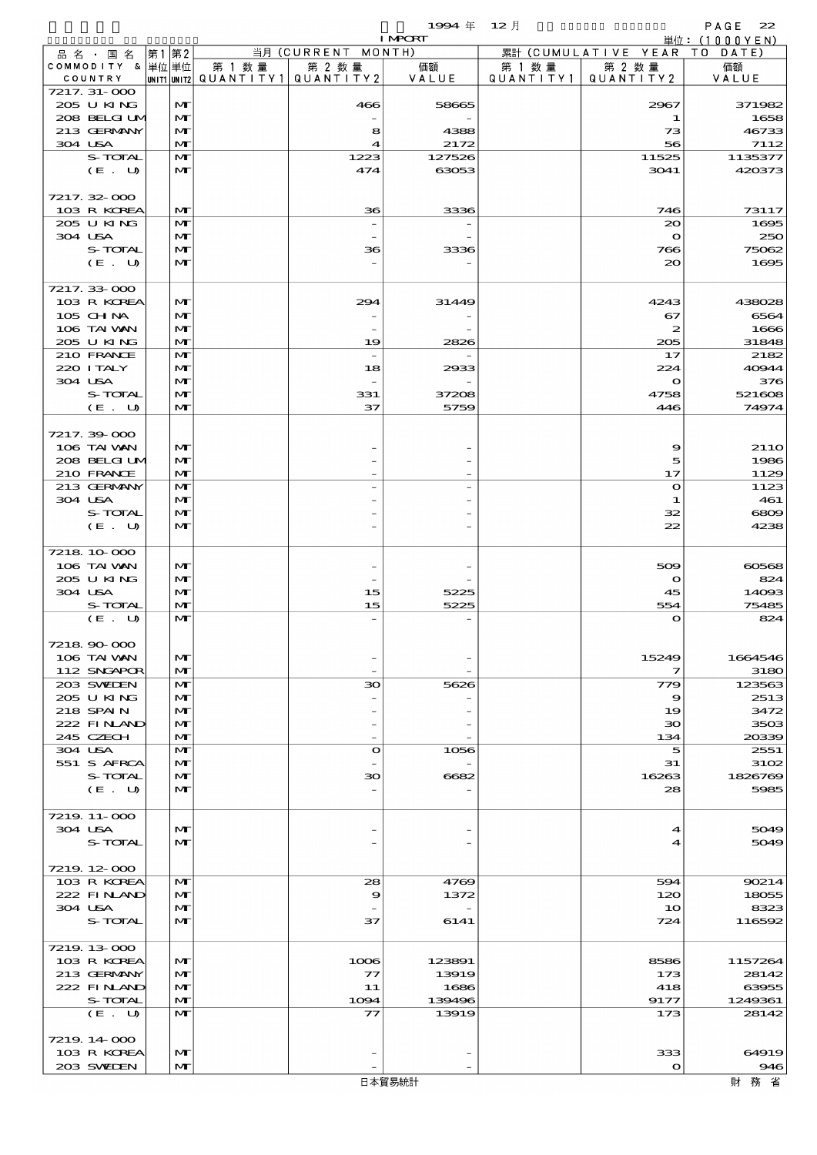$1994 \nleftrightarrow 12 \nparallel$  PAGE 22

|                         |                           |      |                   |        |                                                 | <b>I MPORT</b> |         |                              | 単位: (1000YEN)    |
|-------------------------|---------------------------|------|-------------------|--------|-------------------------------------------------|----------------|---------|------------------------------|------------------|
| 品 名 ・ 国 名               |                           | 第1第2 |                   |        | 当月 (CURRENT MONTH)                              |                |         | 累計 (CUMULATIVE YEAR TO DATE) |                  |
|                         | COMMODITY & 単位単位          |      |                   | 第 1 数量 | 第 2 数量                                          | 価額             | 第 1 数 量 | 第 2 数量                       | 価額               |
| COUNTRY<br>7217. 31-000 |                           |      |                   |        | $ $ UNIT1 $ $ UNIT2 $ $ QUANTITY1 $ $ QUANTITY2 | VALUE          |         | QUANTITY1   QUANTITY2        | VALUE            |
|                         | 205 U KING                |      | M                 |        | 466                                             | 58665          |         | 2967                         | 371982           |
|                         | 208 BELGI UM              |      | M                 |        |                                                 |                |         | 1                            | 1658             |
|                         | 213 GERMANY               |      | $\mathbf{M}$      |        | 8                                               | 4388           |         | 73                           | 46733            |
| 304 USA                 |                           |      | $\mathbf{M}$      |        | $\boldsymbol{4}$                                | 2172           |         | 56                           | 7112             |
|                         | S-TOTAL                   |      | $\mathbf{M}$      |        | 1223                                            | 127526         |         | 11525                        | 1135377          |
|                         | (E. U)                    |      | M                 |        | 474                                             | 63053          |         | 3041                         | 420373           |
| 7217.32-000             |                           |      |                   |        |                                                 |                |         |                              |                  |
|                         | 103 R KOREA               |      | M                 |        | 36                                              | 3336           |         | 746                          | 73117            |
|                         | 205 U KING                |      | $\mathbf{M}$      |        |                                                 |                |         | $\infty$                     | 1695             |
| 304 USA                 |                           |      | M                 |        |                                                 |                |         | $\mathbf o$                  | 250              |
|                         | S-TOTAL                   |      | M                 |        | 36                                              | 3336           |         | 766                          | 75062            |
|                         | (E. U)                    |      | $\mathbf{M}$      |        |                                                 |                |         | 20                           | 1695             |
|                         |                           |      |                   |        |                                                 |                |         |                              |                  |
| 7217.33-000             | 103 R KOREA               |      | M                 |        | 294                                             | 31449          |         | 4243                         | 438028           |
| 105 CHNA                |                           |      | $\mathbf{M}$      |        |                                                 |                |         | 67                           | 6564             |
|                         | 106 TAI WAN               |      | M                 |        |                                                 |                |         | $\boldsymbol{z}$             | 1666             |
|                         | 205 U KING                |      | $\mathbf{M}$      |        | 19                                              | 2826           |         | 205                          | 31848            |
|                         | 210 FRANCE                |      | $\mathbf{M}$      |        | $\overline{\phantom{a}}$                        |                |         | 17                           | 2182             |
| 220 I TALY              |                           |      | M                 |        | 18                                              | 2933           |         | 224                          | 40944            |
| 304 USA                 |                           |      | M                 |        |                                                 |                |         | $\mathbf{o}$                 | 376              |
|                         | S-TOTAL                   |      | $\mathbf{M}$      |        | 331                                             | 37208          |         | 4758                         | 521608           |
|                         | (E. U)                    |      | M                 |        | 37                                              | 5759           |         | 446                          | 74974            |
| 7217.39-000             |                           |      |                   |        |                                                 |                |         |                              |                  |
|                         | 106 TAI VAN               |      | $\mathbf{M}$      |        |                                                 |                |         | 9                            | 21 <sub>10</sub> |
|                         | 208 BELGI UM              |      | M                 |        |                                                 |                |         | 5                            | 1986             |
|                         | 210 FRANCE                |      | M                 |        |                                                 |                |         | 17                           | 1129             |
|                         | 213 GERMANY               |      | $\mathbf{M}$      |        |                                                 |                |         | $\mathbf o$                  | 1123             |
| 304 USA                 |                           |      | M                 |        |                                                 |                |         | 1                            | 461              |
|                         | S-TOTAL                   |      | M                 |        |                                                 |                |         | 32                           | 6809             |
|                         | (E. U)                    |      | $\mathbf{M}$      |        |                                                 |                |         | 22                           | 4238             |
| 7218 10 000             |                           |      |                   |        |                                                 |                |         |                              |                  |
|                         | 106 TAI VAN               |      | M                 |        |                                                 |                |         | 509                          | 60568            |
|                         | 205 U KING                |      | M                 |        |                                                 |                |         | $\mathbf{o}$                 | 824              |
| 304 USA                 |                           |      | $\mathbf{M}$      |        | 15                                              | 5225           |         | 45                           | 14093            |
|                         | S-TOTAL                   |      | $\mathbf{M}$      |        | 15                                              | 5225           |         | 554                          | 75485            |
|                         | (E. U)                    |      | $\mathbf{M}$      |        |                                                 |                |         | $\bullet$                    | 824              |
|                         |                           |      |                   |        |                                                 |                |         |                              |                  |
| 7218 90 000             | 106 TAI WAN               |      | M                 |        |                                                 |                |         | 15249                        | 1664546          |
|                         | 112 SNGAPOR               |      | M                 |        |                                                 |                |         | 7                            | 3180             |
|                         | 203 SWIEN                 |      | M                 |        | 30                                              | 5626           |         | 779                          | 123563           |
|                         | 205 U KING                |      | M                 |        |                                                 |                |         | 9                            | 2513             |
| 218 SPAIN               |                           |      | M                 |        |                                                 |                |         | 19                           | 3472             |
|                         | 222 FINAND                |      | M                 |        |                                                 |                |         | 30                           | 3503             |
| 245 CZECH               |                           |      | $\mathbf{M}$      |        |                                                 |                |         | 134                          | 20339            |
| 304 USA                 | 551 S AFRCA               |      | $\mathbf{M}$<br>M |        | $\bullet$                                       | 1056           |         | 5<br>31                      | 2551<br>3102     |
|                         | S-TOTAL                   |      | M                 |        | 30                                              | 6682           |         | 16263                        | 1826769          |
|                         | (E. U)                    |      | M                 |        |                                                 |                |         | 28                           | 5985             |
|                         |                           |      |                   |        |                                                 |                |         |                              |                  |
| 7219 11 000             |                           |      |                   |        |                                                 |                |         |                              |                  |
| 304 USA                 |                           |      | M                 |        |                                                 |                |         | 4                            | 5049             |
|                         | S-TOTAL                   |      | M                 |        |                                                 |                |         | 4                            | 5049             |
|                         |                           |      |                   |        |                                                 |                |         |                              |                  |
| 7219 12 000             | 103 R KOREA               |      | M                 |        | 28                                              | 4769           |         | 594                          | 90214            |
|                         | 222 FINAND                |      | M                 |        | 9                                               | 1372           |         | 120                          | 18055            |
| 304 USA                 |                           |      | M                 |        |                                                 |                |         | 10                           | 8323             |
|                         | S-TOTAL                   |      | $\mathbf{M}$      |        | 37                                              | 6141           |         | 724                          | 116592           |
|                         |                           |      |                   |        |                                                 |                |         |                              |                  |
| 7219 13 000             |                           |      |                   |        |                                                 |                |         |                              |                  |
|                         | 103 R KOREA               |      | M                 |        | 1006                                            | 123891         |         | 8586                         | 1157264          |
|                         | 213 GERMANY<br>222 FINAND |      | M<br>M            |        | 77<br>11                                        | 13919<br>1686  |         | 173<br>418                   | 28142<br>63955   |
|                         | S-TOTAL                   |      | $\mathbf{M}$      |        | 1094                                            | 139496         |         | 9177                         | 1249361          |
|                         | (E. U)                    |      | $\mathbf{M}$      |        | $\mathcal{T}$                                   | 13919          |         | 173                          | 28142            |
|                         |                           |      |                   |        |                                                 |                |         |                              |                  |
| 7219 14 000             |                           |      |                   |        |                                                 |                |         |                              |                  |
|                         | 103 R KOREA               |      | M                 |        |                                                 |                |         | 333                          | 64919            |
|                         | 203 SWIEN                 |      | $\mathbf{M}$      |        |                                                 |                |         | $\mathbf{o}$                 | 946              |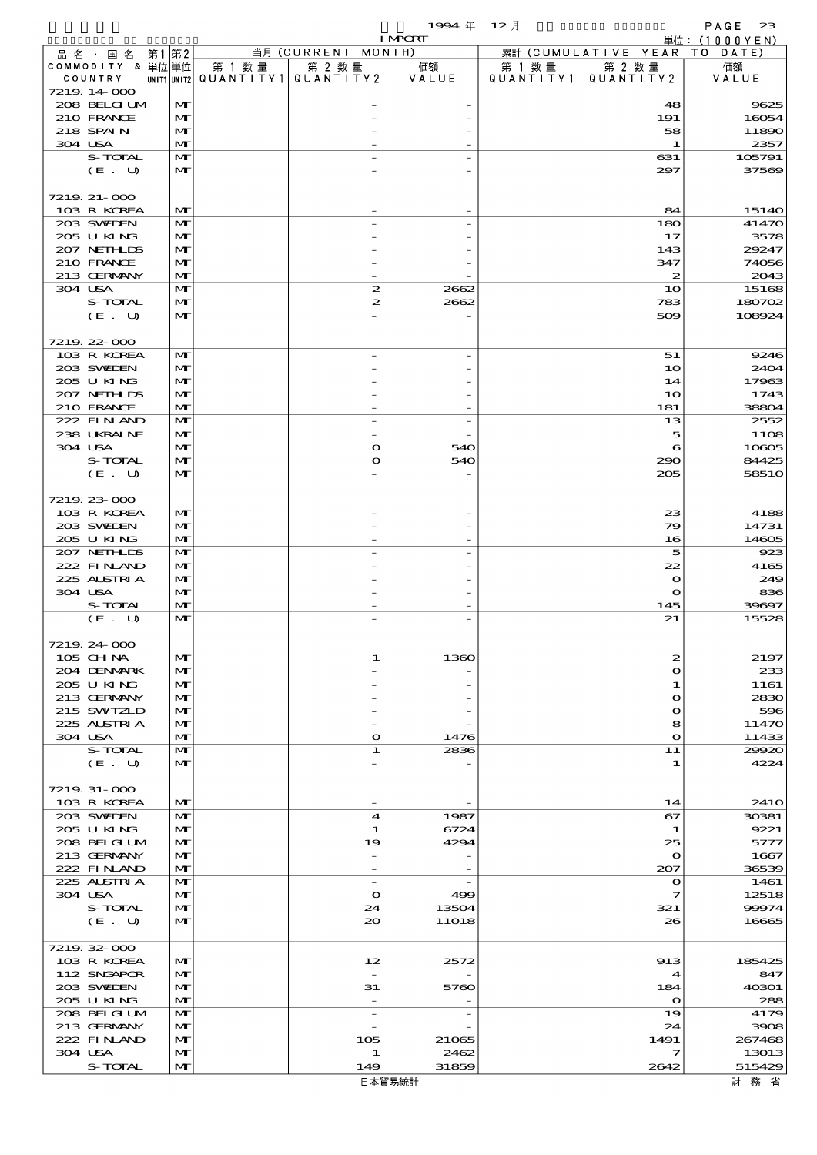$1994 \# 12 \n\AA$ 

|                              |       |                              |        |                                                  | <b>I MPORT</b> |                     |                              | 単位: (1000YEN)    |
|------------------------------|-------|------------------------------|--------|--------------------------------------------------|----------------|---------------------|------------------------------|------------------|
| 品名・国名                        | 第1 第2 |                              |        | 当月 (CURRENT MONTH)                               |                |                     | 累計 (CUMULATIVE YEAR TO DATE) |                  |
| COMMODITY & 単位 単位<br>COUNTRY |       |                              | 第 1 数量 | 第 2 数量<br> UNIT1 UNIT2  QUANT   TY1  QUANT   TY2 | 価額<br>VALUE    | 第 1 数量<br>QUANTITY1 | 第 2 数量<br>QUANTITY 2         | 価額<br>VALUE      |
| 7219 14 000                  |       |                              |        |                                                  |                |                     |                              |                  |
| 208 BELGIUM                  |       | $\mathbf{M}$                 |        |                                                  |                |                     | 48                           | 9625             |
| 210 FRANCE                   |       | $\mathbf{M}$                 |        |                                                  |                |                     | 191                          | 16054            |
| 218 SPAIN                    |       | $\mathbf{M}$                 |        |                                                  |                |                     | 58                           | 11890            |
| 304 USA                      |       | $\mathbf{M}$                 |        |                                                  |                |                     | $\mathbf{1}$                 | 2357             |
| S-TOTAL                      |       | $\mathbf{M}$                 |        |                                                  |                |                     | 631                          | 105791           |
| $(E_U U)$                    |       | $\mathbf{M}$                 |        |                                                  |                |                     | 297                          | 37569            |
| 7219 21-000                  |       |                              |        |                                                  |                |                     |                              |                  |
| 103 R KOREA                  |       | $\mathbf{M}$                 |        |                                                  |                |                     | 84                           | 15140            |
| 203 SWIEN                    |       | $\mathbf{M}$                 |        |                                                  |                |                     | 180                          | 41470            |
| 205 U KING                   |       | $\mathbf{M}$                 |        |                                                  |                |                     | 17                           | 3578             |
| 207 NETHLIS                  |       | $\mathbf{M}$                 |        |                                                  |                |                     | 143                          | 29247            |
| 210 FRANCE                   |       | $\mathbf{M}$                 |        |                                                  |                |                     | 347                          | 74056            |
| 213 GERMANY                  |       | $\mathbf{M}$                 |        |                                                  |                |                     | $\boldsymbol{z}$             | 2043             |
| 304 USA                      |       | $\mathbf{M}$                 |        | 2                                                | 2662           |                     | 10                           | 15168            |
| S-TOTAL<br>(E. U)            |       | M<br>$\mathbf{M}$            |        | 2                                                | 2662           |                     | 783<br>509                   | 180702<br>108924 |
|                              |       |                              |        |                                                  |                |                     |                              |                  |
| 7219 22 000                  |       |                              |        |                                                  |                |                     |                              |                  |
| 103 R KOREA                  |       | $\mathbf{M}$                 |        |                                                  |                |                     | 51                           | 9246             |
| 203 SWIEN                    |       | $\mathbf{M}$                 |        |                                                  |                |                     | 10                           | 2404             |
| 205 U KING                   |       | $\mathbf{M}$                 |        |                                                  |                |                     | 14                           | 17963            |
| 207 NETHLIS                  |       | $\mathbf{M}$                 |        |                                                  |                |                     | 10                           | 1743             |
| 210 FRANCE                   |       | $\mathbf{M}$                 |        |                                                  |                |                     | 181                          | 38804            |
| 222 FINAND                   |       | $\mathbf{M}$                 |        |                                                  |                |                     | 13                           | 2552             |
| 238 UKRAINE                  |       | $\mathbf{M}$                 |        |                                                  |                |                     | 5                            | 1108             |
| 304 USA<br>S-TOTAL           |       | $\mathbf{M}$<br>$\mathbf{M}$ |        | $\mathbf o$<br>O                                 | 540<br>540     |                     | 6<br>290                     | 10805<br>84425   |
| (E. U)                       |       | $\mathbf{M}$                 |        |                                                  |                |                     | 205                          | 5851O            |
|                              |       |                              |        |                                                  |                |                     |                              |                  |
| 7219 23 000                  |       |                              |        |                                                  |                |                     |                              |                  |
| 103 R KOREA                  |       | M                            |        |                                                  |                |                     | 23                           | 4188             |
| 203 SWIEN                    |       | $\mathbf{M}$                 |        |                                                  |                |                     | 79                           | 14731            |
| 205 U KING                   |       | $\mathbf{M}$                 |        |                                                  |                |                     | 16                           | 14605            |
| 207 NETHLIS                  |       | $\mathbf{M}$                 |        |                                                  |                |                     | 5                            | 923              |
| 222 FINAND                   |       | $\mathbf{M}$                 |        |                                                  |                |                     | 22                           | 4165             |
| 225 ALSTRIA<br>304 USA       |       | $\mathbf{M}$<br>$\mathbf{M}$ |        |                                                  |                |                     | $\bullet$<br>$\mathbf o$     | 249<br>836       |
| S-TOTAL                      |       | $\mathbf{M}$                 |        |                                                  |                |                     | 145                          | 39697            |
| (E. U)                       |       | $\mathbf{M}$                 |        |                                                  |                |                     | 21                           | 15528            |
|                              |       |                              |        |                                                  |                |                     |                              |                  |
| 7219 24 000                  |       |                              |        |                                                  |                |                     |                              |                  |
| 105 CH NA                    |       | $\mathbf{M}$                 |        | 1                                                | 1360           |                     | $\boldsymbol{z}$             | 2197             |
| 204 DENMARK                  |       | M                            |        |                                                  |                |                     | $\bullet$                    | 233              |
| 205 U KING                   |       | M                            |        |                                                  |                |                     | 1                            | 1161             |
| 213 GERMANY<br>215 SWIZLD    |       | $\mathbf{M}$<br>$\mathbf{M}$ |        |                                                  |                |                     | $\bullet$<br>$\bullet$       | 2830<br>596      |
| 225 ALSTRIA                  |       | M                            |        |                                                  |                |                     | 8                            | 11470            |
| 304 USA                      |       | M                            |        | $\mathbf o$                                      | 1476           |                     | $\bullet$                    | 11433            |
| S-TOTAL                      |       | $\mathbf{M}$                 |        | 1                                                | 2836           |                     | 11                           | 29920            |
| (E. U)                       |       | $\mathbf{M}$                 |        |                                                  |                |                     | 1                            | 4224             |
|                              |       |                              |        |                                                  |                |                     |                              |                  |
| 7219 31-000                  |       |                              |        |                                                  |                |                     |                              |                  |
| 103 R KOREA                  |       | M                            |        |                                                  |                |                     | 14                           | <b>2410</b>      |
| 203 SVELEN<br>205 U KING     |       | M<br>$\mathbf{M}$            |        | 4<br>1                                           | 1987<br>6724   |                     | 67<br>1                      | 30381<br>9221    |
| 208 BELGI UM                 |       | $\mathbf{M}$                 |        | 19                                               | 4294           |                     | 25                           | 5777             |
| 213 GERMANY                  |       | M                            |        |                                                  |                |                     | $\mathbf o$                  | 1667             |
| 222 FINAND                   |       | $\mathbf{M}$                 |        | $\overline{\phantom{0}}$                         |                |                     | 207                          | 36539            |
| 225 ALSIRIA                  |       | $\mathbf{M}$                 |        | $\overline{\phantom{a}}$                         |                |                     | $\mathbf o$                  | 1461             |
| 304 USA                      |       | $\mathbf{M}$                 |        | $\mathbf o$                                      | 499            |                     | 7                            | 12518            |
| S-TOTAL                      |       | $\mathbf{M}$                 |        | 24                                               | 13504          |                     | 321                          | 99974            |
| (E. U)                       |       | $\mathbf{M}$                 |        | 20                                               | <b>11O18</b>   |                     | 26                           | 16665            |
| 7219 32 000                  |       |                              |        |                                                  |                |                     |                              |                  |
| 103 R KOREA                  |       | $\mathbf{M}$                 |        | 12                                               | 2572           |                     | 913                          | 185425           |
| 112 SNGAPOR                  |       | $\mathbf{M}$                 |        |                                                  |                |                     | $\boldsymbol{4}$             | 847              |
| 203 SWIEN                    |       | M                            |        | 31                                               | 5760           |                     | 184                          | 40301            |
| 205 U KING                   |       | $\mathbf{M}$                 |        | $\overline{\phantom{a}}$                         |                |                     | $\mathbf{o}$                 | 288              |
| 208 BELGI UM                 |       | $\mathbf{M}$                 |        | $\overline{\phantom{a}}$                         |                |                     | 19                           | 4179             |
| 213 GERMANY                  |       | $\mathbf{M}$                 |        |                                                  |                |                     | 24                           | 3908             |
| 222 FINAND                   |       | $\mathbf{M}$                 |        | 105                                              | 21065          |                     | 1491                         | 267468           |
| 304 USA                      |       | $\mathbf{M}$                 |        | 1                                                | 2462           |                     | 7                            | 13013            |
| S-TOTAL                      |       | $\mathbf{M}$                 |        | 149                                              | 31859          |                     | 2642                         | 515429           |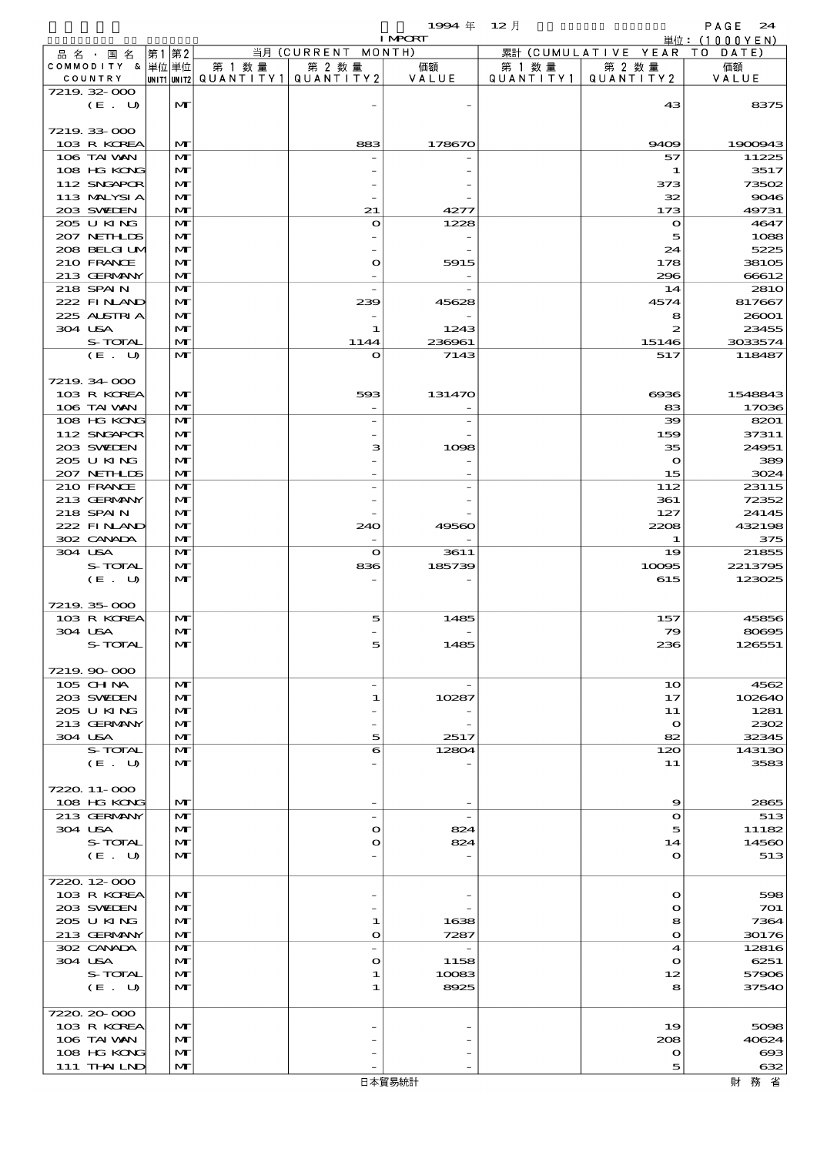$1994 \# 12$   $\frac{1}{2}$ 

|                             |                              |                                                     |                               | <b>I MPORT</b> |                      |                                     | 単位: (1000YEN)   |
|-----------------------------|------------------------------|-----------------------------------------------------|-------------------------------|----------------|----------------------|-------------------------------------|-----------------|
| 品名・国名                       | 第1第2                         |                                                     | 当月 (CURRENT MONTH)            |                |                      | 累計 (CUMULATIVE YEAR TO DATE)        |                 |
| COMMODITY & 単位単位<br>COUNTRY |                              | 第 1 数量<br> UNIT1 UNIT2  QUANT I TY 1   QUANT I TY 2 | 第 2 数量                        | 価額<br>VALUE    | 第 1 数 量<br>QUANTITY1 | 第 2 数量<br>QUANTITY 2                | 価額<br>VALUE     |
| 7219 32 000                 |                              |                                                     |                               |                |                      |                                     |                 |
| (E. U)                      | $\mathbf{M}$                 |                                                     |                               |                |                      | 43                                  | 8375            |
|                             |                              |                                                     |                               |                |                      |                                     |                 |
| 7219 33 000<br>103 R KOREA  | $\mathbf{M}$                 |                                                     | 883                           | 178670         |                      | 9409                                | 1900943         |
| 106 TAI VAN                 | M                            |                                                     |                               |                |                      | 57                                  | 11225           |
| 108 HG KONG                 | M                            |                                                     |                               |                |                      | 1                                   | 3517            |
| 112 SNGAPOR                 | M                            |                                                     |                               |                |                      | 373                                 | 73502           |
| 113 MALYSIA                 | M                            |                                                     |                               |                |                      | 32                                  | 9046            |
| 203 SWIEN<br>205 U KING     | $\mathbf{M}$<br>$\mathbf{M}$ |                                                     | 21<br>$\mathbf{o}$            | 4277<br>1228   |                      | 173<br>$\mathbf{o}$                 | 49731<br>4647   |
| 207 NETHLIS                 | M                            |                                                     |                               |                |                      | 5                                   | 1088            |
| 208 BELGI UM                | $\mathbf{M}$                 |                                                     |                               |                |                      | 24                                  | 5225            |
| 210 FRANCE                  | $\mathbf{M}$                 |                                                     | $\mathbf o$                   | 5915           |                      | 178                                 | 38105           |
| 213 GERMANY                 | $\mathbf{M}$                 |                                                     |                               |                |                      | 296                                 | 66612           |
| 218 SPAIN<br>222 FINAND     | $\mathbf{M}$<br>$\mathbf{M}$ |                                                     | 239                           | 45628          |                      | 14<br>4574                          | 281O<br>817667  |
| 225 ALSTRIA                 | M                            |                                                     |                               |                |                      | 8                                   | 26001           |
| 304 USA                     | $\mathbf{M}$                 |                                                     | 1                             | 1243           |                      | 2                                   | 23455           |
| S-TOTAL                     | $\mathbf{M}$                 |                                                     | 1144                          | 236961         |                      | 15146                               | 3033574         |
| (E. U)                      | $\mathbf{M}$                 |                                                     | $\mathbf{o}$                  | 7143           |                      | 517                                 | 118487          |
| 7219 34 000                 |                              |                                                     |                               |                |                      |                                     |                 |
| 103 R KOREA                 | M                            |                                                     | 593                           | 131470         |                      | $\Theta$ $\Omega$ $\Theta$          | 1548843         |
| 106 TAI VAN                 | $\mathbf{M}$                 |                                                     |                               |                |                      | 83                                  | 17036           |
| 108 HG KONG                 | $\mathbf{M}$                 |                                                     |                               |                |                      | 39                                  | 8201            |
| 112 SNGAPOR<br>203 SWIEN    | $\mathbf{M}$<br>$\mathbf{M}$ |                                                     | з                             | 1098           |                      | 159<br>35                           | 37311<br>24951  |
| 205 U KING                  | M                            |                                                     |                               |                |                      | $\mathbf{\Omega}$                   | 389             |
| 207 NETHLIS                 | $\mathbf{M}$                 |                                                     |                               |                |                      | 15                                  | 3024            |
| 210 FRANCE                  | $\mathbf{M}$                 |                                                     |                               |                |                      | 112                                 | 23115           |
| 213 GERMANY                 | $\mathbf{M}$                 |                                                     |                               |                |                      | 361                                 | 72352           |
| 218 SPAIN<br>222 FINLAND    | $\mathbf{M}$<br>M            |                                                     | 240                           | 49560          |                      | 127<br>2208                         | 24145<br>432198 |
| 302 CANADA                  | $\mathbf{M}$                 |                                                     |                               |                |                      | л.                                  | 375             |
| 304 USA                     | $\mathbf{M}$                 |                                                     | $\mathbf{o}$                  | 3611           |                      | 19                                  | 21855           |
| S-TOTAL                     | $\mathbf{M}$                 |                                                     | 836                           | 185739         |                      | 10095                               | 2213795         |
| (E. U)                      | $\mathbf{M}$                 |                                                     |                               |                |                      | 615                                 | 123025          |
| 7219 35 000                 |                              |                                                     |                               |                |                      |                                     |                 |
| 103 R KOREA                 | M                            |                                                     | 5                             | 1485           |                      | 157                                 | 45856           |
| 304 USA                     | $\mathbf{M}$                 |                                                     |                               |                |                      | 79                                  | 80695           |
| S-TOTAL                     | МI                           |                                                     |                               | 1485           |                      | 236                                 | 126551          |
| 7219.90-000                 |                              |                                                     |                               |                |                      |                                     |                 |
| 105 CHNA                    | M                            |                                                     |                               |                |                      | 10                                  | 4562            |
| 203 SWIDEN                  | $\mathbf{M}$                 |                                                     | 1                             | 10287          |                      | 17                                  | 102640          |
| 205 U KING                  | M                            |                                                     |                               |                |                      | 11                                  | 1281            |
| 213 GERMANY<br>304 USA      | M<br>$\mathbf{M}$            |                                                     | 5                             | 2517           |                      | $\mathbf{\Omega}$<br>82             | 2302<br>32345   |
| S-TOTAL                     | M                            |                                                     | 6                             | 12804          |                      | 120                                 | 143130          |
| (E. U)                      | M                            |                                                     |                               |                |                      | 11                                  | 3583            |
|                             |                              |                                                     |                               |                |                      |                                     |                 |
| 7220 11-000                 |                              |                                                     |                               |                |                      |                                     |                 |
| 108 HG KONG<br>213 GERMANY  | M<br>M                       |                                                     | $\overline{\phantom{a}}$      | $\overline{a}$ |                      | 9<br>$\mathbf o$                    | 2865<br>513     |
| 304 USA                     | $\mathbf{M}$                 |                                                     | $\mathbf o$                   | 824            |                      | 5                                   | 11182           |
| S-TOTAL                     | M                            |                                                     | $\mathbf o$                   | 824            |                      | 14                                  | 14560           |
| (E. U)                      | $\mathbf{M}$                 |                                                     |                               |                |                      | $\mathbf o$                         | 513             |
| 7220.12-000                 |                              |                                                     |                               |                |                      |                                     |                 |
| 103 R KOREA                 | M                            |                                                     |                               |                |                      | $\mathbf{o}$                        | 598             |
| 203 SWIDEN                  | $\mathbf{M}$                 |                                                     |                               |                |                      | $\mathbf o$                         | 701             |
| 205 U KING                  | M                            |                                                     | 1                             | 1638           |                      | 8                                   | 7364            |
| 213 GERMANY                 | $\mathbf{M}$                 |                                                     | O                             | 7287           |                      | $\mathbf{o}$                        | 30176           |
| 302 CANADA<br>304 USA       | M<br>$\mathbf{M}$            |                                                     | $\overline{\phantom{a}}$<br>O | 1158           |                      | $\blacktriangleleft$<br>$\mathbf o$ | 12816<br>6251   |
| S-TOTAL                     | M                            |                                                     | 1                             | 10083          |                      | 12                                  | 57906           |
| (E. U)                      | $\mathbf{M}$                 |                                                     | 1                             | 8925           |                      | 8                                   | 37540           |
|                             |                              |                                                     |                               |                |                      |                                     |                 |
| 7220.20-000                 | $\mathbf{M}$                 |                                                     |                               |                |                      | 19                                  |                 |
| 103 R KOREA<br>106 TAI VAN  | M                            |                                                     |                               |                |                      | 208                                 | 5098<br>40624   |
| 108 HG KONG                 | $\mathbf{M}$                 |                                                     |                               |                |                      | $\mathbf o$                         | $\bf{cos}$      |
| 111 THAILND                 | M                            |                                                     |                               |                |                      | 5                                   | 632             |
|                             |                              |                                                     |                               | 日本貿易統計         |                      |                                     | 財務省             |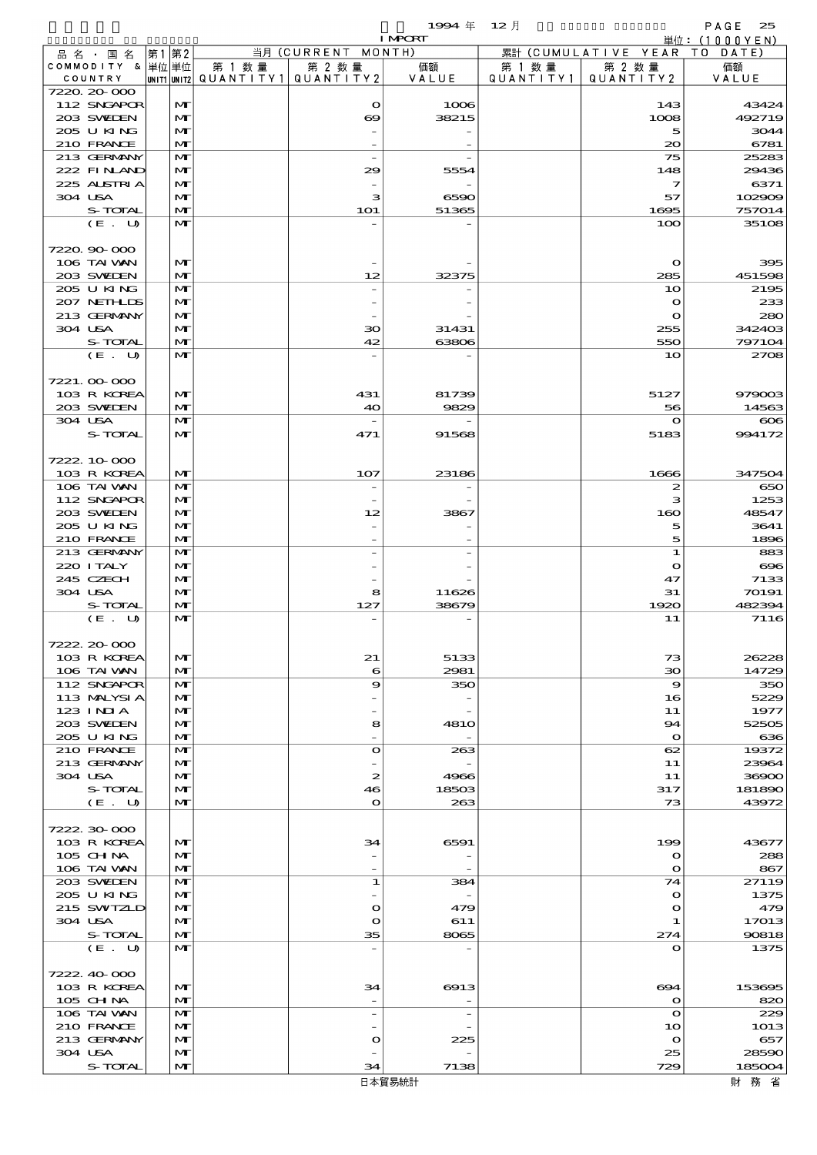$1994 \text{ } \# \text{ } 12 \text{ } \frac{1}{2}$  PAGE 25

|                            |                   |        |                                       | <b>I MPCRT</b>           |        |                              | 単位: (1000YEN)    |
|----------------------------|-------------------|--------|---------------------------------------|--------------------------|--------|------------------------------|------------------|
| 品 名 ・ 国 名                  | 第1 第2             |        | 当月 (CURRENT MONTH)                    |                          |        | 累計 (CUMULATIVE YEAR TO DATE) |                  |
| COMMODITY & 単位単位           |                   | 第 1 数量 | 第 2 数量                                | 価額                       | 第 1 数量 | 第 2 数量                       | 価額               |
| COUNTRY<br>7220.20-000     |                   |        | UNIT1 UNIT2  QUANT   TY1  QUANT   TY2 | VALUE                    |        | QUANTITY1   QUANTITY2        | VALUE            |
| 112 SNGAPOR                | M                 |        | $\mathbf o$                           | 1006                     |        | 143                          | 43424            |
| 203 SWIEN                  | M                 |        | $\boldsymbol{\infty}$                 | 38215                    |        | 1008                         | 492719           |
| 205 U KING                 | $\mathbf{M}$      |        |                                       |                          |        | 5                            | 3044             |
| 210 FRANCE                 | M                 |        |                                       |                          |        | $\infty$                     | 6781             |
| 213 GERMANY                | $\mathbf{M}$      |        | $\overline{\phantom{a}}$              |                          |        | 75                           | 25283            |
| 222 FINAND                 | M                 |        | 29                                    | 5554                     |        | 148                          | 29436            |
| 225 ALSTRIA<br>304 USA     | M                 |        |                                       |                          |        | $\mathcal I$                 | 6371             |
| S-TOTAL                    | $\mathbf{M}$<br>M |        | з<br><b>1O1</b>                       | 6590<br>51365            |        | 57<br>1695                   | 102909<br>757014 |
| (E. U)                     | $\mathbf{M}$      |        |                                       |                          |        | 100                          | 35108            |
|                            |                   |        |                                       |                          |        |                              |                  |
| 7220.90-000                |                   |        |                                       |                          |        |                              |                  |
| 106 TAI VAN                | M                 |        |                                       |                          |        | $\mathbf o$                  | 395              |
| 203 SWIEN                  | M                 |        | 12                                    | 32375                    |        | 285                          | 451598           |
| 205 U KING                 | $\mathbf{M}$      |        |                                       |                          |        | 10                           | 2195             |
| 207 NETHLIS                | M                 |        |                                       |                          |        | $\mathbf o$                  | 233              |
| 213 GERMANY                | M                 |        |                                       |                          |        | $\bullet$                    | 280              |
| 304 USA<br>S-TOTAL         | $\mathbf{M}$<br>M |        | 30<br>42                              | 31431<br>63806           |        | 255<br>550                   | 342403<br>797104 |
| (E. U)                     | $\mathbf{M}$      |        |                                       |                          |        | 10                           | 2708             |
|                            |                   |        |                                       |                          |        |                              |                  |
| 7221.00-000                |                   |        |                                       |                          |        |                              |                  |
| 103 R KOREA                | $\mathbf{M}$      |        | 431                                   | 81739                    |        | 5127                         | 979003           |
| 203 SWIEN                  | M                 |        | 40                                    | 9829                     |        | 56                           | 14563            |
| 304 USA                    | $\mathbf{M}$      |        |                                       |                          |        | $\mathbf o$                  | $\infty$         |
| S-TOTAL                    | $\mathbf{M}$      |        | 471                                   | 91568                    |        | 5183                         | 994172           |
|                            |                   |        |                                       |                          |        |                              |                  |
| 7222.10.000<br>103 R KOREA | M                 |        | 107                                   | 23186                    |        | 1666                         | 347504           |
| 106 TAI VAN                | $\mathbf{M}$      |        |                                       |                          |        | 2                            | 650              |
| 112 SNGAPOR                | M                 |        |                                       |                          |        | з                            | 1253             |
| 203 SWIDEN                 | M                 |        | 12                                    | 3867                     |        | 160                          | 48547            |
| 205 U KING                 | M                 |        |                                       |                          |        | 5                            | 3641             |
| 210 FRANCE                 | $\mathbf{M}$      |        |                                       |                          |        | 5                            | 1896             |
| 213 GERMANY                | $\mathbf{M}$      |        |                                       |                          |        | ${\bf 1}$                    | 883              |
| 220 I TALY                 | M                 |        |                                       |                          |        | $\mathbf o$                  | $\infty$         |
| 245 CZECH                  | M                 |        |                                       |                          |        | 47                           | 7133             |
| 304 USA                    | $\mathbf{M}$      |        | 8                                     | 11626                    |        | 31                           | 70191            |
| S-TOTAL<br>(E. U)          | M<br>$\mathbf{M}$ |        | 127                                   | 38679                    |        | 1920<br>11                   | 482394<br>7116   |
|                            |                   |        |                                       |                          |        |                              |                  |
| 7222.20.000                |                   |        |                                       |                          |        |                              |                  |
| 103 R KOREA                | M                 |        | 21                                    | 5133                     |        | 73                           | 26228            |
| 106 TAI VAN                | M                 |        | 6                                     | 2981                     |        | $30^{\circ}$                 | 14729            |
| 112 SNGAPOR                | M                 |        | 9                                     | 350                      |        | 9                            | 350              |
| 113 MALYSIA                | M                 |        |                                       |                          |        | 16                           | 5229             |
| 123 INIA                   | M                 |        |                                       |                          |        | 11                           | 1977             |
| 203 SWIEN                  | M                 |        | 8                                     | 481O                     |        | 94                           | 52505            |
| 205 U KING<br>210 FRANCE   | M<br>M            |        | $\mathbf o$                           | 263                      |        | $\mathbf{o}$<br>62           | 636<br>19372     |
| 213 GERMANY                | M                 |        |                                       |                          |        | 11                           | 23964            |
| 304 USA                    | M                 |        | 2                                     | 4966                     |        | 11                           | 36900            |
| S-TOTAL                    | M                 |        | 46                                    | 18503                    |        | 317                          | 181890           |
| (E. U)                     | $\mathbf{M}$      |        | $\mathbf o$                           | 263                      |        | 73                           | 43972            |
|                            |                   |        |                                       |                          |        |                              |                  |
| 7222.30.000                |                   |        |                                       |                          |        |                              |                  |
| 103 R KOREA                | M                 |        | 34                                    | 6591                     |        | 199                          | 43677            |
| 105 CH NA<br>106 TAI VAN   | M<br>M            |        |                                       |                          |        | $\mathbf o$<br>$\mathbf o$   | 288<br>867       |
| 203 SWIDEN                 | M                 |        | 1                                     | 384                      |        | 74                           | 27119            |
| 205 U KING                 | M                 |        |                                       |                          |        | $\mathbf o$                  | 1375             |
| 215 SWIZLD                 | M                 |        | O                                     | 479                      |        | $\mathbf o$                  | 479              |
| 304 USA                    | M                 |        | O                                     | 611                      |        | 1                            | 17013            |
| S-TOTAL                    | M                 |        | 35                                    | 8065                     |        | 274                          | 90818            |
| (E. U)                     | $\mathbf{M}$      |        | $\overline{a}$                        |                          |        | $\mathbf o$                  | 1375             |
|                            |                   |        |                                       |                          |        |                              |                  |
| 7222.40-000                |                   |        |                                       |                          |        |                              |                  |
| 103 R KOREA<br>105 CH NA   | M<br>M            |        | 34                                    | 6913                     |        | 694<br>$\mathbf o$           | 153695<br>820    |
| 106 TAI VAN                | M                 |        | $\qquad \qquad -$                     | $\overline{\phantom{0}}$ |        | $\mathbf o$                  | 229              |
| 210 FRANCE                 | M                 |        |                                       |                          |        | 10                           | 1013             |
| 213 GERMANY                | M                 |        | O                                     | 225                      |        | $\mathbf o$                  | 657              |
| 304 USA                    | M                 |        |                                       |                          |        | 25                           | 28590            |
| S-TOTAL                    | M                 |        | 34                                    | 7138                     |        | 729                          | 185004           |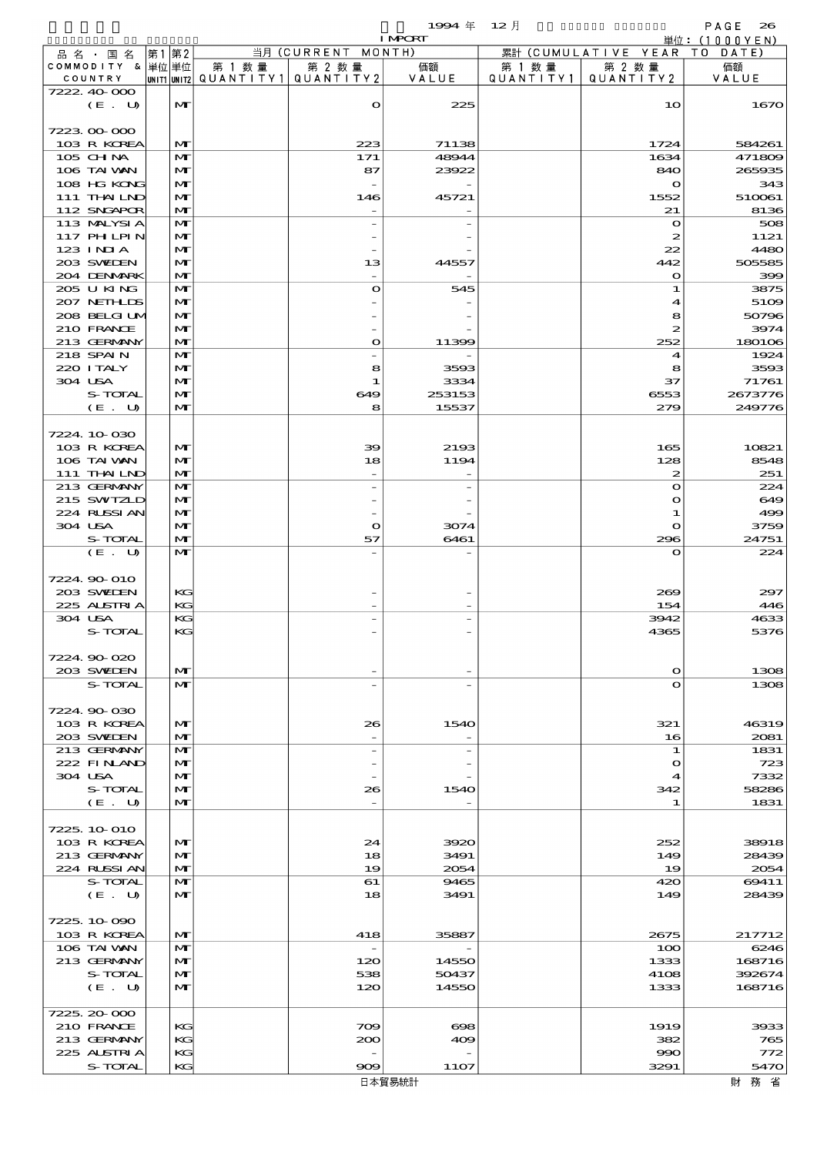$1994 \nleftrightarrow 12 \nparallel$  PAGE 26

|                             |                              |                                                  |                                 | <b>I MPCRT</b>  |                     |                                  | 単位: (1000YEN)     |
|-----------------------------|------------------------------|--------------------------------------------------|---------------------------------|-----------------|---------------------|----------------------------------|-------------------|
| 品名・国名                       | 第1 第2                        |                                                  | 当月 (CURRENT MONTH)              |                 |                     | 累計 (CUMULATIVE YEAR TO DATE)     |                   |
| COMMODITY & 単位単位<br>COUNTRY |                              | 第 1 数量<br> UNIT1 UNIT2  QUANT   TY1  QUANT   TY2 | 第 2 数量                          | 価額<br>VALUE     | 第 1 数量<br>QUANTITY1 | 第 2 数量<br>QUANTITY 2             | 価額<br>VALUE       |
| 7222.40.000                 |                              |                                                  |                                 |                 |                     |                                  |                   |
| (E. U)                      | M                            |                                                  | $\mathbf o$                     | 225             |                     | 10                               | 1670              |
|                             |                              |                                                  |                                 |                 |                     |                                  |                   |
| 7223000000                  |                              |                                                  |                                 |                 |                     |                                  |                   |
| 103 R KOREA<br>105 CH NA    | $\mathbf{M}$<br>$\mathbf{M}$ |                                                  | 223<br>171                      | 71138<br>48944  |                     | 1724<br>1634                     | 584261<br>471809  |
| 106 TAI VAN                 | M                            |                                                  | 87                              | 23922           |                     | 840                              | 265935            |
| 108 HG KONG                 | $\mathbf{M}$                 |                                                  |                                 |                 |                     | $\bullet$                        | 343               |
| 111 THAILND                 | $\mathbf{M}$                 |                                                  | 146                             | 45721           |                     | 1552                             | 510061            |
| 112 SNGAPOR                 | $\mathbf{M}$                 |                                                  |                                 |                 |                     | 21                               | 8136              |
| 113 MALYSIA<br>117 PH LPIN  | $\mathbf{M}$<br>M            |                                                  |                                 |                 |                     | $\mathbf o$<br>2                 | 508<br>1121       |
| 123 INIA                    | M                            |                                                  |                                 |                 |                     | 22                               | 4480              |
| 203 SWIEN                   | $\mathbf{M}$                 |                                                  | 13                              | 44557           |                     | 442                              | 505585            |
| 204 DENMARK                 | $\mathbf{M}$                 |                                                  |                                 |                 |                     | $\bullet$                        | 399               |
| 205 U KING                  | $\mathbf{M}$                 |                                                  | $\bullet$                       | 545             |                     | 1                                | 3875              |
| 207 NETHLIS<br>208 BELGIUM  | M<br>M                       |                                                  |                                 |                 |                     | 4<br>8                           | 5109<br>50796     |
| 210 FRANCE                  | $\mathbf{M}$                 |                                                  |                                 |                 |                     | 2                                | 3974              |
| 213 GERMANY                 | $\mathbf{M}$                 |                                                  | $\mathbf{o}$                    | 11399           |                     | 252                              | 180106            |
| 218 SPAIN                   | $\mathbf{M}$                 |                                                  |                                 |                 |                     | $\boldsymbol{\mathcal{A}}$       | 1924              |
| 220 I TALY                  | M                            |                                                  | 8                               | 3593            |                     | 8                                | 3593              |
| 304 USA                     | $\mathbf{M}$                 |                                                  | $\mathbf{1}$                    | 3334            |                     | 37                               | 71761             |
| S-TOTAL<br>(E. U)           | M<br>$\mathbf{M}$            |                                                  | 649<br>8                        | 253153<br>15537 |                     | 6553<br>279                      | 2673776<br>249776 |
|                             |                              |                                                  |                                 |                 |                     |                                  |                   |
| 7224.10.030                 |                              |                                                  |                                 |                 |                     |                                  |                   |
| 103 R KOREA                 | M                            |                                                  | 39                              | 2193            |                     | 165                              | 10821             |
| 106 TAI VAN                 | $\mathbf{M}$                 |                                                  | 18                              | 1194            |                     | 128                              | 8548              |
| 111 THAILND<br>213 GERMANY  | $\mathbf{M}$<br>$\mathbf{M}$ |                                                  |                                 |                 |                     | $\boldsymbol{z}$<br>$\mathbf{o}$ | 251<br>224        |
| 215 SWIZLD                  | M                            |                                                  |                                 |                 |                     | $\mathbf o$                      | 649               |
| 224 RUSSIAN                 | $\mathbf{M}$                 |                                                  |                                 |                 |                     | 1                                | 499               |
| 304 USA                     | $\mathbf{M}$                 |                                                  | $\mathbf{o}$                    | 3074            |                     | $\mathbf o$                      | 3759              |
| S-TOTAL                     | $\mathbf{M}$                 |                                                  | 57                              | 6461            |                     | 296                              | 24751             |
| (E. U)                      | $\mathbf{M}$                 |                                                  |                                 |                 |                     | $\mathbf{o}$                     | 224               |
| 7224 90 010                 |                              |                                                  |                                 |                 |                     |                                  |                   |
| 203 SWIEN                   | KG                           |                                                  |                                 |                 |                     | 269                              | 297               |
| 225 ALSTRIA                 | KG                           |                                                  |                                 |                 |                     | 154                              | 446               |
| 304 USA                     | KG                           |                                                  |                                 |                 |                     | 3942                             | 4633<br>5376      |
| S-TOTAL                     | KG                           |                                                  |                                 |                 |                     | 4365                             |                   |
| 7224.90-020                 |                              |                                                  |                                 |                 |                     |                                  |                   |
| 203 SWIEN                   | M                            |                                                  |                                 |                 |                     | $\Omega$                         | 1308              |
| S-TOTAL                     | $\mathbf{M}$                 |                                                  |                                 |                 |                     | $\mathbf o$                      | 1308              |
| 7224.90-030                 |                              |                                                  |                                 |                 |                     |                                  |                   |
| 103 R KOREA                 | M                            |                                                  | 26                              | 1540            |                     | 321                              | 46319             |
| 203 SWIEN                   | M                            |                                                  |                                 |                 |                     | 16                               | 2081              |
| 213 GERMANY                 | $\mathbf{M}$                 |                                                  | $\overline{\phantom{0}}$        |                 |                     | 1                                | 1831              |
| 222 FINAND                  | M                            |                                                  |                                 |                 |                     | $\mathbf o$                      | 723               |
| 304 USA                     | M                            |                                                  |                                 |                 |                     | 4                                | 7332<br>58286     |
| S-TOTAL<br>(E. U)           | M<br>$\mathbf{M}$            |                                                  | 26                              | 1540            |                     | 342<br>1                         | 1831              |
|                             |                              |                                                  |                                 |                 |                     |                                  |                   |
| 7225, 10 010                |                              |                                                  |                                 |                 |                     |                                  |                   |
| 103 R KOREA                 | M                            |                                                  | 24                              | 3920            |                     | 252                              | 38918             |
| 213 GERMANY<br>224 RLSSIAN  | M                            |                                                  | 18<br>19                        | 3491            |                     | 149                              | 28439             |
| S-TOTAL                     | M<br>M                       |                                                  | 61                              | 2054<br>9465    |                     | 19<br>420                        | 2054<br>69411     |
| (E. U)                      | M                            |                                                  | 18                              | 3491            |                     | 149                              | 28439             |
|                             |                              |                                                  |                                 |                 |                     |                                  |                   |
| 7225.10.090                 |                              |                                                  |                                 |                 |                     |                                  |                   |
| 103 R KOREA<br>106 TAI VAN  | M<br>M                       |                                                  | 418<br>$\overline{\phantom{a}}$ | 35887           |                     | 2675<br>100                      | 217712<br>6246    |
| 213 GERMANY                 | M                            |                                                  | 120                             | 14550           |                     | 1333                             | 168716            |
| S-TOTAL                     | M                            |                                                  | 538                             | 50437           |                     | 4108                             | 392674            |
| (E. U)                      | M                            |                                                  | 120                             | 14550           |                     | 1333                             | 168716            |
|                             |                              |                                                  |                                 |                 |                     |                                  |                   |
| 7225.20-000<br>210 FRANCE   | KG                           |                                                  | 709                             | $\bf{698}$      |                     | 1919                             | 3933              |
| 213 GERMANY                 | KG                           |                                                  | 200                             | 409             |                     | 382                              | 765               |
| 225 ALSTRIA                 | KG                           |                                                  |                                 |                 |                     | 990                              | 772               |
| S-TOTAL                     | KG                           |                                                  | 909                             | 11O7            |                     | 3291                             | 5470              |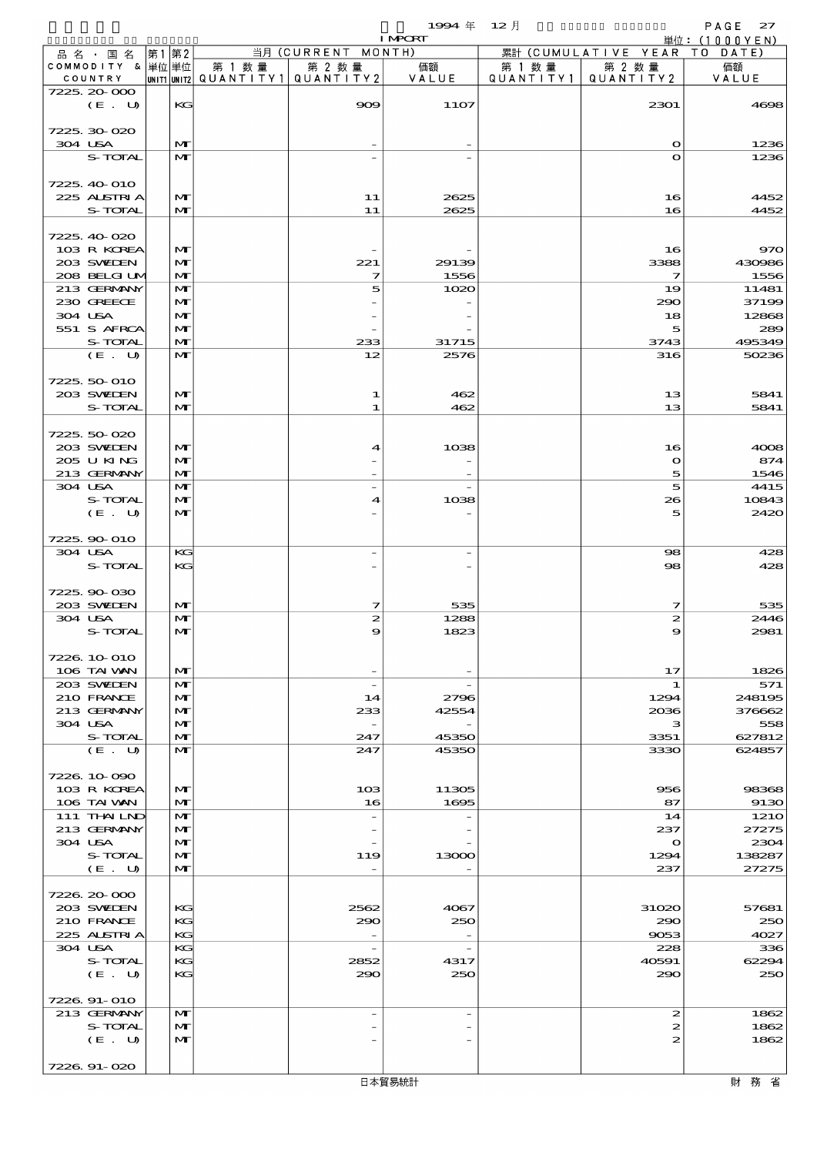$1994 \# 12 \frac{1}{2}$  PAGE 27

|                          |    |                   |                                       |                          | <b>I MPORT</b>           |        |                                    | <u> 単位:(1000YEN)</u> |
|--------------------------|----|-------------------|---------------------------------------|--------------------------|--------------------------|--------|------------------------------------|----------------------|
| 品名・国名                    | 第1 | 第2                |                                       | 当月 (CURRENT MONTH)       |                          |        | 累計 (CUMULATIVE YEAR TO DATE)       |                      |
| COMMODITY & 単位単位         |    |                   | 第 1 数量                                | 第 2 数量                   | 価額                       | 第 1 数量 | 第 2 数量                             | 価額                   |
| COUNTRY                  |    |                   | UNIT1 UNIT2  QUANT I TY1  QUANT I TY2 |                          | VALUE                    |        | QUANTITY1   QUANTITY2              | VALUE                |
| 7225, 20-000<br>(E. U)   |    | KG                |                                       | 909                      | <b>11O7</b>              |        | 2301                               | 4698                 |
|                          |    |                   |                                       |                          |                          |        |                                    |                      |
| 7225.30-020              |    |                   |                                       |                          |                          |        |                                    |                      |
| 304 USA                  |    | $\mathbf{M}$      |                                       |                          |                          |        | $\Omega$                           | 1236                 |
| S-TOTAL                  |    | $\mathbf{M}$      |                                       |                          |                          |        | $\Omega$                           | 1236                 |
|                          |    |                   |                                       |                          |                          |        |                                    |                      |
| 7225, 40 010             |    |                   |                                       |                          |                          |        |                                    |                      |
| 225 ALSTRIA              |    | M                 |                                       | 11                       | 2625                     |        | 16                                 | 4452                 |
| S-TOTAL                  |    | $\mathbf{M}$      |                                       | 11                       | 2625                     |        | 16                                 | 4452                 |
| 7225.40-020              |    |                   |                                       |                          |                          |        |                                    |                      |
| 103 R KOREA              |    | $\mathbf{M}$      |                                       |                          |                          |        | 16                                 | 970                  |
| 203 SWIEN                |    | $\mathbf{M}$      |                                       | 221                      | 29139                    |        | 3388                               | 430986               |
| 208 BELGI UM             |    | M                 |                                       | 7                        | 1556                     |        | $\overline{\mathbf{z}}$            | 1556                 |
| 213 GERMANY              |    | M                 |                                       | 5                        | 1020                     |        | 19                                 | 11481                |
| 230 GREECE               |    | M                 |                                       |                          |                          |        | 290                                | 37199                |
| 304 USA                  |    | $\mathbf{M}$      |                                       |                          |                          |        | 18                                 | 12868                |
| 551 S AFRCA              |    | $\mathbf{M}$      |                                       |                          |                          |        | 5                                  | 289                  |
| S-TOTAL                  |    | $\mathbf{M}$      |                                       | 233                      | 31715                    |        | 3743                               | 495349               |
| (E. U)                   |    | $\mathbf{M}$      |                                       | 12                       | 2576                     |        | 316                                | 50236                |
| 7225, 50-010             |    |                   |                                       |                          |                          |        |                                    |                      |
| 203 SWIEN                |    | $\mathbf{M}$      |                                       | 1                        | 462                      |        | 13                                 | 5841                 |
| S-TOTAL                  |    | $\mathbf{M}$      |                                       | 1                        | 462                      |        | 13                                 | 5841                 |
|                          |    |                   |                                       |                          |                          |        |                                    |                      |
| 7225.50-020              |    |                   |                                       |                          |                          |        |                                    |                      |
| 203 SWIEN                |    | $\mathbf{M}$      |                                       | 4                        | 1038                     |        | 16                                 | 4008                 |
| 205 U KING               |    | M                 |                                       |                          |                          |        | $\mathbf{o}$                       | 874                  |
| 213 GERMANY              |    | M                 |                                       |                          |                          |        | 5                                  | 1546                 |
| 304 USA                  |    | M                 |                                       | $\overline{\phantom{a}}$ |                          |        | $\vert$                            | 4415                 |
| S-TOTAL<br>(E. U)        |    | M<br>$\mathbf{M}$ |                                       | 4                        | 1038                     |        | 26<br>5                            | 10843<br>2420        |
|                          |    |                   |                                       |                          |                          |        |                                    |                      |
| 7225.90-010              |    |                   |                                       |                          |                          |        |                                    |                      |
| 304 USA                  |    | KG                |                                       |                          |                          |        | 98                                 | 428                  |
| S-TOTAL                  |    | KG                |                                       |                          |                          |        | $\mathbf{S}$                       | 428                  |
|                          |    |                   |                                       |                          |                          |        |                                    |                      |
| 7225.90-030              |    |                   |                                       |                          |                          |        |                                    |                      |
| 203 SWIEN                |    | M                 |                                       | 7                        | 535                      |        | 7                                  | 535                  |
| 304 USA                  |    | M                 |                                       | $\boldsymbol{z}$         | 1288                     |        | 2                                  | 2446                 |
| S-TOTAL                  |    | M                 |                                       | 9                        | 1823                     |        | 9                                  | 2981                 |
| 7226.10-010              |    |                   |                                       |                          |                          |        |                                    |                      |
| 106 TAI VAN              |    | M                 |                                       | $\overline{\phantom{a}}$ |                          |        | 17                                 | 1826                 |
| 203 SVELEN               |    | $\mathbf{M}$      |                                       | $\overline{\phantom{a}}$ |                          |        | 1                                  | 571                  |
| 210 FRANCE               |    | M                 |                                       | 14                       | 2796                     |        | 1294                               | 248195               |
| 213 GERMANY              |    | M                 |                                       | 233                      | 42554                    |        | 2036                               | 376662               |
| 304 USA                  |    | M                 |                                       |                          |                          |        | з                                  | 558                  |
| S-TOTAL                  |    | M                 |                                       | 247                      | 45350                    |        | 3351                               | 627812               |
| (E. U)                   |    | $\mathbf{M}$      |                                       | 247                      | 45350                    |        | 3330                               | 624857               |
| 7226, 10-090             |    |                   |                                       |                          |                          |        |                                    |                      |
| 103 R KOREA              |    | M                 |                                       | 10 <sub>3</sub>          | 11305                    |        | 956                                | 98368                |
| 106 TAI VAN              |    | $\mathbf{M}$      |                                       | 16                       | 1695                     |        | 87                                 | 9130                 |
| 111 THAILND              |    | M                 |                                       | $\overline{\phantom{a}}$ |                          |        | 14                                 | 1210                 |
| 213 GERMANY              |    | M                 |                                       |                          |                          |        | 237                                | 27275                |
| 304 USA                  |    | M                 |                                       |                          |                          |        | $\mathbf o$                        | 2304                 |
| S-TOTAL                  |    | M                 |                                       | 119                      | 13000                    |        | 1294                               | 138287               |
| (E. U)                   |    | $\mathbf{M}$      |                                       |                          |                          |        | 237                                | 27275                |
|                          |    |                   |                                       |                          |                          |        |                                    |                      |
| 7226.20-000<br>203 SWIEN |    | KG                |                                       | 2562                     | 4067                     |        | 31020                              | 57681                |
| 210 FRANCE               |    | KG                |                                       | 290                      | 250                      |        | 290                                | 250                  |
| 225 ALSTRIA              |    | KG                |                                       |                          |                          |        | 9053                               | 4027                 |
| 304 USA                  |    | KG                |                                       | $\overline{\phantom{a}}$ | $\overline{\phantom{m}}$ |        | 228                                | 336                  |
| S-TOTAL                  |    | KG                |                                       | 2852                     | 4317                     |        | 40591                              | 62294                |
| (E. U)                   |    | KG                |                                       | 290                      | 250                      |        | 290                                | 250                  |
|                          |    |                   |                                       |                          |                          |        |                                    |                      |
| 7226.91-010              |    |                   |                                       |                          |                          |        |                                    |                      |
| 213 GERMANY              |    | M                 |                                       | $\overline{\phantom{a}}$ | $\overline{\phantom{a}}$ |        | $\mathbf{z}$                       | 1862                 |
| S-TOTAL<br>(E. U)        |    | M<br>$\mathbf{M}$ |                                       |                          |                          |        | $\vert z \vert$<br>$\vert z \vert$ | 1862<br>1862         |
|                          |    |                   |                                       |                          |                          |        |                                    |                      |
| 7226.91-020              |    |                   |                                       |                          |                          |        |                                    |                      |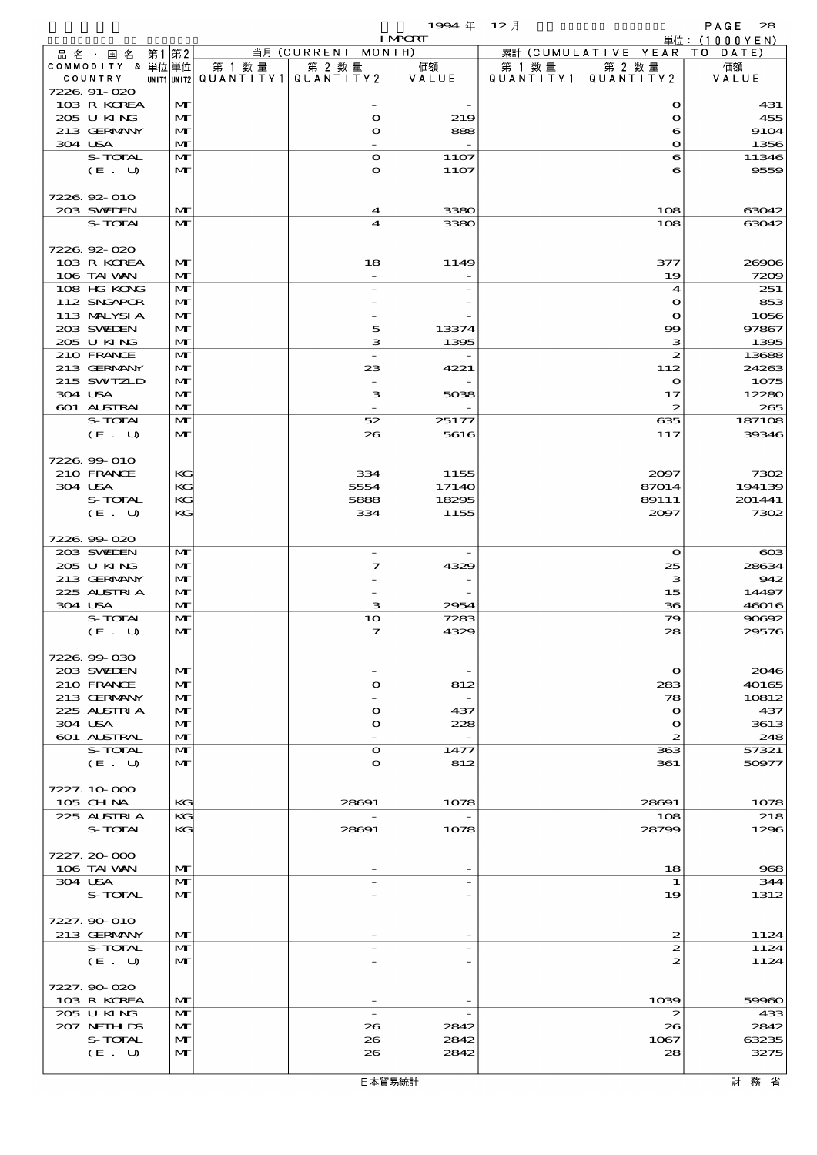$1994 \; \text{#} \quad 12 \; \text{]}$  PAGE 28

|                              |       |                              |        |                                                  | <b>I MPORT</b>           |                     |                              | 単位: (1000YEN)    |
|------------------------------|-------|------------------------------|--------|--------------------------------------------------|--------------------------|---------------------|------------------------------|------------------|
| 品名・国名                        | 第1 第2 |                              |        | 当月 (CURRENT MONTH)                               |                          |                     | 累計 (CUMULATIVE YEAR TO DATE) |                  |
| COMMODITY & 単位 単位<br>COUNTRY |       |                              | 第 1 数量 | 第 2 数量<br> UNIT1 UNIT2  QUANT   TY1  QUANT   TY2 | 価額<br>VALUE              | 第 1 数量<br>QUANTITY1 | 第 2 数量<br>QUANTITY2          | 価額<br>VALUE      |
| 7226 91-020                  |       |                              |        |                                                  |                          |                     |                              |                  |
| 103 R KOREA                  |       | $\mathbf{M}$                 |        |                                                  |                          |                     | $\mathbf o$                  | 431              |
| 205 U KING                   |       | $\mathbf{M}$                 |        | $\bullet$                                        | 219                      |                     | $\bullet$                    | 455              |
| 213 GERMANY                  |       | $\mathbf{M}$                 |        | $\mathbf o$                                      | 888                      |                     | 6                            | 9104             |
| 304 USA<br>S-TOTAL           |       | $\mathbf{M}$<br>$\mathbf{M}$ |        | $\Omega$                                         | 11O7                     |                     | $\bullet$                    | 1356<br>11346    |
| (E. U)                       |       | $\mathbf{M}$                 |        | O                                                | 11O7                     |                     | 6<br>6                       | 9559             |
|                              |       |                              |        |                                                  |                          |                     |                              |                  |
| 7226.92-010                  |       |                              |        |                                                  |                          |                     |                              |                  |
| 203 SWIEN                    |       | M                            |        | 4                                                | 3380                     |                     | 108                          | 63042            |
| S-TOTAL                      |       | $\mathbf{M}$                 |        | 4                                                | 3380                     |                     | 108                          | 63042            |
|                              |       |                              |        |                                                  |                          |                     |                              |                  |
| 7226.92-020<br>103 R KOREA   |       | $\mathbf{M}$                 |        | 18                                               | 1149                     |                     | 377                          |                  |
| 106 TAI VAN                  |       | $\mathbf{M}$                 |        |                                                  |                          |                     | 19                           | 26906<br>7209    |
| 108 HG KONG                  |       | $\mathbf{M}$                 |        |                                                  |                          |                     | $\boldsymbol{4}$             | 251              |
| 112 SNGAPOR                  |       | M                            |        |                                                  |                          |                     | $\mathbf o$                  | 853              |
| 113 MALYSI A                 |       | $\mathbf{M}$                 |        |                                                  |                          |                     | $\bullet$                    | 1056             |
| 203 SVELEN                   |       | $\mathbf{M}$                 |        | 5                                                | 13374                    |                     | $\infty$                     | 97867            |
| 205 U KING                   |       | $\mathbf{M}$                 |        | з                                                | 1395                     |                     | з                            | 1395             |
| 210 FRANCE                   |       | $\mathbf{M}$                 |        | $\overline{\phantom{a}}$                         |                          |                     | $\boldsymbol{z}$             | 13688            |
| 213 GERMANY<br>215 SWIZLD    |       | M<br>$\mathbf{M}$            |        | 23                                               | 4221                     |                     | 112<br>$\bullet$             | 24263<br>1075    |
| 304 USA                      |       | $\mathbf{M}$                 |        | з                                                | 5038                     |                     | 17                           | 12280            |
| 601 ALSTRAL                  |       | $\mathbf{M}$                 |        |                                                  |                          |                     | $\boldsymbol{z}$             | 265              |
| S-TOTAL                      |       | $\mathbf{M}$                 |        | 52                                               | 25177                    |                     | 635                          | 187108           |
| (E. U)                       |       | $\mathbf{M}$                 |        | 26                                               | 5616                     |                     | 117                          | 39346            |
|                              |       |                              |        |                                                  |                          |                     |                              |                  |
| 7226.99-010                  |       |                              |        |                                                  |                          |                     |                              |                  |
| 210 FRANCE                   |       | KG                           |        | 334                                              | 1155                     |                     | 2097                         | 7302             |
| 304 USA<br>S-TOTAL           |       | KG<br>KG                     |        | 5554<br>5888                                     | 1714O<br>18295           |                     | 87014<br>89111               | 194139<br>201441 |
| (E. U)                       |       | KG                           |        | 334                                              | 1155                     |                     | 2097                         | 7302             |
|                              |       |                              |        |                                                  |                          |                     |                              |                  |
| 7226.99-020                  |       |                              |        |                                                  |                          |                     |                              |                  |
| 203 SWIEN                    |       | $\mathbf{M}$                 |        |                                                  |                          |                     | $\bullet$                    | $_{\rm \alpha}$  |
| 205 U KING                   |       | $\mathbf{M}$                 |        | 7                                                | 4329                     |                     | 25                           | 28634            |
| 213 GERMANY                  |       | $\mathbf{M}$                 |        |                                                  |                          |                     | з                            | 942              |
| 225 ALSTRIA<br>304 USA       |       | $\mathbf{M}$<br>$\mathbf{M}$ |        |                                                  |                          |                     | 15                           | 14497            |
| S-TOTAL                      |       | $\mathbf{M}$                 |        | з<br>10                                          | 2954<br>7283             |                     | 36<br>79                     | 46016<br>90692   |
| (E. U)                       |       | $\mathbf{M}$                 |        | 7                                                | 4329                     |                     | 28                           | 29576            |
|                              |       |                              |        |                                                  |                          |                     |                              |                  |
| 7226.99-030                  |       |                              |        |                                                  |                          |                     |                              |                  |
| 203 SWIEN                    |       | $\mathbf{M}$                 |        |                                                  |                          |                     | $\bullet$                    | 2046             |
| 210 FRANCE                   |       | $\mathbf{M}$                 |        | $\bullet$                                        | 812                      |                     | 283                          | 40165            |
| 213 GERMANY                  |       | $\mathbf{M}$                 |        |                                                  |                          |                     | 78                           | 10812            |
| 225 ALSIRIA<br>304 USA       |       | $\mathbf{M}$<br>$\mathbf{M}$ |        | $\mathbf o$<br>O                                 | 437<br>228               |                     | $\bullet$<br>$\mathbf o$     | 437<br>3613      |
| 601 ALSTRAL                  |       | $\mathbf{M}$                 |        |                                                  | $\overline{\phantom{a}}$ |                     | $\boldsymbol{z}$             | 248              |
| S-TOTAL                      |       | $\mathbf{M}$                 |        | $\Omega$                                         | 1477                     |                     | 363                          | 57321            |
| (E. U)                       |       | M                            |        | O                                                | 812                      |                     | 361                          | 50977            |
|                              |       |                              |        |                                                  |                          |                     |                              |                  |
| 7227.10-000                  |       |                              |        |                                                  |                          |                     |                              |                  |
| 105 CHNA                     |       | KG                           |        | 28691                                            | 1078                     |                     | 28691                        | 1078             |
| 225 ALSTRIA<br>S-TOTAL       |       | KG<br>KG                     |        | 28691                                            | 1078                     |                     | 108<br>28799                 | 218<br>1296      |
|                              |       |                              |        |                                                  |                          |                     |                              |                  |
| 7227.20-000                  |       |                              |        |                                                  |                          |                     |                              |                  |
| 106 TAI VAN                  |       | $\mathbf{M}$                 |        |                                                  |                          |                     | 18                           | 968              |
| 304 USA                      |       | $\mathbf{M}$                 |        |                                                  |                          |                     | 1                            | 344              |
| S-TOTAL                      |       | $\mathbf{M}$                 |        |                                                  |                          |                     | 19                           | 1312             |
| 7227.90-010                  |       |                              |        |                                                  |                          |                     |                              |                  |
| 213 GERMANY                  |       | M                            |        |                                                  |                          |                     | 2                            | 1124             |
| S-TOTAL                      |       | M                            |        |                                                  |                          |                     | $\boldsymbol{z}$             | 1124             |
| (E. U)                       |       | $\mathbf{M}$                 |        |                                                  |                          |                     | 2                            | 1124             |
|                              |       |                              |        |                                                  |                          |                     |                              |                  |
| 7227.90-020                  |       |                              |        |                                                  |                          |                     |                              |                  |
| 103 R KOREA                  |       | M                            |        |                                                  |                          |                     | 1039                         | 59960            |
| 205 U KING                   |       | M                            |        | $\overline{\phantom{a}}$                         |                          |                     | 2                            | 433              |
| 207 NETHLIDS<br>S-TOTAL      |       | $\mathbf{M}$<br>$\mathbf{M}$ |        | 26<br>26                                         | 2842<br>2842             |                     | 26<br>1067                   | 2842<br>63235    |
| (E. U)                       |       | $\mathbf{M}$                 |        | 26                                               | 2842                     |                     | 28                           | 3275             |
|                              |       |                              |        |                                                  |                          |                     |                              |                  |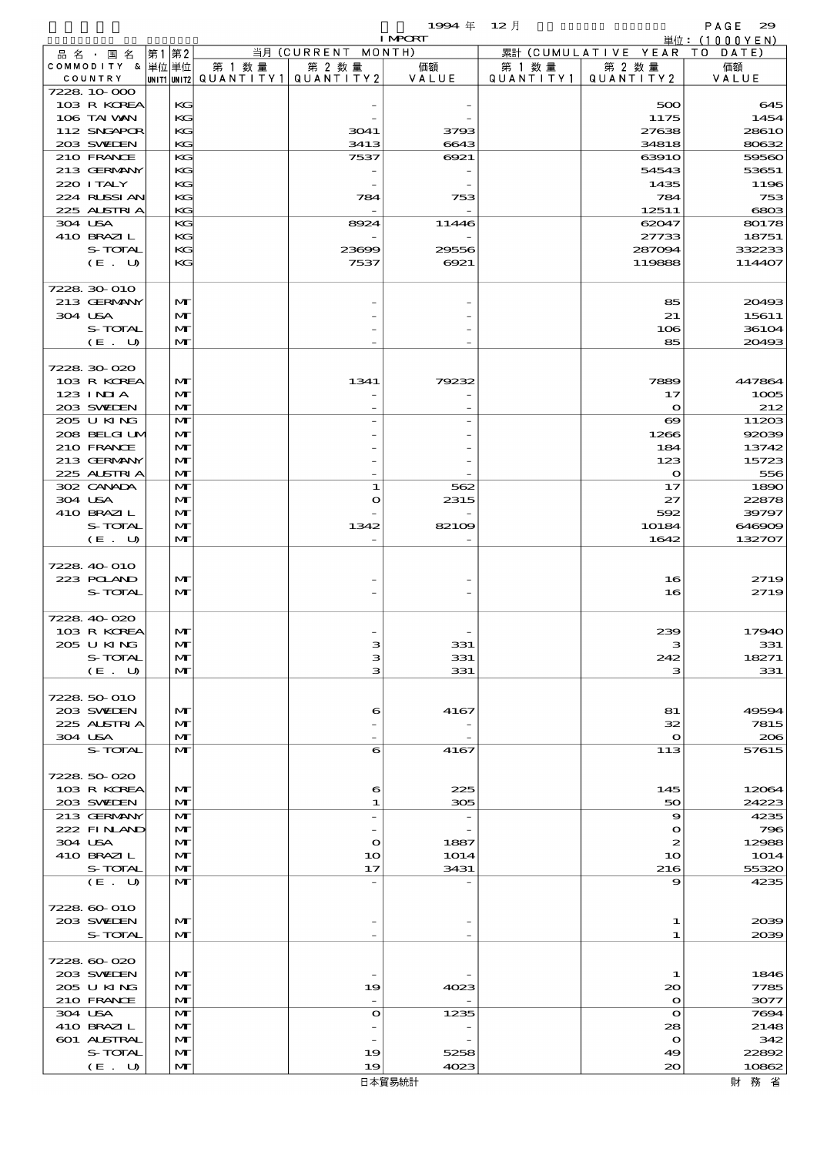$1994 \text{ } \# \quad 12 \text{ } \#$ 

|                            |      |                   |                                 |                          | $\sim$<br><b>I MPORT</b> | $\sim$ $\sim$ $\prime$ $\sim$ |                               | .<br>単位: $(1000YEN)$ |
|----------------------------|------|-------------------|---------------------------------|--------------------------|--------------------------|-------------------------------|-------------------------------|----------------------|
| 品名·国名                      | 第1第2 |                   |                                 | 当月 (CURRENT MONTH)       |                          |                               | 累計 (CUMULATIVE YEAR TO DATE)  |                      |
| COMMODITY & 単位単位           |      |                   | 第 1 数量                          | 第 2 数量                   | 価額                       | 第 1 数 量                       | 第 2 数量                        | 価額                   |
| COUNTRY                    |      |                   | UNIT1 UNIT2 QUANTITY1 QUANTITY2 |                          | VALUE                    | QUANTITY1                     | QUANTITY 2                    | VALUE                |
| 7228 10 000<br>103 R KOREA |      | KG                |                                 |                          |                          |                               | 500                           | 645                  |
| 106 TAI VAN                |      | KG                |                                 |                          |                          |                               | 1175                          | 1454                 |
| 112 SNGAPOR                |      | KG                |                                 | 3041                     | 3793                     |                               | 27638                         | 2861O                |
| 203 SWIEN                  |      | KG                |                                 | 3413                     | 6643                     |                               | 34818                         | 80632                |
| 210 FRANCE                 |      | KG                |                                 | 7537                     | 6921                     |                               | 63910                         | 59560                |
| 213 GERMANY                |      | KG                |                                 |                          |                          |                               | 54543                         | 53651                |
| 220 I TALY                 |      | KG                |                                 |                          |                          |                               | 1435                          | 1196                 |
| 224 RUSSIAN<br>225 ALSTRIA |      | KG<br>KG          |                                 | 784                      | 753                      |                               | 784<br>12511                  | 753<br>6803          |
| 304 USA                    |      | KG                |                                 | 8924                     | 11446                    |                               | 62047                         | 80178                |
| 410 BRAZIL                 |      | KG                |                                 |                          |                          |                               | 27733                         | 18751                |
| S-TOTAL                    |      | KG                |                                 | 23609                    | 29556                    |                               | 287094                        | 332233               |
| (E. U)                     |      | KG                |                                 | 7537                     | 6921                     |                               | 119888                        | 114407               |
|                            |      |                   |                                 |                          |                          |                               |                               |                      |
| 7228 30 010                |      |                   |                                 |                          |                          |                               |                               |                      |
| 213 GERMANY                |      | M                 |                                 |                          |                          |                               | 85                            | 20493<br>15611       |
| 304 USA<br>S-TOTAL         |      | M<br>M            |                                 |                          |                          |                               | 21<br>106                     | 36104                |
| (E. U)                     |      | M                 |                                 |                          |                          |                               | 85                            | 20493                |
|                            |      |                   |                                 |                          |                          |                               |                               |                      |
| 7228 30 020                |      |                   |                                 |                          |                          |                               |                               |                      |
| 103 R KOREA                |      | M                 |                                 | 1341                     | 79232                    |                               | 7889                          | 447864               |
| 123 INIA                   |      | M                 |                                 |                          |                          |                               | 17                            | 1005                 |
| 203 SWIEN                  |      | M                 |                                 |                          |                          |                               | $\mathbf{\Omega}$             | 212                  |
| 205 U KING<br>208 BELGI UM |      | M<br>$\mathbf{M}$ |                                 |                          |                          |                               | $\boldsymbol{\infty}$<br>1266 | 11203<br>92039       |
| 210 FRANCE                 |      | M                 |                                 |                          |                          |                               | 184                           | 13742                |
| 213 GERMANY                |      | M                 |                                 |                          |                          |                               | 123                           | 15723                |
| 225 ALSTRIA                |      | M                 |                                 |                          |                          |                               | $\mathbf{\Omega}$             | 556                  |
| 302 CANADA                 |      | M                 |                                 | 1                        | 562                      |                               | 17                            | 1890                 |
| 304 USA                    |      | $\mathbf{M}$      |                                 | $\bullet$                | 2315                     |                               | 27                            | 22878                |
| 410 BRAZIL                 |      | M                 |                                 |                          |                          |                               | 592                           | 39797                |
| S-TOTAL                    |      | M<br>$\mathbf{M}$ |                                 | 1342                     | 82109                    |                               | 10184                         | 646909               |
| (E. U)                     |      |                   |                                 |                          |                          |                               | 1642                          | 132707               |
| 7228 40 010                |      |                   |                                 |                          |                          |                               |                               |                      |
| 223 POLAND                 |      | M                 |                                 |                          |                          |                               | 16                            | 2719                 |
| S-TOTAL                    |      | $\mathbf{M}$      |                                 |                          |                          |                               | 16                            | 2719                 |
|                            |      |                   |                                 |                          |                          |                               |                               |                      |
| 7228 40 020                |      |                   |                                 |                          |                          |                               |                               |                      |
| 103 R KOREA                |      | $\mathbf{M}$      |                                 |                          |                          |                               | 239                           | 17940                |
| 2005 U KING<br>S-TOTAL     |      | м<br>M            |                                 | з                        | لككت<br>331              |                               | 242                           | 331<br>18271         |
| (E. U)                     |      | M                 |                                 | з                        | 331                      |                               | з                             | 331                  |
|                            |      |                   |                                 |                          |                          |                               |                               |                      |
| 7228 50 010                |      |                   |                                 |                          |                          |                               |                               |                      |
| 203 SWIEN                  |      | M                 |                                 | 6                        | 4167                     |                               | 81                            | 49594                |
| 225 ALSTRIA                |      | M                 |                                 |                          |                          |                               | 32                            | 7815                 |
| 304 USA<br>S-TOTAL         |      | M<br>$\mathbf{M}$ |                                 | 6                        | 4167                     |                               | $\mathbf{o}$<br>113           | 206<br>57615         |
|                            |      |                   |                                 |                          |                          |                               |                               |                      |
| 7228 50 020                |      |                   |                                 |                          |                          |                               |                               |                      |
| 103 R KOREA                |      | M                 |                                 | 6                        | 225                      |                               | 145                           | 12064                |
| 203 SWIEN                  |      | M                 |                                 | 1                        | 305                      |                               | 50                            | 24223                |
| 213 GERMANY                |      | M                 |                                 | $\overline{\phantom{a}}$ |                          |                               | $\boldsymbol{\Theta}$         | 4235                 |
| 222 FINAND                 |      | M                 |                                 |                          |                          |                               | $\mathbf o$                   | 796                  |
| 304 USA<br>410 BRAZIL      |      | M<br>M            |                                 | $\mathbf{o}$<br>10       | 1887<br><b>1O14</b>      |                               | $\boldsymbol{z}$<br>10        | 12988<br><b>1O14</b> |
| S-TOTAL                    |      | M                 |                                 | 17                       | 3431                     |                               | 216                           | 55320                |
| (E. U)                     |      | M                 |                                 |                          |                          |                               | 9                             | 4235                 |
|                            |      |                   |                                 |                          |                          |                               |                               |                      |
| 7228 60 010                |      |                   |                                 |                          |                          |                               |                               |                      |
| 203 SWIEN                  |      | $\mathbf{M}$      |                                 |                          |                          |                               | 1                             | 2039                 |
| S-TOTAL                    |      | $\mathbf{M}$      |                                 |                          |                          |                               | 1                             | 2039                 |
| 7228 60 020                |      |                   |                                 |                          |                          |                               |                               |                      |
| 203 SWIEN                  |      | M                 |                                 |                          |                          |                               | 1                             | 1846                 |
| 205 U KING                 |      | M                 |                                 | 19                       | 4023                     |                               | $\infty$                      | 7785                 |
| 210 FRANCE                 |      | M                 |                                 |                          |                          |                               | $\mathbf{o}$                  | 3077                 |
| 304 USA                    |      | M                 |                                 | $\mathbf{o}$             | 1235                     |                               | $\mathbf{o}$                  | 7694                 |
| 410 BRAZIL                 |      | M                 |                                 |                          |                          |                               | 28                            | 2148                 |
| 601 ALSTRAL<br>S-TOTAL     |      | M                 |                                 |                          |                          |                               | $\mathbf{o}$                  | 342                  |
| (E. U)                     |      | M<br>M            |                                 | 19<br>19                 | 5258<br>4023             |                               | 49<br>$\infty$                | 22892<br>10862       |
|                            |      |                   |                                 |                          |                          |                               |                               |                      |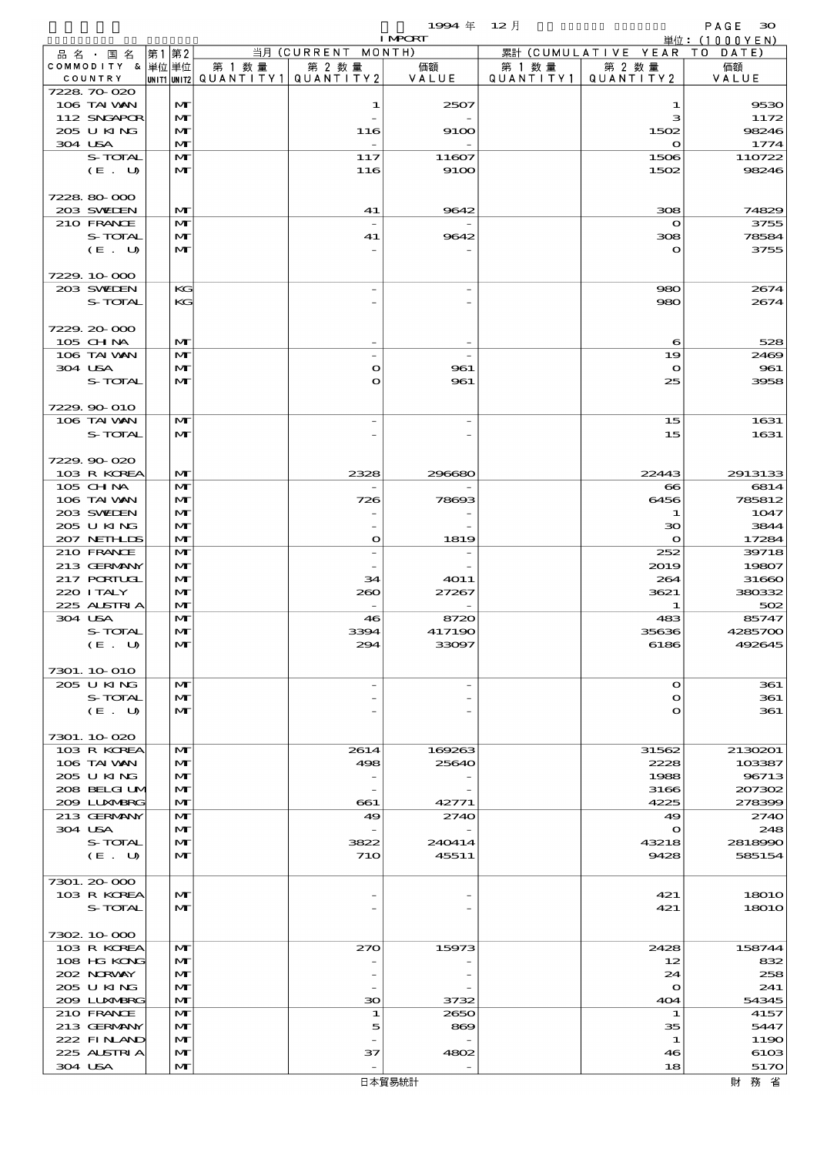|                            |      |                   |                                                    |                          | 1994年           | $12$ 月    |                     | PAGE<br>$30^{\circ}$        |
|----------------------------|------|-------------------|----------------------------------------------------|--------------------------|-----------------|-----------|---------------------|-----------------------------|
| 品名・国名                      | 第1第2 |                   |                                                    | 当月 (CURRENT MONTH)       | <b>I MPORT</b>  |           | 累計 (CUMULATIVE YEAR | 単位:(1000YEN)<br>T O<br>DATE |
| COMMODITY & 単位単位           |      |                   | 第 1 数 量                                            | 第 2 数量                   | 価額              | 第 1 数 量   | 第 2 数量              | 価額                          |
| COUNTRY                    |      |                   | $ $ UNIT1 $ $ UNIT2 $ $ Q $\cup$ A N T I T Y 1 $ $ | QUANTITY 2               | VALUE           | QUANTITY1 | QUANTITY2           | VALUE                       |
| 7228 70 020                |      |                   |                                                    |                          |                 |           |                     |                             |
| 106 TAI VAN<br>112 SNGAPOR |      | M<br>$\mathbf{M}$ |                                                    | 1                        | 2507            |           | 1<br>з              | 9530<br>1172                |
| 205 U KING                 |      | M                 |                                                    | 116                      | 9100            |           | 1502                | 98246                       |
| 304 USA                    |      | M                 |                                                    | $\overline{\phantom{a}}$ |                 |           | $\mathbf o$         | 1774                        |
| S-TOTAL                    |      | M                 |                                                    | 117                      | 11607           |           | 1506                | 110722                      |
| (E. U)                     |      | M                 |                                                    | 116                      | 9100            |           | 1502                | 98246                       |
|                            |      |                   |                                                    |                          |                 |           |                     |                             |
| 7228 80 000<br>203 SWIEN   |      | M                 |                                                    | 41                       | 9642            |           | 308                 | 74829                       |
| 210 FRANCE                 |      | M                 |                                                    |                          |                 |           | $\mathbf{o}$        | 3755                        |
| S-TOTAL                    |      | M                 |                                                    | 41                       | 9642            |           | 308                 | 78584                       |
| (E. U)                     |      | $\mathbf{M}$      |                                                    |                          |                 |           | $\mathbf o$         | 3755                        |
|                            |      |                   |                                                    |                          |                 |           |                     |                             |
| 7229.10-000                |      |                   |                                                    |                          |                 |           |                     |                             |
| 203 SWIDEN<br>S-TOTAL      |      | KG<br>KG          |                                                    |                          |                 |           | 980<br>980          | 2674<br>2674                |
|                            |      |                   |                                                    |                          |                 |           |                     |                             |
| 7229.20-000                |      |                   |                                                    |                          |                 |           |                     |                             |
| 105 CHNA                   |      | M                 |                                                    |                          |                 |           | 6                   | 528                         |
| 106 TAI VAN                |      | M                 |                                                    |                          |                 |           | 19                  | 2469                        |
| 304 USA                    |      | M                 |                                                    | $\mathbf o$              | 961             |           | $\bullet$           | 961                         |
| S-TOTAL                    |      | $\mathbf{M}$      |                                                    | O                        | 961             |           | 25                  | 3958                        |
| 7229.90-010                |      |                   |                                                    |                          |                 |           |                     |                             |
| 106 TAI VAN                |      | M                 |                                                    |                          |                 |           | 15                  | 1631                        |
| S-TOTAL                    |      | M                 |                                                    |                          |                 |           | 15                  | 1631                        |
|                            |      |                   |                                                    |                          |                 |           |                     |                             |
| 7229.90-020                |      |                   |                                                    |                          |                 |           |                     |                             |
| 103 R KOREA<br>105 CHNA    |      | M                 |                                                    | 2328                     | 296680          |           | 22443               | 2913133                     |
| 106 TAI VAN                |      | M<br>$\mathbf{M}$ |                                                    | 726                      | 78693           |           | $\bf{8}$<br>6456    | 6814<br>785812              |
| 203 SWIEN                  |      | M                 |                                                    |                          |                 |           | 1                   | 1047                        |
| 205 U KING                 |      | M                 |                                                    |                          |                 |           | 30                  | 3844                        |
| 207 NETHLIS                |      | M                 |                                                    | $\mathbf o$              | 1819            |           | $\mathbf{o}$        | 17284                       |
| 210 FRANCE                 |      | M                 |                                                    | $\overline{\phantom{0}}$ |                 |           | 252                 | 39718                       |
| 213 GERMANY<br>217 PORTUGL |      | M<br>M            |                                                    | 34                       | <b>4011</b>     |           | 2019<br>264         | 19807<br>31660              |
| 220 I TALY                 |      | M                 |                                                    | 260                      | 27267           |           | 3621                | 380332                      |
| 225 ALSTRIA                |      | M                 |                                                    |                          |                 |           | 1                   | 502                         |
| 304 USA                    |      | M                 |                                                    | 46                       | 8720            |           | 483                 | 85747                       |
| S-TOTAL                    |      | $\mathbf{M}$      |                                                    | 3394                     | 41719C<br>33097 |           | 35636               | 4285700                     |
| (E. U)                     |      | M                 |                                                    | 294                      |                 |           | 6186                | 492645                      |
| 7301. 10 010               |      |                   |                                                    |                          |                 |           |                     |                             |
| 205 U KING                 |      | M                 |                                                    |                          |                 |           | $\Omega$            | 361                         |
| S-TOTAL                    |      | $\mathbf{M}$      |                                                    |                          |                 |           | $\mathbf o$         | 361                         |
| (E. U)                     |      | M                 |                                                    |                          |                 |           | $\mathbf o$         | 361                         |
| 7301.10020                 |      |                   |                                                    |                          |                 |           |                     |                             |
| 103 R KOREA                |      | M                 |                                                    | 2614                     | 169263          |           | 31562               | 2130201                     |
| 106 TAI VAN                |      | M                 |                                                    | 498                      | 25640           |           | 2228                | 103387                      |
| 205 U KING                 |      | M                 |                                                    |                          |                 |           | 1988                | 96713                       |
| 208 BELGI UM               |      | M                 |                                                    |                          |                 |           | 3166                | 207302                      |
| 2009 LUNABRG               |      | M                 |                                                    | $-661$<br>49             | 42771           |           | 4225                | 278399                      |
| 213 GERMANY<br>304 USA     |      | M<br>M            |                                                    |                          | 2740            |           | 49<br>$\mathbf o$   | 2740<br>248                 |
| S-TOTAL                    |      | M                 |                                                    | 3822                     | 240414          |           | 43218               | 2818990                     |
| (E. U)                     |      | M                 |                                                    | <b>71O</b>               | 45511           |           | 9428                | 585154                      |
|                            |      |                   |                                                    |                          |                 |           |                     |                             |
| 7301.20-000                |      |                   |                                                    |                          |                 |           |                     |                             |
| 103 R KOREA<br>S-TOTAL     |      | M                 |                                                    |                          |                 |           | 421                 | <b>18010</b>                |
|                            |      | M                 |                                                    |                          |                 |           | 421                 | <b>18010</b>                |
| 7302 10 000                |      |                   |                                                    |                          |                 |           |                     |                             |
| 103 R KOREA                |      | M                 |                                                    | 270                      | 15973           |           | 2428                | 158744                      |
| 108 HG KONG                |      | M                 |                                                    |                          |                 |           | 12                  | 832                         |
| 202 NRWAY                  |      | M                 |                                                    |                          |                 |           | 24                  | 258                         |
| 205 U KING<br>2009 LUXMBRG |      | M<br>M            |                                                    | 30                       | 3732            |           | $\mathbf o$<br>404  | 241<br>54345                |
| 210 FRANCE                 |      | M                 |                                                    | 1                        | 2650            |           | 1                   | 4157                        |
| 213 GERMANY                |      | M                 |                                                    | 5                        | 869             |           | 35                  | 5447                        |
| 222 FINAND                 |      | M                 |                                                    |                          |                 |           | 1                   | 1190                        |
| 225 ALSTRIA                |      | M                 |                                                    | 37                       | 4802            |           | 46                  | 6103                        |
| 304 USA                    |      | M                 |                                                    |                          |                 |           | 18                  | 5170                        |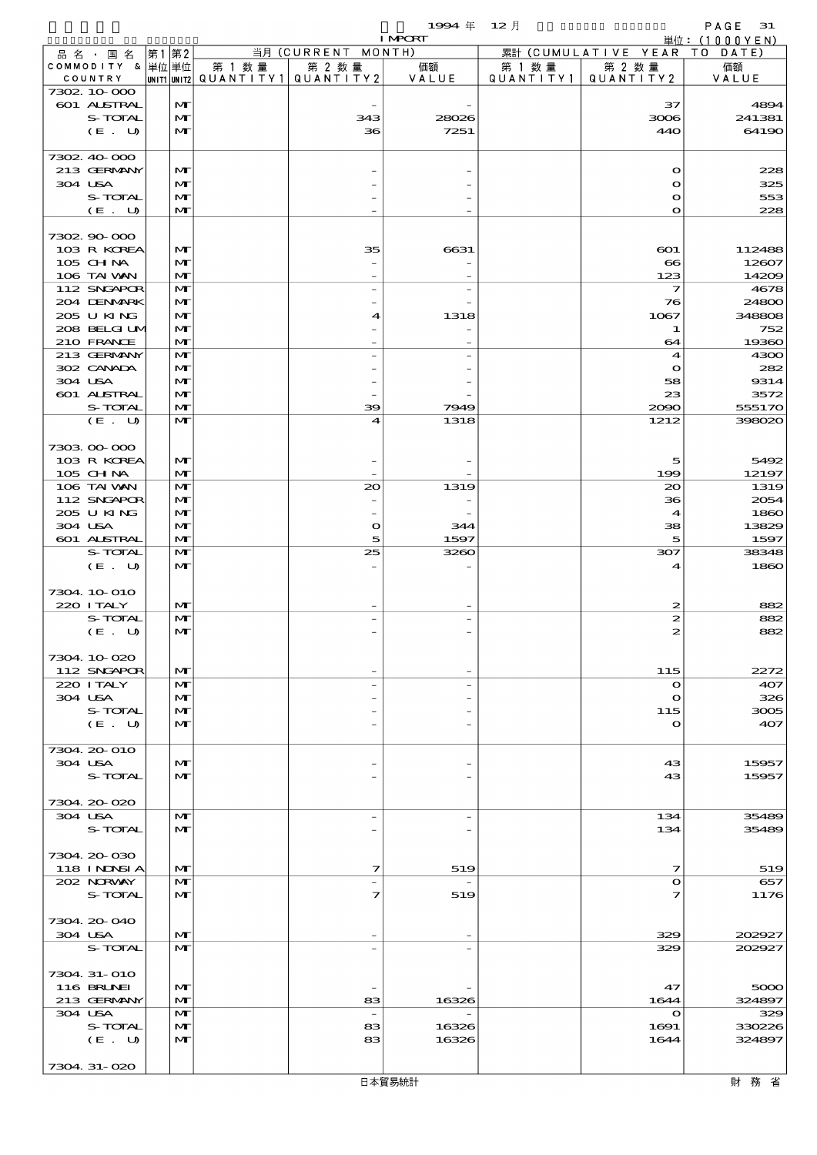|                            |      |                              |                                       |                                                         | 1994 $#$<br><b>I MPORT</b> | $12$ 月    |                              | PAGE<br>31<br>単位:(1000YEN) |
|----------------------------|------|------------------------------|---------------------------------------|---------------------------------------------------------|----------------------------|-----------|------------------------------|----------------------------|
| 品 名 ・ 国 名                  | 第1第2 |                              |                                       | $\overline{\mathbb{H}}\overline{\mathfrak{H}}$ (CURRENT | MONTH)                     |           | 累計 (CUMULATIVE YEAR TO       | DATE                       |
| COMMODITY & 単位単位           |      |                              | 第 1 数 量                               | 第 2 数量                                                  | 価額                         | 第 1 数 量   | 第 2 数量                       | 価額                         |
| COUNTRY                    |      |                              | UNIT1 UNIT2  QUANT   TY1  QUANT   TY2 |                                                         | VALUE                      | QUANTITY1 | QUANTITY 2                   | VALUE                      |
| 7302 10 000<br>601 ALSTRAL |      | M                            |                                       |                                                         |                            |           | 37                           | 4894                       |
| S-TOTAL                    |      | $\mathbf{M}$                 |                                       | 343                                                     | 28026                      |           | 3006                         | 241381                     |
| (E. U)                     |      | $\mathbf{M}$                 |                                       | 36                                                      | 7251                       |           | 440                          | 64190                      |
|                            |      |                              |                                       |                                                         |                            |           |                              |                            |
| 7302.40-000                |      |                              |                                       |                                                         |                            |           |                              |                            |
| 213 GERMANY                |      | $\mathbf{M}$                 |                                       |                                                         |                            |           | $\mathbf o$                  | 228                        |
| 304 USA<br>S-TOTAL         |      | M                            |                                       |                                                         |                            |           | O                            | 325                        |
| (E. U)                     |      | M<br>$\mathbf{M}$            |                                       |                                                         |                            |           | $\mathbf{o}$<br>$\mathbf{o}$ | 553<br>228                 |
|                            |      |                              |                                       |                                                         |                            |           |                              |                            |
| 7302.90-000                |      |                              |                                       |                                                         |                            |           |                              |                            |
| 103 R KOREA                |      | $\mathbf{M}$                 |                                       | 35                                                      | 6631                       |           | $\bf{601}$                   | 112488                     |
| 105 CH NA                  |      | $\mathbf{M}$                 |                                       |                                                         |                            |           | $\bullet$                    | 12607                      |
| 106 TAI VAN                |      | $\mathbf{M}$<br>$\mathbf{M}$ |                                       |                                                         |                            |           | 123<br>7                     | 14209                      |
| 112 SNGAPOR<br>204 DENMRK  |      | M                            |                                       | $\overline{\phantom{0}}$                                | $\overline{a}$             |           | 76                           | 4678<br>24800              |
| 205 U KING                 |      | M                            |                                       | 4                                                       | 1318                       |           | 1067                         | 348808                     |
| 208 BELGI UM               |      | $\mathbf{M}$                 |                                       |                                                         |                            |           | 1                            | 752                        |
| 210 FRANCE                 |      | $\mathbf{M}$                 |                                       |                                                         |                            |           | 64                           | 19360                      |
| 213 GERMANY                |      | $\mathbf{M}$                 |                                       |                                                         |                            |           | 4                            | 4300                       |
| 302 CANADA                 |      | $\mathbf{M}$                 |                                       |                                                         |                            |           | $\mathbf o$                  | 282                        |
| 304 USA<br>601 ALSTRAL     |      | $\mathbf{M}$<br>$\mathbf{M}$ |                                       |                                                         |                            |           | 58<br>23                     | 9314<br>3572               |
| S-TOTAL                    |      | $\mathbf{M}$                 |                                       | 39                                                      | 7949                       |           | 2090                         | 555170                     |
| (E. U)                     |      | $\mathbf{M}$                 |                                       | 4                                                       | 1318                       |           | 1212                         | 398020                     |
|                            |      |                              |                                       |                                                         |                            |           |                              |                            |
| 7303 00 000                |      |                              |                                       |                                                         |                            |           |                              |                            |
| 103 R KOREA                |      | $\mathbf{M}$                 |                                       |                                                         |                            |           | 5                            | 5492                       |
| 105 CHNA<br>106 TAI VAN    |      | $\mathbf{M}$<br>$\mathbf{M}$ |                                       | 20                                                      |                            |           | 199<br>20                    | 12197                      |
| 112 SNGAPOR                |      | $\mathbf{M}$                 |                                       |                                                         | 1319                       |           | 36                           | 1319<br>2054               |
| 205 U KING                 |      | M                            |                                       | $\overline{\phantom{0}}$                                |                            |           | 4                            | 1860                       |
| 304 USA                    |      | M                            |                                       | $\mathbf{o}$                                            | 344                        |           | 38                           | 13829                      |
| 601 ALSTRAL                |      | $\mathbf{M}$                 |                                       | 5                                                       | 1597                       |           | 5                            | 1597                       |
| S-TOTAL                    |      | $\mathbf{M}$                 |                                       | 25                                                      | 3260                       |           | 307                          | 38348                      |
| (E. U)                     |      | $\mathbf{M}$                 |                                       |                                                         |                            |           | $\mathbf 4$                  | 1860                       |
| 7304 10 010                |      |                              |                                       |                                                         |                            |           |                              |                            |
| 220 I TALY                 |      | $\mathbf{M}$                 |                                       |                                                         |                            |           | 2                            | 882                        |
| S-TOTAL                    |      | $\mathbf{M}$                 |                                       |                                                         |                            |           | 2                            | 882                        |
| (E. U)                     |      | M                            |                                       |                                                         |                            |           |                              |                            |
|                            |      |                              |                                       |                                                         |                            |           |                              |                            |
| 7304.10.020<br>112 SNGAPOR |      | $\mathbf{M}$                 |                                       |                                                         |                            |           | 115                          | 2272                       |
| 220 I TALY                 |      | $\mathbf{M}$                 |                                       |                                                         |                            |           | $\mathbf o$                  | 407                        |
| 304 USA                    |      | $\mathbf{M}$                 |                                       |                                                         |                            |           | $\Omega$                     | 326                        |
| S-TOTAL                    |      | M                            |                                       |                                                         |                            |           | 115                          | 3005                       |
| (E. U)                     |      | $\mathbf{M}$                 |                                       |                                                         |                            |           | $\mathbf o$                  | 407                        |
| 7304.20-010                |      |                              |                                       |                                                         |                            |           |                              |                            |
| 304 USA                    |      | $\mathbf{M}$                 |                                       |                                                         |                            |           | 43                           | 15957                      |
| S-TOTAL                    |      | $\mathbf{M}$                 |                                       |                                                         |                            |           | 43                           | 15957                      |
|                            |      |                              |                                       |                                                         |                            |           |                              |                            |
| 7304 20 020                |      |                              |                                       |                                                         |                            |           |                              |                            |
| 304 USA                    |      | M                            |                                       | $\overline{\phantom{0}}$                                |                            |           | 134                          | 35489                      |
| S-TOTAL                    |      | $\mathbf{M}$                 |                                       |                                                         |                            |           | 134                          | 35489                      |
| 7304.20-030                |      |                              |                                       |                                                         |                            |           |                              |                            |
| 118 INNSI A                |      | $\mathbf{M}$                 |                                       | 7                                                       | 519                        |           | 7                            | 519                        |
| 202 NORWAY                 |      | M                            |                                       |                                                         |                            |           | O                            | 657                        |
| S-TOTAL                    |      | $\mathbf{M}$                 |                                       | 7                                                       | 519                        |           | 7                            | 1176                       |
|                            |      |                              |                                       |                                                         |                            |           |                              |                            |
| 7304. 20-040<br>304 USA    |      | $\mathbf{M}$                 |                                       |                                                         |                            |           | 329                          | 202927                     |
| S-TOTAL                    |      | $\mathbf{M}$                 |                                       |                                                         |                            |           | 329                          | 202927                     |
|                            |      |                              |                                       |                                                         |                            |           |                              |                            |
| 7304 31-010                |      |                              |                                       |                                                         |                            |           |                              |                            |
| 116 BRUNEI                 |      | $\mathbf{M}$                 |                                       |                                                         |                            |           | 47                           | 5000                       |
| 213 GERMANY                |      | $\mathbf{M}$                 |                                       | 83                                                      | 16326                      |           | 1644                         | 324897                     |
| 304 USA<br>S-TOTAL         |      | $\mathbf{M}$<br>M            |                                       | $\overline{\phantom{a}}$<br>83                          | 16326                      |           | $\mathbf o$<br>1691          | 329<br>330226              |
| (E. U)                     |      | $\mathbf{M}$                 |                                       | 83                                                      | 16326                      |           | 1644                         | 324897                     |
|                            |      |                              |                                       |                                                         |                            |           |                              |                            |
| 7304 31-020                |      |                              |                                       |                                                         |                            |           |                              |                            |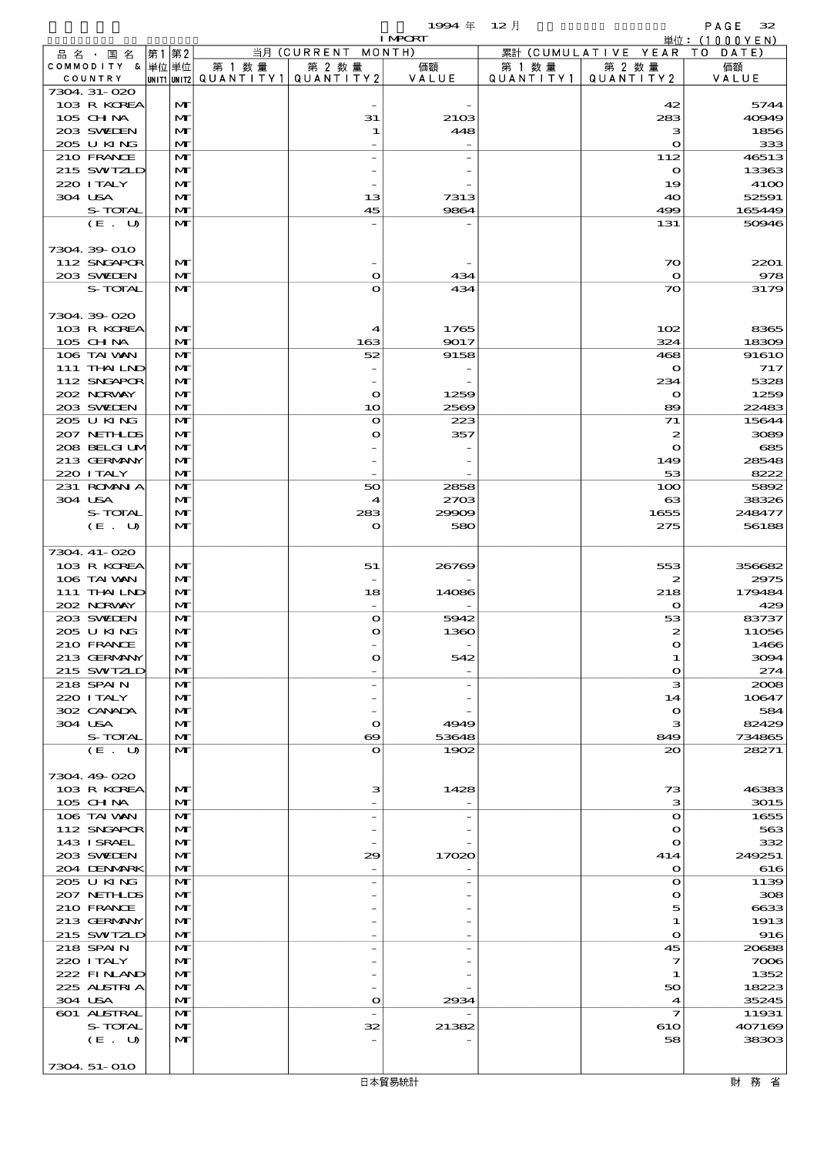$1994 \# 12 \nparallel$  PAGE 32

|                             |       |                              |        |                                                     | <b>I MPORT</b> |                      |                              | 単位: $(1000YEN)$                                                                                                                                                                                                                                    |
|-----------------------------|-------|------------------------------|--------|-----------------------------------------------------|----------------|----------------------|------------------------------|----------------------------------------------------------------------------------------------------------------------------------------------------------------------------------------------------------------------------------------------------|
| 品 名 ・ 国 名                   | 第1 第2 |                              |        | 当月 (CURRENT MONTH)                                  |                |                      | 累計 (CUMULATIVE YEAR TO DATE) |                                                                                                                                                                                                                                                    |
| COMMODITY & 単位単位<br>COUNTRY |       |                              | 第 1 数量 | 第 2 数量<br> UNIT1  UNIT2   QUANT I TY1   QUANT I TY2 | 価額<br>VALUE    | 第 1 数 量<br>QUANTITY1 | 第 2 数量<br>QUANTITY 2         | 価額<br>VALUE                                                                                                                                                                                                                                        |
| 7304. 31-020                |       |                              |        |                                                     |                |                      |                              |                                                                                                                                                                                                                                                    |
| 103 R KOREA                 |       | M                            |        |                                                     |                |                      | 42                           | 5744                                                                                                                                                                                                                                               |
| 105 CHNA                    |       | M                            |        | 31                                                  | 2103           |                      | 283                          | 40949                                                                                                                                                                                                                                              |
| 203 SWIEN                   |       | M                            |        | 1                                                   | 448            |                      | з                            | 1856                                                                                                                                                                                                                                               |
| 205 U KING<br>210 FRANCE    |       | M<br>$\mathbf{M}$            |        |                                                     |                |                      | $\mathbf{o}$                 | 333                                                                                                                                                                                                                                                |
| 215 SWIZLD                  |       | $\mathbf{M}$                 |        |                                                     |                |                      | 112<br>$\mathbf o$           | 46513<br>13363                                                                                                                                                                                                                                     |
| 220 I TALY                  |       | M                            |        |                                                     |                |                      | 19                           | <b>4100</b>                                                                                                                                                                                                                                        |
| 304 USA                     |       | M                            |        | 13                                                  | 7313           |                      | 40                           | 52591                                                                                                                                                                                                                                              |
| S-TOTAL                     |       | M                            |        | 45                                                  | 9864           |                      | 499                          | 165449                                                                                                                                                                                                                                             |
| (E. U)                      |       | $\mathbf{M}$                 |        |                                                     |                |                      | 131                          | 50946                                                                                                                                                                                                                                              |
| 7304 39 010                 |       |                              |        |                                                     |                |                      |                              |                                                                                                                                                                                                                                                    |
| 112 SNGAPOR                 |       | $\mathbf{M}$                 |        |                                                     |                |                      | $\infty$                     | 2201                                                                                                                                                                                                                                               |
| 203 SWIEN                   |       | M                            |        | $\bullet$                                           | 434            |                      | $\mathbf o$                  | 978                                                                                                                                                                                                                                                |
| S-TOTAL                     |       | $\mathbf{M}$                 |        | $\bullet$                                           | 434            |                      | $\infty$                     | 3179                                                                                                                                                                                                                                               |
|                             |       |                              |        |                                                     |                |                      |                              |                                                                                                                                                                                                                                                    |
| 7304 39 020                 |       |                              |        |                                                     |                |                      |                              |                                                                                                                                                                                                                                                    |
| 103 R KOREA<br>105 CHNA     |       | $\mathbf{M}$<br>$\mathbf{M}$ |        | $\boldsymbol{4}$<br>163                             | 1765<br>9017   |                      | 102<br>324                   | 8365<br>18309                                                                                                                                                                                                                                      |
| 106 TAI VAN                 |       | M                            |        | 52                                                  | 9158           |                      | 468                          | 91610                                                                                                                                                                                                                                              |
| 111 THAILND                 |       | M                            |        |                                                     |                |                      | $\mathbf o$                  | 717                                                                                                                                                                                                                                                |
| 112 SNGAPOR                 |       | M                            |        |                                                     |                |                      | 234                          | 5328                                                                                                                                                                                                                                               |
| 202 NRWAY                   |       | $\mathbf{M}$                 |        | $\mathbf{o}$                                        | 1259           |                      | $\mathbf o$                  | 1259                                                                                                                                                                                                                                               |
| 203 SWIEN                   |       | $\mathbf{M}$                 |        | 10                                                  | 2569           |                      | 89                           | 22483                                                                                                                                                                                                                                              |
| 205 U KING<br>207 NETHLIS   |       | $\mathbf{M}$<br>M            |        | $\mathbf o$<br>$\mathbf o$                          | 223<br>357     |                      | 71<br>2                      | 15644<br>3089                                                                                                                                                                                                                                      |
| 208 BELGI UM                |       | M                            |        |                                                     |                |                      | $\mathbf{o}$                 | 685                                                                                                                                                                                                                                                |
| 213 GERMANY                 |       | $\mathbf{M}$                 |        |                                                     |                |                      | 149                          | 28548                                                                                                                                                                                                                                              |
| 220 I TALY                  |       | $\mathbf{M}$                 |        |                                                     |                |                      | 53                           | 8222                                                                                                                                                                                                                                               |
| 231 ROMNA                   |       | M                            |        | 50                                                  | 2858           |                      | 100                          | 5892                                                                                                                                                                                                                                               |
| 304 USA                     |       | M                            |        | $\boldsymbol{4}$                                    | 2703           |                      | $\mathbf{G}$                 | 38326                                                                                                                                                                                                                                              |
| S-TOTAL<br>(E. U)           |       | M<br>$\mathbf{M}$            |        | 283<br>$\mathbf{\Omega}$                            | 29909<br>580   |                      | 1655<br>275                  | 248477<br>56188                                                                                                                                                                                                                                    |
|                             |       |                              |        |                                                     |                |                      |                              |                                                                                                                                                                                                                                                    |
|                             |       |                              |        |                                                     |                |                      |                              |                                                                                                                                                                                                                                                    |
| 7304. 41-020                |       |                              |        |                                                     |                |                      |                              |                                                                                                                                                                                                                                                    |
| 103 R KOREA                 |       | $\mathbf{M}$                 |        | 51                                                  | 26769          |                      | 553                          |                                                                                                                                                                                                                                                    |
| 106 TAI VAN                 |       | $\mathbf{M}$                 |        |                                                     |                |                      | $\boldsymbol{z}$             |                                                                                                                                                                                                                                                    |
| 111 THAILND                 |       | $\mathbf{M}$                 |        | 18                                                  | 14086          |                      | 218                          |                                                                                                                                                                                                                                                    |
| 202 NRWY                    |       | M                            |        |                                                     |                |                      | $\mathbf o$                  |                                                                                                                                                                                                                                                    |
| 203 SWIEN<br>205 U KING     |       | $\mathbf{M}$<br>M            |        | $\bullet$<br>$\bullet$                              | 5942<br>1360   |                      | 53<br>2                      |                                                                                                                                                                                                                                                    |
| 210 FRANCE                  |       | $\mathbf{M}$                 |        |                                                     |                |                      | ∩                            |                                                                                                                                                                                                                                                    |
| 213 GERMANY                 |       | M                            |        | $\mathbf o$                                         | 542            |                      | 1                            |                                                                                                                                                                                                                                                    |
| 215 SWIZLD                  |       | $\mathbf{M}$                 |        |                                                     |                |                      | $\mathbf o$                  |                                                                                                                                                                                                                                                    |
| 218 SPAIN                   |       | $\mathbf{M}$                 |        |                                                     |                |                      | з                            |                                                                                                                                                                                                                                                    |
| 220 I TALY                  |       | $\mathbf{M}$                 |        |                                                     |                |                      | 14                           |                                                                                                                                                                                                                                                    |
| 302 CANADA<br>304 USA       |       | M<br>M                       |        | $\mathbf{\Omega}$                                   | 4949           |                      | $\mathbf o$<br>з             |                                                                                                                                                                                                                                                    |
| S-TOTAL                     |       | $\mathbf{M}$                 |        | ဓ                                                   | 53648          |                      | 849                          |                                                                                                                                                                                                                                                    |
| (E. U)                      |       | $\mathbf{M}$                 |        | $\mathbf o$                                         | 1902           |                      | $\infty$                     | 28271                                                                                                                                                                                                                                              |
|                             |       |                              |        |                                                     |                |                      |                              |                                                                                                                                                                                                                                                    |
| 7304.49-020                 |       | $\mathbf{M}$                 |        |                                                     |                |                      |                              |                                                                                                                                                                                                                                                    |
| 103 R KOREA<br>105 CH NA    |       | $\mathbf{M}$                 |        | з                                                   | 1428           |                      | 73<br>з                      |                                                                                                                                                                                                                                                    |
| 106 TAI VAN                 |       | $\mathbf{M}$                 |        |                                                     |                |                      | $\mathbf o$                  |                                                                                                                                                                                                                                                    |
| 112 SNGAPOR                 |       | $\mathbf{M}$                 |        |                                                     |                |                      | $\mathbf o$                  |                                                                                                                                                                                                                                                    |
| 143 ISRAEL                  |       | M                            |        |                                                     |                |                      | $\mathbf o$                  |                                                                                                                                                                                                                                                    |
| 203 SWIDEN                  |       | M                            |        | 29                                                  | 17020          |                      | 414                          | 249251                                                                                                                                                                                                                                             |
| 204 DENMARK<br>205 U KING   |       | $\mathbf{M}$<br>M            |        |                                                     |                |                      | $\mathbf o$<br>$\mathbf o$   |                                                                                                                                                                                                                                                    |
| 207 NETHLIDS                |       | $\mathbf{M}$                 |        |                                                     |                |                      | $\mathbf o$                  |                                                                                                                                                                                                                                                    |
| 210 FRANCE                  |       | M                            |        |                                                     |                |                      | 5                            |                                                                                                                                                                                                                                                    |
| 213 GERMANY                 |       | M                            |        |                                                     |                |                      | 1                            |                                                                                                                                                                                                                                                    |
| 215 SWIZLD                  |       | $\mathbf{M}$                 |        |                                                     |                |                      | $\mathbf o$                  |                                                                                                                                                                                                                                                    |
| 218 SPAIN                   |       | $\mathbf{M}$                 |        |                                                     |                |                      | 45                           |                                                                                                                                                                                                                                                    |
| 220 I TALY<br>222 FINAND    |       | $\mathbf{M}$<br>M            |        |                                                     |                |                      | 7<br>1                       |                                                                                                                                                                                                                                                    |
| 225 ALSTRIA                 |       | M                            |        |                                                     |                |                      | 50                           |                                                                                                                                                                                                                                                    |
| 304 USA                     |       | M                            |        | $\bullet$                                           | 2934           |                      | $\boldsymbol{4}$             | 356682<br>2975<br>179484<br>429<br>83737<br>11056<br>1466<br>3094<br>274<br>2008<br>10647<br>584<br>82429<br>734865<br>46383<br>3015<br>1655<br>563<br>332<br>616<br>1139<br>308<br>6633<br>1913<br>916<br>20688<br>7006<br>1352<br>18223<br>35245 |
| 601 ALSTRAL                 |       | M                            |        |                                                     |                |                      | 7                            | 11931                                                                                                                                                                                                                                              |
| S-TOTAL                     |       | $\mathbf{M}$                 |        | 32                                                  | 21382          |                      | 610                          | 407169                                                                                                                                                                                                                                             |
| (E. U)                      |       | M                            |        |                                                     |                |                      | 58                           | 38303                                                                                                                                                                                                                                              |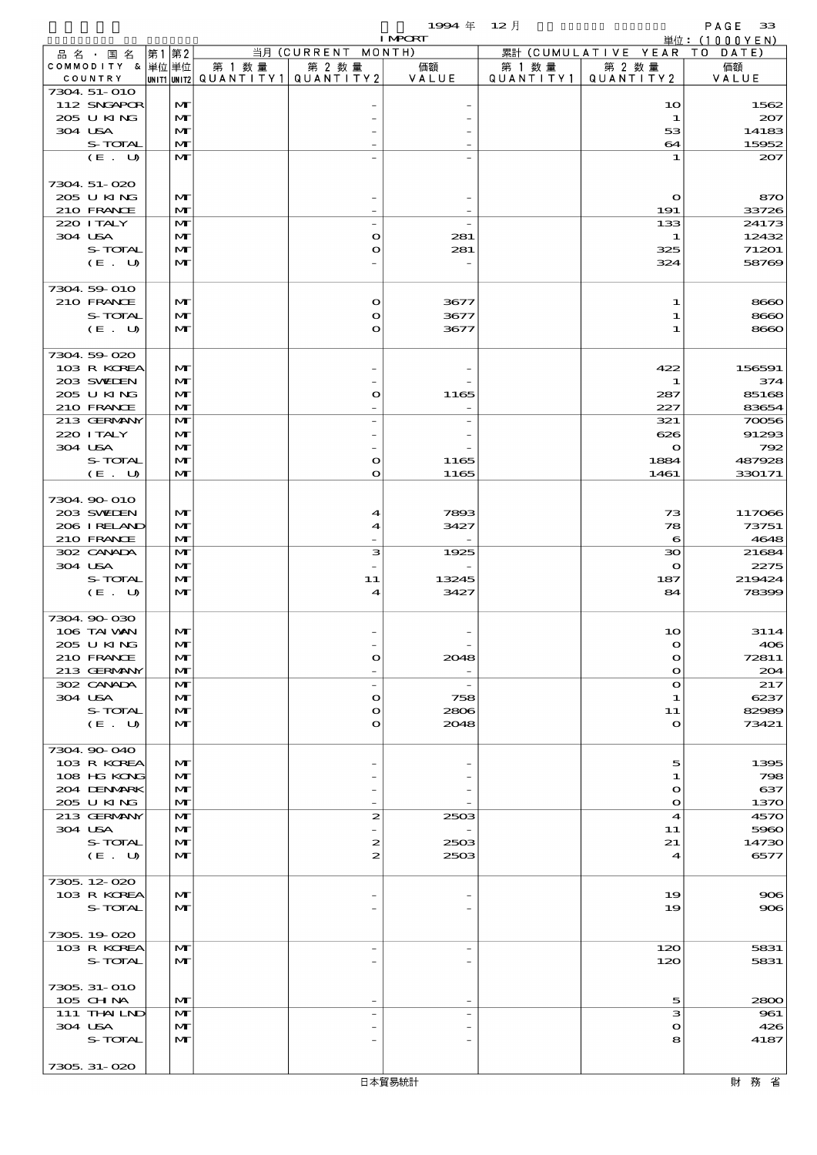$1994 \quad \oplus \quad 12 \quad \uparrow$  PAGE 33

|                             |  |                              |        |                                                  | <b>I MPORT</b> |        |                                 | 単位: (1000YEN)    |
|-----------------------------|--|------------------------------|--------|--------------------------------------------------|----------------|--------|---------------------------------|------------------|
| 品名・国名                       |  | 第1第2                         |        | 当月 (CURRENT MONTH)                               |                |        | 累計 (CUMULATIVE YEAR TO DATE)    |                  |
| COMMODITY & 単位単位<br>COUNTRY |  |                              | 第 1 数量 | 第 2 数量<br> UNIT1 UNIT2  Q∪ANT   TY1  Q∪ANT   TY2 | 価額<br>VALUE    | 第 1 数量 | 第 2 数量<br>QUANTITY1   QUANTITY2 | 価額<br>VALUE      |
| 7304 51-010                 |  |                              |        |                                                  |                |        |                                 |                  |
| 112 SNGAPOR                 |  | M                            |        |                                                  |                |        | 10                              | 1562             |
| 205 U KING                  |  | $\mathbf{M}$                 |        |                                                  |                |        | $\mathbf 1$                     | 207              |
| 304 USA                     |  | M                            |        |                                                  |                |        | 53                              | 14183            |
| S-TOTAL<br>(E. U)           |  | M<br>$\mathbf{M}$            |        |                                                  |                |        | 64<br>1                         | 15952            |
|                             |  |                              |        |                                                  |                |        |                                 | 207              |
| 7304.51-020                 |  |                              |        |                                                  |                |        |                                 |                  |
| 205 U KING                  |  | $\mathbf{M}$                 |        |                                                  |                |        | $\mathbf o$                     | 870              |
| 210 FRANCE                  |  | M                            |        |                                                  |                |        | 191                             | 33726            |
| 220 I TALY                  |  | $\mathbf{M}$                 |        |                                                  |                |        | 133                             | 24173            |
| 304 USA                     |  | M                            |        | $\mathbf o$                                      | 281            |        | 1                               | 12432            |
| S-TOTAL<br>(E. U)           |  | $\mathbf{M}$<br>$\mathbf{M}$ |        | $\mathbf o$                                      | 281            |        | 325<br>324                      | 71201<br>58769   |
|                             |  |                              |        |                                                  |                |        |                                 |                  |
| 7304 59 010                 |  |                              |        |                                                  |                |        |                                 |                  |
| 210 FRANCE                  |  | $\mathbf{M}$                 |        | $\mathbf o$                                      | 3677           |        | 1                               | 8660             |
| S-TOTAL                     |  | $\mathbf{M}$                 |        | $\mathbf o$                                      | 3677           |        | 1                               | 8660             |
| (E. U)                      |  | $\mathbf{M}$                 |        | $\mathbf o$                                      | 3677           |        | 1                               | 8660             |
| 7304.59-020                 |  |                              |        |                                                  |                |        |                                 |                  |
| 103 R KOREA                 |  | $\mathbf{M}$                 |        |                                                  |                |        | 422                             | 156591           |
| 203 SWIEN                   |  | $\mathbf{M}$                 |        |                                                  |                |        | 1                               | 374              |
| 205 U KING                  |  | $\mathbf{M}$                 |        | O                                                | 1165           |        | 287                             | 85168            |
| 210 FRANCE                  |  | M                            |        |                                                  |                |        | 227                             | 83654            |
| 213 GERMANY                 |  | M                            |        |                                                  |                |        | 321                             | 70056            |
| 220 I TALY                  |  | M                            |        |                                                  |                |        | 626                             | 91293            |
| 304 USA<br>S-TOTAL          |  | $\mathbf{M}$<br>$\mathbf{M}$ |        |                                                  |                |        | $\bullet$                       | 792              |
| (E. U)                      |  | $\mathbf{M}$                 |        | O<br>$\mathbf o$                                 | 1165<br>1165   |        | 1884<br>1461                    | 487928<br>330171 |
|                             |  |                              |        |                                                  |                |        |                                 |                  |
| 7304.90-010                 |  |                              |        |                                                  |                |        |                                 |                  |
| 203 SWIEN                   |  | $\mathbf{M}$                 |        | 4                                                | 7893           |        | 73                              | 117066           |
| 206 IRELAND                 |  | M                            |        | 4                                                | 3427           |        | 78                              | 73751            |
| 210 FRANCE                  |  | M                            |        |                                                  |                |        | 6                               | 4648             |
| 302 CANADA<br>304 USA       |  | M<br>M                       |        | з                                                | 1925           |        | $\infty$<br>$\mathbf{o}$        | 21684<br>2275    |
| S-TOTAL                     |  | M                            |        | 11                                               | 13245          |        | 187                             | 219424           |
| (E. U)                      |  | $\mathbf{M}$                 |        | 4                                                | 3427           |        | 84                              | 78399            |
|                             |  |                              |        |                                                  |                |        |                                 |                  |
| 7304.90-030                 |  |                              |        |                                                  |                |        |                                 |                  |
| 106 TAI VAN                 |  | M<br>мŀ                      |        |                                                  |                |        | 10<br>$\Omega$                  | 3114             |
| 205 U KING<br>210 FRANCE    |  | M                            |        | O                                                | 2048           |        | $\mathbf o$                     | 406<br>72811     |
| 213 GERMANY                 |  | M                            |        |                                                  |                |        | $\mathbf o$                     | 204              |
| 302 CANADA                  |  | M                            |        | $\overline{\phantom{a}}$                         |                |        | $\mathbf o$                     | 217              |
| 304 USA                     |  | M                            |        | $\mathbf{o}$                                     | 758            |        | 1                               | 6237             |
| S-TOTAL                     |  | M                            |        | $\bullet$                                        | 2806           |        | 11                              | 82989            |
| (E. U)                      |  | M                            |        | O                                                | 2048           |        | $\mathbf{o}$                    | 73421            |
| 7304 90 040                 |  |                              |        |                                                  |                |        |                                 |                  |
| 103 R KOREA                 |  | M                            |        |                                                  |                |        | 5                               | 1395             |
| 108 HG KONG                 |  | M                            |        |                                                  |                |        | 1                               | 798              |
| 204 DENMARK                 |  | M                            |        |                                                  |                |        | $\mathbf o$                     | 637              |
| 205 U KING                  |  | M                            |        |                                                  |                |        | $\mathbf o$                     | 1370             |
| 213 GERMANY                 |  | M                            |        | $\boldsymbol{z}$                                 | 2503           |        | 4                               | 4570             |
| 304 USA                     |  | M                            |        |                                                  |                |        | 11                              | 5960             |
| S-TOTAL<br>(E. U)           |  | M<br>$\mathbf{M}$            |        | 2<br>$\boldsymbol{z}$                            | 2503<br>2503   |        | 21<br>4                         | 14730<br>6577    |
|                             |  |                              |        |                                                  |                |        |                                 |                  |
| 7305.12-020                 |  |                              |        |                                                  |                |        |                                 |                  |
| 103 R KOREA                 |  | M                            |        |                                                  |                |        | 19                              | 306              |
| S-TOTAL                     |  | $\mathbf{M}$                 |        |                                                  |                |        | 19                              | 906              |
| 7305.19-020                 |  |                              |        |                                                  |                |        |                                 |                  |
| 103 R KOREA                 |  | M                            |        | $\overline{\phantom{0}}$                         |                |        | 120                             | 5831             |
| S-TOTAL                     |  | $\mathbf{M}$                 |        |                                                  |                |        | 120                             | 5831             |
|                             |  |                              |        |                                                  |                |        |                                 |                  |
| 7305, 31-010                |  |                              |        |                                                  |                |        |                                 |                  |
| $105$ CHNA                  |  | M                            |        |                                                  |                |        | 5                               | 2800             |
| 111 THAILND                 |  | M                            |        |                                                  |                |        | з                               | 961              |
| 304 USA                     |  | M                            |        |                                                  |                |        | $\mathbf o$                     | 426              |
| S-TOTAL                     |  | M                            |        |                                                  |                |        | 8                               | 4187             |
| 7305.31-020                 |  |                              |        |                                                  |                |        |                                 |                  |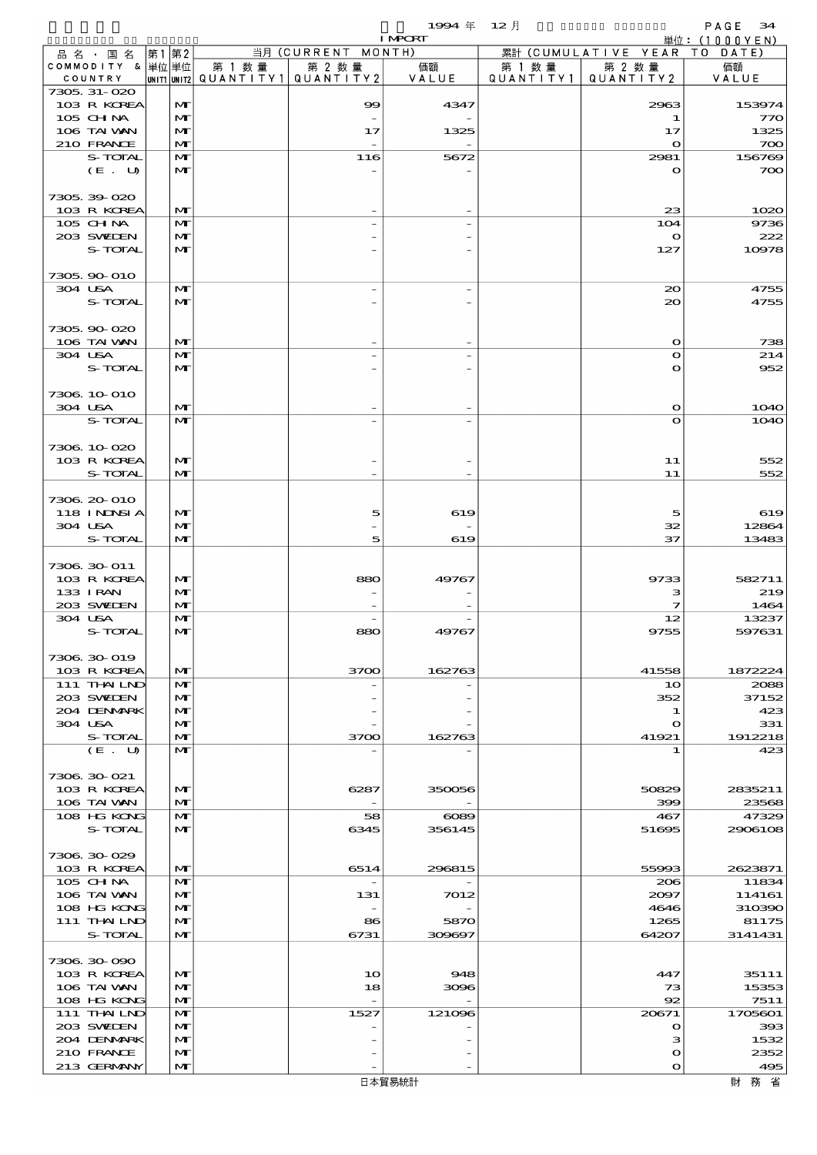|                             |      |                   |                          |                          | 1994 $#$       | $12$ 月    |                      | PAGE<br>34                     |
|-----------------------------|------|-------------------|--------------------------|--------------------------|----------------|-----------|----------------------|--------------------------------|
| 品名・国名                       | 第1第2 |                   |                          | 当月 (CURRENT MONTH)       | <b>I MPCRT</b> |           | 累計 (CUMULATIVE YEAR  | 単位: $(1000YEN)$<br>T O<br>DATE |
| COMMODITY & 単位単位            |      |                   | 第 1 数量                   | 第 2 数量                   | 価額             | 第 1 数 量   | 第 2 数量               | 価額                             |
| COUNTRY                     |      |                   | unit1 unit2  Q∪ANT   TY1 | QUANTITY 2               | VALUE          | QUANTITY1 | QUANTITY 2           | VALUE                          |
| 7305, 31-020<br>103 R KOREA |      | M                 |                          | 99                       | 4347           |           | 2963                 | 153974                         |
| 105 CHNA                    |      | M                 |                          | $\overline{\phantom{a}}$ |                |           | 1                    | 770                            |
| 106 TAI VAN                 |      | M                 |                          | 17                       | 1325           |           | 17                   | 1325                           |
| 210 FRANCE<br>S-TOTAL       |      | M<br>$\mathbf{M}$ |                          | 116                      | 5672           |           | $\mathbf o$<br>2981  | 700<br>156769                  |
| (E. U)                      |      | $\mathbf{M}$      |                          |                          |                |           | $\mathbf{o}$         | 700                            |
|                             |      |                   |                          |                          |                |           |                      |                                |
| 7305.39-020                 |      |                   |                          |                          |                |           |                      |                                |
| 103 R KOREA<br>105 CHNA     |      | M<br>M            |                          |                          |                |           | 23<br>104            | 1020<br>9736                   |
| 203 SWIDEN                  |      | M                 |                          |                          |                |           | $\bullet$            | 222                            |
| S-TOTAL                     |      | M                 |                          |                          |                |           | 127                  | 10978                          |
| 7305.90-010                 |      |                   |                          |                          |                |           |                      |                                |
| 304 USA                     |      | M                 |                          |                          |                |           | 20                   | 4755                           |
| S-TOTAL                     |      | $\mathbf{M}$      |                          |                          |                |           | $\infty$             | 4755                           |
|                             |      |                   |                          |                          |                |           |                      |                                |
| 7305.90-020<br>106 TAI VAN  |      | M                 |                          |                          |                |           | $\mathbf o$          | 738                            |
| 304 USA                     |      | $\mathbf{M}$      |                          |                          |                |           | $\mathbf{o}$         | 214                            |
| S-TOTAL                     |      | $\mathbf{M}$      |                          |                          |                |           | $\mathbf o$          | 952                            |
| 7306 10 010                 |      |                   |                          |                          |                |           |                      |                                |
| 304 USA                     |      | M                 |                          |                          |                |           | $\mathbf o$          | <b>1O4O</b>                    |
| S-TOTAL                     |      | $\mathbf{M}$      |                          |                          |                |           | $\mathbf o$          | <b>1O4O</b>                    |
|                             |      |                   |                          |                          |                |           |                      |                                |
| 7306.10-020<br>103 R KOREA  |      | M                 |                          |                          |                |           | 11                   | 552                            |
| S-TOTAL                     |      | M                 |                          |                          |                |           | 11                   | 552                            |
|                             |      |                   |                          |                          |                |           |                      |                                |
| 7306 20-010<br>118 INNSI A  |      | M                 |                          | 5                        | 619            |           | 5                    | 619                            |
| 304 USA                     |      | M                 |                          |                          |                |           | 32                   | 12864                          |
| S-TOTAL                     |      | M                 |                          | 5                        | 619            |           | 37                   | 13483                          |
| 7306 30 011                 |      |                   |                          |                          |                |           |                      |                                |
| 103 R KOREA                 |      | M                 |                          | 880                      | 49767          |           | 9733                 | 582711                         |
| 133 I RAN                   |      | M                 |                          |                          |                |           | з                    | 219                            |
| 203 SWIEN                   |      | M                 |                          |                          |                |           | 7                    | 1464                           |
| 304 USA<br>S-TOTAL          |      | M<br>$\mathbf{M}$ |                          | ၼల                       | 49707          |           | 12<br>9755           | 13237<br>597631                |
|                             |      |                   |                          |                          |                |           |                      |                                |
| 7306.30-019                 |      |                   |                          |                          |                |           |                      |                                |
| 103 R KOREA<br>111 THAILND  |      | M<br>M            |                          | 3700                     | 162763         |           | 41558<br>10          | 1872224<br>2088                |
| 203 SWIDEN                  |      | M                 |                          |                          |                |           | 352                  | 37152                          |
| 204 DENMARK                 |      | M                 |                          |                          |                |           | 1                    | 423                            |
| 304 USA<br>S-TOTAL          |      | M<br>M            |                          | 3700                     | 162763         |           | o<br>41921           | 331<br>1912218                 |
| (E. U)                      |      | $\mathbf{M}$      |                          |                          |                |           | 1                    | 423                            |
|                             |      |                   |                          |                          |                |           |                      |                                |
| 7306.30-021<br>103 R KOREA  |      | M                 |                          | 6287                     | 350056         |           | 50829                | 2835211                        |
| 106 TAI VAN                 |      | M                 |                          |                          |                |           | 399                  | 23568                          |
| 108 HG KONG                 |      | M                 |                          | 58                       | $\infty$       |           | 467                  | 47329                          |
| S-TOTAL                     |      | M                 |                          | 6345                     | 356145         |           | 51695                | 2906108                        |
| 7306.30-029                 |      |                   |                          |                          |                |           |                      |                                |
| 103 R KOREA                 |      | M                 |                          | 6514                     | 296815         |           | 55993                | 2623871                        |
| 105 CH NA                   |      | M                 |                          | $\overline{\phantom{0}}$ |                |           | 206                  | 11834                          |
| 106 TAI VAN<br>108 HG KONG  |      | M<br>M            |                          | 131                      | 7012           |           | 2097<br>4646         | 114161<br>310390               |
| 111 THAILND                 |      | M                 |                          | 86                       | 5870           |           | 1265                 | 81175                          |
| S-TOTAL                     |      | M                 |                          | 6731                     | 309697         |           | 64207                | 3141431                        |
| 7306.30-090                 |      |                   |                          |                          |                |           |                      |                                |
| 103 R KOREA                 |      | M                 |                          | 1 <sub>O</sub>           | 948            |           | 447                  | 35111                          |
| 106 TAI VAN                 |      | M                 |                          | 18                       | 3096           |           | 73                   | 15353                          |
| 108 HG KONG                 |      | M                 |                          |                          |                |           | 92                   | 7511                           |
| 111 THAILND<br>203 SWIDEN   |      | M<br>M            |                          | 1527                     | 121096         |           | 20671<br>$\mathbf o$ | 1705601<br>393                 |
| 204 DENMARK                 |      | M                 |                          |                          |                |           | з                    | 1532                           |
| 210 FRANCE                  |      | M                 |                          |                          |                |           | О                    | 2352                           |
| 213 GERMANY                 |      | M                 |                          |                          |                |           | $\mathbf o$          | 495                            |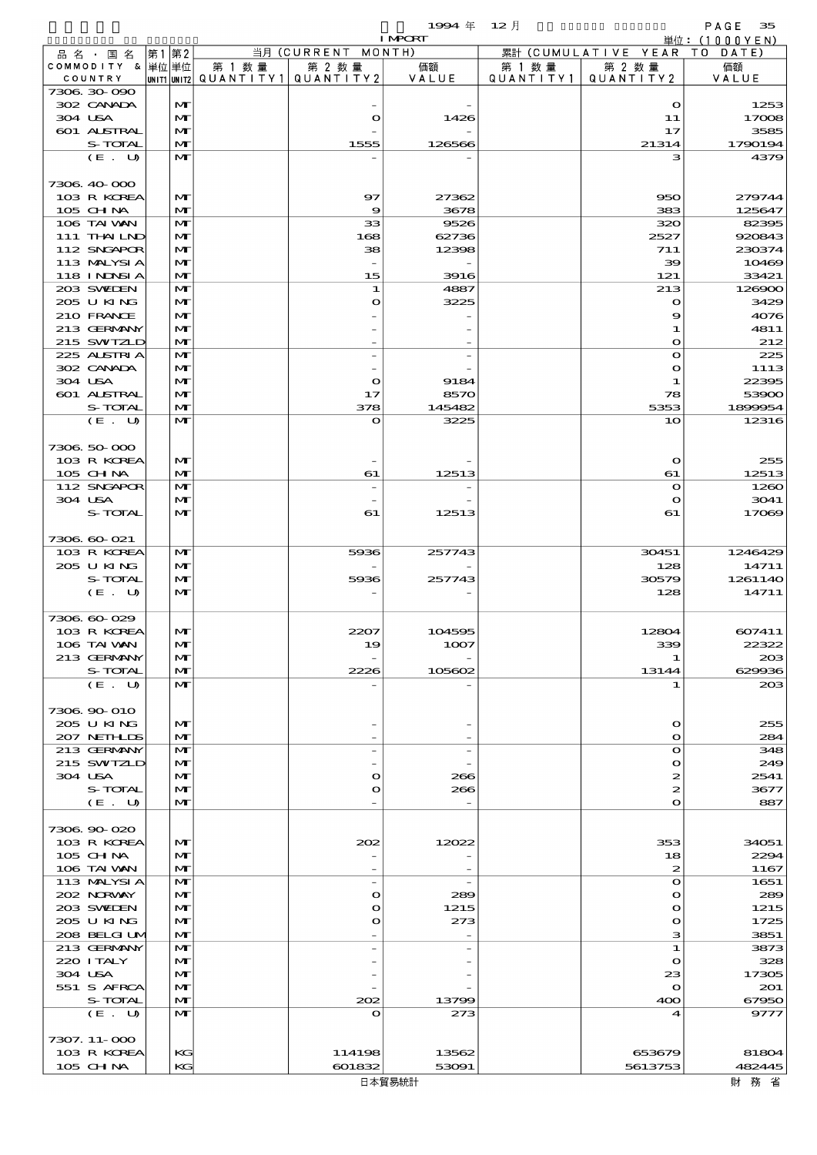|                             |      |                              |                       |                                                                   | 1994年          | $12$ 月    |                            | PAGE<br>35              |
|-----------------------------|------|------------------------------|-----------------------|-------------------------------------------------------------------|----------------|-----------|----------------------------|-------------------------|
| 品名・国名                       | 第1第2 |                              |                       | $\overline{\mathbb{H}}\overline{\mathfrak{H}}$ (CURRENT<br>MONTH) | <b>I MPORT</b> |           | 累計 (CUMULATIVE YEAR TO     | 単位: $(1000YEN)$<br>DATE |
| COMMODITY & 単位単位            |      |                              | 第 1 数量                | 第 2 数量                                                            | 価額             | 第 1 数 量   | 第 2 数量                     | 価額                      |
| COUNTRY                     |      |                              | UNIT1 UNIT2 QUANTITY1 | QUANTITY2                                                         | VALUE          | QUANTITY1 | QUANTITY 2                 | VALUE                   |
| 7306 30 090<br>302 CANADA   |      | $\mathbf{M}$                 |                       |                                                                   |                |           | $\mathbf{\Omega}$          | 1253                    |
| 304 USA                     |      | $\mathbf{M}$                 |                       | $\mathbf o$                                                       | 1426           |           | 11                         | 17008                   |
| 601 ALSTRAL                 |      | $\mathbf{M}$                 |                       |                                                                   |                |           | 17                         | 3585                    |
| S-TOTAL                     |      | $\mathbf{M}$                 |                       | 1555                                                              | 126566         |           | 21314                      | 1790194                 |
| (E. U)                      |      | $\mathbf{M}$                 |                       |                                                                   |                |           | з                          | 4379                    |
| 7306 40 000                 |      |                              |                       |                                                                   |                |           |                            |                         |
| 103 R KOREA                 |      | $\mathbf{M}$                 |                       | 97                                                                | 27362          |           | 950                        | 279744                  |
| 105 CHNA                    |      | $\mathbf{M}$                 |                       | $\boldsymbol{\Theta}$                                             | 3678           |           | 383                        | 125647                  |
| 106 TAI WAN                 |      | $\mathbf{M}$                 |                       | 33                                                                | 9526           |           | 320                        | 82395                   |
| 111 THAILND<br>112 SNGAPOR  |      | $\mathbf{M}$<br>$\mathbf{M}$ |                       | 168<br>38                                                         | 62736<br>12398 |           | 2527<br>711                | 920843<br>230374        |
| 113 MALYSIA                 |      | $\mathbf{M}$                 |                       | $\overline{\phantom{a}}$                                          |                |           | 39                         | 10469                   |
| 118 I NJNSI A               |      | $\mathbf{M}$                 |                       | 15                                                                | 3916           |           | 121                        | 33421                   |
| 203 SWIDEN                  |      | $\mathbf{M}$                 |                       | 1                                                                 | 4887           |           | 213                        | 126900                  |
| 205 U KING                  |      | $\mathbf{M}$                 |                       | O                                                                 | 3225           |           | $\mathbf o$                | 3429                    |
| 210 FRANCE<br>213 GERMANY   |      | $\mathbf{M}$<br>$\mathbf{M}$ |                       |                                                                   |                |           | 9                          | 4076<br>4811            |
| 215 SWIZLD                  |      | $\mathbf{M}$                 |                       |                                                                   |                |           | 1<br>$\bullet$             | 212                     |
| 225 ALSTRIA                 |      | $\mathbf{M}$                 |                       | $\overline{a}$                                                    |                |           | $\mathbf o$                | 225                     |
| 302 CANADA                  |      | $\mathbf{M}$                 |                       |                                                                   |                |           | $\mathbf o$                | 1113                    |
| 304 USA                     |      | $\mathbf{M}$                 |                       | $\mathbf o$                                                       | 9184           |           | 1                          | 22395                   |
| 601 ALSTRAL                 |      | $\mathbf{M}$                 |                       | 17                                                                | 8570           |           | 78                         | 53900                   |
| S-TOTAL<br>(E. U)           |      | $\mathbf{M}$<br>$\mathbf{M}$ |                       | 378<br>$\mathbf o$                                                | 145482<br>3225 |           | 5353<br>10                 | 1899954<br>12316        |
|                             |      |                              |                       |                                                                   |                |           |                            |                         |
| 7306 50 000                 |      |                              |                       |                                                                   |                |           |                            |                         |
| 103 R KOREA                 |      | $\mathbf{M}$                 |                       |                                                                   |                |           | $\bullet$                  | 255                     |
| 105 CHNA                    |      | $\mathbf{M}$                 |                       | 61                                                                | 12513          |           | 61                         | 12513                   |
| 112 SNGAPOR<br>304 USA      |      | $\mathbf{M}$<br>$\mathbf{M}$ |                       | $\overline{\phantom{a}}$                                          |                |           | $\mathbf o$<br>$\mathbf o$ | 1260<br>3041            |
| S-TOTAL                     |      | $\mathbf{M}$                 |                       | 61                                                                | 12513          |           | 61                         | 17069                   |
|                             |      |                              |                       |                                                                   |                |           |                            |                         |
| 7306 60-021                 |      |                              |                       |                                                                   |                |           |                            |                         |
| 103 R KOREA                 |      | M                            |                       | 5936                                                              | 257743         |           | 30451                      | 1246429                 |
| 205 U KING<br>S-TOTAL       |      | $\mathbf{M}$<br>$\mathbf{M}$ |                       | 5936                                                              | 257743         |           | 128<br>30579               | 14711<br>1261140        |
| (E. U)                      |      | $\mathbf{M}$                 |                       |                                                                   |                |           | 128                        | 14711                   |
|                             |      |                              |                       |                                                                   |                |           |                            |                         |
| 7306 60 029                 |      |                              |                       |                                                                   |                |           |                            |                         |
| 103 R KOREA<br>106 TAI VAN  |      | M<br>$\mathbf{M}$            |                       | 2207                                                              | 104595         |           | 12804                      | 607411<br>22322         |
| 213 GERMANY                 |      | $\mathbf{M}$                 |                       | 19                                                                | 1007           |           | 339<br>1                   | $_{203}$                |
| S-TOTAL                     |      | $\mathbf{M}$                 |                       | 2226                                                              | 105602         |           | 13144                      | 629936                  |
| $(E_U U)$                   |      | $\mathbf{M}$                 |                       |                                                                   |                |           |                            | 20B                     |
|                             |      |                              |                       |                                                                   |                |           |                            |                         |
| 7306.90-010<br>205 U KING   |      | $\mathbf{M}$                 |                       |                                                                   |                |           | $\Omega$                   | 255                     |
| 207 NETHLIS                 |      | $\mathbf{M}$                 |                       |                                                                   |                |           | $\Omega$                   | 284                     |
| 213 GERMANY                 |      | $\mathbf{M}$                 |                       | $\overline{a}$                                                    |                |           | $\mathbf o$                | 348                     |
| 215 SWIZLD                  |      | $\mathbf{M}$                 |                       |                                                                   |                |           | $\mathbf{\Omega}$          | 249                     |
| 304 USA                     |      | $\mathbf{M}$                 |                       | O                                                                 | 266            |           | 2                          | 2541                    |
| S-TOTAL<br>(E. U)           |      | $\mathbf{M}$<br>$\mathbf{M}$ |                       | $\mathbf o$                                                       | 266            |           | 2<br>$\Omega$              | 3677<br>887             |
|                             |      |                              |                       |                                                                   |                |           |                            |                         |
| 7306.90-020                 |      |                              |                       |                                                                   |                |           |                            |                         |
| 103 R KOREA                 |      | $\mathbf{M}$                 |                       | 202                                                               | 12022          |           | 353                        | 34051                   |
| $105$ CHNA                  |      | $\mathbf{M}$                 |                       |                                                                   |                |           | 18                         | 2294                    |
| 106 TAI VAN<br>113 MALYSIA  |      | $\mathbf{M}$<br>$\mathbf{M}$ |                       | $\overline{\phantom{a}}$                                          |                |           | 2<br>$\mathbf o$           | 1167<br>1651            |
| 202 NORWAY                  |      | $\mathbf{M}$                 |                       | $\bullet$                                                         | 289            |           | $\Omega$                   | 289                     |
| 203 SWIDEN                  |      | M                            |                       | O                                                                 | 1215           |           | $\mathbf o$                | 1215                    |
| 205 U KING                  |      | $\mathbf{M}$                 |                       | $\mathbf{o}$                                                      | 273            |           | $\Omega$                   | 1725                    |
| 208 BELGI UM<br>213 GERMANY |      | $\mathbf{M}$<br>$\mathbf{M}$ |                       |                                                                   |                |           | з<br>1                     | 3851<br>3873            |
| 220 I TALY                  |      | $\mathbf{M}$                 |                       |                                                                   |                |           | $\mathbf{\Omega}$          | 328                     |
| 304 USA                     |      | M                            |                       |                                                                   |                |           | 23                         | 17305                   |
| 551 S AFRCA                 |      | $\mathbf{M}$                 |                       |                                                                   |                |           | $\mathbf{o}$               | 201                     |
| S-TOTAL                     |      | $\mathbf{M}$                 |                       | 202                                                               | 13799          |           | 400                        | 67950                   |
| (E. U)                      |      | $\mathbf{M}$                 |                       | O                                                                 | 273            |           |                            | 9777                    |
| 7307. 11-000                |      |                              |                       |                                                                   |                |           |                            |                         |
| 103 R KOREA                 |      | KG                           |                       | 114198                                                            | 13562          |           | 653679                     | 81804                   |
| 105 CHNA                    |      | KG                           |                       | 601832                                                            | 53091          |           | 5613753                    | 482445                  |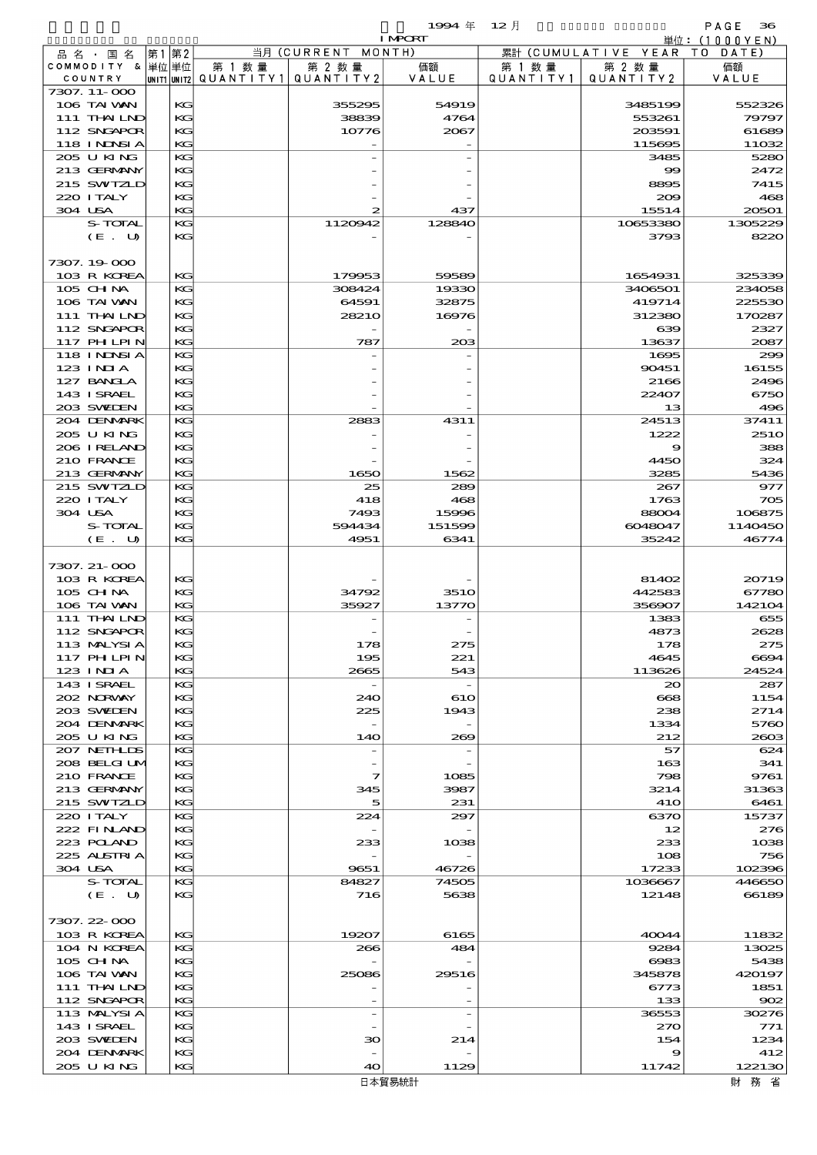|         |                                  |          |                                   |                              | 1994 $#$       | 12月       |                                 | PAGE<br>36                      |
|---------|----------------------------------|----------|-----------------------------------|------------------------------|----------------|-----------|---------------------------------|---------------------------------|
|         |                                  |          |                                   |                              | <b>I MPORT</b> |           |                                 | $\dot{\mathbb{H}}$ 位: (1000YEN) |
|         | 品名・国名<br>COMMODITY & 単位単位        | 第1第2     | 第 1 数量                            | 当月 (CURRENT MONTH)<br>第 2 数量 | 価額             | 第 1 数 量   | 累計 (CUMULATIVE YEAR)<br>第 2 数 量 | T O<br>DATE<br>価額               |
| COUNTRY |                                  |          | UNIT1 UNIT2 QUANTITY 1 QUANTITY 2 |                              | VALUE          | QUANTITY1 | QUANTITY2                       | VALUE                           |
|         | 7307. 11-000                     |          |                                   |                              |                |           |                                 |                                 |
|         | 106 TAI WAN                      | KG       |                                   | 355295                       | 54919          |           | 3485199                         | 552326                          |
|         | 111 THAILND                      | KG       |                                   | 38839                        | 4764           |           | 553261                          | 79797                           |
|         | 112 SNGAPOR<br><b>118 INDSIA</b> | KG<br>KG |                                   | 10776                        | 2067           |           | 203591<br>115695                | 61689<br>11032                  |
|         | 205 U KING                       | KG       |                                   |                              |                |           | 3485                            | 5280                            |
|         | 213 GERMANY                      | KG       |                                   |                              |                |           | $\boldsymbol{\infty}$           | 2472                            |
|         | 215 SWIZLD                       | KG       |                                   |                              |                |           | 8895                            | 7415                            |
|         | 220 I TALY                       | KG       |                                   |                              |                |           | 209                             | 468                             |
| 304 USA |                                  | KG       |                                   | 2                            | 437            |           | 15514                           | 20501                           |
|         | S-TOTAL                          | KG       |                                   | 1120942                      | 128840         |           | 10653380                        | 1305229                         |
|         | (E. U)                           | KG       |                                   |                              |                |           | 3793                            | 8220                            |
|         | 7307.19.000                      |          |                                   |                              |                |           |                                 |                                 |
|         | 103 R KOREA                      | KG       |                                   | 179953                       | 59589          |           | 1654931                         | 325339                          |
|         | 105 CHNA                         | KG       |                                   | 308424                       | 19330          |           | 3406501                         | 234058                          |
|         | 106 TAI VAN                      | KG       |                                   | 64591                        | 32875          |           | 419714                          | 225530                          |
|         | 111 THAILND                      | KG       |                                   | 28210                        | 16976          |           | 312380                          | 170287                          |
|         | 112 SNGAPOR                      | KG       |                                   |                              |                |           | 639                             | 2327                            |
|         | 117 PHLPIN                       | KG       |                                   | 787                          | 203            |           | 13637                           | 2087                            |
|         | <b>118 INDSIA</b><br>$123$ INIA  | KG<br>KG |                                   |                              |                |           | 1605<br>90451                   | 299                             |
|         | 127 BANCLA                       | KG       |                                   |                              |                |           | 2166                            | 16155<br>2496                   |
|         | 143 I SRAEL                      | KG       |                                   |                              |                |           | 22407                           | 6750                            |
|         | 203 SWIDEN                       | KG       |                                   |                              |                |           | 13                              | 496                             |
|         | 204 DENMARK                      | KG       |                                   | 2883                         | 4311           |           | 24513                           | 37411                           |
|         | 205 U KING                       | KG       |                                   |                              |                |           | 1222                            | <b>2510</b>                     |
|         | 206 IRELAND                      | KG       |                                   |                              |                |           | 9                               | 388                             |
|         | 210 FRANCE                       | KG       |                                   |                              |                |           | 4450                            | 324                             |
|         | 213 GERMANY<br>215 SWIZLD        | KG<br>KG |                                   | 1650<br>25                   | 1562           |           | 3285                            | 5436                            |
|         | 220 I TALY                       | KG       |                                   | 418                          | 289<br>468     |           | 267<br>1763                     | 977<br>705                      |
| 304 USA |                                  | KG       |                                   | 7493                         | 15996          |           | 88004                           | 106875                          |
|         | S-TOTAL                          | KG       |                                   | 594434                       | 151599         |           | 6048047                         | 1140450                         |
|         | (E. U)                           | KG       |                                   | 4951                         | 6341           |           | 35242                           | 46774                           |
|         |                                  |          |                                   |                              |                |           |                                 |                                 |
|         | 7307. 21-000                     |          |                                   |                              |                |           |                                 |                                 |
|         | 103 R KOREA<br>$105$ CHNA        | KG<br>KG |                                   | 34792                        | <b>3510</b>    |           | 81402<br>442583                 | 20719<br>67780                  |
|         | 106 TAI VAN                      | KG       |                                   | 35927                        | 13770          |           | 356907                          | 142104                          |
|         | 111 THAILND                      | KG       |                                   |                              |                |           | 1383                            | 655                             |
|         | 112 SNGAPOR                      | KG       |                                   |                              |                |           | 4873                            | 2628                            |
|         | 113 MALYSIA                      | KG       |                                   | 178                          | 275            |           | 178                             | 275                             |
|         | 117 PH LPIN                      | KG       |                                   | 195                          | 221            |           | 4645                            | 6694                            |
|         | 123 INIA                         | KG       |                                   | 2665                         | 543            |           | 113626                          | 24524                           |
|         | 143 ISRAEL                       | KG       |                                   |                              |                |           | $\infty$                        | 287                             |
|         | 202 NORWAY<br>203 SWIEN          | KG<br>KG |                                   | 240<br>225                   | 610<br>1943    |           | 668<br>238                      | 1154<br>2714                    |
|         | 204 DENMARK                      | KG       |                                   |                              |                |           | 1334                            | 5760                            |
|         | 205 U KING                       | KG       |                                   | 140                          | 269            |           | 212                             | 2603                            |
|         | 207 NETHLIDS                     | KG       |                                   |                              |                |           | 57                              | 624                             |
|         | 208 BELGI UM                     | KG       |                                   |                              |                |           | 163                             | 341                             |
|         | 210 FRANCE                       | KG       |                                   | 7                            | 1085           |           | 798                             | 9761                            |
|         | 213 GERMANY<br>215 SWIZLD        | KG<br>KG |                                   | 345<br>5                     | 3987<br>231    |           | 3214<br>410                     | 31363<br>6461                   |
|         | 220 I TALY                       | KG       |                                   | 224                          | 297            |           | 6370                            | 15737                           |
|         | 222 FINAND                       | KG       |                                   |                              |                |           | 12                              | 276                             |
|         | 223 POLAND                       | KG       |                                   | 233                          | 1038           |           | 233                             | 1038                            |
|         | 225 ALSTRIA                      | KG       |                                   |                              |                |           | 108                             | 756                             |
| 304 USA |                                  | KG       |                                   | 9651                         | 46726          |           | 17233                           | 102396                          |
|         | S-TOTAL                          | KG       |                                   | 84827                        | 74505          |           | 1036667                         | 446650                          |
|         | (E. U)                           | KG       |                                   | 716                          | 5638           |           | 12148                           | 66189                           |
|         | 7307.22-000                      |          |                                   |                              |                |           |                                 |                                 |
|         | 103 R KOREA                      | KG       |                                   | 19207                        | 6165           |           | 40044                           | 11832                           |
|         | 104 N KOREA                      | КG       |                                   | 266                          | 484            |           | 9284                            | 13025                           |
|         | $105$ CHNA                       | KG       |                                   |                              |                |           | 6983                            | 5438                            |
|         | 106 TAI VAN                      | КC       |                                   | 25086                        | 29516          |           | 345878                          | 420197                          |
|         | 111 THAILND                      | KG       |                                   |                              |                |           | 6773                            | 1851                            |
|         | 112 SNGAPOR                      | KG       |                                   |                              |                |           | 133                             | 902                             |
|         | 113 MALYSIA<br>143 I SRAEL       | KG<br>KG |                                   |                              |                |           | 36553<br>270                    | 30276<br>771                    |
|         | 203 SWIDEN                       | КC       |                                   | 30                           | 214            |           | 154                             | 1234                            |
|         | 204 DENMARK                      | KG       |                                   |                              |                |           | 9                               | 412                             |
|         | 205 U KING                       | KG       |                                   | 40                           | 1129           |           | 11742                           | 122130                          |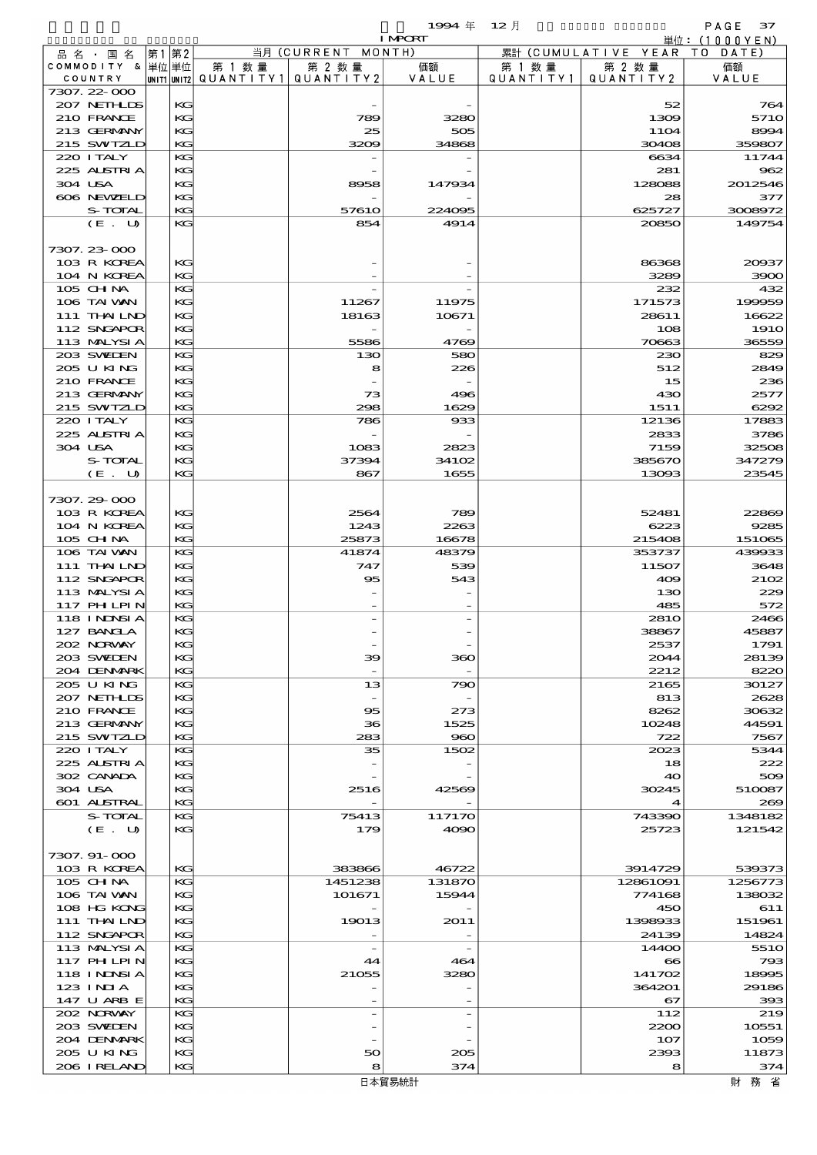$1994 \nleftrightarrow 12 \nparallel$  PAGE 37

|                              |       |          |                                                     |                          | <b>I MPORT</b>           | 単位: (1000YEN)        |                              |                |  |
|------------------------------|-------|----------|-----------------------------------------------------|--------------------------|--------------------------|----------------------|------------------------------|----------------|--|
| 品名・国名                        | 第1 第2 |          |                                                     | 当月 (CURRENT MONTH)       |                          |                      | 累計 (CUMULATIVE YEAR TO DATE) |                |  |
| COMMODITY & 単位 単位<br>COUNTRY |       |          | 第 1 数量<br> UNIT1  UNIT2   QUANT I TY1   QUANT I TY2 | 第 2 数量                   | 価額<br>VALUE              | 第 1 数 量<br>QUANTITY1 | 第 2 数量<br>QUANTITY 2         | 価額<br>VALUE    |  |
| 7307.22-000                  |       |          |                                                     |                          |                          |                      |                              |                |  |
| 207 NETHLIDS                 |       | KG       |                                                     |                          |                          |                      | 52                           | 764            |  |
| 210 FRANCE                   |       | KG       |                                                     | 789                      | 3280                     |                      | 1309                         | 5710           |  |
| 213 GERMANY                  |       | KG       |                                                     | 25                       | 505                      |                      | 11O4                         | 8994           |  |
| 215 SWIZLD                   |       | KG       |                                                     | 3209                     | 34868                    |                      | 30408                        | 359807         |  |
| 220 I TALY                   |       | KG       |                                                     |                          |                          |                      | 6634                         | 11744          |  |
| 225 ALSTRIA<br>304 USA       |       | КG<br>KG |                                                     | 8958                     | 147934                   |                      | 281<br>128088                | 962<br>2012546 |  |
| 606 NEWELD                   |       | KG       |                                                     |                          |                          |                      | 28                           | 377            |  |
| S-TOTAL                      |       | KG       |                                                     | 57610                    | 224095                   |                      | 625727                       | 3008972        |  |
| (E. U)                       |       | KG       |                                                     | 854                      | 4914                     |                      | 20850                        | 149754         |  |
|                              |       |          |                                                     |                          |                          |                      |                              |                |  |
| 7307.23-000                  |       |          |                                                     |                          |                          |                      |                              |                |  |
| 103 R KOREA                  |       | KG<br>KG |                                                     |                          |                          |                      | 86368<br>3289                | 20937          |  |
| 104 N KOREA<br>105 CH NA     |       | KG       |                                                     |                          |                          |                      | 232                          | 3900<br>432    |  |
| 106 TAI VAN                  |       | КG       |                                                     | 11267                    | 11975                    |                      | 171573                       | 199959         |  |
| 111 THAILND                  |       | KG       |                                                     | 18163                    | 10671                    |                      | 28611                        | 16622          |  |
| 112 SNGAPOR                  |       | KG       |                                                     |                          |                          |                      | 108                          | <b>1910</b>    |  |
| 113 MALYSIA                  |       | KG       |                                                     | 5586                     | 4769                     |                      | 70663                        | 36559          |  |
| 203 SWIDEN                   |       | KG       |                                                     | 130                      | 580                      |                      | 230                          | 829            |  |
| 205 U KING                   |       | КG       |                                                     | 8                        | 226                      |                      | 512                          | 2849           |  |
| 210 FRANCE<br>213 GERMANY    |       | KG<br>KG |                                                     | 73                       | 496                      |                      | 15<br>430                    | 236<br>2577    |  |
| 215 SWIZLD                   |       | KG       |                                                     | 298                      | 1629                     |                      | 1511                         | 6292           |  |
| 220 I TALY                   |       | KG       |                                                     | 786                      | 933                      |                      | 12136                        | 17883          |  |
| 225 ALSTRIA                  |       | KG       |                                                     |                          |                          |                      | 2833                         | 3786           |  |
| 304 USA                      |       | KG       |                                                     | 1083                     | 2823                     |                      | 7159                         | 32508          |  |
| S-TOTAL                      |       | KG       |                                                     | 37394                    | 34102                    |                      | 385670                       | 347279         |  |
| (E. U)                       |       | KG       |                                                     | 867                      | 1655                     |                      | 13093                        | 23545          |  |
| 7307.29-000                  |       |          |                                                     |                          |                          |                      |                              |                |  |
| 103 R KOREA                  |       | KG       |                                                     | 2564                     | 789                      |                      | 52481                        | 22869          |  |
| 104 N KOREA                  |       | KG       |                                                     | 1243                     | 2263                     |                      | 6223                         | 9285           |  |
| 105 CHNA                     |       | KG       |                                                     | 25873                    | 16678                    |                      | 215408                       | 151065         |  |
| 106 TAI VAN                  |       | KG       |                                                     | 41874                    | 48379                    |                      | 353737                       | 439933         |  |
| $111$ THAILND                |       | KG       |                                                     | 747                      | 539                      |                      | 11507                        | 3648           |  |
| 112 SNGAPOR                  |       | KG       |                                                     | 95                       | 543                      |                      | 409                          | 2102           |  |
| 113 MALYSIA<br>117 PHLPIN    |       | KG<br>KG |                                                     |                          |                          |                      | 130<br>485                   | 229<br>572     |  |
| 118 I NDSI A                 |       | KG       |                                                     |                          |                          |                      | 281O                         | 2466           |  |
| 127 BANCLA                   |       | KG       |                                                     |                          |                          |                      | 38867                        | 45887          |  |
| 202 N.RVAY                   |       | KG       |                                                     |                          |                          |                      | 2537                         | 1791           |  |
| 203 SWIDEN                   |       | KG       |                                                     | 39                       | 360                      |                      | 2044                         | 28139          |  |
| 204 DENMARK                  |       | KG       |                                                     |                          |                          |                      | 2212                         | 8220           |  |
| 205 U KING                   |       | KG       |                                                     | 13                       | 790                      |                      | 2165                         | 30127          |  |
| 207 NETHLIS<br>210 FRANCE    |       | KG<br>KG |                                                     | 95                       | 273                      |                      | 813<br>8262                  | 2628<br>30632  |  |
| 213 GERMANY                  |       | КG       |                                                     | 36                       | 1525                     |                      | 10248                        | 44591          |  |
| 215 SWIZLD                   |       | KG       |                                                     | 283                      | 960                      |                      | 722                          | 7567           |  |
| 220 I TALY                   |       | KG       |                                                     | 35                       | 1502                     |                      | 2023                         | 5344           |  |
| 225 ALSTRIA                  |       | КG       |                                                     |                          |                          |                      | 18                           | 222            |  |
| 302 CANADA                   |       | KG       |                                                     |                          |                          |                      | 40                           | 509            |  |
| 304 USA                      |       | KG       |                                                     | 2516                     | 42569                    |                      | 30245                        | 510087         |  |
| 601 ALSTRAL<br>S-TOTAL       |       | KG<br>KG |                                                     | 75413                    | 117170                   |                      | 4<br>743390                  | 269<br>1348182 |  |
| (E. U)                       |       | KG       |                                                     | 179                      | 4090                     |                      | 25723                        | 121542         |  |
|                              |       |          |                                                     |                          |                          |                      |                              |                |  |
| 7307.91-000                  |       |          |                                                     |                          |                          |                      |                              |                |  |
| 103 R KOREA                  |       | KG       |                                                     | 383866                   | 46722                    |                      | 3914729                      | 539373         |  |
| 105 CH NA                    |       | KG       |                                                     | 1451238                  | 131870                   |                      | 12861091                     | 1256773        |  |
| 106 TAI VAN                  |       | КG       |                                                     | 101671                   | 15944                    |                      | 774168                       | 138032         |  |
| 108 HG KONG<br>111 THAILND   |       | KG<br>KG |                                                     | 19013                    | 2011                     |                      | 450<br>1398933               | 611<br>151961  |  |
| 112 SNGAPOR                  |       | KG       |                                                     |                          |                          |                      | 24139                        | 14824          |  |
| 113 MALYSIA                  |       | KG       |                                                     | $\overline{\phantom{a}}$ | $\overline{\phantom{a}}$ |                      | 14400                        | <b>5510</b>    |  |
| 117 PHLPIN                   |       | КG       |                                                     | 44                       | 464                      |                      | $\bf{8}$                     | 793            |  |
| <b>118 INNSIA</b>            |       | KG       |                                                     | 21055                    | 3280                     |                      | 141702                       | 18995          |  |
| $123$ INIA                   |       | KG       |                                                     |                          |                          |                      | 364201                       | 29186          |  |
| 147 U ARB E                  |       | KG       |                                                     |                          |                          |                      | 67                           | 393            |  |
| 202 NORWAY<br>203 SWIDEN     |       | КG<br>КG |                                                     |                          | $\overline{\phantom{a}}$ |                      | 112<br>2200                  | 219<br>10551   |  |
| 204 DENMARK                  |       | KG       |                                                     |                          |                          |                      | 107                          | 1059           |  |
| 205 U KING                   |       | KG       |                                                     | 50                       | 205                      |                      | 2393                         | 11873          |  |
|                              |       |          |                                                     |                          |                          |                      |                              |                |  |

206 IRELAND KG  $8$  374 8

205 U KING KG 50 205 2393 11873<br>206 I RELAND KG 8 374 8 374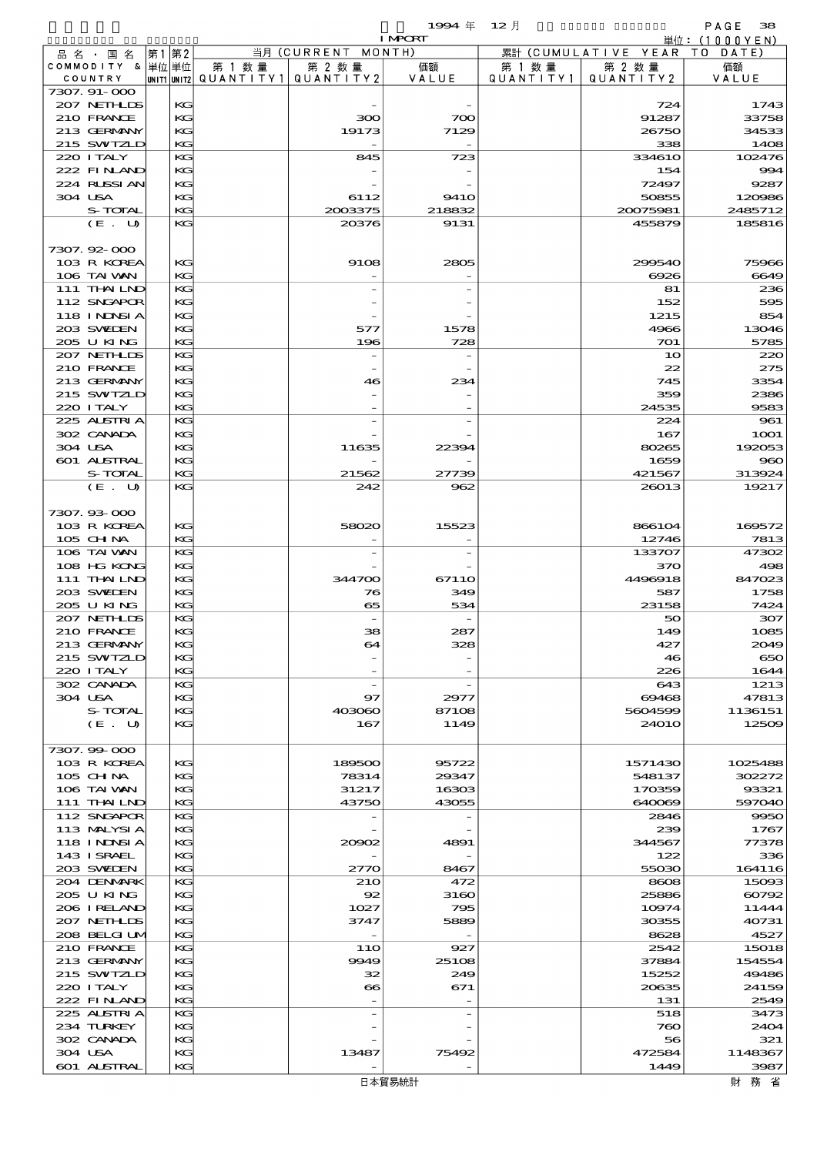$1994 \# 12 \frac{1}{2}$ 

|                           |          |        |                                       | <b>I MPORT</b> |                   |                              | 単位: (1000YEN)    |
|---------------------------|----------|--------|---------------------------------------|----------------|-------------------|------------------------------|------------------|
| 品名・国名                     | 第1第2     |        | 当月 (CURRENT MONTH)                    |                |                   | 累計 (CUMULATIVE YEAR TO DATE) |                  |
| COMMODITY & 単位単位          |          | 第 1 数量 | 第 2 数量                                | 価額             | 第 1 数量            | 第 2 数量                       | 価額               |
| COUNTRY                   |          |        | UNIT1 UNIT2  QUANT I TY1  QUANT I TY2 | VALUE          | Q U A N T I T Y 1 | QUANTITY 2                   | VALUE            |
| 7307.91-000               |          |        |                                       |                |                   |                              |                  |
| 207 NETHLIS<br>210 FRANCE | KG<br>KG |        | 300                                   | 700            |                   | 724<br>91287                 | 1743<br>33758    |
| 213 GERMANY               | KG       |        | 19173                                 | 7129           |                   | 26750                        | 34533            |
| 215 SWIZLD                | KG       |        |                                       |                |                   | 338                          | 1408             |
| 220 I TALY                | KG       |        | 845                                   | 723            |                   | 334610                       | 102476           |
| 222 FINAND                | КC       |        |                                       |                |                   | 154                          | 994              |
| 224 RLSSIAN               | KG       |        |                                       |                |                   | 72497                        | 9287             |
| 304 USA                   | КC       |        | 6112                                  | <b>9410</b>    |                   | 50855                        | 120986           |
| S-TOTAL                   | KG       |        | 2003375                               | 218832         |                   | 20075981                     | 2485712          |
| (E. U)                    | KG       |        | 20376                                 | 9131           |                   | 455879                       | 185816           |
|                           |          |        |                                       |                |                   |                              |                  |
| 7307.92-000               |          |        |                                       |                |                   |                              |                  |
| 103 R KOREA               | KG       |        | 9108                                  | 2805           |                   | 299540                       | 75966            |
| 106 TAI VAN               | KG       |        |                                       |                |                   | 6926                         | 6649             |
| 111 THAILND               | KG       |        |                                       |                |                   | 81                           | 236              |
| 112 SNGAPOR               | КC       |        |                                       |                |                   | 152                          | 595              |
| 118 I NDSI A              | KG       |        |                                       |                |                   | 1215                         | 854              |
| 203 SWIDEN                | KG       |        | 577                                   | 1578           |                   | 4966                         | 13046            |
| 205 U KING                | KG       |        | 196                                   | 728            |                   | 701                          | 5785             |
| 207 NETHLIS               | KG       |        |                                       |                |                   | 10                           | 220              |
| 210 FRANCE                | КC       |        |                                       |                |                   | 22                           | 275              |
| 213 GERMANY               | KG       |        | 46                                    | 234            |                   | 745                          | 3354             |
| 215 SWIZLD                | КC       |        |                                       |                |                   | 359                          | 2386             |
| 220 I TALY                | KG       |        |                                       |                |                   | 24535                        | 9583             |
| 225 ALSTRIA               | KG       |        |                                       |                |                   | 224                          | 961              |
| 302 CANADA                | KG       |        |                                       |                |                   | 167                          | <b>1001</b>      |
| 304 USA                   | KG       |        | 11635                                 | 22394          |                   | 80265                        | 192053           |
| 601 ALSTRAL               | KG       |        |                                       |                |                   | 1659                         | 960              |
| S-TOTAL                   | KG       |        | 21562                                 | 27739          |                   | 421567                       | 313924           |
| (E. U)                    | KG       |        | 242                                   | 962            |                   | 26013                        | 19217            |
|                           |          |        |                                       |                |                   |                              |                  |
| 7307.93-000               |          |        |                                       |                |                   |                              |                  |
| 103 R KOREA               | KG       |        | 58020                                 | 15523          |                   | 866104                       | 169572           |
| 105 CH NA                 | KG       |        |                                       |                |                   | 12746                        | 7813             |
| 106 TAI VAN               | KG       |        |                                       |                |                   | 133707                       | 47302            |
| 108 HG KONG               | KG       |        |                                       |                |                   | 370                          | 498              |
| 111 THAILND               | KG       |        | 344700                                | 67110          |                   | 4496918                      | 847023           |
| 203 SWIJEN                | КC       |        | 76                                    | 349            |                   | 587                          | 1758             |
| 205 U KING                | KG       |        | 65                                    | 534            |                   | 23158                        | 7424             |
| 207 NETHLIS               | KG       |        |                                       |                |                   |                              | 307              |
| 210 FRANCE                | KG       |        | 38                                    |                |                   | 50<br>149                    | 1085             |
| 213 GERMANY               | KG       |        | 64                                    | 287<br>328     |                   | 427                          | 2049             |
|                           | KG       |        |                                       |                |                   |                              | 650              |
| 215 SWIZLD                |          |        |                                       |                |                   | 46                           | 1644             |
| 220 I TALY<br>302 CANADA  | KG       |        | $\overline{\phantom{a}}$              |                |                   | 226                          |                  |
|                           | KG       |        |                                       |                |                   | 643                          | 1213             |
| 304 USA<br>S-TOTAL        | KG       |        | 97                                    | 2977           |                   | 69468                        | 47813            |
|                           | KG       |        | 403060                                | 87108          |                   | 5604599                      | 1136151<br>12509 |
| (E. U)                    | КC       |        | 167                                   | 1149           |                   | <b>24010</b>                 |                  |
|                           |          |        |                                       |                |                   |                              |                  |
| 7307.99 000               |          |        |                                       |                |                   |                              |                  |
| 103 R KOREA               | KG       |        | 189500                                | 95722          |                   | 1571430                      | 1025488          |
| 105 CH NA                 | KG       |        | 78314                                 | 29347          |                   | 548137                       | 302272           |
| 106 TAI VAN               | КC       |        | 31217                                 | 16303          |                   | 170359                       | 93321            |
| 111 THAILND               | KG       |        | 43750                                 | 43055          |                   | 640069                       | 597040           |
| 112 SNGAPOR               | KG       |        |                                       |                |                   | 2846                         | 9950             |
| 113 MALYSIA               | KG       |        |                                       |                |                   | 239                          | 1767             |
| 118 I NDSI A              | KG       |        | 20002                                 | 4891           |                   | 344567                       | 77378            |
| 143 ISRAEL                | КC       |        |                                       |                |                   | 122                          | 336              |
| 203 SWIDEN                | KG       |        | 2770                                  | 8467           |                   | 55030                        | 164116           |
| 204 DENMARK               | KG       |        | <b>21O</b>                            | 472            |                   | 8608                         | 15093            |
| 205 U KING                | KG       |        | 92                                    | 3160           |                   | 25886                        | 60792            |
| 206 I RELAND              | KG       |        | 1027                                  | 795            |                   | 10974                        | 11444            |
| 207 NETHLIS               | КC       |        | 3747                                  | 5889           |                   | 30355                        | 40731            |
| 208 BELGI UM              | KG       |        |                                       |                |                   | 8628                         | 4527             |
| 210 FRANCE                | KG       |        | 11O                                   | 927            |                   | 2542                         | 15018            |
| 213 GERMANY               | KG       |        | 9949                                  | 25108          |                   | 37884                        | 154554           |
| 215 SWIZLD                | KG       |        | 32                                    | 249            |                   | 15252                        | 49486            |
| 220 I TALY                | КC       |        | $\bf{66}$                             | 671            |                   | 20635                        | 24159            |
| 222 FINAND                | KG       |        |                                       |                |                   | 131                          | 2549             |
| 225 ALSTRIA               | KG       |        |                                       |                |                   | 518                          | 3473             |
| 234 TURKEY                | KG       |        |                                       |                |                   | 760                          | 2404             |
| 302 CANADA                | KG       |        |                                       |                |                   | 56                           | 321              |
| 304 USA                   | KС       |        | 13487                                 | 75492          |                   | 472584                       | 1148367          |
| 601 ALSTRAL               | KG       |        |                                       |                |                   | 1449                         | 3987             |
|                           |          |        |                                       | 日本貿易統計         |                   |                              | 財 務 省            |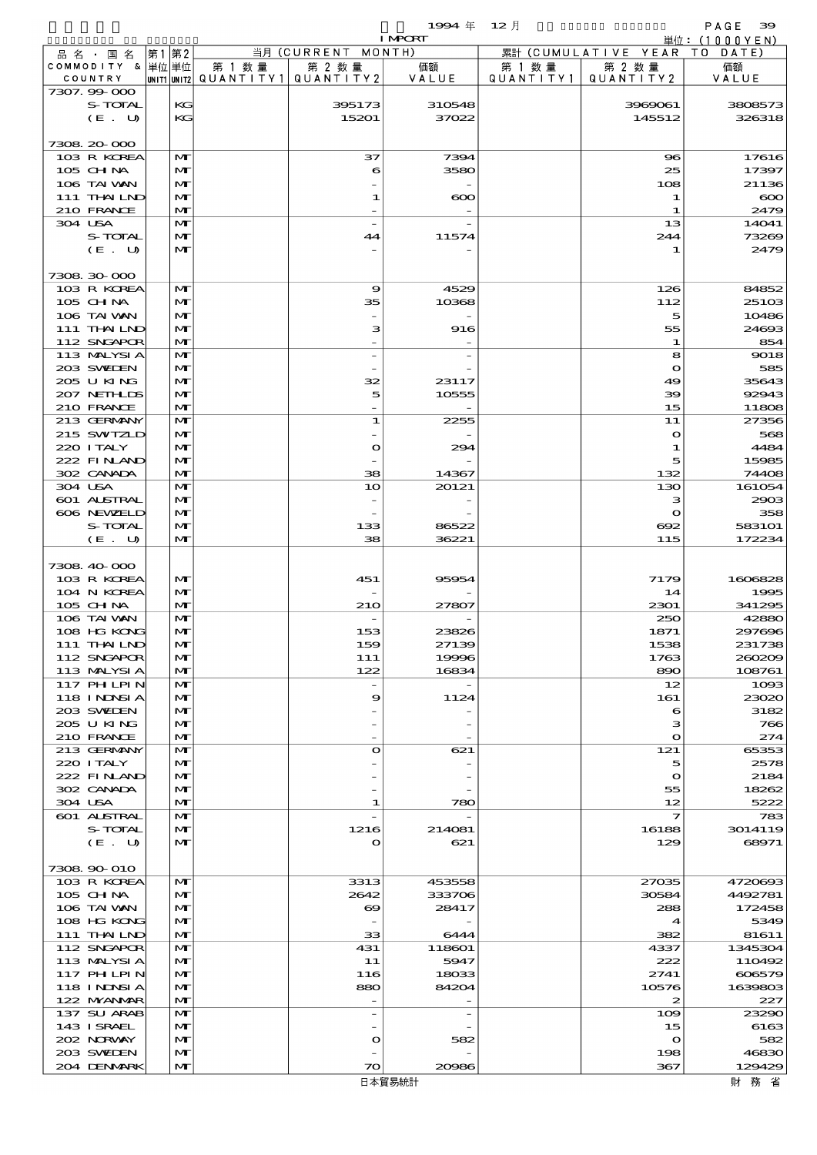$1994 \nleftrightarrow 12 \nparallel$  PAGE 39

|                             |                              |                                                  |                          | <b>I MPORT</b> |                     |                                   | 単位: (1000YEN)    |
|-----------------------------|------------------------------|--------------------------------------------------|--------------------------|----------------|---------------------|-----------------------------------|------------------|
| 品名・国名                       | 第1 第2                        |                                                  | 当月 (CURRENT MONTH)       |                |                     | 累計 (CUMULATIVE YEAR TO DATE)      |                  |
| COMMODITY & 単位単位<br>COUNTRY |                              | 第 1 数量<br> UNIT1 UNIT2  QUANT   TY1  QUANT   TY2 | 第 2 数量                   | 価額<br>VALUE    | 第 1 数量<br>QUANTITY1 | 第 2 数量<br>QUANTITY 2              | 価額<br>VALUE      |
| 7307.99-000                 |                              |                                                  |                          |                |                     |                                   |                  |
| S-TOTAL                     | KG                           |                                                  | 395173                   | 310548         |                     | 3969061                           | 3808573          |
| (E. U)                      | KG                           |                                                  | 15201                    | 37022          |                     | 145512                            | 326318           |
|                             |                              |                                                  |                          |                |                     |                                   |                  |
| 7308 20 000                 |                              |                                                  |                          |                |                     |                                   |                  |
| 103 R KOREA<br>105 CH NA    | $\mathbf{M}$<br>M            |                                                  | 37<br>6                  | 7394<br>3580   |                     | $\bf{S}$<br>25                    | 17616<br>17397   |
| 106 TAI VAN                 | $\mathbf{M}$                 |                                                  |                          |                |                     | 108                               | 21136            |
| 111 THAILND                 | M                            |                                                  | $\mathbf{1}$             | $\infty$       |                     | 1                                 | $\infty$         |
| 210 FRANCE                  | M                            |                                                  |                          |                |                     | 1                                 | 2479             |
| 304 USA                     | $\mathbf{M}$                 |                                                  | $\overline{a}$           |                |                     | 13                                | 14041            |
| S-TOTAL                     | M                            |                                                  | 44                       | 11574          |                     | 244                               | 73269            |
| (E. U)                      | $\mathbf{M}$                 |                                                  |                          |                |                     | 1                                 | 2479             |
| 7308 30 000                 |                              |                                                  |                          |                |                     |                                   |                  |
| 103 R KOREA                 | $\mathbf{M}$                 |                                                  | 9                        | 4529           |                     | 126                               | 84852            |
| 105 CH NA                   | M                            |                                                  | 35                       | 10368          |                     | 112                               | 25103            |
| 106 TAI VAN                 | $\mathbf{M}$                 |                                                  |                          |                |                     | 5                                 | 10486            |
| 111 THAILND                 | M                            |                                                  | з                        | 916            |                     | 55                                | 24693            |
| 112 SNGAPOR<br>113 MALYSIA  | M<br>$\mathbf{M}$            |                                                  |                          |                |                     | 1<br>8                            | 854<br>9018      |
| 203 SWIDEN                  | M                            |                                                  |                          |                |                     | $\mathbf o$                       | 585              |
| 205 U KING                  | $\mathbf{M}$                 |                                                  | 32                       | 23117          |                     | 49                                | 35643            |
| 207 NETHLIS                 | $\mathbf{M}$                 |                                                  | 5                        | 10555          |                     | 39                                | 92943            |
| 210 FRANCE                  | M                            |                                                  |                          |                |                     | 15                                | 11808            |
| 213 GERMANY                 | $\mathbf{M}$                 |                                                  | $\mathbf{1}$             | 2255           |                     | 11                                | 27356            |
| 215 SWIZLD                  | M                            |                                                  |                          |                |                     | $\mathbf{o}$                      | 568              |
| 220 I TALY                  | M                            |                                                  | $\bullet$                | 294            |                     | 1                                 | 4484             |
| 222 FINAND<br>302 CANADA    | M<br>M                       |                                                  | 38                       | 14367          |                     | 5<br>132                          | 15985<br>74408   |
| 304 USA                     | $\mathbf{M}$                 |                                                  | 10                       | 20121          |                     | 130                               | 161054           |
| 601 ALSTRAL                 | M                            |                                                  |                          |                |                     | з                                 | 2903             |
| 606 NEWELD                  | M                            |                                                  |                          |                |                     | $\mathbf{o}$                      | 358              |
| S-TOTAL                     | M                            |                                                  | 133                      | 86522          |                     | 692                               | 583101           |
| (E. U)                      | $\mathbf{M}$                 |                                                  | 38                       | 36221          |                     | 115                               | 172234           |
| 7308 40 000                 |                              |                                                  |                          |                |                     |                                   |                  |
| 103 R KOREA                 | $\mathbf{M}$                 |                                                  | 451                      | 95954          |                     | 7179                              | 1606828          |
| 104 N KOREA                 | M                            |                                                  |                          |                |                     | 14                                | 1995             |
| 105 CHNA                    | M                            |                                                  | 210                      | 27807          |                     | 2301                              | 341295           |
| 106 TAI VAN                 | $\mathbf{M}$                 |                                                  |                          |                |                     | 250                               | 42880            |
| 108 HG KONG                 | $\mathbf{M}$                 |                                                  | 153                      | 23826          |                     | 1871                              | 297696           |
| 111 THAILND<br>112 SNGAPOR  | $\mathbf{M}$<br>M            |                                                  | 159<br>111               | 27139<br>19996 |                     | 1538<br>1763                      | 231738<br>260209 |
| 113 MALYSIA                 | M                            |                                                  | 122                      | 16834          |                     | 890                               | 108761           |
| 117 PHLPIN                  | M                            |                                                  | $\overline{\phantom{a}}$ |                |                     | 12                                | 1093             |
| <b>118 INNSIA</b>           | $\mathbf{M}$                 |                                                  | 9                        | 1124           |                     | 161                               | 23020            |
| 203 SWIDEN                  | $\mathbf{M}$                 |                                                  |                          |                |                     | 6                                 | 3182             |
| 205 U KING                  | M                            |                                                  |                          |                |                     | з                                 | 766              |
| 210 FRANCE<br>213 GERMANY   | M<br>M                       |                                                  | $\bullet$                | 621            |                     | $\mathbf{o}$<br>121               | 274<br>65353     |
| 220 I TALY                  | $\mathbf{M}$                 |                                                  |                          |                |                     | 5                                 | 2578             |
| 222 FINAND                  | $\mathbf{M}$                 |                                                  |                          |                |                     | $\bullet$                         | 2184             |
| 302 CANADA                  | M                            |                                                  |                          |                |                     | 55                                | 18262            |
| 304 USA                     | M                            |                                                  | 1                        | 780            |                     | 12                                | 5222             |
| 601 ALSTRAL                 | M                            |                                                  |                          |                |                     | $\mathcal I$                      | 783              |
| S-TOTAL<br>(E. U)           | $\mathbf{M}$<br>$\mathbf{M}$ |                                                  | 1216<br>$\bullet$        | 214081<br>621  |                     | 16188<br>129                      | 3014119<br>68971 |
|                             |                              |                                                  |                          |                |                     |                                   |                  |
| 7308 90 010                 |                              |                                                  |                          |                |                     |                                   |                  |
| 103 R KOREA                 | M                            |                                                  | 3313                     | 453558         |                     | 27035                             | 4720693          |
| 105 CHNA                    | M                            |                                                  | 2642                     | 333706         |                     | 30584                             | 4492781          |
| 106 TAI VAN                 | M                            |                                                  | ಱ                        | 28417          |                     | 288                               | 172458           |
| 108 HG KONG<br>111 THAILND  | M<br>M                       |                                                  | 33                       | 6444           |                     | $\boldsymbol{\mathcal{A}}$<br>382 | 5349<br>81611    |
| 112 SNGAPOR                 | M                            |                                                  | 431                      | 118601         |                     | 4337                              | 1345304          |
| 113 MALYSIA                 | M                            |                                                  | 11                       | 5947           |                     | 222                               | 110492           |
| 117 PH LPIN                 | M                            |                                                  | 116                      | 18033          |                     | 2741                              | 606579           |
| 118 I NDSI A                | M                            |                                                  | 880                      | 84204          |                     | 10576                             | 1639803          |
| 122 MYANMAR                 | M                            |                                                  |                          |                |                     | 2                                 | 227              |
| 137 SU ARAB                 | M                            |                                                  | $\overline{\phantom{a}}$ |                |                     | 109                               | 23290            |
| 143 ISRAEL<br>202 NORWAY    | M<br>M                       |                                                  | $\bullet$                | 582            |                     | 15<br>$\mathbf o$                 | 6163<br>582      |
| 203 SWIDEN                  | M                            |                                                  |                          |                |                     | 198                               | 46830            |
| 204 DENMARK                 | M                            |                                                  | $\infty$                 | 20086          |                     | 367                               | 129429           |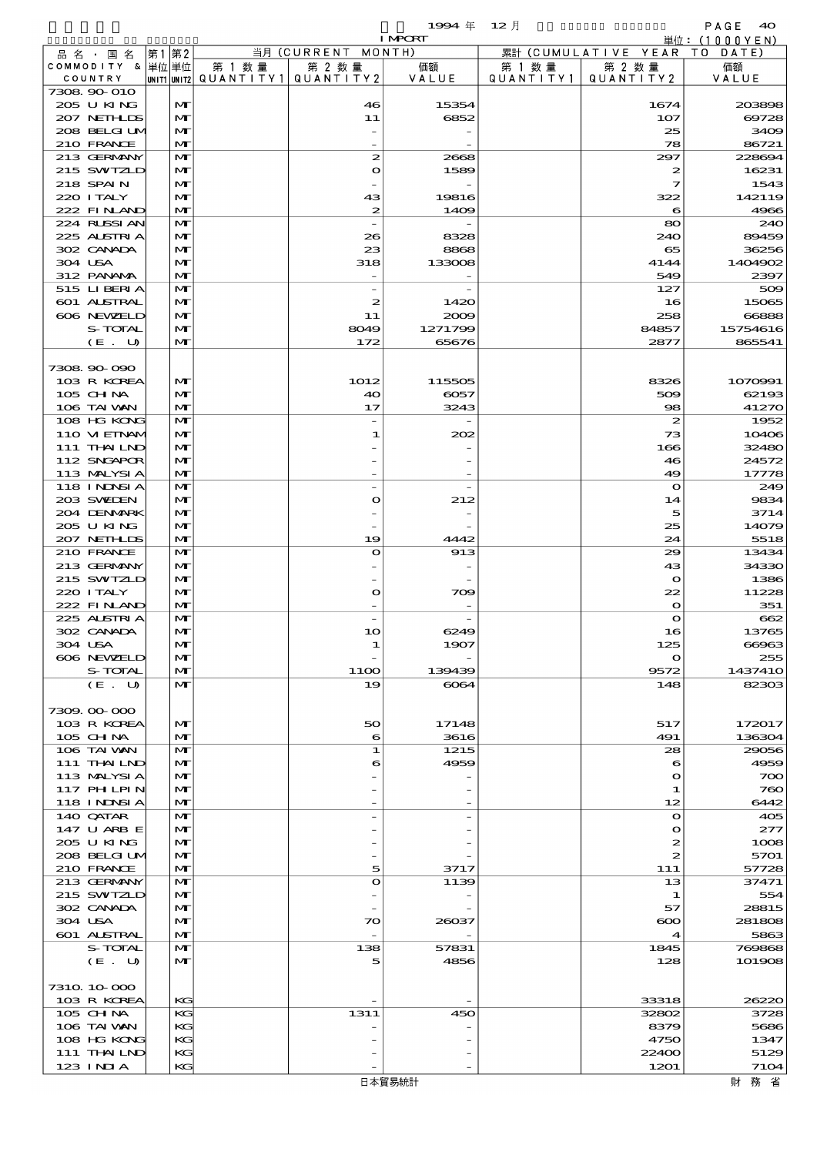$\begin{array}{ccccccccc} 1 & \textbf{QQ} & \textbf{4} & \textbf{5} & \textbf{9} & \textbf{1QQ} & \textbf{1QQQ} & \textbf{1QQQ} & \textbf{1QQQ} & \textbf{1QQQ} & \textbf{1QQQ} & \textbf{1QQQ} & \textbf{1QQQ} & \textbf{1QQQ} & \textbf{1QQQ} & \textbf{1QQQ} & \textbf{1QQQ} & \textbf{1QQ} & \textbf{1QQ} & \textbf{1QQ} & \textbf{1QQ} & \textbf{1QQ} & \textbf{1QQ} & \textbf{1$ 

|                                  |       |                   |                                 |                          | <b>I MPORT</b>        |           |                        | 単位: (1000 Y E N)  |
|----------------------------------|-------|-------------------|---------------------------------|--------------------------|-----------------------|-----------|------------------------|-------------------|
| 品 名 ・ 国 名                        | 第1 第2 |                   |                                 | 当月 (CURRENT              | MONTH)                |           | 累計 (CUMULATIVE YEAR TO | DATE)             |
| COMMODITY & 単位単位                 |       |                   | 第 1 数量                          | 第 2 数量                   | 価額                    | 第 1 数 量   | 第 2 数量                 | 価額                |
| COUNTRY<br>7308 90 010           |       |                   | UNIT1 UNIT2 QUANTITY1 QUANTITY2 |                          | VALUE                 | QUANTITY1 | QUANTITY 2             | VALUE             |
| 205 U KING                       |       | M                 |                                 | 46                       | 15354                 |           | 1674                   | 203898            |
| 207 NETHLIS                      |       | M                 |                                 | 11                       | 6852                  |           | 107                    | 69728             |
| 208 BELGI UM                     |       | M                 |                                 |                          |                       |           | 25                     | 3409              |
| 210 FRANCE                       |       | $\mathbf{M}$      |                                 |                          |                       |           | 78                     | 86721             |
| 213 GERMANY                      |       | M                 |                                 | $\boldsymbol{z}$         | 2668                  |           | 297                    | 228694            |
| 215 SWIZLD                       |       | M                 |                                 | $\mathbf o$              | 1589                  |           | 2                      | 16231             |
| 218 SPAIN                        |       | M                 |                                 |                          |                       |           | 7                      | 1543              |
| 220 I TALY<br>222 FINAND         |       | M<br>$\mathbf{M}$ |                                 | 43<br>$\boldsymbol{z}$   | 19816<br>1409         |           | 322<br>6               | 142119<br>4966    |
| 224 RUSSIAN                      |       | $\mathbf{M}$      |                                 |                          |                       |           | 80                     | 240               |
| 225 ALSTRIA                      |       | M                 |                                 | 26                       | 8328                  |           | 240                    | 89459             |
| 302 CANADA                       |       | $\mathbf{M}$      |                                 | 23                       | 8868                  |           | 65                     | 36256             |
| 304 USA                          |       | M                 |                                 | 318                      | 133008                |           | 4144                   | 1404902           |
| 312 PANAMA                       |       | $\mathbf{M}$      |                                 |                          |                       |           | 549                    | 2397              |
| 515 LIBERIA                      |       | $\mathbf{M}$      |                                 | $\overline{\phantom{a}}$ |                       |           | 127                    | 509               |
| 601 ALSTRAL                      |       | M                 |                                 | 2                        | 1420                  |           | 16                     | 15065             |
| 606 NEWELD<br>S-TOTAL            |       | M<br>M            |                                 | 11<br>8049               | 2009<br>1271799       |           | 258<br>84857           | 66888<br>15754616 |
| (E. U)                           |       | $\mathbf{M}$      |                                 | 172                      | 65676                 |           | 2877                   | 865541            |
|                                  |       |                   |                                 |                          |                       |           |                        |                   |
| 7308 90 090                      |       |                   |                                 |                          |                       |           |                        |                   |
| 103 R KOREA                      |       | $\mathbf{M}$      |                                 | 1012                     | 115505                |           | 8326                   | 1070991           |
| 105 CH NA                        |       | M                 |                                 | 40                       | 6057                  |           | 509                    | 62193             |
| 106 TAI VAN                      |       | $\mathbf{M}$      |                                 | 17                       | 3243                  |           | 98                     | 41270             |
| 108 HG KONG                      |       | M                 |                                 |                          |                       |           | $\boldsymbol{z}$       | 1952              |
| 110 VI EINAM<br>111 THAILND      |       | M<br>$\mathbf{M}$ |                                 | 1                        | 202                   |           | 73<br>166              | 10406<br>32480    |
| 112 SNGAPOR                      |       | M                 |                                 |                          |                       |           | 46                     | 24572             |
| 113 MALYSIA                      |       | $\mathbf{M}$      |                                 |                          |                       |           | 49                     | 17778             |
| 118 I NDSI A                     |       | $\mathbf{M}$      |                                 | $\overline{\phantom{0}}$ |                       |           | $\mathbf{o}$           | 249               |
| 203 SVELEN                       |       | M                 |                                 | $\mathbf o$              | 212                   |           | 14                     | 9834              |
| 204 DENMARK                      |       | M                 |                                 |                          |                       |           | 5                      | 3714              |
| 205 U KING                       |       | M                 |                                 |                          |                       |           | 25                     | 14079             |
| 207 NETHLIS                      |       | $\mathbf{M}$      |                                 | 19                       | 4442                  |           | 24                     | 5518              |
| 210 FRANCE                       |       | $\mathbf{M}$      |                                 | $\mathbf o$              | 913                   |           | 29                     | 13434             |
| 213 GERMANY<br>215 SWIZLD        |       | M<br>$\mathbf{M}$ |                                 |                          |                       |           | 43<br>$\mathbf{o}$     | 34330<br>1386     |
| 220 I TALY                       |       | M                 |                                 | $\bullet$                | 709                   |           | 22                     | 11228             |
| 222 FINAND                       |       | $\mathbf{M}$      |                                 |                          |                       |           | $\mathbf{o}$           | 351               |
| 225 ALSTRIA                      |       | M                 |                                 | $\overline{\phantom{0}}$ |                       |           | $\mathbf o$            | 662               |
| 302 CANADA                       |       | M                 |                                 | 10                       | 6249                  |           | 16                     | 13765             |
| 304 USA                          |       | $\mathbf{M}$      |                                 | 1                        | 1907                  |           | 125                    | അദ                |
| 606 NEWELD                       |       | M                 |                                 |                          |                       |           | $\mathbf o$            | 255               |
| S-TOTAL<br>(E. U)                |       | M<br>$\mathbf{M}$ |                                 | 11OO<br>19               | 139439<br>$\omega$ 64 |           | 9572<br>148            | 1437410<br>82303  |
|                                  |       |                   |                                 |                          |                       |           |                        |                   |
| 7309.00-000                      |       |                   |                                 |                          |                       |           |                        |                   |
| 103 R KOREA                      |       | $\mathbf{M}$      |                                 | 50                       | 17148                 |           | 517                    | 172017            |
| $105$ CHNA                       |       | M                 |                                 | 6                        | 3616                  |           | 491                    | 136304            |
| 106 TAI VAN                      |       | M                 |                                 | 1                        | 1215                  |           | 28                     | 29056             |
| 111 THAILND                      |       | M                 |                                 | 6                        | 4959                  |           | 6                      | 4959              |
| 113 MALYSIA                      |       | M                 |                                 |                          |                       |           | $\mathbf o$            | 700               |
| 117 PHLPIN<br><b>118 INNSI A</b> |       | M<br>$\mathbf{M}$ |                                 |                          |                       |           | 1<br>12                | 760<br>6442       |
| 140 QATAR                        |       | M                 |                                 |                          |                       |           | $\Omega$               | 405               |
| 147 U ARB E                      |       | $\mathbf{M}$      |                                 |                          |                       |           | $\mathbf o$            | 277               |
| 205 U KING                       |       | M                 |                                 |                          |                       |           | 2                      | 1008              |
| 208 BELGI UM                     |       | $\mathbf{M}$      |                                 |                          |                       |           | 2                      | 5701              |
| 210 FRANCE                       |       | M                 |                                 | 5                        | 3717                  |           | 111                    | 57728             |
| 213 GERMANY                      |       | $\mathbf{M}$      |                                 | $\bullet$                | 1139                  |           | 13                     | 37471             |
| 215 SWIZLD                       |       | M                 |                                 |                          |                       |           | 1                      | 554               |
| 302 CANADA<br>304 USA            |       | M<br>M            |                                 | $\infty$                 | 26037                 |           | 57<br>$\infty$         | 28815<br>281808   |
| 601 ALSTRAL                      |       | $\mathbf{M}$      |                                 |                          |                       |           | 4                      | 5863              |
| S-TOTAL                          |       | $\mathbf{M}$      |                                 | 138                      | 57831                 |           | 1845                   | 769868            |
| (E. U)                           |       | $\mathbf{M}$      |                                 | 5                        | 4856                  |           | 128                    | 101908            |
|                                  |       |                   |                                 |                          |                       |           |                        |                   |
| 7310 10 000                      |       |                   |                                 |                          |                       |           |                        |                   |
| 103 R KOREA                      |       | KG                |                                 |                          |                       |           | 33318                  | 26220             |
| $105$ CHNA                       |       | KG                |                                 | 1311                     | 450                   |           | 32802                  | 3728              |
| 106 TAI VAN<br>108 HG KONG       |       | КG<br>KG          |                                 |                          |                       |           | 8379<br>4750           | 5686<br>1347      |
| 111 THAILND                      |       | KG                |                                 |                          |                       |           | 22400                  | 5129              |
| 123 INIA                         |       | KG                |                                 |                          |                       |           | 1201                   | 7104              |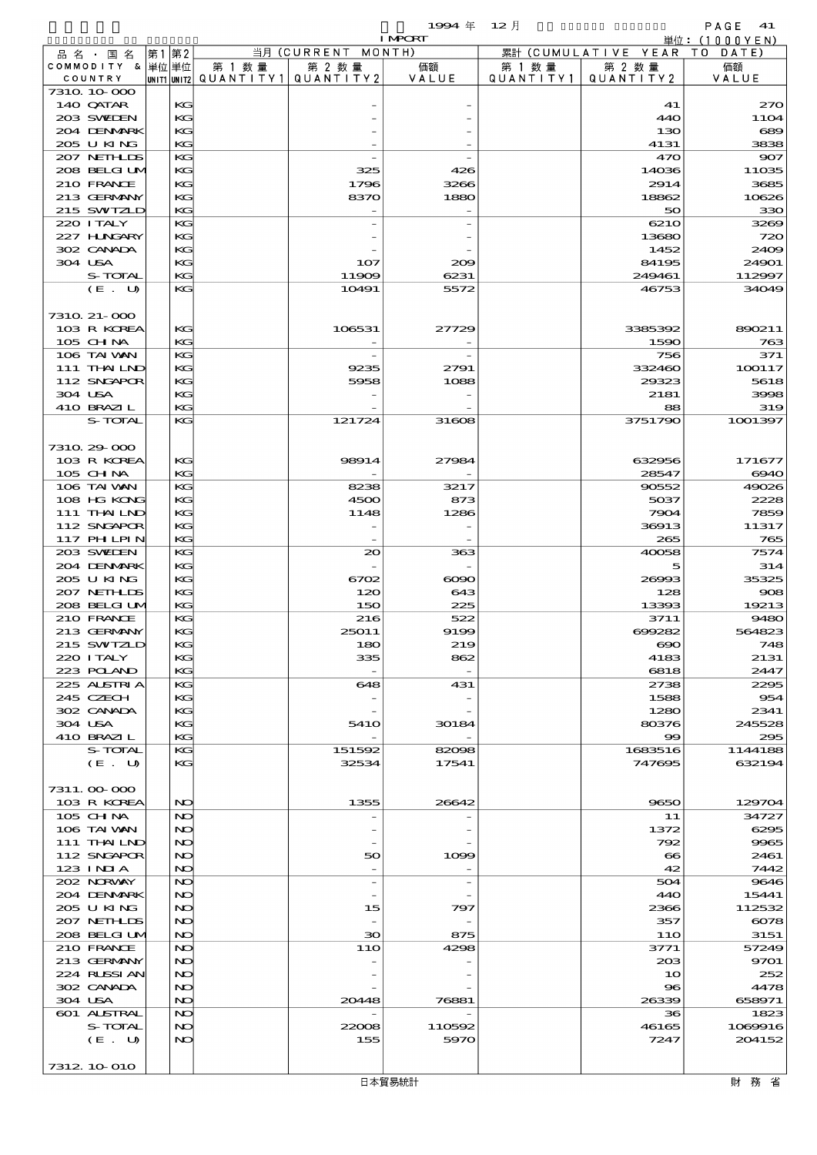$1994 \text{ } \# \quad 12 \text{ } \frac{1}{2}$ 

|                  |      |                                       |                          | <b>I MPORT</b>           |           |                              | 単位: <u>(1000YEN)</u> |
|------------------|------|---------------------------------------|--------------------------|--------------------------|-----------|------------------------------|----------------------|
| 品名・国名            | 第1第2 |                                       | 当月 (CURRENT MONTH)       |                          |           | 累計 (CUMULATIVE YEAR TO DATE) |                      |
| COMMODITY & 単位単位 |      | 第 1 数量                                | 第 2 数量                   | 価額                       | 第 1 数 量   | 第 2 数量                       | 価額                   |
| COUNTRY          |      | UNIT1 UNIT2  QUANT   TY1  QUANT   TY2 |                          | VALUE                    | QUANTITY1 | QUANTITY 2                   | VALUE                |
| 7310 10 000      |      |                                       |                          |                          |           |                              |                      |
| 140 QATAR        | KG   |                                       |                          |                          |           | 41                           | 270                  |
| 203 SWIEN        | KG   |                                       |                          |                          |           | 440                          | 11O4                 |
| 204 DENMARK      | KG   |                                       |                          |                          |           | 130                          | $\csc$               |
| 205 U KING       | KG   |                                       |                          |                          |           | 4131                         | 3835                 |
| 207 NETHLIS      | KG   |                                       |                          |                          |           | 470                          | 907                  |
| 208 BELGI UM     | KG   |                                       | 325                      | 426                      |           | 14036                        | 11035                |
| 210 FRANCE       | KG   |                                       | 1796                     | 3266                     |           | 2914                         | 3685                 |
| 213 GERMANY      |      |                                       | 8370                     | 1880                     |           | 18862                        | 10626                |
|                  | KC   |                                       |                          |                          |           |                              |                      |
| 215 SWIZLD       | KG   |                                       |                          |                          |           | 50                           | 330                  |
| 220 I TALY       | KG   |                                       |                          |                          |           | 6210                         | 3269                 |
| 227 H.NGARY      | KG   |                                       |                          |                          |           | 13680                        | 720                  |
| 302 CANADA       | KG   |                                       |                          |                          |           | 1452                         | 240 <sup>c</sup>     |
| 304 USA          | KG   |                                       | 107                      | 209                      |           | 84195                        | 24901                |
| S-TOTAL          | KG   |                                       | 11909                    | 6231                     |           | 249461                       | 112997               |
| (E. U)           | KG   |                                       | 10491                    | 5572                     |           | 46753                        | 34O49                |
|                  |      |                                       |                          |                          |           |                              |                      |
| 7310 21-000      |      |                                       |                          |                          |           |                              |                      |
| 103 R KOREA      | KG   |                                       | 106531                   | 27729                    |           | 3385392                      | 890211               |
| $105$ CHNA       | KG   |                                       |                          |                          |           | 1590                         | 763                  |
| 106 TAI VAN      | KG   |                                       |                          |                          |           | 756                          | 371                  |
| 111 THAILND      | KG   |                                       | 9235                     | 2791                     |           | 332460                       | 100117               |
| 112 SNGAPOR      | KG   |                                       | 5958                     | 1088                     |           | 29323                        | 5618                 |
| 304 USA          | KC   |                                       |                          |                          |           | 2181                         | 3998                 |
| 410 BRAZIL       | KG   |                                       |                          |                          |           | 88                           | 315                  |
| S-TOTAL          | KG   |                                       | 121724                   | 31608                    |           | 3751790                      | 1001397              |
|                  |      |                                       |                          |                          |           |                              |                      |
|                  |      |                                       |                          |                          |           |                              |                      |
| 7310 29 000      |      |                                       |                          |                          |           |                              |                      |
| 103 R KOREA      | KG   |                                       | 98914                    | 27984                    |           | 632956                       | 171677               |
| 105 CH NA        | KG   |                                       |                          |                          |           | 28547                        | 6940                 |
| 106 TAI VAN      | KG   |                                       | 8238                     | 3217                     |           | 90552                        | 49026                |
| 108 HG KONG      | KG   |                                       | 4500                     | 873                      |           | 5037                         | 2228                 |
| 111 THAILND      | KG   |                                       | 1148                     | 1286                     |           | 7904                         | 7859                 |
| 112 SNGAPOR      | KG   |                                       |                          |                          |           | 36913                        | 11317                |
| 117 PHLPIN       | KG   |                                       |                          |                          |           | 265                          | 765                  |
| 203 SWIDEN       | KG   |                                       | $\infty$                 | 363                      |           | 40058                        | 7574                 |
| 204 DENMARK      | KG   |                                       |                          |                          |           | 5                            | 314                  |
| 205 U KING       | KG   |                                       | 6702                     | $\infty$                 |           | 26993                        | 35325                |
| 207 NEIHLDS      | KG   |                                       | 120                      | 643                      |           | 128                          | $\infty$             |
| 208 BELGI UM     | KG   |                                       | 150                      | 225                      |           | 13393                        | 19213                |
| 210 FRANCE       | KG   |                                       | 216                      | 522                      |           | 3711                         | 9480                 |
| 213 GERMANY      | KG   |                                       | 25011                    | 9199                     |           | 699282                       | 564823               |
| 215 SWIZLD       | KG   |                                       | 180                      | 219                      |           | $\infty$                     | 748                  |
|                  |      |                                       |                          |                          |           |                              | 2131                 |
| 220 I TALY       | KG   |                                       | 335                      | 862                      |           | 4183                         |                      |
| 223 POLAND       | KG   |                                       |                          |                          |           | 6818                         | 2447                 |
| 225 ALSTRIA      | KG   |                                       | 648                      | 431                      |           | 2738                         | 2205                 |
| 245 CZECH        | KG   |                                       |                          |                          |           | 1588                         | 954                  |
| 302 CANADA       | KG   |                                       |                          |                          |           | 1280                         | 2341                 |
| 304 USA          | KC   |                                       | 541O                     | 30184                    |           | 80376                        | 245528               |
| 410 BRAZIL       | KG   |                                       |                          |                          |           | $\infty$                     | 200                  |
| S-TOTAL          | KG   |                                       | 151592                   | 82098                    |           | 1683516                      | 1144188              |
| (E. U)           | KG   |                                       | 32534                    | 17541                    |           | 747695                       | 632194               |
|                  |      |                                       |                          |                          |           |                              |                      |
| 7311.00-000      |      |                                       |                          |                          |           |                              |                      |
| 103 R KOREA      | NO   |                                       | 1355                     | 26642                    |           | 9650                         | 129704               |
| 105 CH NA        | NO   |                                       |                          |                          |           | 11                           | 34727                |
| 106 TAI VAN      | NO   |                                       |                          |                          |           | 1372                         | 6295                 |
| $111$ THAILND    | NO   |                                       |                          |                          |           | 792                          | 9965                 |
| 112 SNGAPOR      | NO   |                                       | 50                       | 1099                     |           | $\bf{8}$                     | 2461                 |
| 123 INIA         | NO   |                                       |                          |                          |           | 42                           | 7442                 |
| 202 NORWAY       | NO   |                                       | $\overline{\phantom{a}}$ | $\overline{\phantom{a}}$ |           | 504                          | 9646                 |
| 204 DENMARK      | NO   |                                       |                          |                          |           | 440                          | 15441                |
|                  | NO   |                                       |                          |                          |           |                              |                      |
| 2005 U KING      |      |                                       | 15                       | 797                      |           | 2366                         | 112532               |
| 207 NETHLIS      | NO   |                                       |                          |                          |           | 357                          | $\epsilon$           |
| 208 BELGI UM     | NO   |                                       | 30                       | 875                      |           | 11O                          | 3151                 |
| 210 FRANCE       | NO   |                                       | 11O                      | 4298                     |           | 3771                         | 57249                |
| 213 GERMANY      | NO   |                                       |                          |                          |           | 20B                          | 9701                 |
| 224 RUSSI AN     | NO   |                                       |                          |                          |           | 10                           | 252                  |
| 302 CANADA       | NO   |                                       |                          |                          |           | 96                           | 4478                 |
| 304 USA          | NO   |                                       | 20448                    | 76881                    |           | 26339                        | 658971               |
| 601 ALSTRAL      | NO   |                                       |                          |                          |           | 36                           | 1823                 |
| S-TOTAL          | NO   |                                       | 22008                    | 110592                   |           | 46165                        | 1069916              |
| (E. U)           | NO   |                                       | 155                      | 5970                     |           | 7247                         | 204152               |
|                  |      |                                       |                          |                          |           |                              |                      |
| 7312 10 010      |      |                                       |                          |                          |           |                              |                      |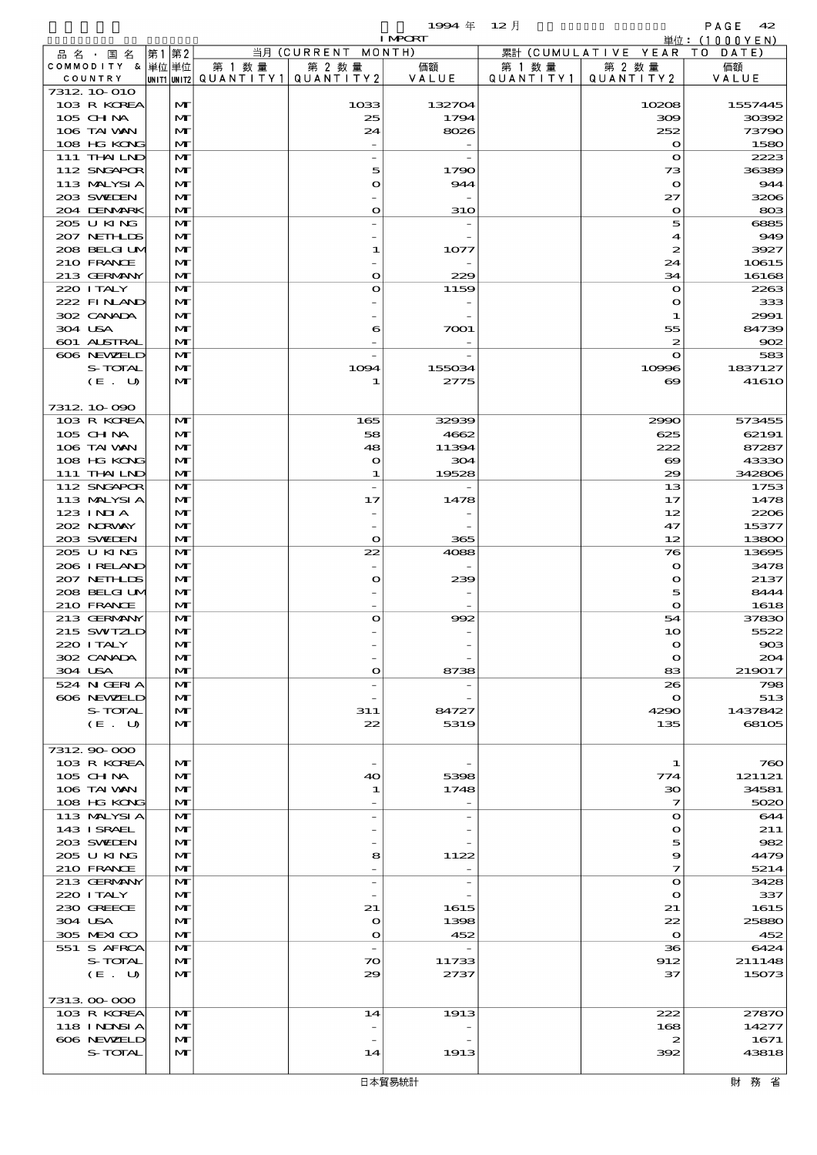$1994 \; \text{#} \quad 12 \; \text{]}$  PAGE 42

|                                  |       |                   |                                          |                          | <b>I MPORT</b> |           |                              | 単位: (1000YEN)  |
|----------------------------------|-------|-------------------|------------------------------------------|--------------------------|----------------|-----------|------------------------------|----------------|
| 品 名 ・ 国 名                        | 第1 第2 |                   |                                          | 当月 (CURRENT MONTH)       |                |           | 累計 (CUMULATIVE YEAR TO DATE) |                |
| COMMODITY & 単位単位                 |       |                   | 第 1 数量                                   | 第 2 数量                   | 価額             | 第 1 数 量   | 第 2 数量                       | 価額             |
| COUNTRY<br>7312 10 010           |       |                   | UNIT1  UNIT2   QUANT I TY1   QUANT I TY2 |                          | VALUE          | QUANTITY1 | QUANTITY 2                   | VALUE          |
| 103 R KOREA                      |       | M                 |                                          | 1033                     | 132704         |           | 10208                        | 1557445        |
| 105 CHNA                         |       | $\mathbf{M}$      |                                          | 25                       | 1794           |           | 300                          | 30392          |
| 106 TAI VAN                      |       | M                 |                                          | 24                       | 8026           |           | 252                          | 73790          |
| 108 HG KONG                      |       | M                 |                                          |                          |                |           | $\bullet$                    | 1580           |
| 111 THAILND                      |       | M                 |                                          |                          |                |           | $\mathbf o$                  | 2223           |
| 112 SNGAPOR                      |       | M                 |                                          | 5                        | 1790           |           | 73                           | 36389          |
| 113 MALYSIA                      |       | $\mathbf{M}$      |                                          | $\mathbf o$              | 944            |           | $\bullet$                    | 944            |
| 203 SWIEN                        |       | M                 |                                          |                          |                |           | 27                           | 3206           |
| 204 DENMARK                      |       | M                 |                                          | $\mathbf o$              | <b>31O</b>     |           | $\mathbf{o}$                 | 803            |
| 205 U KING<br>207 NETHLIS        |       | $\mathbf{M}$<br>M |                                          |                          |                |           | 5<br>4                       | 6885<br>949    |
| 208 BELGI UM                     |       | $\mathbf{M}$      |                                          | 1                        | 1077           |           | $\boldsymbol{z}$             | 3927           |
| 210 FRANCE                       |       | M                 |                                          |                          |                |           | 24                           | 10615          |
| 213 GERMANY                      |       | $\mathbf{M}$      |                                          | $\mathbf o$              | 229            |           | 34                           | 16168          |
| 220 I TALY                       |       | M                 |                                          | $\mathbf o$              | 1159           |           | $\mathbf o$                  | 2263           |
| 222 FINAND                       |       | M                 |                                          |                          |                |           | $\mathbf o$                  | 333            |
| 302 CANADA                       |       | $\mathbf{M}$      |                                          |                          |                |           | $\mathbf 1$                  | 2991           |
| 304 USA                          |       | M                 |                                          | 6                        | 7001           |           | 55                           | 84739          |
| <b>601 ALSTRAL</b>               |       | M                 |                                          |                          |                |           | $\boldsymbol{z}$             | 902            |
| 606 NEWELD<br>S-TOTAL            |       | $\mathbf{M}$<br>M |                                          | 1094                     | 155034         |           | $\bullet$<br>10996           | 583<br>1837127 |
| (E. U)                           |       | $\mathbf{M}$      |                                          | 1                        | 2775           |           | $\boldsymbol{\infty}$        | 41610          |
|                                  |       |                   |                                          |                          |                |           |                              |                |
| 7312 10 090                      |       |                   |                                          |                          |                |           |                              |                |
| 103 R KOREA                      |       | $\mathbf{M}$      |                                          | 165                      | 32939          |           | 2990                         | 573455         |
| 105 CH NA                        |       | $\mathbf{M}$      |                                          | 58                       | 4662           |           | 625                          | 62191          |
| 106 TAI VAN                      |       | $\mathbf{M}$      |                                          | 48                       | 11394          |           | 222                          | 87287          |
| 108 HG KONG                      |       | M                 |                                          | $\mathbf{o}$             | 304            |           | $\boldsymbol{\infty}$        | 43330          |
| 111 THAILND                      |       | M                 |                                          | 1                        | 19528          |           | 29                           | 342806         |
| 112 SNGAPOR                      |       | $\mathbf{M}$      |                                          | $\overline{a}$           |                |           | 13                           | 1753           |
| 113 MALYSIA<br>123 INIA          |       | M<br>$\mathbf{M}$ |                                          | 17                       | 1478           |           | 17<br>12                     | 1478<br>2206   |
| 202 NORWAY                       |       | M                 |                                          |                          |                |           | 47                           | 15377          |
| 203 SWIDEN                       |       | $\mathbf{M}$      |                                          | $\mathbf{o}$             | 365            |           | 12                           | 13800          |
| 205 U KING                       |       | M                 |                                          | 22                       | 4088           |           | 76                           | 13695          |
| 206 I RELAND                     |       | M                 |                                          |                          |                |           | $\mathbf o$                  | 3478           |
| 207 NETHLIS                      |       | M                 |                                          | $\mathbf o$              | 239            |           | $\bullet$                    | 2137           |
| 208 BELGI UM                     |       | M                 |                                          |                          |                |           | 5                            | 8444           |
| 210 FRANCE                       |       | $\mathbf{M}$      |                                          |                          |                |           | $\mathbf{o}$                 | 1618           |
| 213 GERMANY                      |       | M                 |                                          | $\mathbf o$              | 992            |           | 54                           | 37830          |
| 215 SWIZLD<br>220 I TALY         |       | M<br>$\mathbf{M}$ |                                          |                          |                |           | 10<br>$\Omega$               | 5522<br>903    |
| 302 CANADA                       |       | M                 |                                          |                          |                |           | $\mathbf o$                  | 204            |
| 304 USA                          |       | M                 |                                          | $\mathbf{\Omega}$        | 8738           |           | 83                           | 219017         |
| 524 N GERIA                      |       | M                 |                                          |                          |                |           | 26                           | 798            |
| 606 NEWELD                       |       | $\mathbf{M}$      |                                          |                          |                |           | $\mathbf o$                  | 513            |
| S-TOTAL                          |       | M                 |                                          | 311                      | 84727          |           | 4290                         | 1437842        |
| (E. U)                           |       | $\mathbf{M}$      |                                          | 22                       | 5319           |           | 135                          | 68105          |
|                                  |       |                   |                                          |                          |                |           |                              |                |
| 7312 90 000<br>103 R KOREA       |       | M                 |                                          |                          |                |           |                              | 760            |
| 105 CH NA                        |       | M                 |                                          | 40                       | 5398           |           | 1<br>774                     | 121121         |
| 106 TAI VAN                      |       | M                 |                                          | 1                        | 1748           |           | 30                           | 34581          |
| 108 HG KONG                      |       | $\mathbf{M}$      |                                          |                          |                |           | 7                            | 5020           |
| 113 MALYSIA                      |       | M                 |                                          |                          |                |           | $\mathbf o$                  | 644            |
| 143 ISRAEL                       |       | $\mathbf{M}$      |                                          |                          |                |           | $\mathbf{\Omega}$            | 211            |
| 203 SWIDEN                       |       | M                 |                                          |                          |                |           | 5                            | 982            |
| 205 U KING                       |       | M                 |                                          | 8                        | 1122           |           | 9                            | 4479           |
| 210 FRANCE                       |       | M                 |                                          |                          |                |           | 7                            | 5214           |
| 213 GERMANY<br>220 I TALY        |       | M<br>M            |                                          | $\overline{a}$           |                |           | $\mathbf o$<br>$\mathbf o$   | 3428<br>337    |
| 230 GREECE                       |       | M                 |                                          | 21                       | 1615           |           | 21                           | 1615           |
| 304 USA                          |       | M                 |                                          | $\mathbf o$              | 1398           |           | 22                           | 25880          |
| 305 MEXICO                       |       | $\mathbf{M}$      |                                          | O                        | 452            |           | $\mathbf{o}$                 | 452            |
| 551 S AFRCA                      |       | M                 |                                          | $\overline{\phantom{a}}$ |                |           | 36                           | 6424           |
| S-TOTAL                          |       | $\mathbf{M}$      |                                          | 70                       | 11733          |           | 912                          | 211148         |
| (E. U)                           |       | M                 |                                          | 29                       | 2737           |           | 37                           | 15073          |
|                                  |       |                   |                                          |                          |                |           |                              |                |
| 7313 00 000                      |       |                   |                                          |                          |                |           |                              |                |
| 103 R KOREA<br><b>118 INNSIA</b> |       | M<br>$\mathbf{M}$ |                                          | 14                       | 1913           |           | 222<br>168                   | 27870<br>14277 |
| 606 NEWELD                       |       | M                 |                                          |                          |                |           | $\boldsymbol{z}$             | 1671           |
| S-TOTAL                          |       | M                 |                                          | 14                       | 1913           |           | 392                          | 43818          |
|                                  |       |                   |                                          |                          |                |           |                              |                |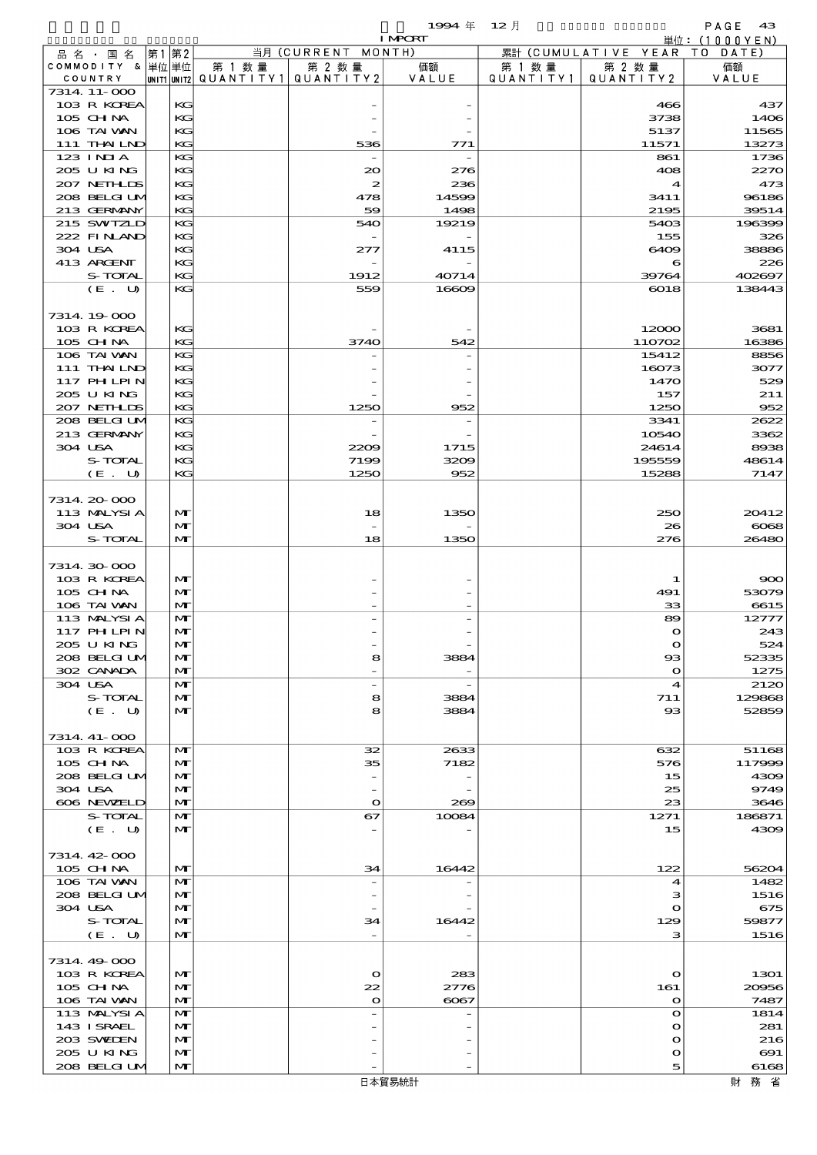|                             |             |                   |                     |                      | 1994 $#$       | 12月                  |                             | PAGE<br>- 43  |
|-----------------------------|-------------|-------------------|---------------------|----------------------|----------------|----------------------|-----------------------------|---------------|
|                             |             |                   |                     |                      | <b>I MPCRT</b> |                      |                             | 単位: (1000YEN) |
| 品 名 ・ 国 名                   | 第1          | 第2                |                     | 当月 (CURRENT MONTH)   |                |                      | 累計 (CUMULATIVE YEAR)        | T O<br>DATE   |
| COMMODITY & 単位単位<br>COUNTRY | UNIT1 UNIT2 |                   | 第 1 数量<br>QUANTITY1 | 第 2 数量<br>QUANTITY 2 | 価額<br>VALUE    | 第 1 数 量<br>QUANTITY1 | 第 2 数量<br>QUANTITY 2        | 価額<br>VALUE   |
| 7314 11-000                 |             |                   |                     |                      |                |                      |                             |               |
| 103 R KOREA                 |             | KG                |                     |                      |                |                      | 466                         | 437           |
| 105 CH NA                   |             | KG                |                     |                      |                |                      | 3738                        | 1406          |
| 106 TAI VAN                 |             | KG                |                     |                      |                |                      | 5137                        | 11565         |
| 111 THAILND                 |             | KG                |                     | 536                  | 771            |                      | 11571                       | 13273         |
| 123 INIA                    |             | KG                |                     |                      |                |                      | 861                         | 1736          |
| 205 U KING<br>207 NETHLIS   |             | KG<br>KG          |                     | 20<br>2              | 276<br>236     |                      | 408<br>$\blacktriangleleft$ | 2270<br>473   |
| 208 BELGI UM                |             | KG                |                     | 478                  | 14599          |                      | 3411                        | 96186         |
| 213 GERMANY                 |             | KG                |                     | 59                   | 1498           |                      | 2195                        | 39514         |
| 215 SWIZLD                  |             | KG                |                     | 540                  | 19219          |                      | 5403                        | 196399        |
| 222 FINAND                  |             | KG                |                     |                      |                |                      | 155                         | 326           |
| 304 USA                     |             | KG                |                     | 277                  | 4115           |                      | 6409                        | 38886         |
| 413 ARCENT                  |             | KG                |                     |                      |                |                      | 6                           | 226           |
| S-TOTAL                     |             | KG                |                     | 1912                 | 40714          |                      | 39764                       | 402697        |
| (E. U)                      |             | KG                |                     | 559                  | 16609          |                      | 6018                        | 138443        |
| 7314 19 000                 |             |                   |                     |                      |                |                      |                             |               |
| 103 R KOREA                 |             | KG                |                     |                      |                |                      | 12000                       | 3681          |
| 105 CHNA                    |             | KG                |                     | 3740                 | 542            |                      | 110702                      | 16386         |
| 106 TAI VAN                 |             | KG                |                     |                      |                |                      | 15412                       | 8856          |
| 111 THAILND                 |             | KG                |                     |                      |                |                      | 16073                       | 3077          |
| <b>117 PHLPIN</b>           |             | KG                |                     |                      |                |                      | 1470                        | 529           |
| 205 U KING                  |             | KG                |                     |                      |                |                      | 157                         | 211           |
| 207 NETHLIS                 |             | KG                |                     | 1250                 | 952            |                      | 1250                        | 952           |
| 208 BELGI UM                |             | KG                |                     |                      |                |                      | 3341                        | 2622          |
| 213 GERMANY                 |             | KG                |                     |                      |                |                      | 10540                       | 3362          |
| 304 USA<br><b>S-TOTAL</b>   |             | KG<br>KG          |                     | 2209<br>7199         | 1715<br>3209   |                      | 24614<br>195559             | 8938<br>48614 |
| (E. U)                      |             | KG                |                     | 1250                 | 952            |                      | 15288                       | 7147          |
|                             |             |                   |                     |                      |                |                      |                             |               |
| 7314 20 000                 |             |                   |                     |                      |                |                      |                             |               |
| 113 MALYSIA                 |             | $\mathbf{M}$      |                     | 18                   | 1350           |                      | 250                         | 20412         |
| 304 USA                     |             | $\mathbf{M}$      |                     |                      |                |                      | 26                          | $\cos$        |
| S-TOTAL                     |             | $\mathbf{M}$      |                     | 18                   | 1350           |                      | 276                         | 26480         |
|                             |             |                   |                     |                      |                |                      |                             |               |
| 7314 30 000                 |             |                   |                     |                      |                |                      |                             |               |
| 103 R KOREA<br>105 CH NA    |             | $\mathbf{M}$      |                     |                      |                |                      | 1                           | 900           |
| 106 TAI VAN                 |             | M<br>$\mathbf{M}$ |                     |                      |                |                      | 491<br>33                   | 53079<br>6615 |
| 113 MALYSIA                 |             | $\mathbf{M}$      |                     |                      |                |                      | 89                          | 12777         |
| 117 PH LPIN                 |             | $\mathbf{M}$      |                     |                      |                |                      | $\Omega$                    | 243           |
| 205 U KING                  |             | $\mathbf{M}$      |                     |                      |                |                      | $\mathbf{\Omega}$           | 524           |
| 208 BELGI UM                |             | $\mathbf{M}$      |                     | 8                    | 3884           |                      | $\bf{8}$                    | 52335         |
| 302 CANADA                  |             | M                 |                     |                      |                |                      | $\Omega$                    | 1275          |
| 304 USA                     |             | M                 |                     |                      |                |                      | $\boldsymbol{4}$            | 2120          |
| S-TOTAL                     |             | $\mathbf{M}$      |                     | 8                    | 3884           |                      | 711                         | 129868        |
| (E. U)                      |             | $\mathbf{M}$      |                     | 8                    | 3884           |                      | $_{\rm ss}$                 | 52859         |
| 7314. 41-000                |             |                   |                     |                      |                |                      |                             |               |
| 103 R KOREA                 |             | $\mathbf{M}$      |                     | 32                   | 2633           |                      | 632                         | 51168         |
| 105 CH NA                   |             | $\mathbf{M}$      |                     | 35                   | 7182           |                      | 576                         | 117999        |
| 208 BELGI UM                |             | M                 |                     |                      |                |                      | 15                          | 4309          |
| 304 USA                     |             | $\mathbf{M}$      |                     |                      |                |                      | 25                          | 9749          |
| 606 NEWELD                  |             | $\mathbf{M}$      |                     | $\mathbf o$          | 269            |                      | 23                          | 3646          |
| S-TOTAL                     |             | M                 |                     | 67                   | 10084          |                      | 1271                        | 186871        |
| (E. U)                      |             | $\mathbf{M}$      |                     |                      |                |                      | 15                          | 4309          |
|                             |             |                   |                     |                      |                |                      |                             |               |
| 7314 42 000                 |             |                   |                     |                      |                |                      |                             |               |
| 105 CHNA                    |             | $\mathbf{M}$<br>M |                     | 34                   | 16442          |                      | 122                         | 56204         |
| 106 TAI VAN<br>208 BELGI UM |             | M                 |                     |                      |                |                      | $\boldsymbol{4}$<br>з       | 1482<br>1516  |
| 304 USA                     |             | M                 |                     |                      |                |                      | $\mathbf o$                 | 675           |
| S-TOTAL                     |             | $\mathbf{M}$      |                     | 34                   | 16442          |                      | 129                         | 59877         |
| (E. U)                      |             | $\mathbf{M}$      |                     |                      |                |                      | з                           | 1516          |
|                             |             |                   |                     |                      |                |                      |                             |               |
| 7314 49 000                 |             |                   |                     |                      |                |                      |                             |               |
| 103 R KOREA                 |             | $\mathbf{M}$      |                     | $\mathbf{\Omega}$    | 283            |                      | $\mathbf o$                 | 1301          |
| $105$ CHNA                  |             | $\mathbf{M}$      |                     | 22                   | 2776           |                      | 161                         | 20956         |
| 106 TAI VAN                 |             | $\mathbf{M}$      |                     | $\mathbf{o}$         | $\cos$         |                      | $\Omega$                    | 7487          |
| 113 MALYSIA<br>143 ISRAEL   |             | M                 |                     |                      |                |                      | $\Omega$                    | 1814          |
| 203 SWIDEN                  |             | $\mathbf{M}$<br>M |                     |                      |                |                      | $\Omega$<br>$\mathbf o$     | 281<br>216    |
| 205 U KING                  |             | $\mathbf{M}$      |                     |                      |                |                      | $\Omega$                    | $\Theta$ 1    |
| 208 BELGI UM                |             | $\mathbf{M}$      |                     |                      |                |                      | 5                           | 6168          |
|                             |             |                   |                     |                      |                |                      |                             |               |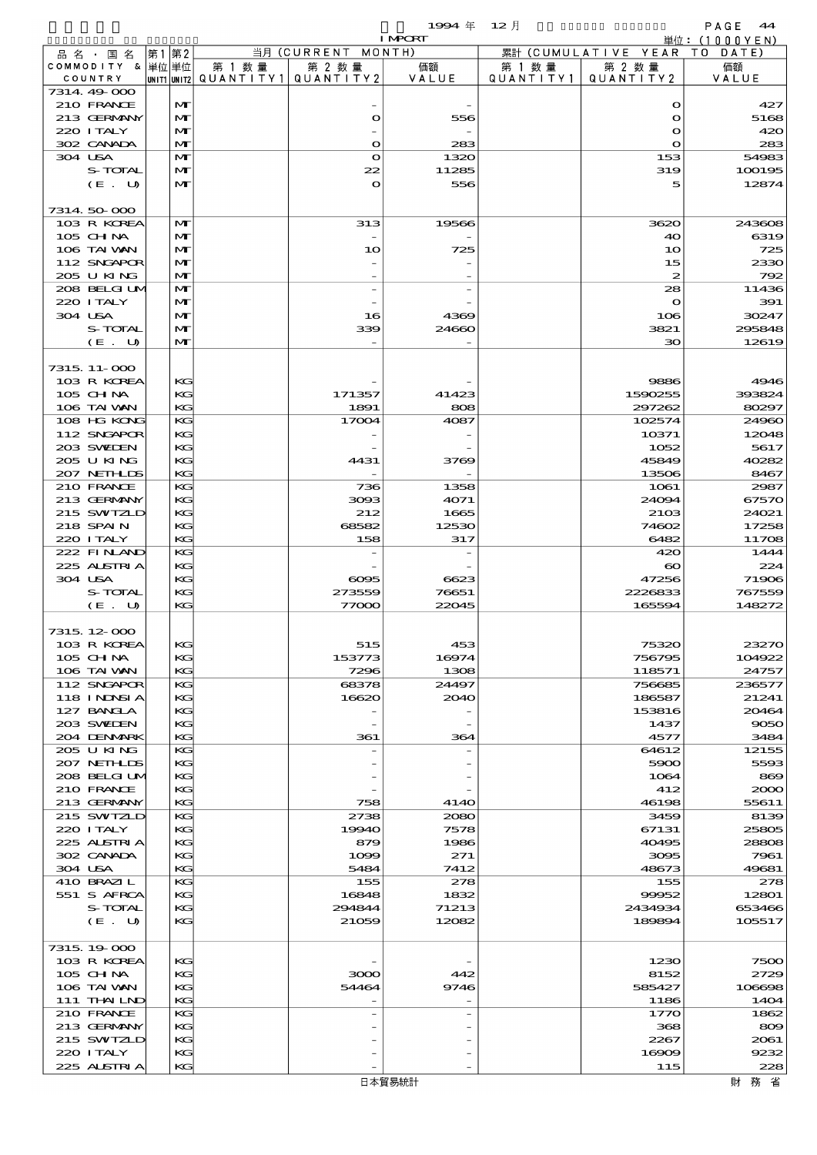$1994 \nleftrightarrow 12 \nparallel$ <br> $1894 \nleftrightarrow 12 \nleftrightarrow 12 \nleftrightarrow 12 \nleftrightarrow 12 \nleftrightarrow 12 \nleftrightarrow 12 \nleftrightarrow 12 \nleftrightarrow 12 \nleftrightarrow 12 \nleftrightarrow 12 \nleftrightarrow 12 \nleftrightarrow 12 \nleftrightarrow 12 \nleftrightarrow 12 \nleftrightarrow 12 \nleftrightarrow 12 \nleftrightarrow 12 \nleftrightarrow 12 \nleftrightarrow 12 \nleftrightarrow 12 \nleftrightarrow 12 \nleftrightarrow 12 \nleftrightarrow 12 \nleftrightarrow 12 \nleftrightarrow 12 \nleftrightarrow 12 \nleftrightarrow 12 \nleftrightarrow 12 \nleftrightarrow 12 \nleftrightarrow 12 \nleftrightarrow 12 \nleftrightarrow 12 \nleftrightarrow 12 \n$ 

|         |                            |    |                   |                                         |                    | <b>I MPORT</b> |         |                              | 単位: (1000YEN)   |
|---------|----------------------------|----|-------------------|-----------------------------------------|--------------------|----------------|---------|------------------------------|-----------------|
|         | 品名・国名                      | 第1 | 第2                |                                         | 当月 (CURRENT MONTH) |                |         | 累計 (CUMULATIVE YEAR TO DATE) |                 |
|         | COMMODITY & 単位単位           |    |                   | 第 1 数量                                  | 第 2 数量             | 価額             | 第 1 数 量 | 第 2 数量                       | 価額              |
|         | COUNTRY                    |    |                   | UNIT1 UNIT2   QUANT   TY1   QUANT   TY2 |                    | VALUE          |         | QUANTITY1   QUANTITY2        | VALUE           |
|         | 7314.49-000                |    |                   |                                         |                    |                |         |                              |                 |
|         | 210 FRANCE                 |    | $\mathbf{M}$      |                                         |                    |                |         | $\mathbf o$                  | 427             |
|         | 213 GERMANY                |    | M                 |                                         | $\bullet$          | 556            |         | $\bullet$                    | 5168            |
|         | 220 I TALY                 |    | M                 |                                         |                    |                |         | $\mathbf{o}$                 | 420             |
|         | 302 CANADA                 |    | M                 |                                         | $\bullet$          | 283            |         | $\mathbf{o}$                 | 283             |
| 304 USA | S-TOTAL                    |    | M                 |                                         | $\mathbf{o}$       | 1320           |         | 153                          | 54983<br>100195 |
|         |                            |    | M                 |                                         | 22                 | 11285          |         | 319                          |                 |
|         | (E. U)                     |    | $\mathbf{M}$      |                                         | $\mathbf{o}$       | 556            |         | 5                            | 12874           |
|         | 7314 50 000                |    |                   |                                         |                    |                |         |                              |                 |
|         |                            |    |                   |                                         |                    |                |         |                              |                 |
|         | 103 R KOREA                |    | M<br>M            |                                         | 313                | 19566          |         | 3620                         | 243608<br>6319  |
|         | 105 CH NA                  |    |                   |                                         |                    |                |         | 40                           |                 |
|         | 106 TAI VAN                |    | $\mathbf{M}$      |                                         | 10                 | 725            |         | 10                           | 725             |
|         | 112 SNGAPOR<br>205 U KING  |    | M<br>M            |                                         |                    |                |         | 15<br>$\boldsymbol{z}$       | 2330            |
|         |                            |    |                   |                                         |                    |                |         |                              | 792             |
|         | 208 BELGI UM<br>220 ITALY  |    | M<br>M            |                                         |                    |                |         | 28<br>$\mathbf o$            | 11436<br>391    |
|         | 304 USA                    |    | M                 |                                         |                    |                |         |                              |                 |
|         |                            |    |                   |                                         | 16                 | 4369           |         | 106                          | 30247           |
|         | S-TOTAL                    |    | M<br>$\mathbf{M}$ |                                         | 339                | 24660          |         | 3821<br>30                   | 295848<br>12619 |
|         | (E. U)                     |    |                   |                                         |                    |                |         |                              |                 |
|         | 7315, 11-000               |    |                   |                                         |                    |                |         |                              |                 |
|         | 103 R KOREA                |    |                   |                                         |                    |                |         |                              | 4946            |
|         |                            |    | KG                |                                         |                    |                |         | 9886                         | 393824          |
|         | 105 CH NA<br>106 TAI VAN   |    | KG<br>KG          |                                         | 171357             | 41423          |         | 1590255                      |                 |
|         |                            |    |                   |                                         | 1891               | 808            |         | 297262                       | 80297           |
|         | 108 HG KONG                |    | KG                |                                         | 17004              | 4087           |         | 102574                       | 24960           |
|         | 112 SNGAPOR                |    | KG                |                                         |                    |                |         | 10371                        | 12048           |
|         | 203 SWIEN                  |    | KG                |                                         |                    |                |         | 1052                         | 5617            |
|         | 205 U KING                 |    | KG                |                                         | 4431               | 3769           |         | 45849                        | 40282           |
|         | 207 NETHLIS                |    | KG                |                                         |                    |                |         | 13506                        | 8467            |
|         | 210 FRANCE                 |    | KG                |                                         | 736                | 1358           |         | 1061                         | 2987            |
|         | 213 GERMANY                |    | KG                |                                         | 3093               | 4071           |         | 24094                        | 67570           |
|         | 215 SWIZLD                 |    | KG                |                                         | 212                | 1665           |         | 2103                         | 24021           |
|         | 218 SPAIN                  |    | KG                |                                         | 68582              | 12530          |         | 74602                        | 17258           |
|         | 220 I TALY                 |    | KG                |                                         | 158                | 317            |         | 6482                         | 11708           |
|         | 222 FINAND                 |    | KG                |                                         |                    |                |         | 420                          | 1444            |
|         | 225 ALSTRIA                |    | KG                |                                         |                    |                |         | $\boldsymbol{\infty}$        | 224             |
|         | 304 USA                    |    | KG                |                                         | $\cos$             | 6623           |         | 47256                        | 71906           |
|         | S-TOTAL                    |    | KG                |                                         | 273559             | 76651          |         | 2226833                      | 767559          |
|         | (E. U)                     |    | KG                |                                         | 77000              | 22045          |         | 165594                       | 148272          |
|         |                            |    |                   |                                         |                    |                |         |                              |                 |
|         | 7315, 12-000               |    |                   |                                         |                    |                |         |                              |                 |
|         | 103 R KOREA                |    | KG                |                                         | 515                | 453            |         | 75320                        | 23270           |
|         | 105 CHNA                   |    | KG                |                                         | 153773             | 16974          |         | 756795                       | 104922          |
|         | 106 TAI VAN                |    | KG                |                                         | 7296               | 1308           |         | 118571                       | 24757           |
|         | 112 SNGAPOR                |    | KG                |                                         | 68378              | 24497          |         | 756685                       | 236577          |
|         | 118 I NDSI A               |    | KG                |                                         | 16620              | 2040           |         | 186587                       | 21241           |
|         | 127 BANCLA                 |    | KG                |                                         |                    |                |         | 153816                       | 20464           |
|         | 203 SVEDEN                 |    | KG                |                                         |                    |                |         | 1437                         | 9050            |
|         | 204 DENMARK                |    | KG<br>KG          |                                         | 361                | 364            |         | 4577                         | 3484            |
|         | 205 U KING                 |    |                   |                                         |                    |                |         | 64612                        | 12155           |
|         | 207 NETHLIS                |    | KG<br>KG          |                                         |                    |                |         | 5900<br>1064                 | 5593<br>869     |
|         | 208 BELGI UM<br>210 FRANCE |    | KG                |                                         |                    |                |         | 412                          | 2000            |
|         | 213 GERMANY                |    | KG                |                                         |                    | 4140           |         |                              |                 |
|         | 215 SWIZLD                 |    | KG                |                                         | 758<br>2738        |                |         | 46198<br>3459                | 55611<br>8139   |
|         |                            |    |                   |                                         |                    | 2080           |         |                              |                 |
|         | 220 I TALY                 |    | KG                |                                         | 19940              | 7578           |         | 67131                        | 25805           |
|         | 225 ALSTRIA                |    | KG                |                                         | 879                | 1986           |         | 40495                        | 28808           |
|         | 302 CANADA<br>304 USA      |    | KG<br>KG          |                                         | 1099<br>5484       | 271<br>7412    |         | 3095<br>48673                | 7961<br>49681   |
|         |                            |    |                   |                                         |                    |                |         |                              |                 |
|         | 410 BRAZIL                 |    | KG                |                                         | 155                | 278            |         | 155                          | 278             |
|         | 551 S AFRCA                |    | KG                |                                         | 16848              | 1832           |         | 99952                        | 12801           |
|         | S-TOTAL                    |    | KG                |                                         | 294844             | 71213          |         | 2434934                      | 653466          |
|         | (E. U)                     |    | KG                |                                         | 21059              | 12082          |         | 189894                       | 105517          |
|         | 7315, 19000                |    |                   |                                         |                    |                |         |                              |                 |
|         |                            |    |                   |                                         |                    |                |         |                              |                 |
|         | 103 R KOREA                |    | KG                |                                         |                    |                |         | 1230                         | 7500            |
|         | 105 CHNA                   |    | KG<br>KG          |                                         | 3000               | 442            |         | 8152                         | 2729<br>106698  |
|         | 106 TAI VAN                |    | KG                |                                         | 54464              | 9746           |         | 585427                       |                 |
|         | 111 THAILND<br>210 FRANCE  |    | KG                |                                         |                    |                |         | 1186                         | 1404            |
|         | 213 GERMANY                |    | KG                |                                         |                    |                |         | 1770<br>368                  | 1862<br>809     |
|         |                            |    |                   |                                         |                    |                |         |                              |                 |
|         | 215 SWIZLD<br>220 I TALY   |    | KG<br>KG          |                                         |                    |                |         | 2267<br>16909                | 2061<br>9232    |
|         | 225 ALSTRIA                |    | KG                |                                         |                    |                |         | 115                          | 228             |
|         |                            |    |                   |                                         |                    |                |         |                              |                 |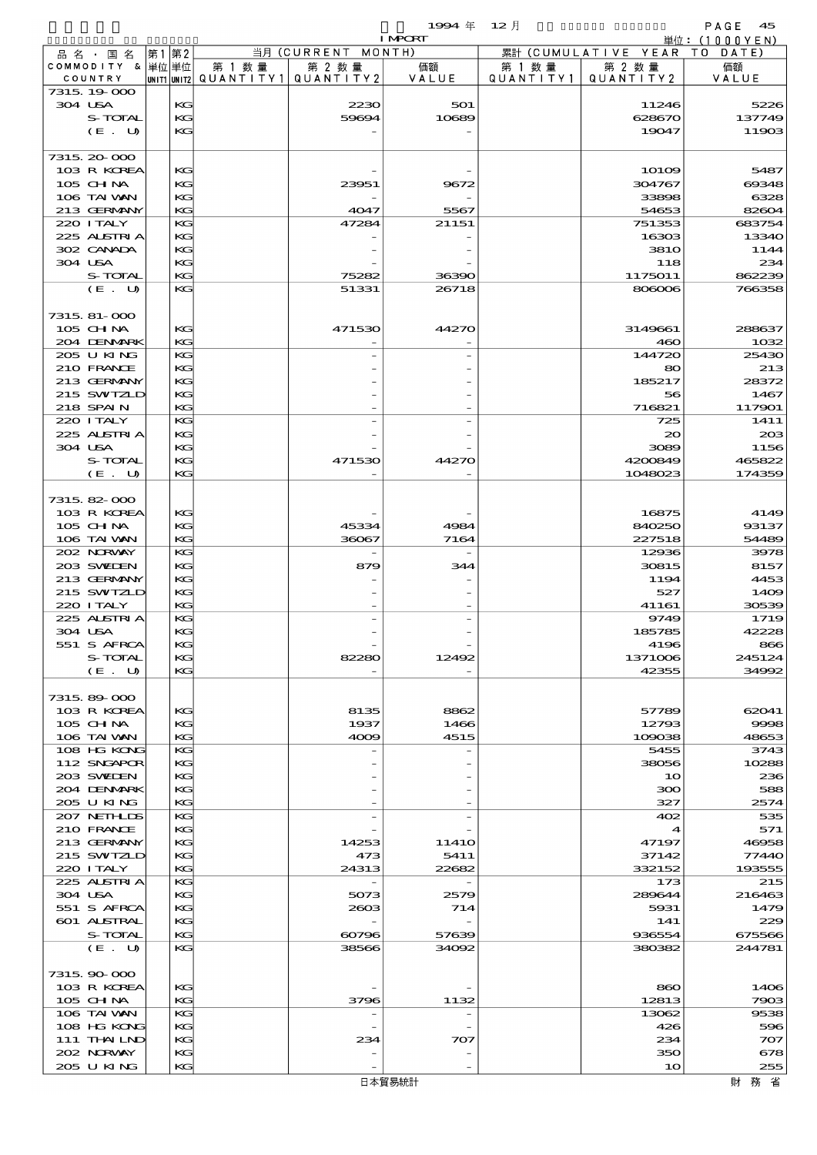$1994 \quad \oplus \quad 12 \quad \uparrow$  PAGE 45

|         |                            |    |             |        |                                 | <b>I MPORT</b> |           |                              | 単位: (1000YEN)   |
|---------|----------------------------|----|-------------|--------|---------------------------------|----------------|-----------|------------------------------|-----------------|
|         | 品名・国名                      | 第1 | 第2          |        | 当月 (CURRENT MONTH)              |                |           | 累計 (CUMULATIVE YEAR TO DATE) |                 |
|         | COMMODITY & 単位単位           |    |             | 第 1 数量 | 第 2 数量<br>QUANTITY1   QUANTITY2 | 価額<br>VALUE    | 第 1 数 量   | 第 2 数量                       | 価額              |
|         | COUNTRY<br>7315, 19,000    |    | UNIT1 UNIT2 |        |                                 |                | QUANTITY1 | QUANTITY2                    | VALUE           |
| 304 USA |                            |    | KG          |        | 2230                            | 501            |           | 11246                        | 5226            |
|         | S-TOTAL                    |    | KG          |        | 59694                           | 10689          |           | 628670                       | 137749          |
|         | (E. U)                     |    | KG          |        |                                 |                |           | 19047                        | 11903           |
|         |                            |    |             |        |                                 |                |           |                              |                 |
|         | 7315, 20-000               |    |             |        |                                 |                |           |                              |                 |
|         | 103 R KOREA                |    | KG          |        |                                 |                |           | $101$ CO                     | 5487            |
|         | $105$ CHNA                 |    | KG          |        | 23951                           | 9672           |           | 304767                       | 69348           |
|         | 106 TAI VAN<br>213 GERMANY |    | KG<br>KG    |        |                                 |                |           | 33898                        | 6328            |
|         | 220 I TALY                 |    | KG          |        | 4047<br>47284                   | 5567<br>21151  |           | 54653<br>751353              | 82604<br>683754 |
|         | 225 ALSTRIA                |    | KG          |        |                                 |                |           | 16303                        | 13340           |
|         | 302 CANADA                 |    | KG          |        |                                 |                |           | <b>3810</b>                  | 1144            |
| 304 USA |                            |    | KG          |        |                                 |                |           | 118                          | 234             |
|         | S-TOTAL                    |    | KG          |        | 75282                           | 36390          |           | 1175011                      | 862239          |
|         | (E. U)                     |    | KG          |        | 51331                           | 26718          |           | 806006                       | 766358          |
|         |                            |    |             |        |                                 |                |           |                              |                 |
|         | 7315, 81-000               |    |             |        |                                 |                |           |                              |                 |
|         | 105 CHNA                   |    | KG          |        | 471530                          | 44270          |           | 3149661                      | 288637          |
|         | 204 DENMARK                |    | KG          |        |                                 |                |           | 460                          | 1032            |
|         | 205 U KING                 |    | KG          |        |                                 |                |           | 144720                       | 25430           |
|         | 210 FRANCE                 |    | KG          |        |                                 |                |           | 80                           | 213             |
|         | 213 GERMANY                |    | KG<br>KG    |        |                                 |                |           | 185217                       | 28372           |
|         | 215 SWIZLD<br>218 SPAIN    |    | KG          |        |                                 |                |           | 56<br>716821                 | 1467<br>117901  |
|         | 220 I TALY                 |    | KG          |        |                                 |                |           | 725                          | 1411            |
|         | 225 ALSTRIA                |    | KG          |        |                                 |                |           | 20                           | 20B             |
|         | 304 USA                    |    | KG          |        |                                 |                |           | 3089                         | 1156            |
|         | S-TOTAL                    |    | KG          |        | 471530                          | 44270          |           | 4200849                      | 465822          |
|         | (E. U)                     |    | KG          |        |                                 |                |           | 1048023                      | 174359          |
|         |                            |    |             |        |                                 |                |           |                              |                 |
|         | 7315 82 000                |    |             |        |                                 |                |           |                              |                 |
|         | 103 R KOREA                |    | KG          |        |                                 |                |           | 16875                        | 4149            |
|         | 105 CHNA                   |    | KG          |        | 45334                           | 4984           |           | 840250                       | 93137           |
|         | 106 TAI VAN                |    | KG          |        | 36067                           | 7164           |           | 227518                       | 54489           |
|         | 202 NORWAY                 |    | KG          |        |                                 |                |           | 12936                        | 3978            |
|         | 203 SWIEN                  |    | KG          |        | 879                             | 344            |           | 30815                        | 8157            |
|         | 213 GERMANY                |    | KG          |        |                                 |                |           | 1194                         | 4453            |
|         | 215 SWIZLD<br>220 I TALY   |    | KG<br>KG    |        |                                 |                |           | 527<br>41161                 | 1409<br>30539   |
|         | 225 ALSTRIA                |    | KG          |        |                                 |                |           | 9749                         | 1719            |
| 304 USA |                            |    | KG          |        |                                 |                |           | 185785                       | 42228           |
|         | 551 S AFRCA                |    | KG          |        |                                 |                |           | 4196                         | 866             |
|         | S-TOTAL                    |    | KG          |        | 82280                           | 12492          |           | 1371006                      | 245124          |
|         | (E. U)                     |    | KG          |        |                                 |                |           | 42355                        | 34992           |
|         |                            |    |             |        |                                 |                |           |                              |                 |
|         | 7315 89 000                |    |             |        |                                 |                |           |                              |                 |
|         | 103 R KOREA                |    | KC          |        | 8135                            | 8862           |           | 57789                        | 62041           |
|         | 105 CHNA                   |    | KG          |        | 1937                            | 1466           |           | 12793                        | 9998            |
|         | 106 TAI VAN                |    | KG          |        | 4009                            | 4515           |           | 109038                       | 48653           |
|         | 108 HG KONG                |    | KG          |        |                                 |                |           | 5455                         | 3743            |
|         | 112 SNGAPOR<br>203 SWIDEN  |    | KG<br>KG    |        |                                 |                |           | 38056<br>10                  | 10288<br>236    |
|         | 204 DENMRK                 |    | KG          |        |                                 |                |           | 300                          | 588             |
|         | 205 U KING                 |    | KG          |        |                                 |                |           | 327                          | 2574            |
|         | 207 NETHLIS                |    | KG          |        |                                 |                |           | 402                          | 535             |
|         | 210 FRANCE                 |    | KG          |        |                                 |                |           |                              | 571             |
|         | 213 GERMANY                |    | KG          |        | 14253                           | 1141O          |           | 47197                        | 46958           |
|         | 215 SWIZLD                 |    | KG          |        | 473                             | 5411           |           | 37142                        | 77440           |
|         | 220 I TALY                 |    | KG          |        | 24313                           | 22682          |           | 332152                       | 193555          |
|         | 225 ALSTRIA                |    | KG          |        |                                 |                |           | 173                          | 215             |
|         | 304 USA                    |    | KG          |        | 5073                            | 2579           |           | 289644                       | 216463          |
|         | 551 S AFRCA                |    | KG          |        | 2603                            | 714            |           | 5931                         | 1479            |
|         | 601 ALSTRAL                |    | KG          |        |                                 |                |           | 141                          | 229             |
|         | S-TOTAL                    |    | KG          |        | 60796                           | 57639          |           | 936554                       | 675566          |
|         | (E. U)                     |    | KG          |        | 38566                           | 34092          |           | 380382                       | 244781          |
|         | 7315, 90-000               |    |             |        |                                 |                |           |                              |                 |
|         | 103 R KOREA                |    | KC          |        |                                 |                |           | 860                          | 1406            |
|         | 105 CH NA                  |    | KG          |        | 3796                            | 1132           |           | 12813                        | 7903            |
|         | 106 TAI VAN                |    | KG          |        |                                 |                |           | 13062                        | 9538            |
|         | 108 HG KONG                |    | KG          |        |                                 |                |           | 426                          | 596             |
|         | 111 THAILND                |    | KG          |        | 234                             | 707            |           | 234                          | 707             |
|         | 202 NRWAY                  |    | KG          |        |                                 |                |           | 350                          | 678             |
|         | 205 U KING                 |    | KG          |        |                                 |                |           | 10                           | 255             |
|         |                            |    |             |        |                                 | 日本貿易統計         |           |                              | 財務省             |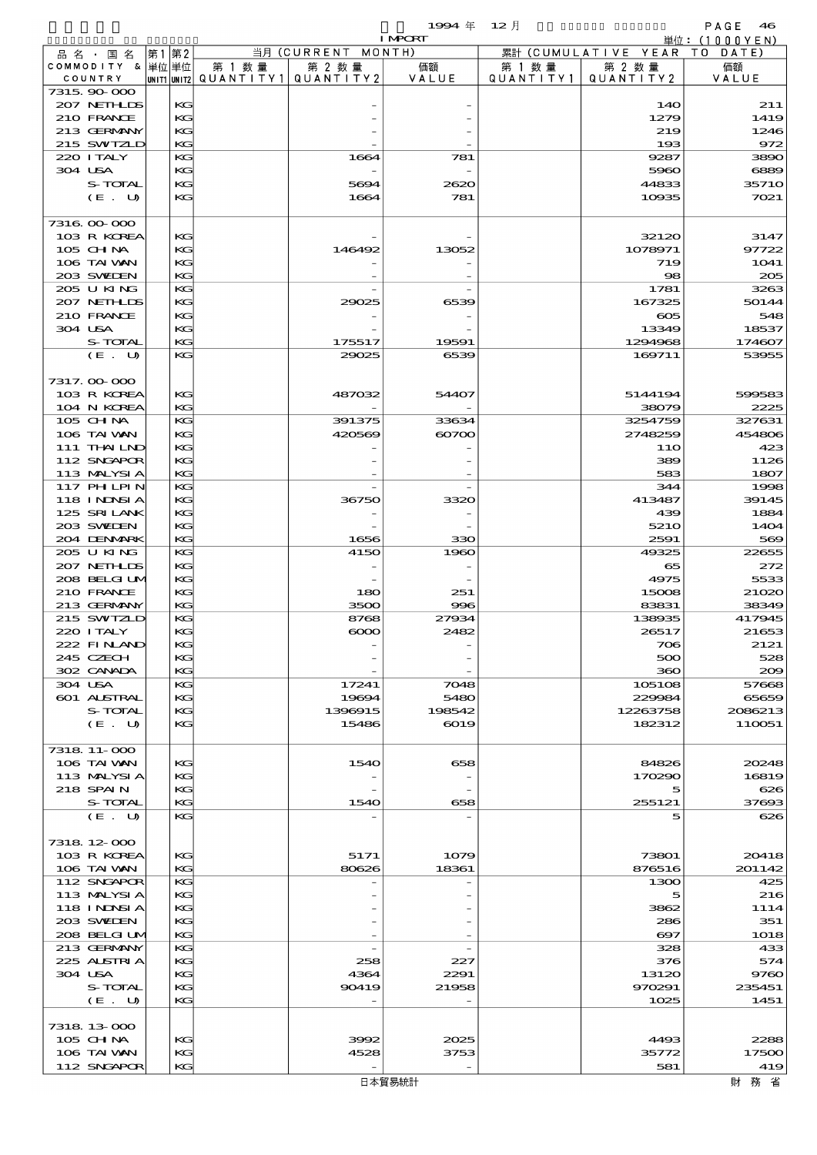|                             |                                                                                |          |                          |                  | 1994 $#$      | $12$ 月    |                       | PAGE<br>46      |
|-----------------------------|--------------------------------------------------------------------------------|----------|--------------------------|------------------|---------------|-----------|-----------------------|-----------------|
|                             | <b>I MPCRT</b><br>当月 (CURRENT MONTH)<br>累計 (CUMULATIVE YEAR TO DATE)<br> 第1 第2 |          |                          |                  |               |           |                       | 単位: (1000YEN)   |
| 品名・国名<br>COMMODITY & 単位単位   |                                                                                |          | 第 1 数 量                  | 第 2 数量           | 価額            | 第 1 数 量   | 第 2 数量                | 価額              |
| COUNTRY                     |                                                                                |          | unit1 unit2  Q∪ANT   TY1 | QUANTITY 2       | VALUE         | QUANTITY1 | QUANTITY2             | VALUE           |
| 7315, 90-000                |                                                                                |          |                          |                  |               |           |                       |                 |
| 207 NETHLIDS                |                                                                                | KG       |                          |                  |               |           | 14O                   | 211             |
| 210 FRANCE                  |                                                                                | KG       |                          |                  |               |           | 1279                  | 1419            |
| 213 GERMANY<br>215 SWIZLD   |                                                                                | KG<br>KG |                          |                  |               |           | 219<br>193            | 1246<br>972     |
| 220 I TALY                  |                                                                                | KG       |                          | 1664             | 781           |           | 9287                  | 3890            |
| 304 USA                     |                                                                                | KG       |                          |                  |               |           | 5960                  | 6889            |
| S-TOTAL                     |                                                                                | KG       |                          | 5694             | 2620          |           | 44833                 | 35710           |
| (E. U)                      |                                                                                | KG       |                          | 1664             | 781           |           | 10935                 | 7021            |
|                             |                                                                                |          |                          |                  |               |           |                       |                 |
| 7316.00-000<br>103 R KOREA  |                                                                                | KG       |                          |                  |               |           | 32120                 | 3147            |
| 105 CHNA                    |                                                                                | KG       |                          | 146492           | 13052         |           | 1078971               | 97722           |
| 106 TAI VAN                 |                                                                                | KG       |                          |                  |               |           | 719                   | 1041            |
| 203 SWIDEN                  |                                                                                | KG       |                          |                  |               |           | 98                    | 205             |
| 205 U KING                  |                                                                                | KG       |                          |                  |               |           | 1781                  | 3263            |
| 207 NETHLIS                 |                                                                                | KG       |                          | 29025            | 6539          |           | 167325                | 50144           |
| 210 FRANCE                  |                                                                                | KG       |                          |                  |               |           | $\infty$              | 548             |
| 304 USA<br>S-TOTAL          |                                                                                | KG<br>KG |                          | 175517           | 19591         |           | 13349<br>1294968      | 18537<br>174607 |
| (E. U)                      |                                                                                | KG       |                          | 29025            | 6539          |           | 169711                | 53955           |
|                             |                                                                                |          |                          |                  |               |           |                       |                 |
| 7317.00-000                 |                                                                                |          |                          |                  |               |           |                       |                 |
| 103 R KOREA                 |                                                                                | KG       |                          | 487032           | 54407         |           | 5144194               | 599583          |
| 104 N KOREA                 |                                                                                | KG       |                          |                  |               |           | 38079                 | 2225            |
| $105$ CHNA                  |                                                                                | KG       |                          | 391375           | 33634         |           | 3254759               | 327631          |
| 106 TAI VAN<br>111 THAILND  |                                                                                | KG<br>KG |                          | 420569           | $\infty$      |           | 2748259<br>11O        | 454806<br>423   |
| 112 SNGAPOR                 |                                                                                | KG       |                          |                  |               |           | 389                   | 1126            |
| 113 MALYSIA                 |                                                                                | KG       |                          |                  |               |           | 583                   | 1807            |
| 117 PH LPIN                 |                                                                                | KG       |                          |                  |               |           | 344                   | 1998            |
| <b>118 INNSIA</b>           |                                                                                | KG       |                          | 36750            | 3320          |           | 413487                | 39145           |
| 125 SRILANK                 |                                                                                | KG       |                          |                  |               |           | 439                   | 1884            |
| 203 SWIDEN<br>204 DENMARK   |                                                                                | KG<br>KG |                          | 1656             | 330           |           | 5210<br>2591          | 1404<br>569     |
| 205 U KING                  |                                                                                | KG       |                          | 4150             | 1960          |           | 49325                 | 22655           |
| 207 NETHLIS                 |                                                                                | KG       |                          |                  |               |           | 65                    | 272             |
| 208 BELGI UM                |                                                                                | KG       |                          |                  |               |           | 4975                  | 5533            |
| 210 FRANCE                  |                                                                                | KG       |                          | 180              | 251           |           | 15008                 | 21020           |
| 213 GERMANY                 |                                                                                | KG       |                          | 3500             | 996           |           | 83831                 | 38349           |
| 215 SWIZLD<br>220 I TALY    |                                                                                | KG<br>KG |                          | 8768<br>$\infty$ | 27934<br>2482 |           | 138935<br>26517       | 417945<br>21653 |
| 222 FINLAND                 |                                                                                | KG       |                          |                  |               |           | 706                   | 2121            |
| 245 CZECH                   |                                                                                | KG       |                          |                  |               |           | 500                   | 528             |
| 302 CANADA                  |                                                                                | KG       |                          |                  |               |           | 360                   | 200             |
| 304 USA                     |                                                                                | KG       |                          | 17241            | 7048          |           | 105108                | 57668           |
| 601 ALSTRAL                 |                                                                                | КC       |                          | 19694            | 5480          |           | 229984                | 65659           |
| S-TOTAL                     |                                                                                | KG       |                          | 1396915          | 198542        |           | 12263758<br>182312    | 2086213         |
| (E. U)                      |                                                                                | KG       |                          | 15486            | 6019          |           |                       | 110051          |
| 7318 11-000                 |                                                                                |          |                          |                  |               |           |                       |                 |
| 106 TAI VAN                 |                                                                                | KG       |                          | 1540             | 658           |           | 84826                 | 20248           |
| 113 MALYSIA                 |                                                                                | KG       |                          |                  |               |           | 170290                | 16819           |
| 218 SPAIN                   |                                                                                | KG       |                          |                  |               |           | 5                     | 626             |
| S-TOTAL                     |                                                                                | KG<br>KG |                          | 1540             | 658           |           | 255121                | 37693           |
| (E. U)                      |                                                                                |          |                          |                  |               |           | 5                     | 626             |
| 7318 12 000                 |                                                                                |          |                          |                  |               |           |                       |                 |
| 103 R KOREA                 |                                                                                | KG       |                          | 5171             | 1079          |           | 73801                 | 20418           |
| 106 TAI VAN                 |                                                                                | KG       |                          | 80626            | 18361         |           | 876516                | 201142          |
| 112 SNGAPOR                 |                                                                                | KG       |                          |                  |               |           | 1300                  | 425             |
| 113 MALYSIA                 |                                                                                | КC       |                          |                  |               |           | 5                     | 216             |
| 118 I NINSI A<br>203 SVEDEN |                                                                                | KG<br>KG |                          |                  |               |           | 3862<br>286           | 1114<br>351     |
| 208 BELGI UM                |                                                                                | KG       |                          |                  |               |           | $\boldsymbol{\omega}$ | 1018            |
| 213 GERMANY                 |                                                                                | KG       |                          |                  |               |           | 328                   | 433             |
| 225 ALSTRIA                 |                                                                                | KG       |                          | 258              | 227           |           | 376                   | 574             |
| 304 USA                     |                                                                                | KG       |                          | 4364             | 2291          |           | 13120                 | 9760            |
| S-TOTAL                     |                                                                                | KG       |                          | 90419            | 21958         |           | 970291                | 235451          |
| (E. U)                      |                                                                                | KG       |                          |                  |               |           | 1025                  | 1451            |
|                             |                                                                                |          |                          |                  |               |           |                       |                 |

 $105 \text{ GHM}$   $| \text{KG} |$   $| \text{KG} |$   $| \text{GSE} |$   $| \text{GDE} |$   $| \text{GDE} |$   $| \text{GDE} |$   $| \text{GDE} |$   $| \text{GDE} |$   $| \text{GDE} |$   $| \text{GDE} |$   $| \text{GDE} |$   $| \text{GDE} |$   $| \text{GDE} |$   $| \text{GDE} |$   $| \text{GDE} |$   $| \text{GDE} |$   $| \text{GDE} |$   $| \text{GDE} |$   $| \text{GDE} |$   $|$ 105 CH NA<br>106 TAI WAN KG KG 4528 3753 3753 35772 17500<br>112 SNGAPOR KG KG 112 SNGAPOR 19 112 SNGAPOR KG - - 581 419

7318.13-000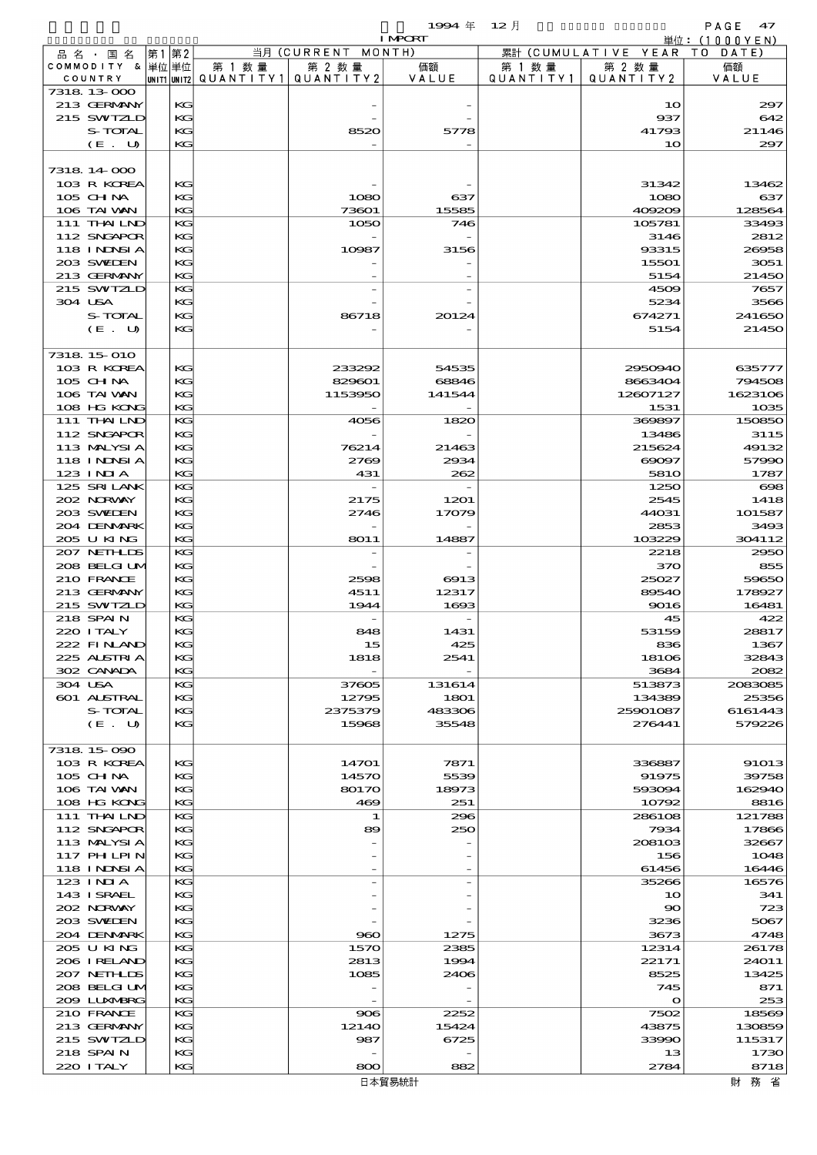$1994 \# 12$   $\sharp$ 

|                              |       |          |                                       |                    | <b>I MPORT</b> |           |                              | .<br>単位: (1000 Y E N ) |
|------------------------------|-------|----------|---------------------------------------|--------------------|----------------|-----------|------------------------------|------------------------|
| 品 名 ・ 国 名                    | 第1 第2 |          |                                       | 当月 (CURRENT MONTH) |                |           | 累計 (CUMULATIVE YEAR          | TO DATE)               |
| COMMODITY & 単位単位             |       |          | 第 1 数量                                | 第 2 数量             | 価額             | 第 1 数 量   | 第 2 数量                       | 価額                     |
| COUNTRY                      |       |          | unit1 unit2  QUANT   TY1  QUANT   TY2 |                    | VALUE          | QUANTITY1 | QUANTITY 2                   | VALUE                  |
| 7318 13 000<br>213 GERMANY   |       | KG       |                                       |                    |                |           | 10                           | 297                    |
| 215 SWIZLD                   |       | KG       |                                       |                    |                |           | 937                          | 642                    |
| S-TOTAL                      |       | KG       |                                       | 8520               | 5778           |           | 41793                        | 21146                  |
| (E. U)                       |       | KG       |                                       |                    |                |           | 10                           | 297                    |
|                              |       |          |                                       |                    |                |           |                              |                        |
| 7318 14 000                  |       |          |                                       |                    |                |           |                              |                        |
| 103 R KOREA                  |       | KG       |                                       |                    |                |           | 31342                        | 13462                  |
| 105 CHNA                     |       | KG       |                                       | 1080               | 637            |           | 1080                         | 637                    |
| 106 TAI VAN                  |       | KG       |                                       | 73601              | 15585          |           | 409209                       | 128564                 |
| 111 THAILND<br>112 SNGAPOR   |       | KG<br>KG |                                       | 1050               | 746            |           | 105781<br>3146               | 33493<br>2812          |
| 118 I NDSI A                 |       | KG       |                                       | 10987              | 3156           |           | 93315                        | 26958                  |
| 203 SWIEN                    |       | KG       |                                       |                    |                |           | 15501                        | 3051                   |
| 213 GERMANY                  |       | KG       |                                       |                    |                |           | 5154                         | 21450                  |
| 215 SWIZLD                   |       | KG       |                                       |                    |                |           | 4509                         | 7657                   |
| 304 USA                      |       | KG       |                                       |                    |                |           | 5234                         | 3566                   |
| S-TOTAL                      |       | KG       |                                       | 86718              | 20124          |           | 674271                       | 241650                 |
| (E. U)                       |       | KG       |                                       |                    |                |           | 5154                         | 21450                  |
| 7318 15 010                  |       |          |                                       |                    |                |           |                              |                        |
| 103 R KOREA                  |       | KG       |                                       | 233292             | 54535          |           | 2950940                      | 635777                 |
| $105$ CHNA                   |       | KG       |                                       | 829601             | 68846          |           | 8663404                      | 794508                 |
| 106 TAI VAN                  |       | KG       |                                       | 1153950            | 141544         |           | 12607127                     | 1623106                |
| 108 HG KONG                  |       | KG       |                                       |                    |                |           | 1531                         | 1035                   |
| 111 THAILND                  |       | KG       |                                       | 4056               | 1820           |           | 369897                       | 150850                 |
| 112 SNGAPOR                  |       | KG       |                                       |                    |                |           | 13486                        | 3115                   |
| 113 MALYSIA                  |       | KG       |                                       | 76214              | 21463          |           | 215624                       | 49132                  |
| 118 INNSI A                  |       | KG       |                                       | 2769               | 2934           |           | $\Theta$ $\Omega$ $\Theta$ 7 | 57990                  |
| $123$ $1$ NIA<br>125 SRILANK |       | KG<br>KG |                                       | 431                | 262            |           | <b>5810</b><br>1250          | 1787<br>$\infty$       |
| 202 NORWAY                   |       | KG       |                                       | 2175               | 1201           |           | 2545                         | 1418                   |
| 203 SVELEN                   |       | KG       |                                       | 2746               | 17079          |           | 44031                        | 101587                 |
| 204 DENMARK                  |       | KG       |                                       |                    |                |           | 2853                         | 3493                   |
| 205 U KING                   |       | KG       |                                       | 8011               | 14887          |           | 103229                       | 304112                 |
| 207 NETHLIS                  |       | KG       |                                       |                    |                |           | 2218                         | 2950                   |
| 208 BELGI UM                 |       | KG       |                                       |                    |                |           | 370                          | 855                    |
| 210 FRANCE                   |       | KG       |                                       | 2598               | 6913           |           | 25027                        | 59650                  |
| 213 GERMANY<br>215 SWIZLD    |       | KG<br>KG |                                       | 4511<br>1944       | 12317<br>1693  |           | 89540<br>9016                | 178927<br>16481        |
| 218 SPAIN                    |       | KG       |                                       |                    |                |           | 45                           | 422                    |
| 220 ITALY                    |       | KG       |                                       | 848                | 1431           |           | 53159                        | 28817                  |
| 222 FINAND                   |       | KG       |                                       | 15                 | 425            |           | 836                          | 1367                   |
| 225 ALSTRIA                  |       | KG       |                                       | 1818               | 2541           |           | 18106                        | 32843                  |
| 302 CANADA                   |       | KG       |                                       |                    |                |           | 3684                         | 2082                   |
| 304 USA                      |       | KG       |                                       | 37605              | 131614         |           | 513873                       | 2083085                |
| 601 ALSTRAL                  |       | KG       |                                       | 12795              | 1801<br>483306 |           | 134389<br>25901087           | 25356                  |
| S-TOTAL<br>(E. U)            |       | KG<br>KG |                                       | 2375379<br>15968   | 35548          |           | 276441                       | 6161443<br>579226      |
|                              |       |          |                                       |                    |                |           |                              |                        |
| 7318 15 090                  |       |          |                                       |                    |                |           |                              |                        |
| 103 R KOREA                  |       | KG       |                                       | 14701              | 7871           |           | 336887                       | 91013                  |
| 105 CHNA                     |       | KG       |                                       | 14570              | 5539           |           | 91975                        | 39758                  |
| 106 TAI VAN                  |       | KC       |                                       | 80170              | 18973          |           | 593094                       | 162940                 |
| 108 HG KONG                  |       | KG       |                                       | 469                | 251            |           | 10792                        | 8816                   |
| 111 THAILND<br>112 SNGAPOR   |       | KG<br>KG |                                       | 1<br>89            | 296<br>250     |           | 286108<br>7934               | 121788<br>17866        |
| 113 MALYSIA                  |       | KG       |                                       |                    |                |           | 208103                       | 32667                  |
| 117 PHLPIN                   |       | KG       |                                       |                    |                |           | 156                          | 1048                   |
| 118 I NDSI A                 |       | KG       |                                       |                    |                |           | 61456                        | 16446                  |
| 123 INIA                     |       | KG       |                                       |                    |                |           | 35266                        | 16576                  |
| 143 ISRAEL                   |       | KG       |                                       |                    |                |           | 10                           | 341                    |
| 202 NRWAY                    |       | KG       |                                       |                    |                |           | $\infty$                     | 723                    |
| 203 SWIDEN                   |       | KG       |                                       |                    |                |           | 3236                         | 5067                   |
| 204 DENMARK                  |       | KG<br>KG |                                       | 960                | 1275           |           | 3673                         | 4748                   |
| 205 U KING<br>206 IRELAND    |       | KG       |                                       | 1570<br>2813       | 2385<br>1994   |           | 12314<br>22171               | 26178<br>24011         |
| 207 NETHLIS                  |       | KG       |                                       | 1085               | 2406           |           | 8525                         | 13425                  |
| 208 BELGI UM                 |       | KG       |                                       |                    |                |           | 745                          | 871                    |
| 200 LUNABRG                  |       | KG       |                                       |                    |                |           | $\mathbf o$                  | 253                    |
| 210 FRANCE                   |       | KG       |                                       | 906                | 2252           |           | 7502                         | 18569                  |
| 213 GERMANY                  |       | KG       |                                       | 12140              | 15424          |           | 43875                        | 130859                 |
| 215 SWIZLD                   |       | KG       |                                       | 987                | 6725           |           | 33990                        | 115317                 |
| 218 SPAIN                    |       | KG       |                                       |                    |                |           | 13                           | 1730                   |

220 ITALY  $\begin{array}{|c|c|c|c|c|c|}\n\hline\n & \text{KG} & \text{SO} & \text{882} \\
\hline\n\end{array}$  8718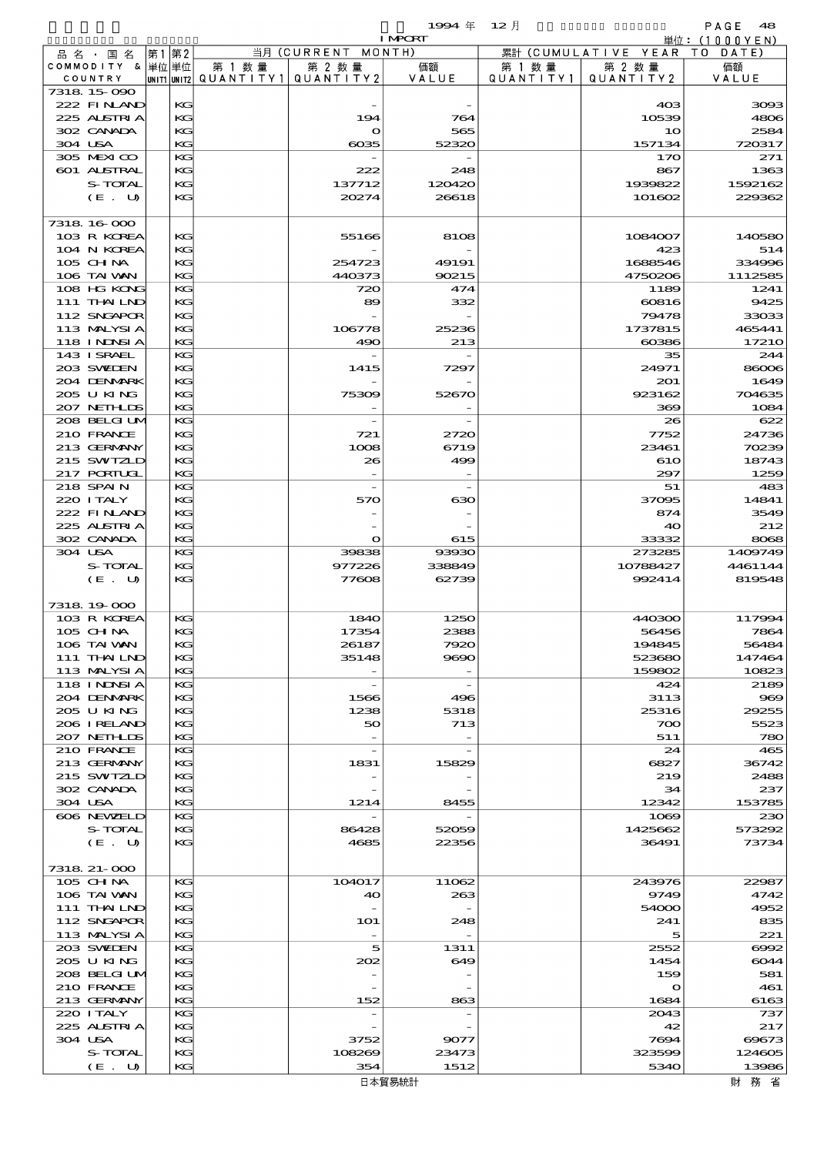$1994 \; \text{#} \quad 12 \; \text{\AA}$ 

|                   |      |                                       |                          | <b>I MPCRT</b> |           |                              | 単位: (1000YEN) |
|-------------------|------|---------------------------------------|--------------------------|----------------|-----------|------------------------------|---------------|
| 品名・国名             | 第1第2 |                                       | 当月 (CURRENT MONTH)       |                |           | 累計 (CUMULATIVE YEAR TO DATE) |               |
| COMMODITY & 単位単位  |      | 第 1 数量                                | 第 2 数量                   | 価額             | 第 1 数量    | 第 2 数量                       | 価額            |
| COUNTRY           |      | UNIT1 UNIT2  QUANT   TY1  QUANT   TY2 |                          | VALUE          | QUANTITY1 | QUANTITY 2                   | VALUE         |
| 7318 15 090       |      |                                       |                          |                |           |                              |               |
| 222 FINAND        | KG   |                                       |                          |                |           | 403                          | 3093          |
| 225 ALSTRIA       | KG   |                                       | 194                      | 764            |           | 10539                        | 4806          |
| 302 CANADA        | KG   |                                       | $\mathbf o$              | 565            |           | 10                           | 2584          |
| 304 USA           | KG   |                                       | $\cos 5$                 | 52320          |           | 157134                       | 720317        |
| 305 MEXICO        | KG   |                                       |                          |                |           | 170                          | 271           |
| 601 ALSTRAL       | KG   |                                       | 222                      | 248            |           | 867                          | 1363          |
| S-TOTAL           | KG   |                                       | 137712                   | 120420         |           | 1939822                      | 1592162       |
| (E. U)            | KG   |                                       | 20274                    | 26618          |           | 101602                       | 229362        |
|                   |      |                                       |                          |                |           |                              |               |
| 7318 16 000       |      |                                       |                          |                |           |                              |               |
| 103 R KOREA       | KG   |                                       | 55166                    | 8108           |           | 1084007                      | 140580        |
| 104 N KOREA       | KG   |                                       |                          |                |           | 423                          | 514           |
| 105 CH NA         | KG   |                                       | 254723                   | 49191          |           | 1688546                      | 334996        |
| 106 TAI VAN       | KG   |                                       | 440373                   | 90215          |           | 4750206                      | 1112585       |
| 108 HG KONG       | KG   |                                       | 720                      | 474            |           | 1189                         | 1241          |
| 111 THAILND       | KG   |                                       | 89                       | 332            |           | 60816                        | 9425          |
| 112 SNGAPOR       | KG   |                                       |                          |                |           | 79478                        | 33033         |
| 113 MALYSIA       | KG   |                                       | 106778                   | 25236          |           | 1737815                      | 465441        |
| 118 I NDSI A      | KG   |                                       | 490                      | 213            |           | $\alpha$ cosses              | 17210         |
| 143 I SRAEL       | KG   |                                       |                          |                |           | 35                           | 244           |
| 203 SWIEN         | KG   |                                       | 1415                     | 7297           |           | 24971                        | 86006         |
| 204 DENMARK       | KG   |                                       |                          |                |           | 201                          | 1649          |
| 205 U KING        | KG   |                                       | 75309                    | 52670          |           | 923162                       | 704635        |
| 207 NETHLIS       | KG   |                                       |                          |                |           | 369                          | 1084          |
| 208 BELGI UM      | KG   |                                       |                          |                |           | 26                           | 622           |
| 210 FRANCE        | KG   |                                       | 721                      | 2720           |           | 7752                         | 24736         |
| 213 GERMANY       | KG   |                                       | 1008                     | 6719           |           | 23461                        | 70239         |
| 215 SWIZLD        | KG   |                                       | 26                       | 499            |           | 610                          | 18743         |
| 217 PORTUGL       | KG   |                                       |                          |                |           | 297                          | 1259          |
| 218 SPAIN         | KG   |                                       |                          |                |           | 51                           | 483           |
| 220 I TALY        | KG   |                                       | 570                      | ഓ              |           | 37095                        | 14841         |
| 222 FINAND        | KG   |                                       |                          |                |           | 874                          | 3549          |
| 225 ALSTRIA       | KG   |                                       |                          |                |           | 40                           | 212           |
| 302 CANADA        | KG   |                                       | $\mathbf o$              | 615            |           | 33332                        | 8068          |
| 304 USA           | KG   |                                       | 39838                    | 93930          |           | 273285                       | 1409749       |
| S-TOTAL           | KG   |                                       | 977226                   | 338849         |           | 10788427                     | 4461144       |
| (E. U)            | KG   |                                       | 77608                    | 62739          |           | 992414                       | 819548        |
|                   |      |                                       |                          |                |           |                              |               |
| 7318 19000        |      |                                       |                          |                |           |                              |               |
| 103 R KOREA       | KG   |                                       | 1840                     | 1250           |           | 440300                       | 117994        |
| 105 CH NA         | KG   |                                       | 17354                    | 2388           |           | 56456                        | 7864          |
| 106 TAI VAN       | KG   |                                       | 26187                    | 7920           |           | 194845                       | 56484         |
| 111 THAILND       | KG   |                                       | 35148                    | 9690           |           | 523680                       | 147464        |
| 113 MALYSIA       | KG   |                                       |                          |                |           | 159802                       | 10823         |
| <b>118 INNSIA</b> | KG   |                                       |                          |                |           | 424                          | 2189          |
| 204 DENMARK       | KG   |                                       | 1566                     | 496            |           | 3113                         | 969           |
| 205 U KING        | KG   |                                       | 1238                     | 5318           |           | 25316                        | 29255         |
| 206 IRELAND       | KG   |                                       | 50                       | 713            |           | 700                          | 5523          |
| 207 NETHLIS       | KG   |                                       |                          |                |           | 511                          | 780           |
| 210 FRANCE        | KG   |                                       |                          |                |           | 24                           | 465           |
| 213 GERMANY       | KG   |                                       | 1831                     | 15829          |           | 6827                         | 36742         |
| 215 SWIZLD        | KG   |                                       |                          |                |           | 219                          | 2488          |
| 302 CANADA        | KG   |                                       |                          |                |           | 34                           | 237           |
| 304 USA           | KG   |                                       | 1214                     | 8455           |           | 12342                        | 153785        |
| 606 NEWELD        | KG   |                                       |                          |                |           | 1069                         | 230           |
| S-TOTAL           | KG   |                                       | 86428                    | 52059          |           | 1425662                      | 573292        |
| (E. U)            | KG   |                                       | 4685                     | 22356          |           | 36491                        | 73734         |
|                   |      |                                       |                          |                |           |                              |               |
| 7318 21-000       |      |                                       |                          |                |           |                              |               |
| 105 CH NA         | KG   |                                       | 104017                   | 11062          |           | 243976                       | 22987         |
| 106 TAI VAN       | KG   |                                       | 40                       | 263            |           | 9749                         | 4742          |
| 111 THAILND       | KC   |                                       |                          |                |           | 54000                        | 4952          |
| 112 SNGAPOR       | KG   |                                       | 1O1                      | 248            |           | 241                          | 835           |
| 113 MALYSIA       | KG   |                                       | $\overline{\phantom{a}}$ |                |           | 5                            | 221           |
| 203 SWILEN        | KG   |                                       | 5                        | 1311           |           | 2552                         | $\infty$      |
| 205 U KING        | KG   |                                       | 202                      | 649            |           | 1454                         | 6044          |
| 208 BELGI UM      | KC   |                                       |                          |                |           | 159                          | 581           |
| 210 FRANCE        | KG   |                                       |                          |                |           | $\mathbf o$                  | 461           |
| 213 GERMANY       | KG   |                                       | 152                      | 863            |           | 1684                         | 6163          |
| 220 I TALY        | KG   |                                       |                          |                |           | 2043                         | 737           |
| 225 ALSTRIA       | KG   |                                       |                          |                |           | 42                           | 217           |
| 304 USA           | KC   |                                       | 3752                     | 9077           |           | 7694                         | 69673         |
| S-TOTAL           | KC   |                                       | 108269                   | 23473          |           | 323599                       | 124605        |
|                   |      |                                       |                          |                |           |                              |               |
| (E. U)            | KG   |                                       | 354                      | 1512           |           | 5340                         | 13986         |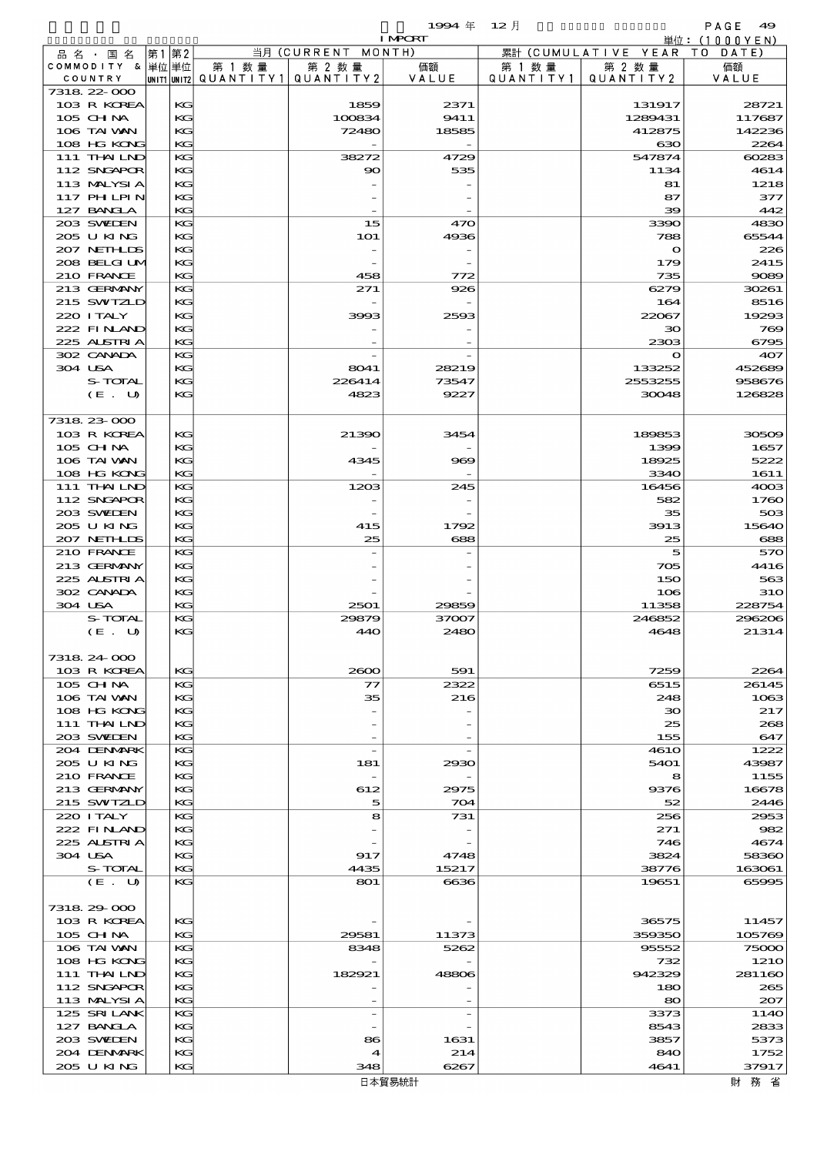|                            |    |              |           |                    | 1994年          | $12$ 月    |                      | PAGE<br>49      |
|----------------------------|----|--------------|-----------|--------------------|----------------|-----------|----------------------|-----------------|
|                            |    |              |           |                    | <b>I MPORT</b> |           |                      | 単位: (1000YEN)   |
| 品 名 ・ 国 名                  | 第1 | 第2           |           | 当月 (CURRENT MONTH) |                |           | 累計 (CUMULATIVE YEAR) | DATE<br>T O     |
| COMMODITY & 単位単位           |    |              | 第 1 数量    | 第 2 数量             | 価額             | 第 1 数 量   | 第 2 数量               | 価額              |
| COUNTRY<br>7318 22 000     |    | UNIT1  UNIT2 | QUANTITY1 | QUANTITY 2         | VALUE          | QUANTITY1 | QUANTITY 2           | VALUE           |
| 103 R KOREA                |    | KG           |           | 1859               | 2371           |           | 131917               | 28721           |
| 105 CH NA                  |    | KG           |           | 100834             | 9411           |           | 1289431              | 117687          |
| 106 TAI VAN                |    | KG           |           | 72480              | 18585          |           | 412875               | 142236          |
| 108 HG KONG                |    | KG           |           |                    |                |           | 630                  | 2264            |
| 111 THAILND                |    | KG           |           | 38272              | 4729           |           | 547874               | 60283           |
| 112 SNGAPOR                |    | KG           |           | $\infty$           | 535            |           | 1134                 | 4614            |
| 113 MALYSIA                |    | KG           |           |                    |                |           | 81                   | 1218            |
| <b>117 PHLPIN</b>          |    | KG           |           |                    |                |           | 87                   | 377             |
| 127 BANCLA                 |    | KG           |           |                    |                |           | 39                   | 442             |
| 203 SWIEN                  |    | KG           |           | 15                 | 470            |           | 3390                 | 4830            |
| 205 U KING                 |    | KG           |           | <b>1O1</b>         | 4936           |           | 788                  | 65544           |
| 207 NETHLIS                |    | KG           |           |                    |                |           | $\mathbf o$          | 226             |
| 208 BELGI UM<br>210 FRANCE |    | KG<br>KG     |           | 458                |                |           | 179<br>735           | 2415<br>9089    |
| 213 GERMANY                |    | KG           |           | 271                | 772<br>926     |           | 6279                 | 30261           |
| 215 SWIZLD                 |    | KG           |           |                    |                |           | 164                  | 8516            |
| 220 I TALY                 |    | KG           |           | 3993               | 2593           |           | 22067                | 19293           |
| 222 FINAND                 |    | KG           |           |                    |                |           | $30^{\circ}$         | 769             |
| 225 ALSTRIA                |    | KG           |           |                    |                |           | 2303                 | 6795            |
| 302 CANADA                 |    | KG           |           |                    |                |           | $\mathbf o$          | 407             |
| 304 USA                    |    | KG           |           | 8041               | 28219          |           | 133252               | 452689          |
| S-TOTAL                    |    | KG           |           | 226414             | 73547          |           | 2553255              | 958676          |
| (E. U)                     |    | KG           |           | 4823               | 9227           |           | 30048                | 126828          |
|                            |    |              |           |                    |                |           |                      |                 |
| 7318 23 000                |    |              |           |                    |                |           |                      |                 |
| 103 R KOREA                |    | KG           |           | 21390              | 3454           |           | 189853               | 30509           |
| 105 CH NA                  |    | KG           |           |                    |                |           | 1399                 | 1657            |
| 106 TAI WAN                |    | KG           |           | 4345               | 969            |           | 18925                | 5222            |
| 108 HG KONG                |    | KG           |           |                    |                |           | 3340                 | 1611            |
| 111 THAILND                |    | KG           |           | 1203               | 245            |           | 16456                | 4003            |
| 112 SNGAPOR                |    | KG<br>KG     |           |                    |                |           | 582                  | 1760            |
| 203 SWIEN<br>205 U KING    |    | KG           |           | 415                | 1792           |           | 35<br>3913           | 503<br>15640    |
| 207 NETHLIS                |    | KG           |           | 25                 | 688            |           | 25                   | 688             |
| 210 FRANCE                 |    | KG           |           |                    |                |           | 5                    | 570             |
| 213 GERMANY                |    | KG           |           |                    |                |           | 705                  | 4416            |
| 225 ALSTRIA                |    | KG           |           |                    |                |           | 150                  | 563             |
| 302 CANADA                 |    | KG           |           |                    |                |           | 106                  | <b>31O</b>      |
| 304 USA                    |    | KG           |           | 2501               | 29859          |           | 11358                | 228754          |
| S-TOTAL                    |    | KG           |           | 29879              | 37007          |           | 246852               | 296206          |
| (E. U)                     |    | KG           |           | 440                | <b>2480</b>    |           | 4648                 | 21314           |
|                            |    |              |           |                    |                |           |                      |                 |
| 7318 24 000                |    |              |           |                    |                |           |                      |                 |
| 103 R KOREA                |    | KG           |           | 2600               | 591            |           | 7259                 | 2264            |
| $105$ CHNA                 |    | KG           |           | 77                 | 2322           |           | 6515                 | 26145           |
| 106 TAI VAN                |    | KG           |           | 35                 | 216            |           | 248                  | 1063            |
| 108 HG KONG                |    | KG           |           |                    |                |           | $\infty$             | 217             |
| $111$ THAILND              |    | KG           |           |                    |                |           | 25                   | 268             |
| 203 SWIEN<br>204 DENMARK   |    | KG<br>KG     |           |                    |                |           | 155<br>461O          | 647<br>1222     |
| 205 U KING                 |    | KG           |           | 181                | 2930           |           | 5401                 | 43987           |
| 210 FRANCE                 |    | KG           |           |                    |                |           | 8                    | 1155            |
| 213 GERMANY                |    | KG           |           | 612                | 2975           |           | 9376                 | 16678           |
| 215 SWIZLD                 |    | KG           |           | 5                  | 704            |           | 52                   | 2446            |
| 220 I TALY                 |    | KG           |           | 8                  | 731            |           | 256                  | 2953            |
| 222 FINAND                 |    | KG           |           |                    |                |           | 271                  | 982             |
| 225 ALSTRIA                |    | KG           |           |                    |                |           | 746                  | 4674            |
| 304 USA                    |    | KG           |           | 917                | 4748           |           | 3824                 | 58360           |
| S-TOTAL                    |    | KG           |           | 4435               | 15217          |           | 38776                | 163061          |
| (E. U)                     |    | KG           |           | 801                | 6636           |           | 19651                | 65995           |
|                            |    |              |           |                    |                |           |                      |                 |
| 7318 29 000                |    |              |           |                    |                |           |                      |                 |
| 103 R KOREA                |    | KG           |           |                    |                |           | 36575                | 11457           |
| 105 CH NA<br>106 TAI VAN   |    | KG<br>KG     |           | 29581<br>8348      | 11373<br>5262  |           | 359350<br>95552      | 105769<br>75000 |
| 108 HG KONG                |    | KG           |           |                    |                |           | 732                  | 1210            |
| 111 THAILND                |    | KG           |           | 182921             | 48806          |           | 942329               | 281160          |
| 112 SNGAPOR                |    | KG           |           |                    |                |           | 180                  | 265             |
| 113 MALYSIA                |    | KG           |           |                    |                |           | 80                   | 207             |
| 125 SRILANK                |    | KG           |           |                    |                |           | 3373                 | 114O            |
| 127 BANCLA                 |    | KG           |           |                    |                |           | 8543                 | 2833            |
| 203 SWIDEN                 |    | KG           |           | 86                 | 1631           |           | 3857                 | 5373            |
| 204 DENMARK                |    | KG           |           | 4                  | 214            |           | 840                  | 1752            |
| 205 U KING                 |    | KG           |           | 348                | 6267           |           | 4641                 | 37917           |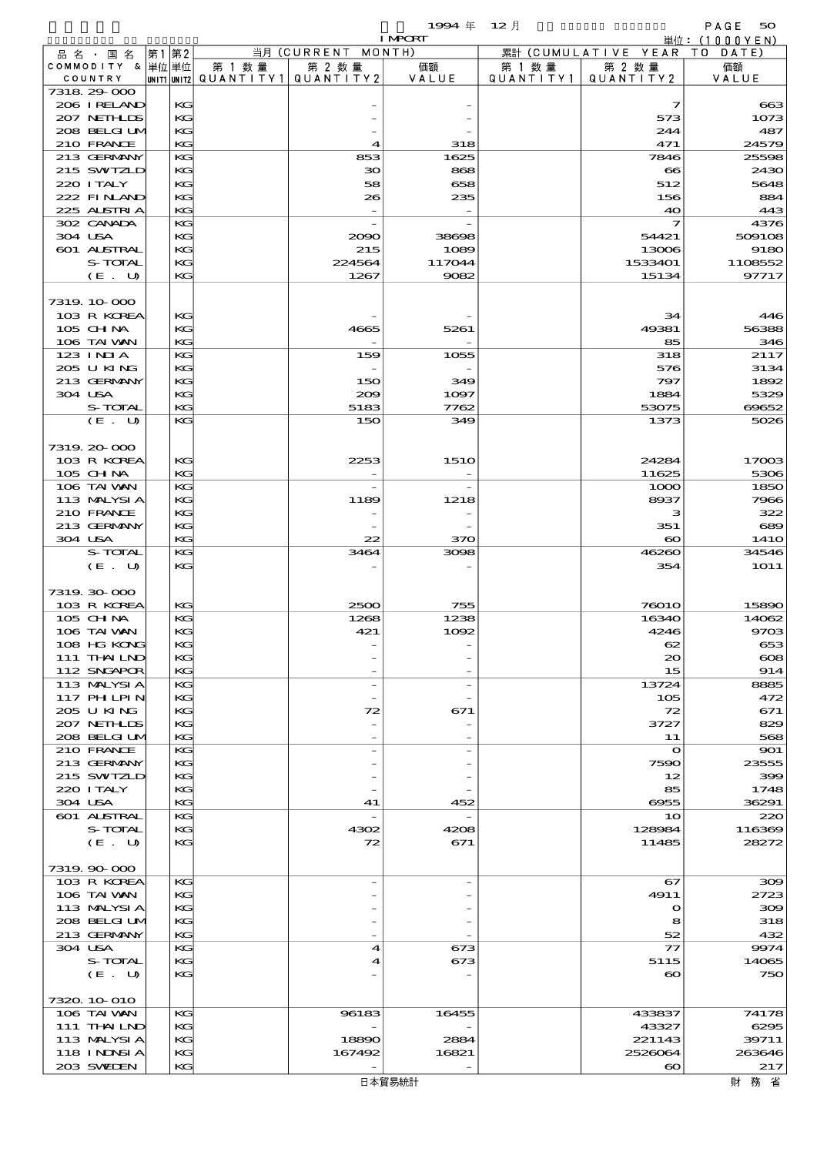|                               |          |                                                    |                    | 1994 $#$                 | $12$ 月    |                              | PAGE 50       |
|-------------------------------|----------|----------------------------------------------------|--------------------|--------------------------|-----------|------------------------------|---------------|
|                               | 第1第2     |                                                    | 当月 (CURRENT MONTH) | <b>I MPORT</b>           |           | 累計 (CUMULATIVE YEAR TO DATE) | 単位:(1000YEN)  |
| 品 名 ・ 国 名<br>COMMODITY & 単位単位 |          | 第 1 数 量                                            | 第 2 数量             | 価額                       | 第 1 数 量   | 第 2 数 量                      | 価額            |
| COUNTRY                       |          | $ $ UNIT1 $ $ UNIT2 $ $ Q $\cup$ A N T I T Y 1 $ $ | QUANTITY 2         | VALUE                    | QUANTITY1 | QUANTITY2                    | VALUE         |
| 7318 29 000                   |          |                                                    |                    |                          |           |                              |               |
| 206 IRELAND                   | KG       |                                                    |                    |                          |           | 7                            | 663           |
| 207 NETHLIS                   | KG       |                                                    |                    |                          |           | 573                          | 1073          |
| 208 BELGI UM                  | KG       |                                                    |                    |                          |           | 244                          | 487           |
| 210 FRANCE                    | KG       |                                                    | 4                  | 318                      |           | 471                          | 24579         |
| 213 GERMANY<br>215 SWIZLD     | KG<br>KG |                                                    | 853<br>зо          | 1625<br>868              |           | 7846<br>$\infty$             | 25598<br>2430 |
| 220 I TALY                    | KG       |                                                    | 58                 | 658                      |           | 512                          | 5648          |
| 222 FINAND                    | KG       |                                                    | 26                 | 235                      |           | 156                          | 884           |
| 225 ALSTRIA                   | KG       |                                                    |                    | $\overline{\phantom{a}}$ |           | 40                           | 443           |
| 302 CANADA                    | KG       |                                                    |                    |                          |           | 7                            | 4376          |
| 304 USA                       | KG       |                                                    | 2090               | 38698                    |           | 54421                        | 509108        |
| <b>601 ALSTRAL</b>            | KG       |                                                    | 215                | 1089                     |           | 13006                        | 9180          |
| S-TOTAL                       | KG       |                                                    | 224564             | 117044                   |           | 1533401                      | 1108552       |
| (E. U)                        | KG       |                                                    | 1267               | 9082                     |           | 15134                        | 97717         |
| 7319. 10-000                  |          |                                                    |                    |                          |           |                              |               |
| 103 R KOREA                   | KG       |                                                    |                    |                          |           | 34                           | 446           |
| 105 CH NA                     | KG       |                                                    | 4665               | 5261                     |           | 49381                        | 56388         |
| 106 TAI VAN                   | KG       |                                                    |                    |                          |           | 85                           | 346           |
| $123$ INIA                    | KG       |                                                    | 159                | 1055                     |           | 318                          | 2117          |
| 205 U KING                    | KG       |                                                    |                    |                          |           | 576                          | 3134          |
| 213 GERMANY                   | KG       |                                                    | 150                | 349                      |           | 797                          | 1892          |
| 304 USA                       | KG       |                                                    | 200                | 1097                     |           | 1884                         | 5329          |
| S-TOTAL<br>(E. U)             | KG<br>KG |                                                    | 5183<br>150        | 7762<br>349              |           | 53075<br>1373                | 69652<br>5026 |
|                               |          |                                                    |                    |                          |           |                              |               |
| 7319. 20-000                  |          |                                                    |                    |                          |           |                              |               |
| 103 R KOREA                   | KG       |                                                    | 2253               | <b>1510</b>              |           | 24284                        | 17003         |
| $105$ CHNA                    | KG       |                                                    |                    |                          |           | 11625                        | 5306          |
| 106 TAI VAN                   | KG       |                                                    |                    | $\overline{\phantom{a}}$ |           | 1000                         | 1850          |
| 113 MALYSIA                   | KG       |                                                    | 1189               | 1218                     |           | 8937                         | 7966          |
| 210 FRANCE                    | KG       |                                                    |                    | $\overline{\phantom{a}}$ |           | з                            | 322           |
| 213 GERMANY<br>304 USA        | KG<br>KG |                                                    |                    |                          |           | 351<br>$\boldsymbol{\infty}$ | 689<br>141O   |
| S-TOTAL                       | KG       |                                                    | 22<br>3464         | 370<br>3098              |           | 46260                        | 34546         |
| (E. U)                        | KG       |                                                    |                    |                          |           | 354                          | <b>1O11</b>   |
|                               |          |                                                    |                    |                          |           |                              |               |
| 7319. 30-000                  |          |                                                    |                    |                          |           |                              |               |
| 103 R KOREA                   | KС       |                                                    | 2500               | 755                      |           | 76010                        | 15890         |
| $105$ CHNA                    | KG       |                                                    | 1268               | 1238                     |           | 16340                        | 14062         |
| 106 TAI VAN                   | KG<br>KG |                                                    | 421                | 1092                     |           | 4246<br>62                   | 9703          |
| 108 HG KONG<br>111 THAILND    | KG       |                                                    |                    |                          |           | $_{\infty}$                  | 653<br>$\cos$ |
| 112 SNGAPOR                   | KG       |                                                    |                    |                          |           | 15                           | 914           |
| 113 MALYSIA                   | KG       |                                                    |                    | $\overline{\phantom{a}}$ |           | 13724                        | 8885          |
| 117 PH LPIN                   | KG       |                                                    |                    |                          |           | 105                          | 472           |
| 205 U KING                    | KG       |                                                    | 72                 | 671                      |           | 72                           | 671           |
| 207 NETHLIS                   | KG       |                                                    |                    |                          |           | 3727                         | 829           |
| 208 BELGI UM                  | KG       |                                                    |                    |                          |           | 11                           | 568           |
| 210 FRANCE                    | KG       |                                                    |                    |                          |           | $\Omega$                     | 901           |
| 213 GERMANY<br>215 SWIZLD     | KG<br>KG |                                                    |                    |                          |           | 7590<br>12                   | 23555<br>399  |
| 220 I TALY                    | KG       |                                                    |                    |                          |           | 85                           | 1748          |
| 304 USA                       | KG       |                                                    | 41                 | 452                      |           | 6955                         | 36291         |
| <b>601 ALSTRAL</b>            | KG       |                                                    |                    |                          |           | 1 <sub>O</sub>               | 220           |
| S-TOTAL                       | KG       |                                                    | 4302               | 4208                     |           | 128984                       | 116369        |
| (E. U)                        | KG       |                                                    | 72                 | 671                      |           | 11485                        | 28272         |
|                               |          |                                                    |                    |                          |           |                              |               |
| 7319.90-000                   |          |                                                    |                    |                          |           |                              |               |
| 103 R KOREA                   | KG       |                                                    |                    |                          |           | 67                           | 300           |
| 106 TAI VAN<br>113 MALYSIA    | KG<br>KG |                                                    |                    |                          |           | 4911<br>$\mathbf o$          | 2723<br>300   |
| 208 BELGI UM                  | KG       |                                                    |                    |                          |           | 8                            | 318           |
| 213 GERMANY                   | KG       |                                                    |                    |                          |           | 52                           | 432           |
| 304 USA                       | KG       |                                                    | 4                  | 673                      |           | $\tau\tau$                   | 9974          |
| S-TOTAL                       | KG       |                                                    | 4                  | 673                      |           | 5115                         | 14065         |
| (E. U)                        | KG       |                                                    |                    |                          |           | $\infty$                     | 750           |
|                               |          |                                                    |                    |                          |           |                              |               |
| 7320. 10-010                  |          |                                                    |                    |                          |           |                              |               |
| 106 TAI VAN                   | KG       |                                                    | 96183              | 16455                    |           | 433837                       | 74178         |

 111 THAILND KG - - 43327 6295 113 MALYSIA KG 18890 2884 221143 39711 118 INDNSIA KG 167492 16821 2526064 263646 203 SWEDEN KG -  $\begin{vmatrix} 1 & 0 & 0 \\ 0 & -1 & 0 \\ 0 & 0 & 0 \end{vmatrix}$  217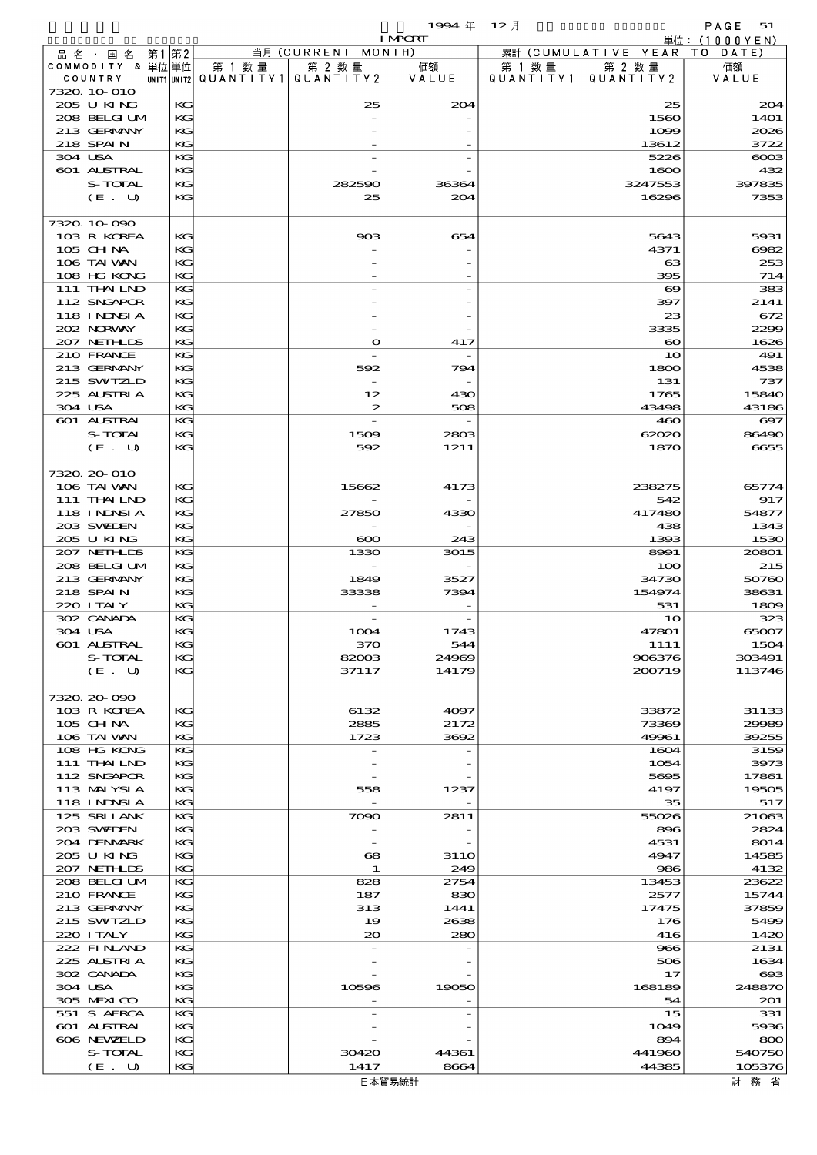|                                 |      |          |                                         |                    | 1994年          | $12$ 月    |                         | PAGE 51                   |
|---------------------------------|------|----------|-----------------------------------------|--------------------|----------------|-----------|-------------------------|---------------------------|
|                                 |      |          |                                         | 当月 (CURRENT MONTH) | <b>I MPORT</b> |           | 累計 (CUMULATIVE YEAR     | 単位: (1000YEN)<br>TO DATE) |
| 品名・国名<br>COMMODITY & 単位単位       | 第1第2 |          | 第 1 数量                                  | 第 2 数量             | 価額             | 第 1 数 量   | 第 2 数量                  | 価額                        |
| COUNTRY                         |      |          | UNIT1 UNIT2   QUANT   TY1   QUANT   TY2 |                    | VALUE          | QUANTITY1 | QUANTITY 2              | VALUE                     |
| 7320 10 010                     |      |          |                                         |                    |                |           |                         |                           |
| 205 U KING                      |      | KG       |                                         | 25                 | 204            |           | 25                      | 204                       |
| 208 BELGI UM<br>213 GERMANY     |      | KG<br>KG |                                         |                    |                |           | 1560                    | 14O1<br>2026              |
| 218 SPAIN                       |      | KG       |                                         |                    |                |           | 1099<br>13612           | 3722                      |
| 304 USA                         |      | KG       |                                         |                    |                |           | 5226                    | $\cos$                    |
| 601 ALSTRAL                     |      | KС       |                                         |                    |                |           | 1600                    | 432                       |
| S-TOTAL                         |      | KG       |                                         | 282590             | 36364          |           | 3247553                 | 397835                    |
| (E. U)                          |      | KС       |                                         | 25                 | 204            |           | 16296                   | 7353                      |
|                                 |      |          |                                         |                    |                |           |                         |                           |
| 7320 10 090                     |      |          |                                         |                    |                |           |                         |                           |
| 103 R KOREA                     |      | KG<br>KG |                                         | 903                | 654            |           | 5643                    | 5931                      |
| $105$ CHNA<br>106 TAI WAN       |      | KG       |                                         |                    |                |           | 4371<br>$_{\rm \alpha}$ | 6062<br>253               |
| 108 HG KONG                     |      | KG       |                                         |                    |                |           | 395                     | 714                       |
| 111 THAILND                     |      | KG       |                                         |                    |                |           | $\boldsymbol{\infty}$   | 383                       |
| 112 SNGAPOR                     |      | KC       |                                         |                    |                |           | 397                     | 2141                      |
| 118 INNSI A                     |      | KG       |                                         |                    |                |           | 23                      | 672                       |
| 202 NORWAY                      |      | KС       |                                         |                    |                |           | 3335                    | 2299                      |
| 207 NETHLIS                     |      | KG       |                                         | $\bullet$          | 417            |           | $\boldsymbol{\infty}$   | 1626                      |
| 210 FRANCE                      |      | KG       |                                         |                    |                |           | 10                      | 491                       |
| 213 GERMANY<br>215 SWIZLD       |      | KC<br>KG |                                         | 592                | 794            |           | 1800<br>131             | 4538<br>737               |
| 225 ALSTRIA                     |      | KG       |                                         | 12                 | 430            |           | 1765                    | 15840                     |
| 304 USA                         |      | KG       |                                         | 2                  | 508            |           | 43498                   | 43186                     |
| <b>601 ALSTRAL</b>              |      | KG       |                                         |                    |                |           | 460                     | $\boldsymbol{\Theta}$ 7   |
| S-TOTAL                         |      | KС       |                                         | 1509               | 2803           |           | 62020                   | 86490                     |
| (E. U)                          |      | KG       |                                         | 592                | 1211           |           | 1870                    | 6655                      |
|                                 |      |          |                                         |                    |                |           |                         |                           |
| 7320.20-010                     |      |          |                                         |                    |                |           |                         |                           |
| 106 TAI VAN                     |      | КG       |                                         | 15662              | 4173           |           | 238275                  | 65774                     |
| 111 THAILND                     |      | KС       |                                         |                    |                |           | 542                     | 917                       |
| <b>118 INNSIA</b><br>203 SWIDEN |      | KG<br>KC |                                         | 27850              | 4330           |           | 417480<br>438           | 54877<br>1343             |
| 205 U KING                      |      | KG       |                                         | $\infty$           | 243            |           | 1393                    | 1530                      |
| 207 NETHLIS                     |      | КG       |                                         | 1330               | 3015           |           | 8991                    | 20801                     |
| 208 BELGI UM                    |      | KG       |                                         |                    |                |           | 100                     | 215                       |
| 213 GERMANY                     |      | KG       |                                         | 1849               | 3527           |           | 34730                   | 50760                     |
| 218 SPAIN                       |      | KC       |                                         | 33338              | 7394           |           | 154974                  | 38631                     |
| 220 I TALY                      |      | KG       |                                         |                    |                |           | 531                     | 1809                      |
| 302 CANADA                      |      | КG       |                                         |                    |                |           | 10                      | 323                       |
| 304 USA<br>601 ALSTRAL          |      | KG       |                                         | 1004               | 1743           |           | 47801                   | 65007                     |
| S-TOTAL                         |      | KG<br>KC |                                         | 370<br>82003       | 544<br>24969   |           | 1111<br>906376          | 1504<br>303491            |
| (E. U)                          |      | KС       |                                         | 37117              | 14179          |           | 200719                  | 113746                    |
|                                 |      |          |                                         |                    |                |           |                         |                           |
| 7320.20-090                     |      |          |                                         |                    |                |           |                         |                           |
| 103 R KOREA                     |      | KG       |                                         | 6132               | 4097           |           | 33872                   | 31133                     |
| 105 CH NA                       |      | KC       |                                         | 2885               | 2172           |           | 73369                   | 29989                     |
| 106 TAI VAN                     |      | KC       |                                         | 1723               | 3692           |           | 49961                   | 39255                     |
| 108 HG KONG                     |      | KC       |                                         |                    |                |           | 1604                    | 3159                      |
| 111 THAILND<br>112 SNGAPOR      |      | KC<br>KС |                                         |                    |                |           | 1054<br>5695            | 3973<br>17861             |
| 113 MALYSIA                     |      | KG       |                                         | 558                | 1237           |           | 4197                    | 19505                     |
| <b>118 INNSI A</b>              |      | KС       |                                         |                    |                |           | 35                      | 517                       |
| 125 SRILANK                     |      | KG       |                                         | 7090               | 2811           |           | 55026                   | 21063                     |
| 203 SWIDEN                      |      | KC       |                                         |                    |                |           | 896                     | 2824                      |
| 204 DENMARK                     |      | KС       |                                         |                    |                |           | 4531                    | 8014                      |
| 205 U KING                      |      | KC       |                                         | $\mathbf{68}$      | <b>3110</b>    |           | 4947                    | 14585                     |
| 207 NETHLIS                     |      | KС       |                                         | $\mathbf{1}$       | 249            |           | 986                     | 4132                      |
| 208 BELGI UM                    |      | KG       |                                         | 828                | 2754           |           | 13453                   | 23622                     |
| 210 FRANCE<br>213 GERMANY       |      | KC<br>KG |                                         | 187<br>313         | 830<br>1441    |           | 2577<br>17475           | 15744<br>37859            |
| 215 SWIZLD                      |      | KC       |                                         | 19                 | 2638           |           | 176                     | 5499                      |
| 220 I TALY                      |      | KC       |                                         | 20                 | 280            |           | 416                     | 1420                      |
| 222 FINAND                      |      | KG       |                                         |                    |                |           | 966                     | 2131                      |
| 225 ALSTRIA                     |      | KC       |                                         |                    |                |           | 506                     | 1634                      |
| 302 CANADA                      |      | KG       |                                         |                    |                |           | 17                      | $\boldsymbol{\alpha}$     |
| 304 USA                         |      | KG       |                                         | 10596              | 19050          |           | 168189                  | 248870                    |
| 305 MEXICO                      |      | KС       |                                         |                    |                |           | 54                      | 201                       |
| 551 S AFRCA                     |      | KG       |                                         |                    |                |           | 15                      | 331                       |
| 601 ALSTRAL<br>606 NEWELD       |      | KC<br>KG |                                         |                    |                |           | 1049                    | 5936<br>800               |
| S-TOTAL                         |      | KC       |                                         | 30420              | 44361          |           | 894<br>441960           | 540750                    |
| (E. U)                          |      | KC       |                                         | 1417               | 8664           |           | 44385                   | 105376                    |
|                                 |      |          |                                         |                    |                |           |                         |                           |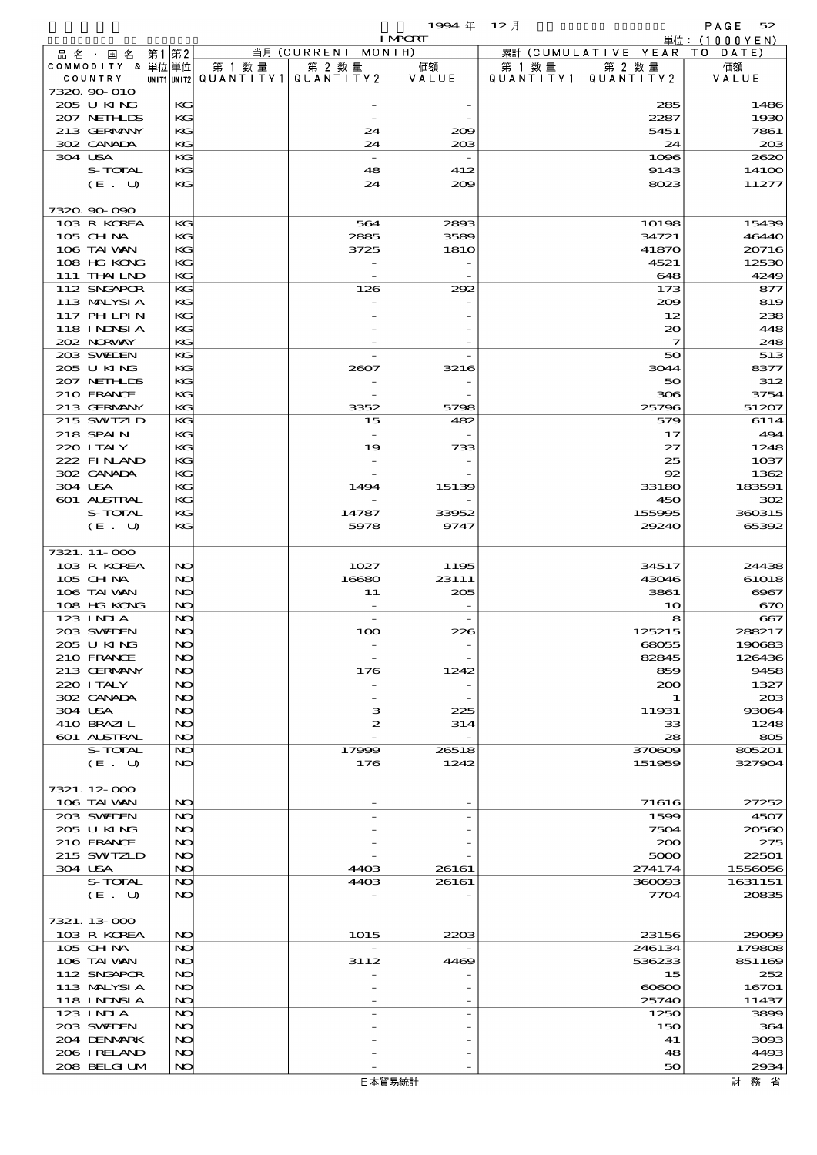$1994 \nleftrightarrow 12 \nparallel$  PAGE 52

|                            |          |        |                                       | <b>I MPORT</b> |           |                              | 単位: (1000YEN)              |
|----------------------------|----------|--------|---------------------------------------|----------------|-----------|------------------------------|----------------------------|
| 品名・国名                      | 第1 第2    |        | 当月 (CURRENT MONTH)                    |                |           | 累計 (CUMULATIVE YEAR TO DATE) |                            |
| COMMODITY & 単位単位           |          | 第 1 数量 | 第 2 数量                                | 価額             | 第 1 数量    | 第 2 数量                       | 価額                         |
| COUNTRY<br>7320.90-010     |          |        | UNIT1 UNIT2  QUANT   TY1  QUANT   TY2 | VALUE          | QUANTITY1 | QUANTITY 2                   | VALUE                      |
| 205 U KING                 | КG       |        |                                       |                |           | 285                          | 1486                       |
| 207 NETHLIS                | KG       |        |                                       |                |           | 2287                         | 1930                       |
| 213 GERMANY                | KG       |        | 24                                    | 209            |           | 5451                         | 7861                       |
| 302 CANADA                 | KG       |        | 24                                    | 20B            |           | 24                           | 203                        |
| 304 USA                    | KG       |        |                                       |                |           | 1096                         | 2620                       |
| S-TOTAL                    | KG       |        | 48                                    | 412            |           | 9143                         | 141 <sub>0</sub>           |
| (E. U)                     | KG       |        | 24                                    | 200            |           | 8023                         | 11277                      |
|                            |          |        |                                       |                |           |                              |                            |
| 7320.90-090                |          |        |                                       |                |           |                              | 15439                      |
| 103 R KOREA<br>105 CHNA    | KG<br>KG |        | 564<br>2885                           | 2893<br>3589   |           | 10198<br>34721               | 46440                      |
| 106 TAI VAN                | KG       |        | 3725                                  | 181O           |           | 41870                        | 20716                      |
| 108 HG KONG                | KG       |        |                                       |                |           | 4521                         | 12530                      |
| 111 THAILND                | KG       |        |                                       |                |           | 648                          | 4249                       |
| 112 SNGAPOR                | KG       |        | 126                                   | 292            |           | 173                          | 877                        |
| 113 MALYSIA                | KG       |        |                                       |                |           | 200                          | 819                        |
| 117 PHLPIN                 | KG       |        |                                       |                |           | 12                           | 238                        |
| <b>118 INNSIA</b>          | KG       |        |                                       |                |           | $\infty$                     | 448                        |
| 202 NORWAY                 | KG       |        |                                       |                |           | $\overline{\mathbf{z}}$      | 248                        |
| 203 SWIEN                  | KG       |        |                                       |                |           | 50                           | 513                        |
| 205 U KING<br>207 NETHLIS  | KG<br>KG |        | 2607                                  | 3216           |           | 3044<br>50                   | 8377<br>312                |
| 210 FRANCE                 | KG       |        |                                       |                |           | 306                          | 3754                       |
| 213 GERMANY                | KG       |        | 3352                                  | 5798           |           | 25796                        | 51207                      |
| 215 SWIZLD                 | KG       |        | 15                                    | 482            |           | 579                          | 6114                       |
| 218 SPAIN                  | KG       |        |                                       |                |           | 17                           | 494                        |
| 220 I TALY                 | KG       |        | 19                                    | 733            |           | 27                           | 1248                       |
| 222 FINAND                 | KG       |        |                                       |                |           | 25                           | 1 <sub>0</sub> 37          |
| 302 CANADA                 | KG       |        |                                       |                |           | 92                           | 1362                       |
| 304 USA                    | KG       |        | 1494                                  | 15139          |           | 33180                        | 183591                     |
| 601 ALSTRAL                | KG       |        |                                       |                |           | 450                          | 302                        |
| S-TOTAL                    | KG       |        | 14787                                 | 33952          |           | 155995                       | 360315                     |
| (E. U)                     | KG       |        | 5978                                  | 9747           |           | 29240                        | 65392                      |
| 7321. 11-000               |          |        |                                       |                |           |                              |                            |
| 103 R KOREA                | NO       |        | 1027                                  | 1195           |           | 34517                        | 24438                      |
| 105 CHNA                   | NO       |        | 16680                                 | 23111          |           | 43046                        | 61018                      |
| 106 TAI VAN                | NO       |        | 11                                    | 205            |           | 3861                         | $\Theta$ $\Theta$ $\sigma$ |
| 108 HG KONG                | NO       |        |                                       |                |           | 10                           | 670                        |
| $123$ INIA                 | NC       |        | $\overline{\phantom{a}}$              |                |           | 8                            | 667                        |
| 203 SWIEN                  | NO       |        | 100                                   | 226            |           | 125215                       | 288217                     |
| 205 U KING                 | NO       |        |                                       |                |           | 68055                        | 190683                     |
| 210 FRANCE                 | NO       |        |                                       |                |           | 82845                        | 126436                     |
| 213 GERMANY                | NO       |        | 176                                   | 1242           |           | 859                          | 9458                       |
| 220 I TALY<br>302 CANADA   | NO<br>NO |        |                                       |                |           | 200<br>1                     | 1327<br>203                |
| 304 USA                    | NO       |        | з                                     | 225            |           | 11931                        | 93064                      |
| 410 BRAZIL                 | NO       |        | 2                                     | 314            |           | 33                           | 1248                       |
| 601 ALSTRAL                | NO       |        |                                       |                |           | 28                           | 805                        |
| S-TOTAL                    | NO       |        | 17999                                 | 26518          |           | 370609                       | 805201                     |
| (E. U)                     | NO       |        | 176                                   | 1242           |           | 151959                       | 327904                     |
|                            |          |        |                                       |                |           |                              |                            |
| 7321.12.000                |          |        |                                       |                |           |                              |                            |
| 106 TAI VAN                | NO       |        |                                       |                |           | 71616                        | 27252                      |
| 203 SWIEN                  | NO       |        |                                       |                |           | 1599                         | 4507                       |
| 205 U KING<br>210 FRANCE   | NO<br>NO |        |                                       |                |           | 7504<br>200                  | 20560<br>275               |
| 215 SWIZLD                 | NO       |        |                                       |                |           | 5000                         | 22501                      |
| 304 USA                    | NO       |        | 4403                                  | 26161          |           | 274174                       | 1556056                    |
| S-TOTAL                    | NO       |        | 4403                                  | 26161          |           | 360093                       | 1631151                    |
| (E. U)                     | NO       |        |                                       |                |           | 7704                         | 20835                      |
|                            |          |        |                                       |                |           |                              |                            |
| 7321.13-000                |          |        |                                       |                |           |                              |                            |
| 103 R KOREA                | NO       |        | 1015                                  | 2203           |           | 23156                        | 29099                      |
| 105 CH NA                  | NO       |        |                                       |                |           | 246134                       | 179808                     |
| 106 TAI VAN                | NO       |        | 3112                                  | 4469           |           | 536233                       | 851169                     |
| 112 SNGAPOR<br>113 MALYSIA | NO<br>NO |        |                                       |                |           | 15<br><u>ത</u> ോ             | 252<br>16701               |
| 118 INNSI A                | NO       |        |                                       |                |           | 25740                        | 11437                      |
| 123 INIA                   | NC       |        |                                       |                |           | 1250                         | 3899                       |
| 203 SWELEN                 | NO       |        |                                       |                |           | 150                          | 364                        |
| 204 DENMARK                | NO       |        |                                       |                |           | 41                           | 3093                       |
| 206 I RELAND               | NO       |        |                                       |                |           | 48                           | 4493                       |
| 208 BELGI UM               | NO       |        |                                       |                |           | 50                           | 2934                       |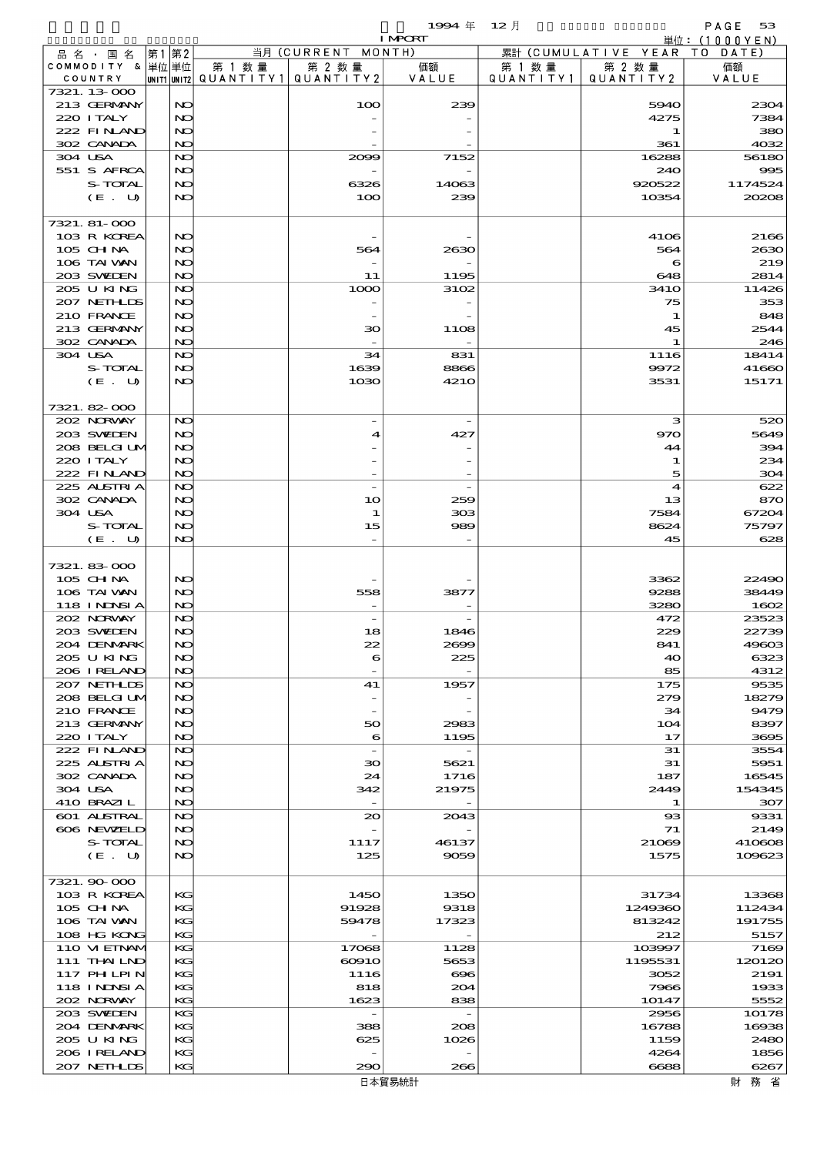|                                 |       |              |           |                          | 1994 $#$         | $12$ 月    |                                | PAGE<br>53        |
|---------------------------------|-------|--------------|-----------|--------------------------|------------------|-----------|--------------------------------|-------------------|
|                                 |       |              |           |                          | <b>I MPCRT</b>   |           |                                | 単位:(1000YEN)      |
| 品 名 ・ 国 名<br>COMMODITY & 単位単位   | 第1 第2 |              | 第 1 数 量   | 当月(CURRENT<br>第 2 数量     | MONTH)<br>価額     | 第 1 数 量   | 累計 (CUMULATIVE YEAR)<br>第 2 数量 | T O<br>DATE<br>価額 |
| COUNTRY                         |       | UNIT1 UNIT2  | QUANTITY1 | QUANTITY2                | VALUE            | QUANTITY1 | QUANTITY2                      | VALUE             |
| 7321.13-000                     |       |              |           |                          |                  |           |                                |                   |
| 213 GERMANY                     |       | NO           |           | 100                      | 239              |           | 5940                           | 2304              |
| 220 I TALY<br>222 FINAND        |       | NO<br>NO     |           |                          |                  |           | 4275<br>1                      | 7384<br>380       |
| 302 CANADA                      |       | NO           |           |                          |                  |           | 361                            | 4032              |
| 304 USA                         |       | NO           |           | 2009                     | 7152             |           | 16288                          | 56180             |
| 551 S AFRCA                     |       | NO           |           |                          |                  |           | 240                            | 995               |
| S-TOTAL                         |       | NO           |           | 6326                     | 14063            |           | 920522                         | 1174524           |
| (E. U)                          |       | NO           |           | 100                      | 239              |           | 10354                          | 20208             |
| 7321. 81-000                    |       |              |           |                          |                  |           |                                |                   |
| 103 R KOREA                     |       | NO           |           |                          |                  |           | 4106                           | 2166              |
| $105$ CHNA                      |       | NO           |           | 564                      | 2630             |           | 564                            | 2630              |
| 106 TAI VAN                     |       | NO           |           |                          |                  |           | 6                              | 219               |
| 203 SWIDEN<br>205 U KING        |       | NO<br>NO     |           | 11<br>1000               | 1195<br>3102     |           | 648<br><b>3410</b>             | 2814<br>11426     |
| 207 NETHLIS                     |       | NO           |           |                          |                  |           | 75                             | 353               |
| 210 FRANCE                      |       | NO           |           | $\qquad \qquad -$        |                  |           | $\mathbf 1$                    | 848               |
| 213 GERMANY                     |       | NO           |           | 30                       | 11O <sub>8</sub> |           | 45                             | 2544              |
| 302 CANADA                      |       | NO           |           |                          |                  |           | 1                              | 246               |
| 304 USA<br>S-TOTAL              |       | NO<br>NO     |           | 34<br>1639               | 831<br>8866      |           | 1116<br>9972                   | 18414<br>41660    |
| (E. U)                          |       | NO           |           | 1030                     | <b>4210</b>      |           | 3531                           | 15171             |
|                                 |       |              |           |                          |                  |           |                                |                   |
| 7321.82-000                     |       |              |           |                          |                  |           |                                |                   |
| 202 NORWAY                      |       | NO           |           |                          |                  |           | з                              | 520               |
| 203 SWIDEN                      |       | NO           |           | 4                        | 427              |           | 970                            | 5649              |
| 208 BELGI UM<br>220 I TALY      |       | NO<br>NO     |           |                          |                  |           | 44<br>1                        | 394<br>234        |
| 222 FINAND                      |       | NO           |           |                          |                  |           | 5                              | 304               |
| 225 ALSTRIA                     |       | NO           |           | $\overline{\phantom{a}}$ |                  |           | $\blacktriangleleft$           | 622               |
| 302 CANADA                      |       | NO           |           | 10                       | 259              |           | 13                             | 870               |
| 304 USA                         |       | NO           |           | 1                        | 303              |           | 7584                           | 67204             |
| S-TOTAL<br>(E. U)               |       | NO<br>NO     |           | 15                       | 989              |           | 8624<br>45                     | 75797<br>628      |
|                                 |       |              |           |                          |                  |           |                                |                   |
| 7321.83000                      |       |              |           |                          |                  |           |                                |                   |
| 105 CHNA                        |       | NO           |           |                          |                  |           | 3362                           | 22490             |
| 106 TAI VAN                     |       | NO           |           | 558                      | 3877             |           | 9288                           | 38449             |
| <b>118 INNSIA</b><br>202 NORWAY |       | NO<br>NO     |           |                          |                  |           | 3280<br>472                    | 1602<br>23523     |
| 203 SVELEN                      |       | $\mathbf{N}$ |           | 18                       | 1846             |           | 229                            | 22739             |
| 204 DENMARK                     |       | NO           |           | 22                       | 2699             |           | 841                            | 49603             |
| 205 U KING                      |       | NO           |           | 6                        | 225              |           | 40                             | 6323              |
| 206 IRELAND                     |       | NO           |           |                          |                  |           | 85                             | 4312              |
| 207 NETHLIS<br>208 BELGI UM     |       | NO<br>NO     |           | 41                       | 1957             |           | 175<br>279                     | 9535<br>18279     |
| 210 FRANCE                      |       | NO           |           | $\qquad \qquad -$        |                  |           | 34                             | 9479              |
| 213 GERMANY                     |       | NO           |           | 50                       | 2983             |           | 104                            | 8397              |
| 220 I TALY                      |       | NO           |           | 6                        | 1195             |           | 17                             | 3695              |
| 222 FINAND                      |       | NO           |           | $\overline{\phantom{a}}$ |                  |           | 31                             | 3554              |
| 225 ALSTRIA<br>302 CANADA       |       | NO<br>NO     |           | 30<br>24                 | 5621<br>1716     |           | 31<br>187                      | 5951<br>16545     |
| 304 USA                         |       | NO           |           | 342                      | 21975            |           | 2449                           | 154345            |
| 410 BRAZIL                      |       | NO           |           | $\overline{\phantom{a}}$ |                  |           | 1                              | 307               |
| 601 ALSTRAL                     |       | NO           |           | $\infty$                 | 2043             |           | $_{\rm ss}$                    | 9331              |
| 606 NEWELD                      |       | NO           |           |                          |                  |           | 71                             | 2149              |
| S-TOTAL<br>(E. U)               |       | NO<br>NO     |           | 1117<br>125              | 46137<br>9059    |           | 21069<br>1575                  | 410608<br>109623  |
|                                 |       |              |           |                          |                  |           |                                |                   |
| 7321.90 000                     |       |              |           |                          |                  |           |                                |                   |
| 103 R KOREA                     |       | KG           |           | 1450                     | 1350             |           | 31734                          | 13368             |
| 105 CH NA                       |       | KC           |           | 91928                    | 9318             |           | 1249360                        | 112434            |
| 106 TAI VAN<br>108 HG KONG      |       | KC<br>KG     |           | 59478                    | 17323            |           | 813242<br>212                  | 191755<br>5157    |
| 110 VIEINAM                     |       | KG           |           | 17068                    | 1128             |           | 103997                         | 7169              |
| 111 THAILND                     |       | KC           |           | $\infty$ 910             | 5653             |           | 1195531                        | 120120            |
| <b>117 PHLPIN</b>               |       | KG           |           | 1116                     | $\bf{696}$       |           | 3052                           | 2191              |
| 118 I NDSI A                    |       | KC           |           | 818                      | 204              |           | 7966                           | 1933              |
| 202 NORWAY                      |       | KG           |           | 1623                     | 838              |           | 10147                          | 5552              |
| 203 SWIEN<br>204 DENMARK        |       | KG<br>KC     |           | 388                      | 208              |           | 2956<br>16788                  | 10178<br>16938    |
| 205 U KING                      |       | KG           |           | 625                      | 1026             |           | 1159                           | 2480              |
| 206 IRELAND                     |       | KC           |           |                          |                  |           | 4264                           | 1856              |
| 207 NETHLIS                     |       | KC           |           | 290                      | 266              |           | 6688                           | 6267              |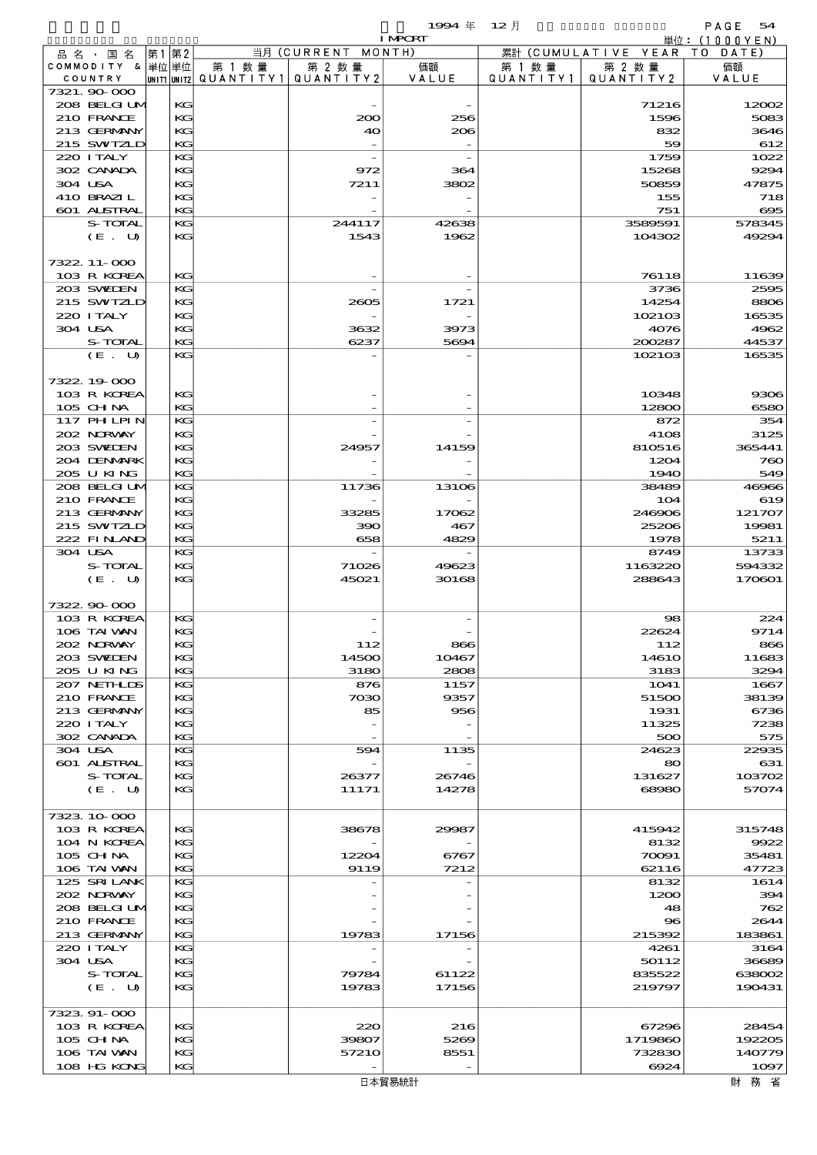$1994 \# 12 \nparallel$  PAGE 54

|                             |          |        |                                       | <b>I MPORT</b> |           |                              | 単位: $(1000YEN)$    |
|-----------------------------|----------|--------|---------------------------------------|----------------|-----------|------------------------------|--------------------|
| 品名・国名                       | 第1 第2    |        | 当月 (CURRENT MONTH)                    |                |           | 累計 (CUMULATIVE YEAR TO DATE) |                    |
| COMMODITY & 単位単位            |          | 第 1 数量 | 第 2 数量                                | 価額             | 第 1 数 量   | 第 2 数量                       | 価額                 |
| COUNTRY                     |          |        | UNIT1 UNIT2  QUANT   TY1  QUANT   TY2 | VALUE          | QUANTITY1 | QUANTITY 2                   | VALUE              |
| 7321.90 000<br>208 BELGI UM | KG       |        |                                       |                |           | 71216                        | 12002              |
| 210 FRANCE                  | KG       |        | 200                                   | 256            |           | 1596                         | 5083               |
| 213 GERMANY                 | KG       |        | 40                                    | 206            |           | 832                          | 3646               |
| 215 SWIZLD                  | KG       |        |                                       |                |           | 59                           | 612                |
| 220 I TALY                  | KG       |        |                                       |                |           | 1759                         | 1022               |
| 302 CANADA                  | KG       |        | 972                                   | 364            |           | 15268                        | 9294               |
| 304 USA                     | KG       |        | 7211                                  | 3802           |           | 50859                        | 47875              |
| 410 BRAZIL<br>601 ALSTRAL   | KG       |        |                                       |                |           | 155                          | 718                |
| S-TOTAL                     | KG<br>KG |        | 244117                                | 42638          |           | 751<br>3589591               | $\infty$<br>578345 |
| (E. U)                      | KG       |        | 1543                                  | 1962           |           | 104302                       | 49294              |
|                             |          |        |                                       |                |           |                              |                    |
| 7322.11-000                 |          |        |                                       |                |           |                              |                    |
| 103 R KOREA                 | KG       |        |                                       |                |           | 76118                        | 11639              |
| 203 SWIEN                   | KG       |        |                                       |                |           | 3736                         | 2595               |
| 215 SWIZLD                  | KG       |        | 2605                                  | 1721           |           | 14254                        | 8806               |
| 220 I TALY<br>304 USA       | KG<br>KG |        | 3632                                  | 3973           |           | 102103<br>4076               | 16535<br>4962      |
| S-TOTAL                     | KG       |        | 6237                                  | 5694           |           | 200287                       | 44537              |
| (E. U)                      | KG       |        |                                       |                |           | 102103                       | 16535              |
|                             |          |        |                                       |                |           |                              |                    |
| 7322, 19 000                |          |        |                                       |                |           |                              |                    |
| 103 R KOREA                 | KG       |        |                                       |                |           | 10348                        | 9306               |
| $105$ CHNA                  | KG       |        |                                       |                |           | 12800                        | 6580               |
| 117 PH LPIN                 | KG       |        |                                       |                |           | 872                          | 354                |
| 202 NRWAY                   | KG       |        |                                       |                |           | 4108                         | 3125               |
| 203 SWIEN<br>204 DENMRK     | KG<br>KG |        | 24957                                 | 14159          |           | 810516<br>1204               | 365441<br>760      |
| 205 U KING                  | KG       |        |                                       |                |           | <b>1940</b>                  | 549                |
| 208 BELGI UM                | KG       |        | 11736                                 | 13106          |           | 38489                        | 46966              |
| 210 FRANCE                  | KG       |        |                                       |                |           | 104                          | 619                |
| 213 GERMANY                 | KG       |        | 33285                                 | 17062          |           | 246906                       | 121707             |
| 215 SWIZLD                  | KG       |        | 390                                   | 467            |           | 25206                        | 19981              |
| 222 FINAND                  | KG       |        | 658                                   | 4829           |           | 1978                         | 5211               |
| 304 USA                     | KG       |        |                                       |                |           | 8749                         | 13733              |
| S-TOTAL<br>(E. U)           | KG<br>KG |        | 71026<br>45021                        | 49623<br>30168 |           | 1163220<br>288643            | 594332<br>170601   |
|                             |          |        |                                       |                |           |                              |                    |
| 7322.90.000                 |          |        |                                       |                |           |                              |                    |
| 103 R KOREA                 | KG       |        |                                       |                |           | 98                           | 224                |
| 106 TAI VAN                 | KG       |        |                                       |                |           | 22624                        | 9714               |
| 202 NORWAY                  | KG       |        | 112                                   | $\sim$         |           | 112                          | 866                |
| 203 SWIDEN                  | KG       |        | 14500                                 | 10467          |           | <b>14610</b>                 | 11683              |
| 205 U KING<br>207 NETHLIS   | KG       |        | 3180                                  | 2808           |           | 3183                         | 3294               |
| 210 FRANCE                  | KG<br>KG |        | 876<br>7030                           | 1157<br>9357   |           | 1041<br>51500                | 1667<br>38139      |
| 213 GERMANY                 | KG       |        | 85                                    | 956            |           | 1931                         | 6736               |
| 220 I TALY                  | KG       |        |                                       |                |           | 11325                        | 7238               |
| 302 CANADA                  | KG       |        |                                       |                |           | 500                          | 575                |
| 304 USA                     | KG       |        | 594                                   | 1135           |           | 24623                        | 22935              |
| 601 ALSTRAL                 | KG       |        |                                       |                |           | 80                           | 631                |
| S-TOTAL                     | KG       |        | 26377                                 | 26746          |           | 131627                       | 103702             |
| (E. U)                      | KG       |        | 11171                                 | 14278          |           | 68980                        | 57074              |
| 7323 10 000                 |          |        |                                       |                |           |                              |                    |
| 103 R KOREA                 | KG       |        | 38678                                 | 29987          |           | 415942                       | 315748             |
| 104 N KOREA                 | KG       |        |                                       |                |           | 8132                         | 9922               |
| 105 CH NA                   | KG       |        | 12204                                 | 6767           |           | 70091                        | 35481              |
| 106 TAI VAN                 | KG       |        | 9119                                  | 7212           |           | 62116                        | 47723              |
| 125 SRILANK                 | KG       |        |                                       |                |           | 8132                         | 1614               |
| 202 NORWAY                  | KG       |        |                                       |                |           | 1200                         | 394                |
| 208 BELGI UM<br>210 FRANCE  | KG<br>KG |        |                                       |                |           | 48<br>$\bf{8}$               | 762<br>2644        |
| 213 GERMANY                 | KG       |        | 19783                                 | 17156          |           | 215392                       | 183861             |
| 220 I TALY                  | KG       |        |                                       |                |           | 4261                         | 3164               |
| 304 USA                     | KG       |        |                                       |                |           | 50112                        | 36689              |
| S-TOTAL                     | KG       |        | 79784                                 | 61122          |           | 835522                       | 638002             |
| (E. U)                      | KG       |        | 19783                                 | 17156          |           | 219797                       | 190431             |
|                             |          |        |                                       |                |           |                              |                    |
| 7323 91-000                 |          |        |                                       |                |           |                              |                    |
| 103 R KOREA<br>$105$ CHNA   | KG<br>KG |        | 220<br>39807                          | 216<br>5269    |           | 67296<br>1719860             | 28454<br>192205    |
| 106 TAI VAN                 | KG       |        | 57210                                 | 8551           |           | 732830                       | 140779             |
| 108 HG KONG                 | KG       |        |                                       |                |           | 6924                         | 1097               |
|                             |          |        |                                       |                |           |                              |                    |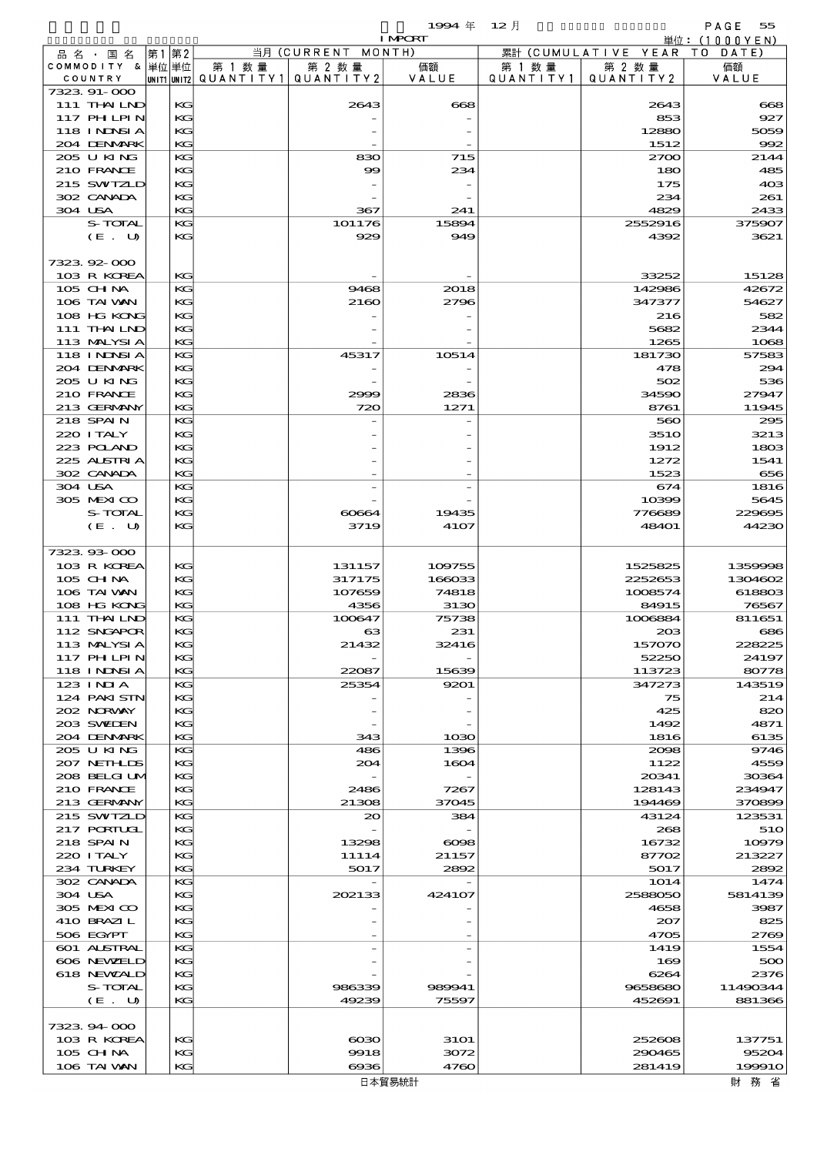$1994 \quad \oplus \quad 12 \quad \uparrow$  PAGE 55

|                            |    |          |                                       |                    | <b>I MPORT</b> |                   |                              | 単位:(1000YEN)    |
|----------------------------|----|----------|---------------------------------------|--------------------|----------------|-------------------|------------------------------|-----------------|
| 品 名 ・ 国 名                  | 第1 | 第2       |                                       | 当月 (CURRENT MONTH) |                |                   | 累計 (CUMULATIVE YEAR TO DATE) |                 |
| COMMODITY & 単位 単位          |    |          | 第 1 数量                                | 第 2 数量             | 価額             | 第 1 数量            | 第 2 数量                       | 価額              |
| COUNTRY                    |    |          | UNIT1 UNIT2  QUANT I TY1  QUANT I TY2 |                    | VALUE          | Q U A N T I T Y 1 | QUANTITY 2                   | VALUE           |
| 7323 91-000<br>111 THAILND |    | КG       |                                       | 2643               | 668            |                   | 2643                         |                 |
| 117 PHLPIN                 |    | KG       |                                       |                    |                |                   | 853                          | 668<br>927      |
| 118 I NDSI A               |    | KG       |                                       |                    |                |                   | 12880                        | 5059            |
| 204 DENMARK                |    | KG       |                                       |                    |                |                   | 1512                         | 992             |
| 205 U KING                 |    | KG       |                                       | 830                | 715            |                   | 2700                         | 2144            |
| 210 FRANCE                 |    | КG       |                                       | 99                 | 234            |                   | 180                          | 485             |
| 215 SWIZLD                 |    | KG       |                                       |                    |                |                   | 175                          | 40 <sup>3</sup> |
| 302 CANADA                 |    | КG       |                                       |                    |                |                   | 234                          | 261             |
| 304 USA                    |    | KG       |                                       | 367                | 241            |                   | 4829                         | 2433            |
| S-TOTAL                    |    | KG       |                                       | 101176             | 15894          |                   | 2552916                      | 375907          |
| (E. U)                     |    | КG       |                                       | 929                | 949            |                   | 4392                         | 3621            |
|                            |    |          |                                       |                    |                |                   |                              |                 |
| 7323.92-000                |    |          |                                       |                    |                |                   |                              |                 |
| 103 R KOREA                |    | KG       |                                       |                    |                |                   | 33252                        | 15128           |
| 105 CH NA                  |    | KG       |                                       | 9468               | 2018           |                   | 142986                       | 42672           |
| 106 TAI VAN                |    | KG       |                                       | 2160               | 2796           |                   | 347377                       | 54627           |
| 108 HG KONG<br>111 THAILND |    | KG<br>КG |                                       |                    |                |                   | 216<br>5682                  | 582<br>2344     |
| 113 MALYSIA                |    | KG       |                                       |                    |                |                   | 1265                         | 1068            |
| <b>118 INNSIA</b>          |    | KG       |                                       | 45317              | 10514          |                   | 181730                       | 57583           |
| 204 DENMARK                |    | КG       |                                       |                    |                |                   | 478                          | 294             |
| 2005 U KING                |    | KG       |                                       |                    |                |                   | 502                          | 536             |
| 210 FRANCE                 |    | KG       |                                       | 2999               | 2836           |                   | 34590                        | 27947           |
| 213 GERMANY                |    | KG       |                                       | 720                | 1271           |                   | 8761                         | 11945           |
| 218 SPAIN                  |    | KG       |                                       |                    |                |                   | 560                          | 295             |
| 220 I TALY                 |    | KG       |                                       |                    |                |                   | <b>3510</b>                  | 3213            |
| 223 POLAND                 |    | KG       |                                       |                    |                |                   | 1912                         | 1803            |
| 225 ALSTRIA                |    | КG       |                                       |                    |                |                   | 1272                         | 1541            |
| 302 CANADA                 |    | KG       |                                       |                    |                |                   | 1523                         | 656             |
| 304 USA                    |    | KG       |                                       |                    |                |                   | 674                          | 1816            |
| 305 MEXICO                 |    | KG       |                                       |                    |                |                   | 10399                        | 5645            |
| S-TOTAL<br>(E. U)          |    | KG<br>KG |                                       | 60664<br>3719      | 19435<br>4107  |                   | 776689<br><b>48401</b>       | 229695<br>44230 |
|                            |    |          |                                       |                    |                |                   |                              |                 |
| 7323.93-000                |    |          |                                       |                    |                |                   |                              |                 |
| 103 R KOREA                |    | KG       |                                       | 131157             | 109755         |                   | 1525825                      | 1359998         |
| 105 CH NA                  |    | KG       |                                       | 317175             | 166033         |                   | 2252653                      | 1304602         |
| 106 TAI VAN                |    | KG       |                                       | 107659             | 74818          |                   | 1008574                      | 618803          |
| 108 HG KONG                |    | KG       |                                       | 4356               | 3130           |                   | 84915                        | 76567           |
| 111 THAILND                |    | KG       |                                       | 100647             | 75738          |                   | 1006884                      | 811651          |
| 112 SNGAPOR                |    | KG       |                                       | ങ                  | 231            |                   | 208                          | 686             |
| 113 MALYSIA                |    | KG       |                                       | 21432              | 32416          |                   | 15707C                       | 228225          |
| 117 PH LPIN                |    | КG       |                                       |                    |                |                   | 52250                        | 24197           |
| 118 I NDSI A               |    | KG       |                                       | 22087              | 15639          |                   | 113723                       | 80778           |
| $123$ INIA                 |    | KG       |                                       | 25354              | 9201           |                   | 347273                       | 143519          |
| 124 PAKISTN<br>202 NORVAY  |    | KG<br>KG |                                       |                    |                |                   | 75<br>425                    | 214<br>820      |
| 203 SWIDEN                 |    | КG       |                                       |                    |                |                   | 1492                         | 4871            |
| 204 DENMARK                |    | KG       |                                       | 343                | 1030           |                   | 1816                         | 6135            |
| 2005 U KING                |    | KG       |                                       | 486                | 1396           |                   | 2008                         | 9746            |
| 207 NETH LIS               |    | KG       |                                       | 204                | 1604           |                   | 1122                         | 4559            |
| 208 BELGI UM               |    | KG       |                                       |                    |                |                   | 20341                        | 30364           |
| 210 FRANCE                 |    | КG       |                                       | 2486               | 7267           |                   | 128143                       | 234947          |
| 213 GERMANY                |    | KG       |                                       | 21308              | 37045          |                   | 194469                       | 370899          |
| 215 SWIZLD                 |    | KG       |                                       | 20                 | 384            |                   | 43124                        | 123531          |
| 217 PORTUGL                |    | KG       |                                       |                    |                |                   | 268                          | 510             |
| 218 SPAIN                  |    | KG       |                                       | 13298              | $\infty$       |                   | 16732                        | 10979           |
| 220 I TALY                 |    | KС       |                                       | 11114              | 21157          |                   | 87702                        | 213227          |
| 234 TURKEY                 |    | KG       |                                       | 5017               | 2892           |                   | 5017                         | 2892            |
| 302 CANADA                 |    | KG       |                                       |                    |                |                   | 1014                         | 1474            |
| 304 USA<br>305 MEXICO      |    | KG<br>KG |                                       | 202133             | 424107         |                   | 2588050                      | 5814139         |
| 410 BRAZI L                |    | KС       |                                       |                    |                |                   | 4658<br>207                  | 3987<br>825     |
| 506 EGYPT                  |    | KG       |                                       |                    |                |                   | 4705                         | 2769            |
| 601 ALSTRAL                |    | KG       |                                       |                    |                |                   | 1419                         | 1554            |
| 606 NEWELD                 |    | KG       |                                       |                    |                |                   | 169                          | 500             |
| 618 NEWZALD                |    | KG       |                                       |                    |                |                   | 6264                         | 2376            |
| S-TOTAL                    |    | KС       |                                       | 986339             | 989941         |                   | 9658680                      | 11490344        |
| $(E_U U)$                  |    | KG       |                                       | 49239              | 75597          |                   | 452691                       | 881366          |
|                            |    |          |                                       |                    |                |                   |                              |                 |
| 7323.94.000                |    |          |                                       |                    |                |                   |                              |                 |

103 R KOREA KG 6030 3101 252608 137751<br>105 CH NA KG 9918 3072 290465 95204  $105 \text{ GHM}$   $\begin{array}{|l|l|} \hline \text{IG} & \text{IG} & \text{100} \\ \hline \text{IG} & \text{101} \end{array}$  95204  $106$  TAI WAN KG 6936 4760 281419 199910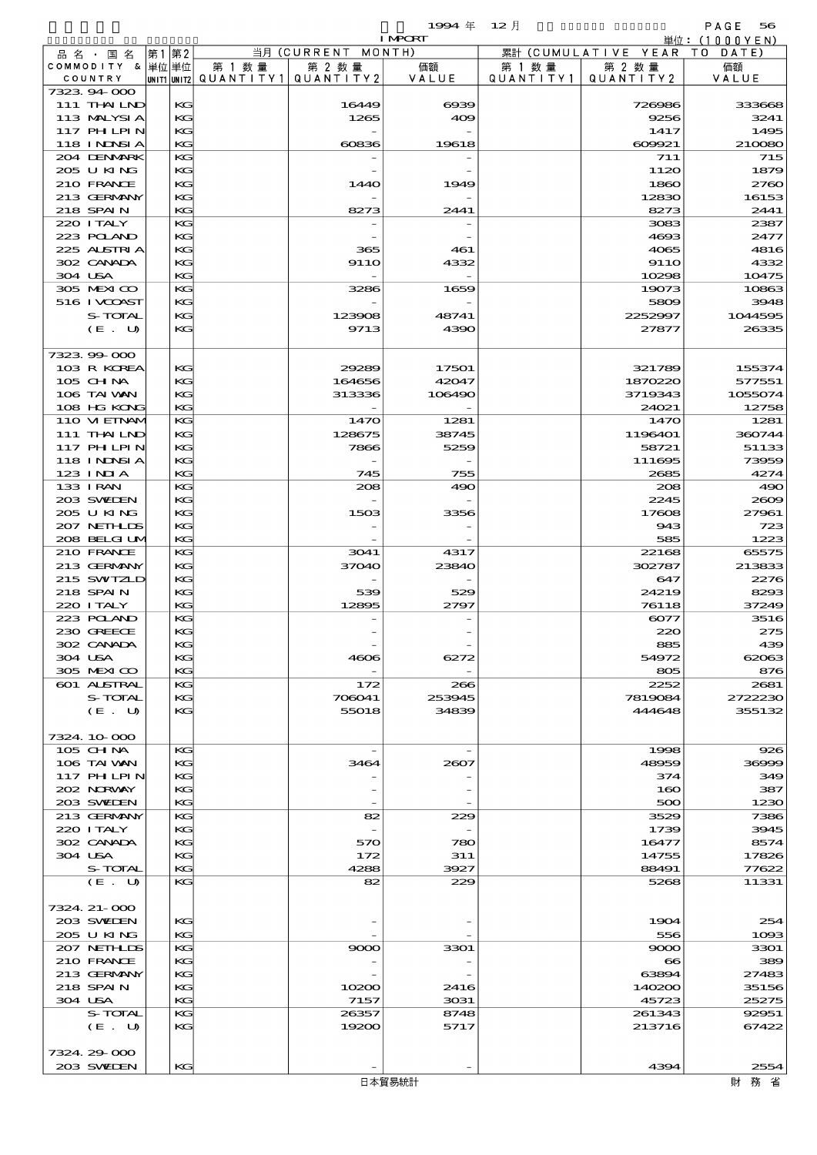$1994 \pm 12 \pm 12$ 

|                            |    |    |                          |             | <b>I MPORT</b> |                   |                              | 単位: (1000YEN) |
|----------------------------|----|----|--------------------------|-------------|----------------|-------------------|------------------------------|---------------|
| 品名・国名                      | 第1 | 第2 |                          | 当月(CURRENT  | MONTH)         |                   | 累計 (CUMULATIVE YEAR TO DATE) |               |
| COMMODITY & 単位単位           |    |    | 第 1 数量                   | 第 2 数量      | 価額             | 第 1 数 量           | 第 2 数量                       | 価額            |
| COUNTRY                    |    |    | unit1 unit2  Q∪ANT   TY1 | QUANTITY 2  | VALUE          | Q U A N T I T Y 1 | QUANTITY 2                   | VALUE         |
| 7323.94.000                |    |    |                          |             |                |                   |                              |               |
| 111 THAILND                |    | KG |                          | 16449       | $\alpha$       |                   | 726986                       | 333668        |
| 113 MALYSIA                |    | KG |                          | 1265        | 409            |                   | 9256                         | 3241          |
| 117 PHLPIN                 |    | KG |                          |             |                |                   | 1417                         | 1495          |
| 118 I NJNSI A              |    | KG |                          | 60836       | 19618          |                   | 609921                       | 210080        |
| 204 DENMARK                |    | KG |                          |             |                |                   | 711                          | 715           |
| 205 U KING                 |    | KG |                          |             |                |                   | 1120                         | 1879          |
| 210 FRANCE                 |    | KG |                          | 144O        | 1949           |                   | 1860                         | 2760          |
| 213 GERMANY                |    | KG |                          |             |                |                   | 12830                        | 16153         |
| 218 SPAIN                  |    | KG |                          | 8273        | 2441           |                   | 8273                         | 2441          |
| 220 I TALY                 |    | KG |                          |             |                |                   | 3083                         | 2387          |
| 223 POLAND                 |    | KG |                          |             |                |                   | 4693                         | 2477          |
| 225 ALSTRIA                |    | KG |                          | 365         | 461            |                   | 4065                         | 4816          |
| 302 CANADA                 |    | KG |                          | <b>9110</b> | 4332           |                   | <b>9110</b>                  | 4332          |
| 304 USA                    |    | KG |                          |             |                |                   | 10298                        | 10475         |
| 305 MEXICO<br>516 I VCOAST |    | KG |                          | 3286        | 1659           |                   | 19073                        | 10863         |
|                            |    | KG |                          |             |                |                   | 5809                         | 3948          |
| S-TOTAL                    |    | KG |                          | 123908      | 48741          |                   | 2252997                      | 1044595       |
| (E. U)                     |    | KG |                          | 9713        | 4390           |                   | 27877                        | 26335         |
|                            |    |    |                          |             |                |                   |                              |               |
| 7323.99-000                |    |    |                          |             |                |                   |                              |               |
| 103 R KOREA                |    | KG |                          | 29289       | 17501          |                   | 321789                       | 155374        |
| 105 CH NA                  |    | KG |                          | 164656      | 42047          |                   | 1870220                      | 577551        |
| 106 TAI WAN                |    | KG |                          | 313336      | 106490         |                   | 3719343                      | 1055074       |
| 108 HG KONG                |    | KG |                          |             |                |                   | 24021                        | 12758         |
| 110 VIEINAM                |    | KG |                          | 1470        | 1281           |                   | 1470                         | 1281          |
| 111 THAILND                |    | KG |                          | 128675      | 38745          |                   | 1196401                      | 360744        |
| 117 PHLPIN                 |    | KG |                          | 7866        | 5259           |                   | 58721                        | 51133         |
| <b>118 INNSIA</b>          |    | KG |                          |             |                |                   | 111695                       | 73959         |
| 123 INIA                   |    | KG |                          | 745         | 755            |                   | 2685                         | 4274          |
| 133 I RAN                  |    | KG |                          | 208         | 490            |                   | 208                          | 490           |
| 203 SWIEN                  |    | KG |                          |             |                |                   | 2245                         | 2609          |
| 205 U KING                 |    | KG |                          | 1503        | 3356           |                   | 17608                        | 27961         |
| 207 NETHLIS                |    | KG |                          |             |                |                   | 943                          | 723           |
| 208 BELGI UM               |    | KG |                          |             |                |                   | 585                          | 1223          |
| 210 FRANCE                 |    | KG |                          | 3041        | 4317           |                   | 22168                        | 65575         |
| 213 GERMANY                |    | KG |                          | 37040       | 23840          |                   | 302787                       | 213833        |
| 215 SWIZLD                 |    | KG |                          |             |                |                   | 647                          | 2276          |
| 218 SPAIN                  |    | KG |                          | 539         | 529            |                   | 24219                        | 8293          |
| 220 I TALY                 |    | KG |                          | 12895       | 2797           |                   | 76118                        | 37249         |
| 223 POLAND                 |    | KG |                          |             |                |                   | 6077                         | 3516          |
| 230 GREECE                 |    | KG |                          |             |                |                   | 220                          | 275           |
| 302 CANADA                 |    | KG |                          |             |                |                   | 885                          | 439           |
| 304 USA                    |    | KG |                          | 4606        | 6272           |                   | 54972                        | 62063         |
| 305 MEXICO                 |    | KG |                          |             |                |                   | 805                          | 876           |
| 601 ALSTRAL                |    | KG |                          | 172         | 266            |                   | 2252                         | 2681          |
| S-TOTAL                    |    | KG |                          | 706041      | 253945         |                   | 7819084                      | 2722230       |
| (E. U)                     |    | KG |                          | 55018       | 34839          |                   | 444648                       | 355132        |
|                            |    |    |                          |             |                |                   |                              |               |
| 7324 10 000                |    |    |                          |             |                |                   |                              |               |
| 105 CH NA                  |    | KG |                          |             |                |                   | 1998                         | 926           |
| 106 TAI VAN                |    | KG |                          | 3464        | 2607           |                   | 48959                        | 36999         |
| 117 PHLPIN                 |    | KG |                          |             |                |                   | 374                          | 349           |
| 202 NORVAY                 |    | KG |                          |             |                |                   | 160                          | 387           |
| 203 SWIDEN                 |    | KG |                          |             |                |                   | 500                          | 1230          |
| 213 GERMANY                |    | KG |                          | 82          | 229            |                   | 3529                         | 7386          |
| 220 I TALY                 |    | KG |                          |             |                |                   | 1739                         | 3945          |
| 302 CANADA                 |    | KG |                          | 570         | 780            |                   | 16477                        | 8574          |
| 304 USA                    |    | КC |                          | 172         | 311            |                   | 14755                        | 17826         |
| S-TOTAL                    |    | KG |                          | 4288        | 3927           |                   | 88491                        | 77622         |
| (E. U)                     |    | KG |                          | 82          | 229            |                   | 5268                         | 11331         |
|                            |    |    |                          |             |                |                   |                              |               |
| 7324. 21-000               |    |    |                          |             |                |                   |                              |               |
| 203 SWIDEN                 |    | KG |                          |             |                |                   | 1904                         | 254           |
| 205 U KING                 |    | KG |                          |             |                |                   | 556                          | 1093          |
| 207 NETHLIS                |    | KG |                          | 9000        | 3301           |                   | 9000                         | 3301          |
| 210 FRANCE                 |    | KG |                          |             |                |                   | $\bf{8}$                     | 389           |
| 213 GERMANY                |    | KG |                          |             |                |                   | 63894                        | 27483         |
| 218 SPAIN                  |    | KG |                          | 10200       |                |                   | 140200                       | 35156         |
|                            |    | KG |                          |             | 2416           |                   |                              |               |
| 304 USA<br>S-TOTAL         |    | KG |                          | 7157        | 3031           |                   | 45723                        | 25275         |
|                            |    |    |                          | 26357       | 8748           |                   | 261343                       | 92951         |
| (E. U)                     |    | KG |                          | 19200       | 5717           |                   | 213716                       | 67422         |
|                            |    |    |                          |             |                |                   |                              |               |
| 7324.29-000                |    |    |                          |             |                |                   |                              |               |
| 203 SWIEN                  |    | KG |                          |             |                |                   | 4394                         | 2554          |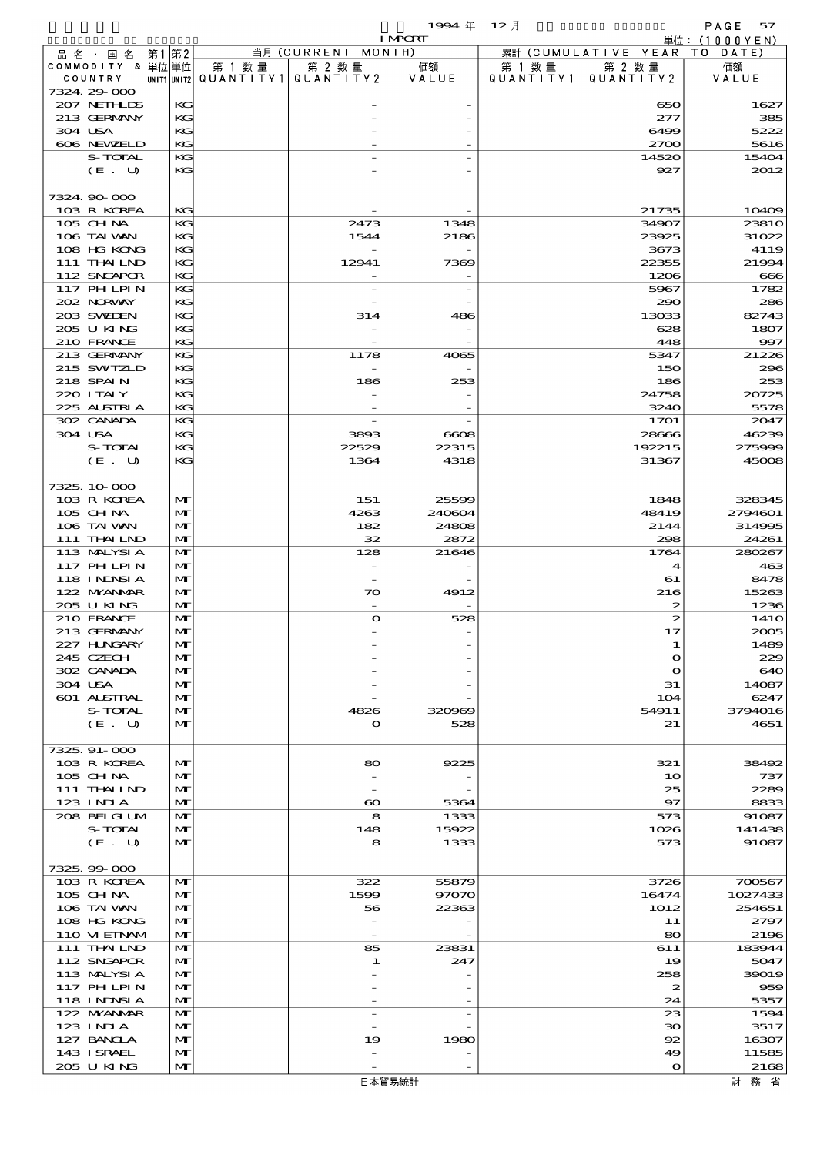品別国別表 輸 入 1994 12 確定 (Fixed Annual) 57

|                               |      |              |                                                  |                            | <b>I MPORT</b>           |                      |                              | 単位: (1000YEN)     |
|-------------------------------|------|--------------|--------------------------------------------------|----------------------------|--------------------------|----------------------|------------------------------|-------------------|
| 品名・国名                         | 第1第2 |              |                                                  | 当月 (CURRENT MONTH)         |                          |                      | 累計 (CUMULATIVE YEAR TO DATE) |                   |
| COMMODITY & 単位単位<br>COUNTRY   |      |              | 第 1 数量<br> UNIT1 UNIT2  QUANT I TY1  QUANT I TY2 | 第 2 数量                     | 価額<br>VALUE              | 第 1 数 量<br>QUANTITY1 | 第 2 数量<br>QUANTITY2          | 価額<br>VALUE       |
| 7324.29-000                   |      |              |                                                  |                            |                          |                      |                              |                   |
| 207 NETHLIS                   |      | KG           |                                                  |                            |                          |                      | 650                          | 1627              |
| 213 GERMANY                   |      | KG           |                                                  |                            |                          |                      | 277                          | 385               |
| 304 USA                       |      | KG           |                                                  |                            |                          |                      | 6499                         | 5222              |
| 606 NEWELD                    |      | KG           |                                                  |                            |                          |                      | 2700                         | 5616              |
| S-TOTAL<br>(E. U)             |      | KG<br>KG     |                                                  |                            |                          |                      | 14520<br>927                 | 15404<br>2012     |
|                               |      |              |                                                  |                            |                          |                      |                              |                   |
| 7324.90-000                   |      |              |                                                  |                            |                          |                      |                              |                   |
| 103 R KOREA                   |      | KG           |                                                  |                            |                          |                      | 21735                        | 10409             |
| 105 CH NA                     |      | KG           |                                                  | 2473                       | 1348                     |                      | 34907                        | 2381O             |
| 106 TAI VAN                   |      | КG           |                                                  | 1544                       | 2186                     |                      | 23925                        | 31022             |
| 108 HG KONG                   |      | KG           |                                                  |                            |                          |                      | 3673                         | 4119              |
| 111 THAILND<br>112 SNGAPOR    |      | KG<br>KG     |                                                  | 12941                      | 7369                     |                      | 22355<br>1206                | 21994<br>666      |
| <b>117 PHLPIN</b>             |      | KG           |                                                  |                            | $\overline{a}$           |                      | 5967                         | 1782              |
| 202 NORWAY                    |      | KG           |                                                  |                            |                          |                      | 290                          | 286               |
| 203 SWIEN                     |      | KG           |                                                  | 314                        | 486                      |                      | 13033                        | 82743             |
| 205 U KING                    |      | KС           |                                                  |                            |                          |                      | 628                          | 1807              |
| 210 FRANCE                    |      | KG           |                                                  |                            |                          |                      | 448                          | 997               |
| 213 GERMANY                   |      | KG           |                                                  | 1178                       | 4065                     |                      | 5347                         | 21226             |
| 215 SWIZLD<br>218 SPAIN       |      | КG<br>KG     |                                                  | 186                        | 253                      |                      | 150<br>186                   | 296<br>253        |
| 220 I TALY                    |      | КG           |                                                  |                            |                          |                      | 24758                        | 20725             |
| 225 ALSTRIA                   |      | KG           |                                                  |                            |                          |                      | 3240                         | 5578              |
| 302 CANADA                    |      | KG           |                                                  |                            |                          |                      | 1701                         | 2047              |
| 304 USA                       |      | KG           |                                                  | 3893                       | $\cos$                   |                      | 28666                        | 46239             |
| S-TOTAL                       |      | KG           |                                                  | 22529                      | 22315                    |                      | 192215                       | 275999            |
| (E. U)                        |      | KG           |                                                  | 1364                       | 4318                     |                      | 31367                        | 45008             |
| 7325, 10-000                  |      |              |                                                  |                            |                          |                      |                              |                   |
| 103 R KOREA                   |      | M            |                                                  | 151                        | 25599                    |                      | 1848                         | 328345            |
| 105 CH NA                     |      | M            |                                                  | 4263                       | 240604                   |                      | 48419                        | 2794601           |
| 106 TAI VAN                   |      | M            |                                                  | 182                        | 24808                    |                      | 2144                         | 314995            |
| 111 THAILND                   |      | M            |                                                  | 32                         | 2872                     |                      | 298                          | 24261             |
| 113 MALYSIA                   |      | M            |                                                  | 128                        | 21646                    |                      | 1764                         | 280267            |
| <b>117 PHLPIN</b>             |      | M            |                                                  |                            |                          |                      | $\blacktriangleleft$         | 463               |
| 118 I NDSI A                  |      | M            |                                                  |                            |                          |                      | 61                           | 8478              |
| 122 MYANMAR<br>205 U KING     |      | M<br>M       |                                                  | $\infty$                   | 4912                     |                      | 216<br>$\boldsymbol{z}$      | 15263<br>1236     |
| 210 FRANCE                    |      | M            |                                                  | $\mathbf o$                | 528                      |                      | $\boldsymbol{z}$             | 141O              |
| 213 GERMANY                   |      | M            |                                                  |                            |                          |                      | 17                           | 2005              |
| 227 H.NGARY                   |      | $\mathbf{M}$ |                                                  |                            |                          |                      |                              | 1489              |
| 245 CZECH                     |      | M            |                                                  |                            |                          |                      | $\mathbf o$                  | 229               |
| 302 CANADA                    |      | M            |                                                  |                            |                          |                      | $\mathbf{o}$                 | 640               |
| 304 USA                       |      | M            |                                                  |                            | $\overline{\phantom{a}}$ |                      | 31                           | 14087             |
| <b>601 ALSTRAL</b><br>S-TOTAL |      | M<br>M       |                                                  | 4826                       | 320969                   |                      | 104<br>54911                 | 6247<br>3794016   |
| (E. U)                        |      | M            |                                                  | $\mathbf o$                | 528                      |                      | 21                           | 4651              |
|                               |      |              |                                                  |                            |                          |                      |                              |                   |
| 7325.91-000                   |      |              |                                                  |                            |                          |                      |                              |                   |
| 103 R KOREA                   |      | M            |                                                  | 80                         | 9225                     |                      | 321                          | 38492             |
| 105 CH NA                     |      | M            |                                                  |                            |                          |                      | 10                           | 737               |
| 111 THAILND<br>123 INIA       |      | M<br>M       |                                                  |                            |                          |                      | 25<br>$\mathbf{97}$          | 2289<br>8833      |
| 208 BELGI UM                  |      | M            |                                                  | $\boldsymbol{\infty}$<br>8 | 5364<br>1333             |                      | 573                          | 91087             |
| S-TOTAL                       |      | M            |                                                  | 148                        | 15922                    |                      | 1026                         | 141438            |
| (E. U)                        |      | M            |                                                  | 8                          | 1333                     |                      | 573                          | 91087             |
|                               |      |              |                                                  |                            |                          |                      |                              |                   |
| 7325.99-000                   |      |              |                                                  |                            |                          |                      |                              |                   |
| 103 R KOREA                   |      | M            |                                                  | 322                        | 55879                    |                      | 3726                         | 700567            |
| $105$ CHNA<br>106 TAI VAN     |      | M<br>M       |                                                  | 1599<br>56                 | 97070<br>22363           |                      | 16474<br>1012                | 1027433<br>254651 |
| 108 HG KONG                   |      | M            |                                                  |                            |                          |                      | 11                           | 2797              |
| 110 VIEINAM                   |      | M            |                                                  |                            |                          |                      | 80                           | 2196              |
| 111 THAILND                   |      | M            |                                                  | 85                         | 23831                    |                      | 611                          | 183944            |
| 112 SNGAPOR                   |      | M            |                                                  | 1                          | 247                      |                      | 19                           | 5047              |
| 113 MALYSIA                   |      | M            |                                                  |                            |                          |                      | 258                          | 39019             |
| 117 PH LPIN                   |      | M            |                                                  |                            |                          |                      | $\boldsymbol{z}$             | 959               |
| 118 I NDSI A<br>122 NYANAR    |      | M<br>M       |                                                  | $\overline{\phantom{a}}$   |                          |                      | 24<br>23                     | 5357<br>1594      |
| 123 INIA                      |      | M            |                                                  |                            |                          |                      | $30^{\circ}$                 | 3517              |
| 127 BANCLA                    |      | M            |                                                  | 19                         | 1980                     |                      | 92                           | 16307             |
| 143 ISRAEL                    |      | M            |                                                  |                            |                          |                      | 49                           | 11585             |
| 205 U KING                    |      | M            |                                                  |                            |                          |                      | $\mathbf{o}$                 | 2168              |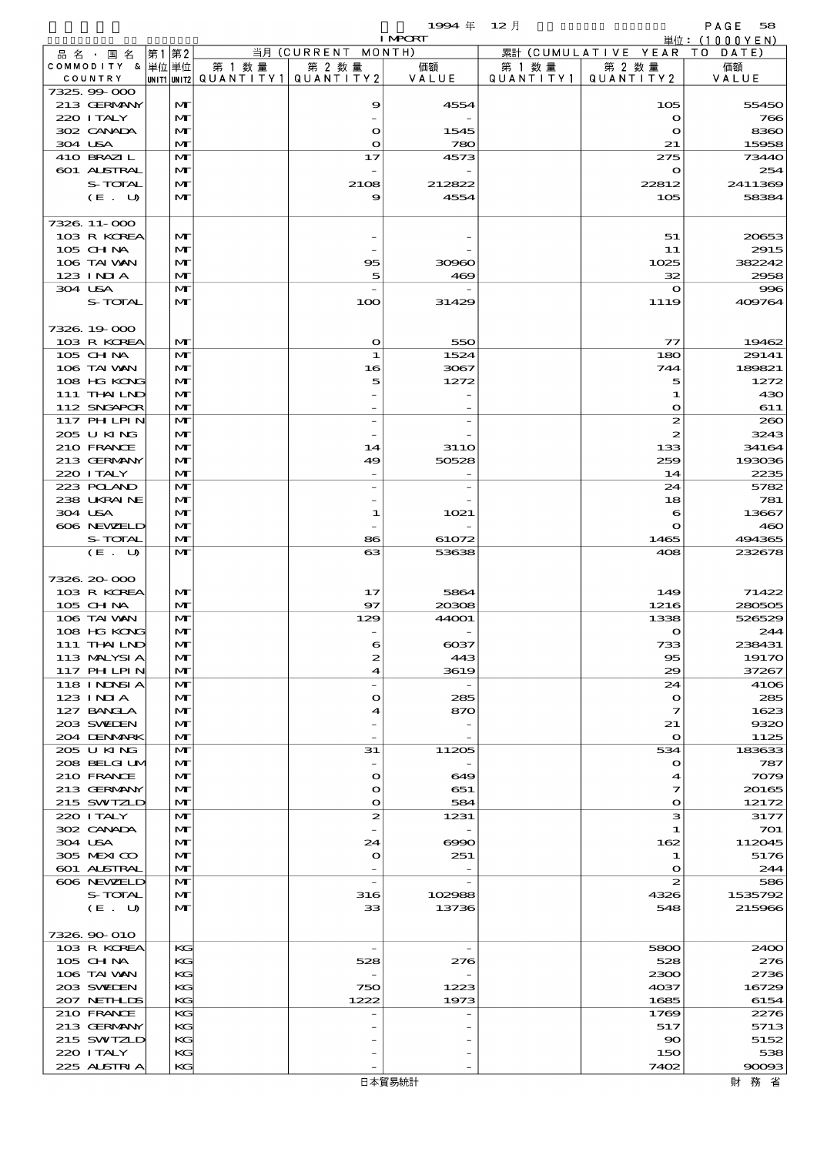$\begin{array}{lll} \textbf{1994} & \textbf{4} & \textbf{12} & \textbf{58} \\ \textbf{1993} & \textbf{128} & \textbf{128} \\ \textbf{189} & \textbf{128} & \textbf{128} \\ \textbf{199} & \textbf{128} & \textbf{128} \\ \textbf{199} & \textbf{128} & \textbf{128} \\ \textbf{199} & \textbf{128} & \textbf{128} \\ \textbf{199} & \textbf{128} & \textbf{128} \\ \textbf{199} & \textbf{12$ I MPORT

| 品名・国名             | 第1 第2 |              |                          | 当月 (CURRENT MONTH) |          |           | 累計 (CUMULATIVE YEAR TO DATE) | .       |
|-------------------|-------|--------------|--------------------------|--------------------|----------|-----------|------------------------------|---------|
| COMMODITY & 単位単位  |       |              | 第 1 数 量                  | 第 2 数量             | 価額       | 第 1 数 量   | 第 2 数量                       | 価額      |
| COUNTRY           |       |              | UNIT1 UNIT2  Q∪ANT   TY1 | QUANTITY 2         | VALUE    | QUANTITY1 | QUANTITY 2                   | VALUE   |
| 7325,99000        |       |              |                          |                    |          |           |                              |         |
| 213 GERMANY       |       | M            |                          | 9                  | 4554     |           | 105                          | 55450   |
| 220 I TALY        |       | M            |                          |                    |          |           | $\mathbf o$                  | 766     |
| 302 CANADA        |       | M            |                          | $\mathbf{o}$       | 1545     |           | $\bullet$                    | 8360    |
| 304 USA           |       | $\mathbf{M}$ |                          | $\mathbf{o}$       | 780      |           | 21                           | 15958   |
| 410 BRAZIL        |       | M            |                          | 17                 | 4573     |           | 275                          | 73440   |
| 601 ALSTRAL       |       | M            |                          |                    |          |           | $\mathbf o$                  | 254     |
| S-TOTAL           |       | M            |                          | 2108               | 212822   |           | 22812                        | 2411369 |
| (E. U)            |       | M            |                          | 9                  | 4554     |           | 105                          | 58384   |
|                   |       |              |                          |                    |          |           |                              |         |
| 7326 11-000       |       |              |                          |                    |          |           |                              |         |
| 103 R KOREA       |       | M            |                          |                    |          |           | 51                           | 20653   |
| 105 CHNA          |       | M            |                          |                    |          |           | 11                           | 2915    |
| 106 TAI VAN       |       | M            |                          | 95                 | 30960    |           | 1025                         | 382242  |
| $123$ $1$ NIA     |       | M            |                          | 5                  | 469      |           | 32                           | 2958    |
| 304 USA           |       | M            |                          |                    |          |           | $\mathbf o$                  | 996     |
| S-TOTAL           |       | $\mathbf{M}$ |                          | 100                | 31429    |           | 1119                         | 409764  |
|                   |       |              |                          |                    |          |           |                              |         |
| 7326 19 000       |       |              |                          |                    |          |           |                              |         |
| 103 R KOREA       |       | M            |                          | $\mathbf{\Omega}$  | 550      |           | $\tau\tau$                   | 19462   |
| 105 CH NA         |       | M            |                          | 1                  | 1524     |           | 180                          | 29141   |
| 106 TAI VAN       |       | M            |                          | 16                 | 3067     |           | 744                          | 189821  |
| 108 HG KONG       |       | M            |                          | 5                  | 1272     |           | 5                            | 1272    |
| 111 THAILND       |       | M            |                          |                    |          |           | 1                            | 430     |
| 112 SNGAPOR       |       | M            |                          |                    |          |           | $\mathbf o$                  | 611     |
| 117 PHLPIN        |       | M            |                          |                    |          |           | 2                            | 260     |
| 205 U KING        |       | M            |                          |                    |          |           | 2                            | 3243    |
| 210 FRANCE        |       | M            |                          | 14                 | 31 1 O   |           | 133                          | 34164   |
| 213 GERMANY       |       | M            |                          | 49                 | 50528    |           | 259                          | 193036  |
| 220 I TALY        |       | M            |                          |                    |          |           | 14                           | 2235    |
| 223 POLAND        |       | M            |                          |                    |          |           | 24                           | 5782    |
| 238 UKRAINE       |       | M            |                          |                    |          |           | 18                           | 781     |
| 304 USA           |       | M            |                          | 1                  | 1021     |           | 6                            | 13667   |
| 606 NEWELD        |       | M            |                          |                    |          |           | $\mathbf{o}$                 | 460     |
| S-TOTAL           |       | M            |                          | 86                 | 61072    |           | 1465                         | 494365  |
| (E. U)            |       | M            |                          | 63                 | 53638    |           | 408                          | 232678  |
|                   |       |              |                          |                    |          |           |                              |         |
| 7326.20-000       |       |              |                          |                    |          |           |                              |         |
| 103 R KOREA       |       | M            |                          | 17                 | 5864     |           | 149                          | 71422   |
| 105 CHNA          |       | M            |                          | 97                 | 20308    |           | 1216                         | 280505  |
| 106 TAI VAN       |       | M            |                          | 129                | 44001    |           | 1338                         | 526529  |
| 108 HG KONG       |       | M            |                          |                    |          |           | $\mathbf o$                  | 244     |
| 111 THAILND       |       | M            |                          | 6                  | $\cos$   |           | 733                          | 238431  |
| 113 MALYSIA       |       | $\mathbf{M}$ |                          | R.                 | 443      |           | $\infty$                     | 19170   |
| 117 PHLPIN        |       | M            |                          | 4                  | 3619     |           | 29                           | 37267   |
| <b>118 INNSIA</b> |       | M            |                          |                    |          |           | 24                           | 4106    |
| 123 INIA          |       | M            |                          | $\bullet$          | 285      |           | $\mathbf o$                  | 285     |
| 127 BANCLA        |       | M            |                          | 4                  | 870      |           | 7                            | 1623    |
| 203 SWIDEN        |       | M            |                          |                    |          |           | 21                           | 9320    |
| 204 DENMARK       |       | $\mathbf{M}$ |                          |                    |          |           | $\mathbf{o}$                 | 1125    |
| 205 U KING        |       | M            |                          | 31                 | 11205    |           | 534                          | 183633  |
| 208 BELGI UM      |       | M            |                          |                    |          |           | $\mathbf o$                  | 787     |
| 210 FRANCE        |       | M            |                          | $\mathbf{o}$       | 649      |           | 4                            | 7079    |
| 213 GERMANY       |       | M            |                          | $\bullet$          | 651      |           | 7                            | 20165   |
| 215 SWIZLD        |       | M            |                          | $\mathbf{o}$       | 584      |           | $\mathbf{o}$                 | 12172   |
| 220 I TALY        |       | M            |                          | $\boldsymbol{z}$   | 1231     |           | з                            | 3177    |
| 302 CANADA        |       | M            |                          |                    |          |           | 1                            | 701     |
| 304 USA           |       | M            |                          | 24                 | $\infty$ |           | 162                          | 112045  |
| 305 MEXICO        |       | M            |                          | $\bullet$          | 251      |           | 1                            | 5176    |
| 601 ALSTRAL       |       | M            |                          |                    |          |           | $\mathbf o$                  | 244     |
| 606 NEWELD        |       | $\mathbf{M}$ |                          |                    |          |           | 2                            | 586     |
| S-TOTAL           |       | M            |                          | 316                | 102988   |           | 4326                         | 1535792 |
| (E. U)            |       | $\mathbf{M}$ |                          | 33                 | 13736    |           | 548                          | 215966  |
|                   |       |              |                          |                    |          |           |                              |         |
| 7326.90-010       |       |              |                          |                    |          |           |                              |         |
| 103 R KOREA       |       | KG           |                          |                    |          |           | 5800                         | 2400    |
| 105 CH NA         |       | KG           |                          | 528                | 276      |           | 528                          | 276     |
| 106 TAI VAN       |       | KG           |                          |                    |          |           | 2300                         | 2736    |
| 203 SWIDEN        |       | KG           |                          | 750                | 1223     |           | 4037                         | 16729   |
| 207 NETHLIS       |       | КC           |                          | 1222               | 1973     |           | 1685                         | 6154    |
| 210 FRANCE        |       | KG           |                          |                    |          |           | 1769                         | 2276    |
| 213 GERMANY       |       | KG           |                          |                    |          |           | 517                          | 5713    |
| 215 SWIZLD        |       | KG           |                          |                    |          |           | $\infty$                     | 5152    |
| 220 I TALY        |       | KG           |                          |                    |          |           | 150                          | 538     |
| 225 ALSTRIA       |       | KG           |                          |                    |          |           | 7402                         | 90093   |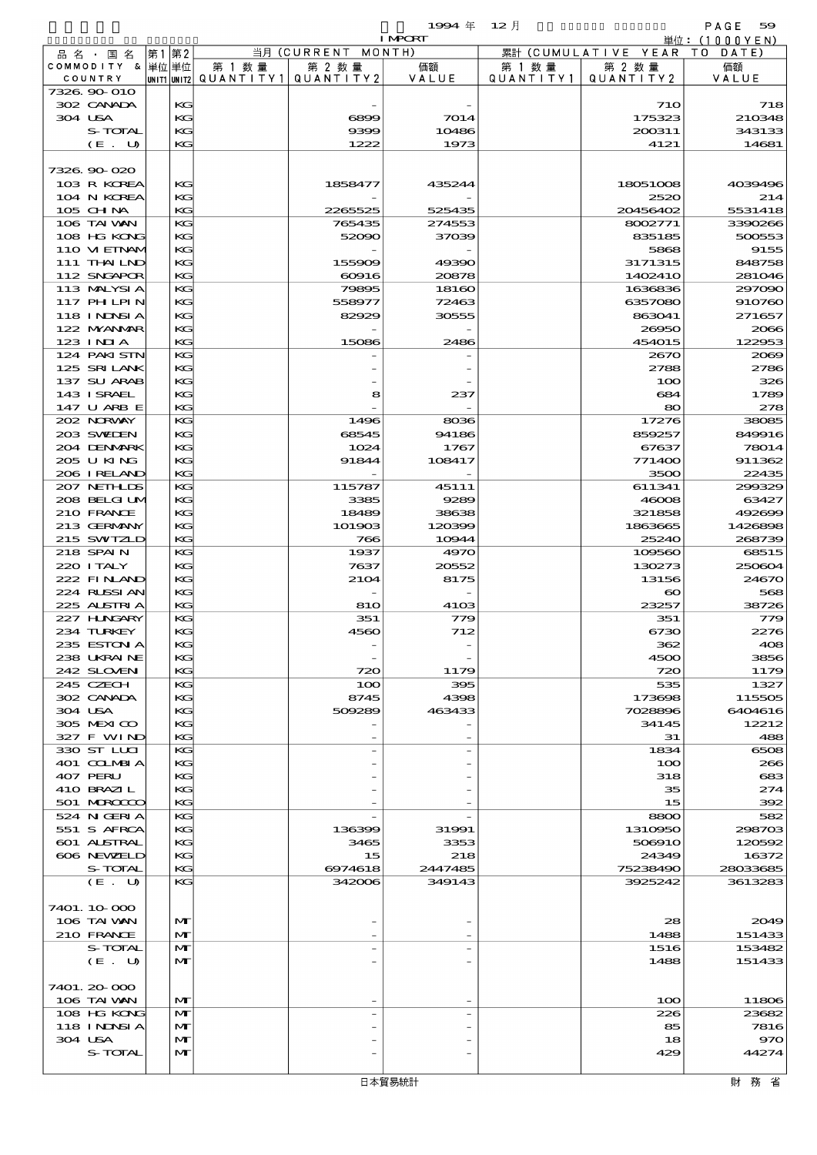$1994 \nleftrightarrow 12 \nparallel$  PAGE 59

|                             |              |                                       |                    | <b>I MPORT</b>    |           |                              | 単位: (1000YEN) |
|-----------------------------|--------------|---------------------------------------|--------------------|-------------------|-----------|------------------------------|---------------|
| 品名・国名                       | 第1 第2        |                                       | 当月 (CURRENT MONTH) |                   |           | 累計 (CUMULATIVE YEAR TO DATE) |               |
| COMMODITY & 単位単位            |              | 第 1 数量                                | 第 2 数量             | 価額                | 第 1 数量    | 第 2 数量                       | 価額            |
| COUNTRY                     |              | UNIT1 UNIT2  QUANT I TY1  QUANT I TY2 |                    | VALUE             | QUANTITY1 | QUANTITY 2                   | VALUE         |
| 7326.90-010<br>302 CANADA   | KG           |                                       |                    |                   |           | <b>710</b>                   | 718           |
| 304 USA                     | KG           |                                       | 6899               | 7014              |           | 175323                       | 210348        |
| S-TOTAL                     | KG           |                                       | 9399               | 10486             |           | 200311                       | 343133        |
| (E. U)                      | KG           |                                       | 1222               | 1973              |           | 4121                         | 14681         |
|                             |              |                                       |                    |                   |           |                              |               |
| 7326.90-020                 |              |                                       |                    |                   |           |                              |               |
| 103 R KOREA                 | KG           |                                       | 1858477            | 435244            |           | 18051008                     | 4039496       |
| 104 N KOREA                 | KG           |                                       |                    |                   |           | 2520                         | 214           |
| 105 CH NA                   | KG           |                                       | 2265525            | 525435            |           | 20456402                     | 5531418       |
| 106 TAI VAN                 | КG           |                                       | 765435             | 274553            |           | 8002771                      | 3390266       |
| 108 HG KONG                 | КG           |                                       | 52090              | 37039             |           | 835185                       | 500553        |
| 110 VIEINAM                 | KG           |                                       |                    |                   |           | 5868                         | 9155          |
| 111 THAILND                 | KG           |                                       | 155909             | 49390             |           | 3171315                      | 848758        |
| 112 SNGAPOR                 | KG           |                                       | $\infty$ 916       | 20878             |           | 1402410                      | 281046        |
| 113 MALYSIA                 | KG           |                                       | 79895              | 18160             |           | 1636836                      | 297090        |
| 117 PHLPIN                  | КG           |                                       | 558977             | 72463             |           | 6357080                      | 910760        |
| 118 I NDSI A                | KC           |                                       | 82929              | 30555             |           | 863041                       | 271657        |
| 122 NYANAR                  | KG           |                                       |                    |                   |           | 26950                        | 2066          |
| $123$ INIA                  | KG           |                                       | 15086              | 2486              |           | 454015                       | 122953        |
| 124 PAKI STN<br>125 SRILANK | KG<br>КG     |                                       |                    |                   |           | 2670<br>2788                 | 2069<br>2786  |
| 137 SU ARAB                 | KG           |                                       |                    |                   |           | 100                          | 326           |
| 143 I SRAEL                 | KG           |                                       | 8                  | 237               |           | 684                          | 1789          |
| 147 U ARB E                 | KG           |                                       |                    |                   |           | 80                           | 278           |
| 202 NORWAY                  | KG           |                                       | 1496               | 8036              |           | 17276                        | 38085         |
| 203 SWIEN                   | KG           |                                       | 68545              | 94186             |           | 859257                       | 849916        |
| 204 DENMARK                 | KG           |                                       | 1024               | 1767              |           | 67637                        | 78014         |
| 205 U KING                  | KG           |                                       | 91844              | 108417            |           | 771400                       | 911362        |
| 206 I RELAND                | KG           |                                       |                    |                   |           | 3500                         | 22435         |
| 207 NETHLIS                 | KG           |                                       | 115787             | 45111             |           | 611341                       | 299329        |
| 208 BELGI UM                | KG           |                                       | 3385               | 9289              |           | 46008                        | 63427         |
| 210 FRANCE                  | KC           |                                       | 18489              | 38638             |           | 321858                       | 492699        |
| 213 GERMANY                 | KC           |                                       | 101903             | 120399            |           | 1863665                      | 1426898       |
| 215 SWIZLD                  | KG           |                                       | 766                | 10944             |           | 25240                        | 268739        |
| 218 SPAIN                   | KG           |                                       | 1937               | 4970              |           | 109560                       | 68515         |
| 220 I TALY                  | KG           |                                       | 7637               | 20552             |           | 130273                       | 250604        |
| 222 FINAND                  | KC           |                                       | 2104               | 8175              |           | 13156                        | 24670         |
| 224 RUSSI AN                | KC           |                                       |                    |                   |           | $\boldsymbol{\infty}$        | 568           |
| 225 ALSTRIA                 | KG           |                                       | 810                | 4103              |           | 23257                        | 38726         |
| 227 HNGARY<br>234 TURKEY    | KG           |                                       | 351                | 779               |           | 351                          | 779           |
| 235 ESTON A                 | KG<br>KG     |                                       | 4560               | 712               |           | 6730<br>362                  | 2276<br>408   |
| 238 UKRAINE                 | КG           |                                       |                    |                   |           | 4500                         | 3856          |
| 242 SLOVEN                  | KG           |                                       | 720                | 1179              |           | 720                          | 1179          |
| 245 CZECH                   | KG           |                                       | 100                | 395               |           | 535                          | 1327          |
| 302 CANADA                  | KG           |                                       | 8745               | 4398              |           | 173698                       | 115505        |
| 304 USA                     | KC           |                                       | 509289             | 463433            |           | 7028896                      | 6404616       |
| 305 MEXICO                  | КG           |                                       |                    |                   |           | 34145                        | 12212         |
| 327 F WIND                  | KG           |                                       |                    |                   |           | 31                           | 488           |
| 330 ST LLCI                 | KG           |                                       |                    |                   |           | 1834                         | 6508          |
| 401 COLMBIA                 | KG           |                                       |                    |                   |           | 100                          | 266           |
| 407 PERU                    | KC           |                                       |                    |                   |           | 318                          | 683           |
| 410 BRAZIL                  | КG           |                                       |                    |                   |           | 35                           | 274           |
| 501 MARCOCCO                | KG           |                                       |                    |                   |           | 15                           | 392           |
| 524 N GERIA                 | КG           |                                       |                    |                   |           | 8800                         | 582           |
| 551 S AFRCA                 | KG           |                                       | 136399             | 31991             |           | 1310950                      | 298703        |
| <b>601 ALSTRAL</b>          | KC           |                                       | 3465               | 3353              |           | 506910                       | 120592        |
| 606 NEWELD                  | КG           |                                       | 15                 | 218               |           | 24349                        | 16372         |
| S-TOTAL<br>(E. U)           | KG<br>КG     |                                       | 6974618<br>342006  | 2447485<br>349143 |           | 75238490<br>3925242          | 28033685      |
|                             |              |                                       |                    |                   |           |                              | 3613283       |
| 7401. 10 000                |              |                                       |                    |                   |           |                              |               |
| 106 TAI VAN                 | M            |                                       |                    |                   |           | 28                           | 2049          |
| 210 FRANCE                  | $\mathbf{M}$ |                                       |                    |                   |           | 1488                         | 151433        |
| S-TOTAL                     | $\mathbf{M}$ |                                       |                    |                   |           | 1516                         | 153482        |
| (E. U)                      | M            |                                       |                    |                   |           | 1488                         | 151433        |
|                             |              |                                       |                    |                   |           |                              |               |
| 7401. 20-000                |              |                                       |                    |                   |           |                              |               |
| 106 TAI VAN                 | $\mathbf{M}$ |                                       |                    |                   |           | 100                          | 11806         |
| 108 HG KONG                 | M            |                                       |                    |                   |           | 226                          | 23682         |
| <b>118 INNSIA</b>           | M            |                                       |                    |                   |           | 85                           | 7816          |
| 304 USA                     | M            |                                       |                    |                   |           | 18                           | 970           |
| S-TOTAL                     | $\mathbf{M}$ |                                       |                    |                   |           | 429                          | 44274         |
|                             |              |                                       |                    |                   |           |                              |               |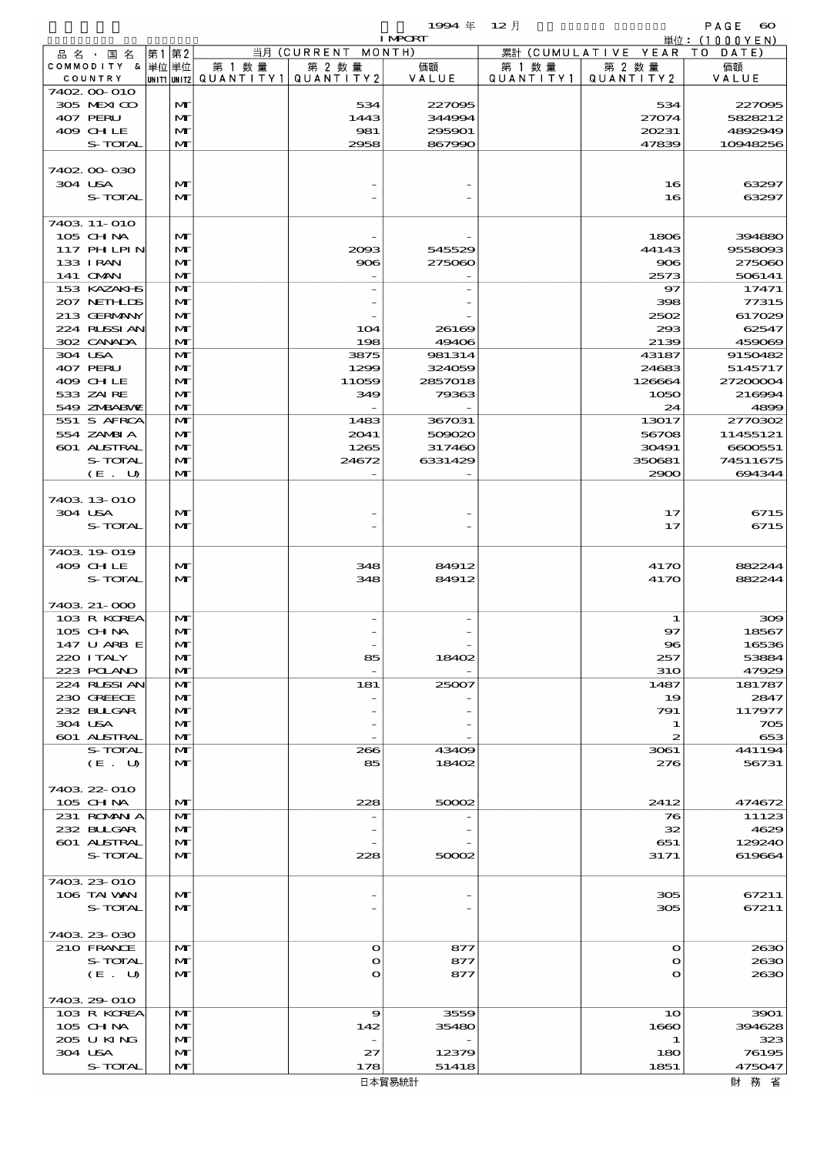$\begin{array}{lll} \textbf{1994} & \textbf{60} & \textbf{12} & \textbf{12} & \textbf{13} & \textbf{12} & \textbf{13} & \textbf{14} & \textbf{15} & \textbf{16} & \textbf{17} & \textbf{18} & \textbf{18} & \textbf{18} & \textbf{19} & \textbf{19} & \textbf{18} & \textbf{19} & \textbf{19} & \textbf{18} & \textbf{19} & \textbf{19} & \textbf{18} & \textbf{19} & \textbf{18} & \textbf{19} & \$ 

|                    |      |              |        |                                       | <b>I MPORT</b> |           |                        | 単位:(1000YEN) |
|--------------------|------|--------------|--------|---------------------------------------|----------------|-----------|------------------------|--------------|
| 品 名 ・ 国 名          | 第1第2 |              |        | 当月 (CURRENT                           | MONTH)         |           | 累計 (CUMULATIVE YEAR TO | DATE)        |
| COMMODITY & 単位単位   |      |              | 第 1 数量 | 第 2 数量                                | 価額             | 第 1 数 量   | 第 2 数量                 | 価額           |
| COUNTRY            |      |              |        | unit1 unit2  QUANT   TY1  QUANT   TY2 | VALUE          | QUANTITY1 | QUANTITY2              | VALUE        |
| 7402 00 010        |      |              |        |                                       |                |           |                        |              |
| 305 MEXICO         |      | $\mathbf{M}$ |        | 534                                   | 227095         |           | 534                    | 227095       |
| 407 PERU           |      | $\mathbf{M}$ |        | 1443                                  | 344994         |           | 27074                  | 5828212      |
| 409 CHLE           |      | M            |        | 981                                   | 295901         |           | 20231                  | 4892949      |
| <b>S-TOTAL</b>     |      | $\mathbf{M}$ |        | 2958                                  | 867990         |           | 47839                  | 10948256     |
|                    |      |              |        |                                       |                |           |                        |              |
| 7402 00 030        |      |              |        |                                       |                |           |                        |              |
| 304 USA            |      | $\mathbf{M}$ |        |                                       |                |           | 16                     | 63297        |
| S-TOTAL            |      | $\mathbf{M}$ |        |                                       |                |           | 16                     | 63297        |
|                    |      |              |        |                                       |                |           |                        |              |
| 7403 11-010        |      |              |        |                                       |                |           |                        |              |
| 105 CHNA           |      | $\mathbf{M}$ |        |                                       |                |           | 1806                   | 394880       |
| 117 PHLPIN         |      | M            |        | 2003                                  | 545529         |           | 44143                  | 9558093      |
| 133 I RAN          |      | $\mathbf{M}$ |        | 906                                   | 275060         |           | 906                    | 275060       |
| 141 OMN            |      | $\mathbf{M}$ |        |                                       |                |           | 2573                   | 506141       |
| 153 KAZAKI S       |      | M            |        |                                       |                |           | 97                     | 17471        |
| 207 NETHLIS        |      | $\mathbf{M}$ |        |                                       |                |           | 398                    | 77315        |
| 213 GERMANY        |      | M            |        |                                       |                |           | 2502                   | 617029       |
| 224 RUSSI AN       |      | $\mathbf{M}$ |        | 104                                   | 26169          |           | 293                    | 62547        |
| 302 CANADA         |      | $\mathbf{M}$ |        | 198                                   | 49406          |           | 2139                   | 459069       |
| 304 USA            |      | $\mathbf{M}$ |        | 3875                                  | 981314         |           | 43187                  | 9150482      |
| 407 PERU           |      | $\mathbf{M}$ |        | 1299                                  | 324059         |           | 24683                  | 5145717      |
| 409 CHLE           |      | $\mathbf{M}$ |        | 11059                                 | 2857018        |           | 126664                 | 27200004     |
| 533 ZAIRE          |      | $\mathbf{M}$ |        | 349                                   | 79363          |           | 1050                   | 216994       |
| 549 ZNBABVE        |      | $\mathbf{M}$ |        |                                       |                |           | 24                     | 4899         |
| 551 S AFRCA        |      | $\mathbf{M}$ |        | 1483                                  | 367031         |           | 13017                  | 2770302      |
| 554 ZAMBIA         |      | M            |        | 2041                                  | 509020         |           | 56708                  | 11455121     |
| 601 ALSTRAL        |      | $\mathbf{M}$ |        | 1265                                  | 317460         |           | 30491                  | 6600551      |
| S-TOTAL            |      | $\mathbf{M}$ |        | 24672                                 | 6331429        |           | 350681                 | 74511675     |
| (E. U)             |      | $\mathbf{M}$ |        |                                       |                |           | 2900                   | 694344       |
|                    |      |              |        |                                       |                |           |                        |              |
| 7403 13 010        |      |              |        |                                       |                |           |                        |              |
| 304 USA            |      | $\mathbf{M}$ |        |                                       |                |           | 17                     | 6715         |
|                    |      |              |        |                                       |                |           |                        |              |
| S-TOTAL            |      | $\mathbf{M}$ |        |                                       |                |           | 17                     | 6715         |
|                    |      |              |        |                                       |                |           |                        |              |
| 7403 19 019        |      |              |        |                                       |                |           |                        |              |
| 409 CHLE           |      | $\mathbf{M}$ |        | 348                                   | 84912          |           | 4170                   | 882244       |
| S-TOTAL            |      | $\mathbf{M}$ |        | 348                                   | 84912          |           | 4170                   | 882244       |
|                    |      |              |        |                                       |                |           |                        |              |
| 7403 21-000        |      |              |        |                                       |                |           |                        |              |
| 103 R KOREA        |      | M            |        |                                       |                |           | 1                      | 300          |
| 105 CHNA           |      | $\mathbf{M}$ |        |                                       |                |           | 97                     | 18567        |
| 147 U ARB E        |      | $\mathbf{M}$ |        |                                       |                |           | $\bf{S}$               | 16536        |
| 220 I TALY         |      | $\mathbf{M}$ |        | 85                                    | 18402          |           | 257                    | 53884        |
| 223 POLAND         |      | $\mathbf{M}$ |        |                                       |                |           | 310                    | 47929        |
| 224 RUSSIAN        |      | M            |        | 181                                   | 25007          |           | 1487                   | 181787       |
| 230 GREECE         |      | $\mathbf{M}$ |        |                                       |                |           | 19                     | 2847         |
| 232 BULGAR         |      | $\mathbf{M}$ |        |                                       |                |           | 791                    | 117977       |
| 304 USA            |      | $\mathbf{M}$ |        |                                       |                |           | 1                      | 705          |
| 601 ALSTRAL        |      | $\mathbf{M}$ |        |                                       |                |           | 2                      | 653          |
| S-TOTAL            |      | M            |        | 266                                   | 43409          |           | 3061                   | 441194       |
| (E. U)             |      | $\mathbf{M}$ |        | 85                                    | 18402          |           | 276                    | 56731        |
|                    |      |              |        |                                       |                |           |                        |              |
| 7403 22 010        |      |              |        |                                       |                |           |                        |              |
| 105 CH NA          |      | $\mathbf{M}$ |        | 228                                   | 50002          |           | 2412                   | 474672       |
| 231 ROMANIA        |      | M            |        |                                       |                |           | 76                     | 11123        |
| 232 BULGAR         |      | $\mathbf{M}$ |        |                                       |                |           | 32                     | 4629         |
| <b>601 ALSTRAL</b> |      | $\mathbf{M}$ |        |                                       |                |           | 651                    | 129240       |
| S-TOTAL            |      | $\mathbf{M}$ |        | 228                                   | 50002          |           | 3171                   | 619664       |
|                    |      |              |        |                                       |                |           |                        |              |
| 7403 23 010        |      |              |        |                                       |                |           |                        |              |
| 106 TAI VAN        |      | $\mathbf{M}$ |        |                                       |                |           | 305                    | 67211        |
| S-TOTAL            |      | $\mathbf{M}$ |        |                                       |                |           | 305                    | 67211        |
|                    |      |              |        |                                       |                |           |                        |              |
| 7403 23 030        |      |              |        |                                       |                |           |                        |              |
| 210 FRANCE         |      | $\mathbf{M}$ |        | $\bullet$                             | 877            |           | $\mathbf o$            | 2630         |
| S-TOTAL            |      | $\mathbf{M}$ |        | $\mathbf o$                           | 877            |           | $\mathbf o$            | 2630         |
| (E. U)             |      | $\mathbf{M}$ |        | $\mathbf O$                           | 877            |           | $\mathbf o$            | 2630         |
|                    |      |              |        |                                       |                |           |                        |              |
| 7403 29 010        |      |              |        |                                       |                |           |                        |              |
| 103 R KOREA        |      | $\mathbf{M}$ |        | $\boldsymbol{\Theta}$                 | 3559           |           | 10                     | 3901         |
| $105$ CHNA         |      | $\mathbf{M}$ |        | 142                                   | 35480          |           | 1660                   | 394628       |
| 205 U KING         |      | $\mathbf{M}$ |        |                                       |                |           | 1                      | 323          |
| 304 USA            |      | $\mathbf{M}$ |        | 27                                    | 12379          |           | 180                    | 76195        |
| S-TOTAL            |      | $\mathbf{M}$ |        | 178                                   | 51418          |           | 1851                   | 475047       |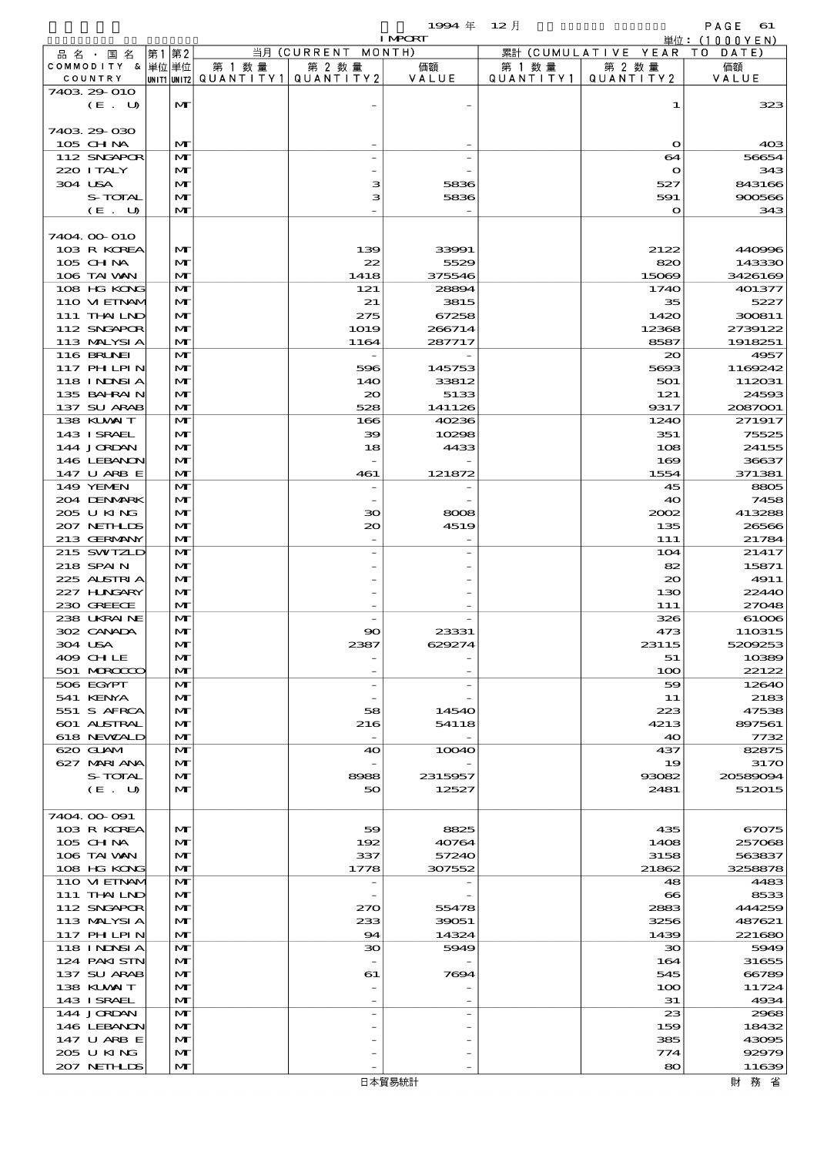$1994 \text{ } \# \quad 12 \text{ } \frac{1}{2}$  PAGE 61

|                   |      |              |                                       |                    | <b>I MPORT</b> |        |                              | 単位: (1000YEN)   |
|-------------------|------|--------------|---------------------------------------|--------------------|----------------|--------|------------------------------|-----------------|
| 品名・国名             | 第1第2 |              |                                       | 当月 (CURRENT MONTH) |                |        | 累計 (CUMULATIVE YEAR TO DATE) |                 |
| COMMODITY & 単位単位  |      |              | 第 1 数量                                | 第 2 数量             | 価額             | 第 1 数量 | 第 2 数量                       | 価額              |
| COUNTRY           |      |              | UNIT1 UNIT2  QUANT I TY1  QUANT I TY2 |                    | VALUE          |        | QUANTITY1   QUANTITY2        | VALUE           |
| 7403 29 010       |      |              |                                       |                    |                |        |                              |                 |
| (E. U)            |      | M            |                                       |                    |                |        | 1                            | 323             |
|                   |      |              |                                       |                    |                |        |                              |                 |
| 7403 29 030       |      |              |                                       |                    |                |        |                              |                 |
| 105 CHNA          |      | $\mathbf{M}$ |                                       |                    |                |        | $\mathbf{\Omega}$            | 40 <sup>3</sup> |
| 112 SNGAPOR       |      | M            |                                       |                    |                |        | 64                           | 56654           |
| 220 I TALY        |      | M            |                                       |                    |                |        | $\mathbf{\Omega}$            | 343             |
| 304 USA           |      | $\mathbf{M}$ |                                       | з                  | 5836           |        | 527                          | 843166          |
| S-TOTAL           |      | M            |                                       | з                  | 5836           |        | 591                          | 900566          |
| (E. U)            |      | $\mathbf{M}$ |                                       |                    |                |        | $\circ$                      | 343             |
| 7404 00 010       |      |              |                                       |                    |                |        |                              |                 |
| 103 R KOREA       |      | $\mathbf{M}$ |                                       | 139                | 33991          |        | 2122                         | 440996          |
| 105 CH NA         |      | $\mathbf{M}$ |                                       | 22                 | 5529           |        | 820                          | 143330          |
| 106 TAI VAN       |      | $\mathbf{M}$ |                                       | 1418               | 375546         |        | 15069                        | 3426169         |
| 108 HG KONG       |      | $\mathbf{M}$ |                                       | 121                | 28891          |        | 1740                         | 401377          |
| 110 VI EINAM      |      | $\mathbf{M}$ |                                       | 21                 | 3815           |        | 35                           | 5227            |
| 111 THAILND       |      | $\mathbf{M}$ |                                       | 275                | 67258          |        | 1420                         | 300811          |
| 112 SNGAPOR       |      | $\mathbf{M}$ |                                       | 1019               | 266714         |        | 12368                        | 2739122         |
| 113 MALYSIA       |      | $\mathbf{M}$ |                                       | 1164               | 287717         |        | 8587                         | 1918251         |
| <b>116 BRUNEI</b> |      | $\mathbf{M}$ |                                       |                    |                |        | $_{\infty}$                  | 4957            |
| 117 PHLPIN        |      | M            |                                       | 596                | 145753         |        | 5693                         | 1169242         |
| <b>118 INNSIA</b> |      | $\mathbf{M}$ |                                       | 14O                | 33812          |        | 501                          | 112031          |
| 135 BAHRAIN       |      | M            |                                       | $\infty$           | 5133           |        | 121                          | 24593           |
| 137 SU ARAB       |      | $\mathbf{M}$ |                                       | 528                | 141126         |        | 9317                         | 2087001         |
| 138 KUWAIT        |      | $\mathbf{M}$ |                                       | 166                | 40236          |        | 1240                         | 271917          |
| 143 ISRAEL        |      | $\mathbf{M}$ |                                       | 39                 | 10298          |        | 351                          | 75525           |
| 144 JORDAN        |      | $\mathbf{M}$ |                                       | 18                 | 4433           |        | 108                          | 24155           |
| 146 LEBANON       |      | $\mathbf{M}$ |                                       |                    |                |        | 169                          | 36637           |
| 147 U ARB E       |      | $\mathbf{M}$ |                                       | 461                | 121872         |        | 1554                         | 371381          |
| 149 YEMEN         |      | $\mathbf{M}$ |                                       |                    |                |        | 45                           | 8805            |
| 204 DENMARK       |      | $\mathbf{M}$ |                                       |                    |                |        | 40                           | 7458            |
| 205 U KING        |      | $\mathbf{M}$ |                                       | 30                 | 8008           |        | 2002                         | 413288          |
| 207 NETHLIS       |      | M            |                                       | $\infty$           | 4519           |        | 135                          | 26566           |
| 213 GERMANY       |      | $\mathbf{M}$ |                                       |                    |                |        | 111                          | 21784           |
| 215 SWIZLD        |      | $\mathbf{M}$ |                                       |                    |                |        | 104                          | 21417           |
| 218 SPAIN         |      | $\mathbf{M}$ |                                       |                    |                |        | 82                           | 15871           |
| 225 ALSTRIA       |      | $\mathbf{M}$ |                                       |                    |                |        | 20                           | 4911            |
| 227 H.NGARY       |      | $\mathbf{M}$ |                                       |                    |                |        | 130                          | 22440           |
| 230 GREECE        |      | $\mathbf{M}$ |                                       |                    |                |        | 111                          | 27048           |
| 238 UKRAINE       |      | M            |                                       |                    |                |        | 326                          | 61006           |
| 302 CANADA        |      | $\mathbf{M}$ |                                       | 90                 | 23331          |        | 473                          | 110315          |
| 304 USA           |      | M            |                                       | 2387               | 629274         |        | 23115                        | 5209253         |
| 409 CHLE          |      | M            |                                       |                    |                |        | 51                           | 10389           |
| 501 MRODOC        |      | $\mathbf{M}$ |                                       |                    |                |        | 100                          | 22122           |
| 506 EGYPT         |      | M            |                                       |                    |                |        | 59                           | 12640           |
| 541 KENYA         |      | $\mathbf{M}$ |                                       |                    |                |        | 11                           | 2183            |
| 551 S AFRCA       |      | $\mathbf{M}$ |                                       | 58                 | 14540          |        | 223                          | 47538           |
| 601 ALSTRAL       |      | $\mathbf{M}$ |                                       | 216                | 54118          |        | 4213                         | 897561          |
| 618 NEWALD        |      | $\mathbf{M}$ |                                       |                    |                |        | 40                           | 7732            |
| 620 GLAM          |      | $\mathbf{M}$ |                                       | 40                 | 10040          |        | 437                          | 82875           |
| 627 MARIANA       |      | $\mathbf{M}$ |                                       |                    |                |        | 19                           | 3170            |
| S-TOTAL           |      | $\mathbf{M}$ |                                       | 8988               | 2315957        |        | 93082                        | 20589094        |
| (E. U)            |      | $\mathbf{M}$ |                                       | 50                 | 12527          |        | 2481                         | 512015          |
|                   |      |              |                                       |                    |                |        |                              |                 |
| 7404.00.091       |      |              |                                       |                    |                |        |                              |                 |
| 103 R KOREA       |      | M            |                                       | 59                 | 8825           |        | 435                          | 67075           |
| $105$ CHNA        |      | $\mathbf{M}$ |                                       | 192                | 40764          |        | 1408                         | 257068          |
| 106 TAI VAN       |      | $\mathbf{M}$ |                                       | 337                | 57240          |        | 3158                         | 563837          |
| 108 HG KONG       |      | $\mathbf{M}$ |                                       | 1778               | 307552         |        | 21862                        | 3258878         |
| 110 VI EINAM      |      | $\mathbf{M}$ |                                       |                    |                |        | 48                           | 4483            |
| 111 THAILND       |      | $\mathbf{M}$ |                                       |                    |                |        | $\infty$                     | 8533            |
| 112 SNGAPOR       |      | $\mathbf{M}$ |                                       | 270                | 55478          |        | 2883                         | 444259          |
| 113 MALYSIA       |      | $\mathbf{M}$ |                                       | 233                | 39051          |        | 3256                         | 487621          |
| 117 PHLPIN        |      | $\mathbf{M}$ |                                       | 94                 | 14324          |        | 1439                         | 221680          |
| 118 I NDSI A      |      | $\mathbf{M}$ |                                       | $30^{\circ}$       | 5949           |        | 30                           | 5949            |
| 124 PAKISTN       |      | $\mathbf{M}$ |                                       |                    |                |        | 164                          | 31655           |
| 137 SU ARAB       |      | $\mathbf{M}$ |                                       | 61                 | 7694           |        | 545                          | 66789           |
| 138 KUWAIT        |      | $\mathbf{M}$ |                                       |                    |                |        | 100                          | 11724           |
| 143 ISRAEL        |      | $\mathbf{M}$ |                                       |                    |                |        | 31                           | 4934            |
| 144 JORDAN        |      | M            |                                       |                    |                |        | 23                           | 2968            |
| 146 LEBANON       |      | $\mathbf{M}$ |                                       |                    |                |        | 159                          | 18432           |
| 147 U ARB E       |      | $\mathbf{M}$ |                                       |                    |                |        | 385                          | 43095           |
| 205 U KING        |      | $\mathbf{M}$ |                                       |                    |                |        | $\tau\tau$ 4                 | 92979           |
| 207 NETHLIS       |      | $\mathbf{M}$ |                                       |                    |                |        | 80                           | 11639           |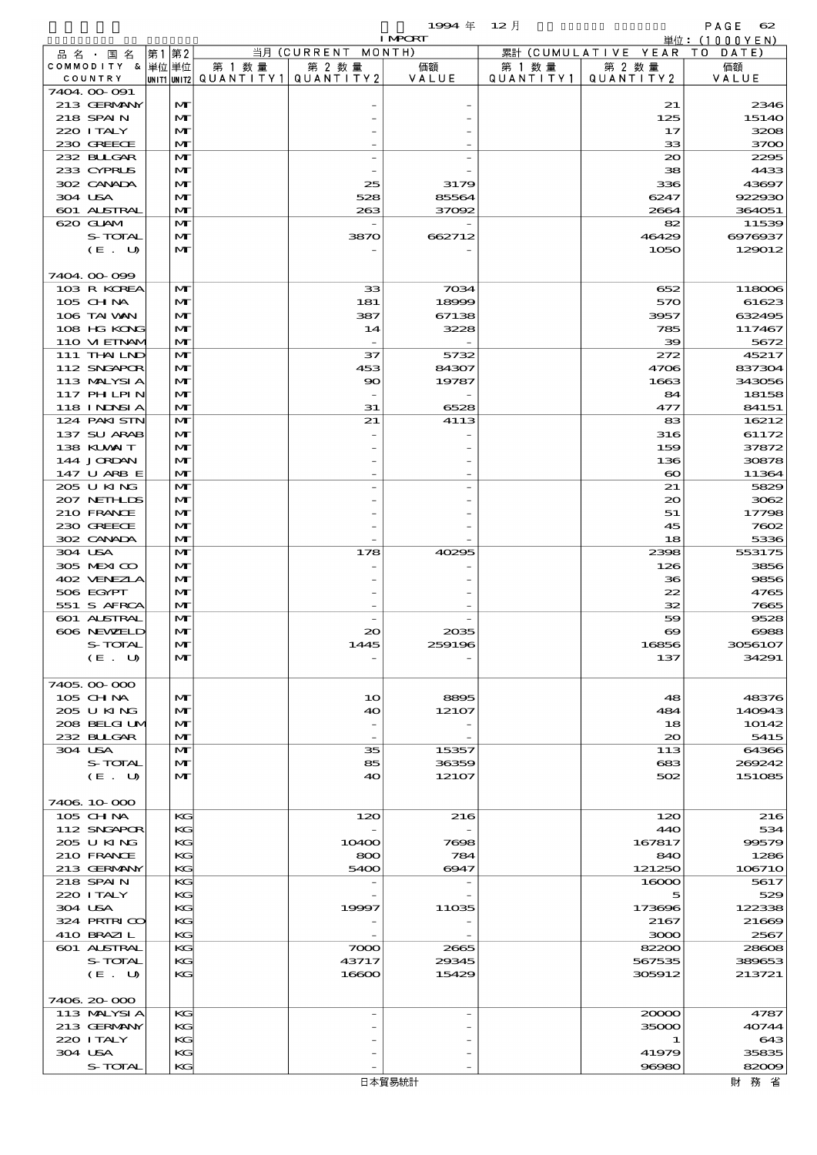$1994 \quad \# \quad 12 \quad \dagger$  PAGE 62

|                            |                              |        |                                       | <b>I MPORT</b> |           |                              | 単位: (1000YEN)    |
|----------------------------|------------------------------|--------|---------------------------------------|----------------|-----------|------------------------------|------------------|
| 品名・国名                      | 第1 第2                        |        | 当月 (CURRENT MONTH)                    |                |           | 累計 (CUMULATIVE YEAR TO DATE) |                  |
| COMMODITY & 単位単位           |                              | 第 1 数量 | 第 2 数量                                | 価額             | 第 1 数量    | 第 2 数量                       | 価額               |
| COUNTRY<br>7404.00-091     |                              |        | UNIT1 UNIT2  QUANT   TY1  QUANT   TY2 | VALUE          | QUANTITY1 | QUANTITY2                    | VALUE            |
| 213 GERMANY                | $\mathbf{M}$                 |        |                                       |                |           | 21                           | 2346             |
| 218 SPAIN                  | $\mathbf{M}$                 |        |                                       |                |           | 125                          | 15140            |
| 220 I TALY                 | $\mathbf{M}$                 |        |                                       |                |           | 17                           | 3208             |
| 230 GREECE                 | $\mathbf{M}$                 |        |                                       |                |           | 33                           | 3700             |
| 232 BULGAR                 | $\mathbf{M}$                 |        |                                       |                |           | $\infty$                     | 2295             |
| 233 CYPRUS                 | M                            |        |                                       |                |           | 38                           | 4433             |
| 302 CANADA                 | $\mathbf{M}$                 |        | 25                                    | 3179           |           | 336                          | 43697            |
| 304 USA<br>601 ALSTRAL     | $\mathbf{M}$<br>$\mathbf{M}$ |        | 528<br>263                            | 85564          |           | 6247<br>2664                 | 922930<br>364051 |
| 620 GLAM                   | $\mathbf{M}$                 |        |                                       | 37092          |           | 82                           | 11539            |
| S-TOTAL                    | M                            |        | 3870                                  | 662712         |           | 46429                        | 6976937          |
| (E. U)                     | $\mathbf{M}$                 |        |                                       |                |           | 1050                         | 129012           |
|                            |                              |        |                                       |                |           |                              |                  |
| 7404.00-099                |                              |        |                                       |                |           |                              |                  |
| 103 R KOREA                | M                            |        | 33                                    | 7034           |           | 652                          | 118006           |
| 105 CH NA                  | $\mathbf{M}$                 |        | 181                                   | 18999          |           | 570                          | 61623            |
| 106 TAI VAN                | $\mathbf{M}$                 |        | 387                                   | 67138          |           | 3957                         | 632495           |
| 108 HG KONG<br>110 VIEINAM | $\mathbf{M}$<br>$\mathbf{M}$ |        | 14                                    | 3228           |           | 785<br>39                    | 117467<br>5672   |
| 111 THAILND                | $\mathbf{M}$                 |        | 37                                    | 5732           |           | 272                          | 45217            |
| 112 SNGAPOR                | $\mathbf{M}$                 |        | 453                                   | 84307          |           | 4706                         | 837304           |
| 113 MALYSIA                | $\mathbf{M}$                 |        | $\infty$                              | 19787          |           | 1663                         | 343056           |
| 117 PH LPIN                | $\mathbf{M}$                 |        |                                       |                |           | 84                           | 18158            |
| 118 I NDSI A               | $\mathbf{M}$                 |        | 31                                    | 6528           |           | 477                          | 84151            |
| 124 PAKI STN               | $\mathbf{M}$                 |        | 21                                    | 4113           |           | 83                           | 16212            |
| 137 SU ARAB                | $\mathbf{M}$                 |        |                                       |                |           | 316                          | 61172            |
| 138 KUWAIT                 | $\mathbf{M}$                 |        |                                       |                |           | 159                          | 37872            |
| 144 JORDAN                 | $\mathbf{M}$                 |        |                                       |                |           | 136                          | 30878            |
| 147 U ARB E<br>205 U KING  | $\mathbf{M}$<br>$\mathbf{M}$ |        |                                       |                |           | $\boldsymbol{\infty}$<br>21  | 11364<br>5829    |
| 207 NETHLIS                | $\mathbf{M}$                 |        |                                       |                |           | $\infty$                     | 3062             |
| 210 FRANCE                 | $\mathbf{M}$                 |        |                                       |                |           | 51                           | 17798            |
| 230 GREECE                 | $\mathbf{M}$                 |        |                                       |                |           | 45                           | 7602             |
| 302 CANADA                 | $\mathbf{M}$                 |        |                                       |                |           | 18                           | 5336             |
| 304 USA                    | $\mathbf{M}$                 |        | 178                                   | 40295          |           | 2398                         | 553175           |
| 305 MEXICO                 | $\mathbf{M}$                 |        |                                       |                |           | 126                          | 3856             |
| 402 VENEZLA                | $\mathbf{M}$                 |        |                                       |                |           | 36                           | 9856             |
| 506 EGYPT                  | $\mathbf{M}$                 |        |                                       |                |           | 22                           | 4765             |
| 551 S AFRCA<br>601 ALSTRAL | $\mathbf{M}$<br>M            |        |                                       |                |           | 32<br>59                     | 7665<br>9528     |
| 606 NEWELD                 | $\mathbf{M}$                 |        | $\infty$                              | 2035           |           | $\boldsymbol{\infty}$        | 6988             |
| S-TOTAL                    | $\mathbf{M}$                 |        | 1445                                  | 259196         |           | 16856                        | 3056107          |
| (E. U)                     | $\mathbf{M}$                 |        |                                       |                |           | 137                          | 34291            |
|                            |                              |        |                                       |                |           |                              |                  |
| 7405,000,000               |                              |        |                                       |                |           |                              |                  |
| 105 CH NA                  | $\mathbf{M}$                 |        | 1 <sub>O</sub>                        | 8895           |           | 48                           | 48376            |
| 205 U KING                 | $\mathbf{M}$                 |        | 40                                    | 12107          |           | 484                          | 140943           |
| 208 BELGI UM               | M                            |        |                                       |                |           | 18                           | 10142            |
| 232 BULGAR<br>304 USA      | $\mathbf{M}$<br>$\mathbf{M}$ |        | $\overline{\phantom{a}}$<br>35        | 15357          |           | $\infty$<br>113              | 5415<br>64366    |
| S-TOTAL                    | $\mathbf{M}$                 |        | 85                                    | 36359          |           | 683                          | 269242           |
| (E. U)                     | $\mathbf{M}$                 |        | 40                                    | 12107          |           | 502                          | 151085           |
|                            |                              |        |                                       |                |           |                              |                  |
| 7406 10 000                |                              |        |                                       |                |           |                              |                  |
| $105$ CHNA                 | KG                           |        | 120                                   | 216            |           | 120                          | 216              |
| 112 SNGAPOR                | KG                           |        |                                       |                |           | 440                          | 534              |
| 205 U KING                 | KG                           |        | 10400                                 | 7698           |           | 167817                       | 99579            |
| 210 FRANCE<br>213 GERMANY  | KG<br>KG                     |        | 800                                   | 784            |           | 840                          | 1286             |
| 218 SPAIN                  | KG                           |        | 5400                                  | 6947           |           | 121250<br>16000              | 106710<br>5617   |
| 220 I TALY                 | KG                           |        |                                       |                |           | 5                            | 529              |
| 304 USA                    | KG                           |        | 19997                                 | 11035          |           | 173696                       | 122338           |
| 324 PRIRICO                | KG                           |        |                                       |                |           | 2167                         | 21669            |
| 410 BRAZIL                 | KG                           |        |                                       |                |           | 3000                         | 2567             |
| 601 ALSTRAL                | KG                           |        | 7000                                  | 2665           |           | 82200                        | 28608            |
| S-TOTAL                    | KG                           |        | 43717                                 | 29345          |           | 567535                       | 389653           |
| (E. U)                     | KG                           |        | 16600                                 | 15429          |           | 305912                       | 213721           |
| 7406.20-000                |                              |        |                                       |                |           |                              |                  |
| 113 MALYSIA                | KG                           |        |                                       |                |           | 20000                        | 4787             |
| 213 GERMANY                | KG                           |        |                                       |                |           | 35000                        | 40744            |
| 220 I TALY                 | KG                           |        |                                       |                |           | 1                            | 643              |
| 304 USA                    | KG                           |        |                                       |                |           | 41979                        | 35835            |
| S-TOTAL                    | KG                           |        |                                       |                |           | 96980                        | 82009            |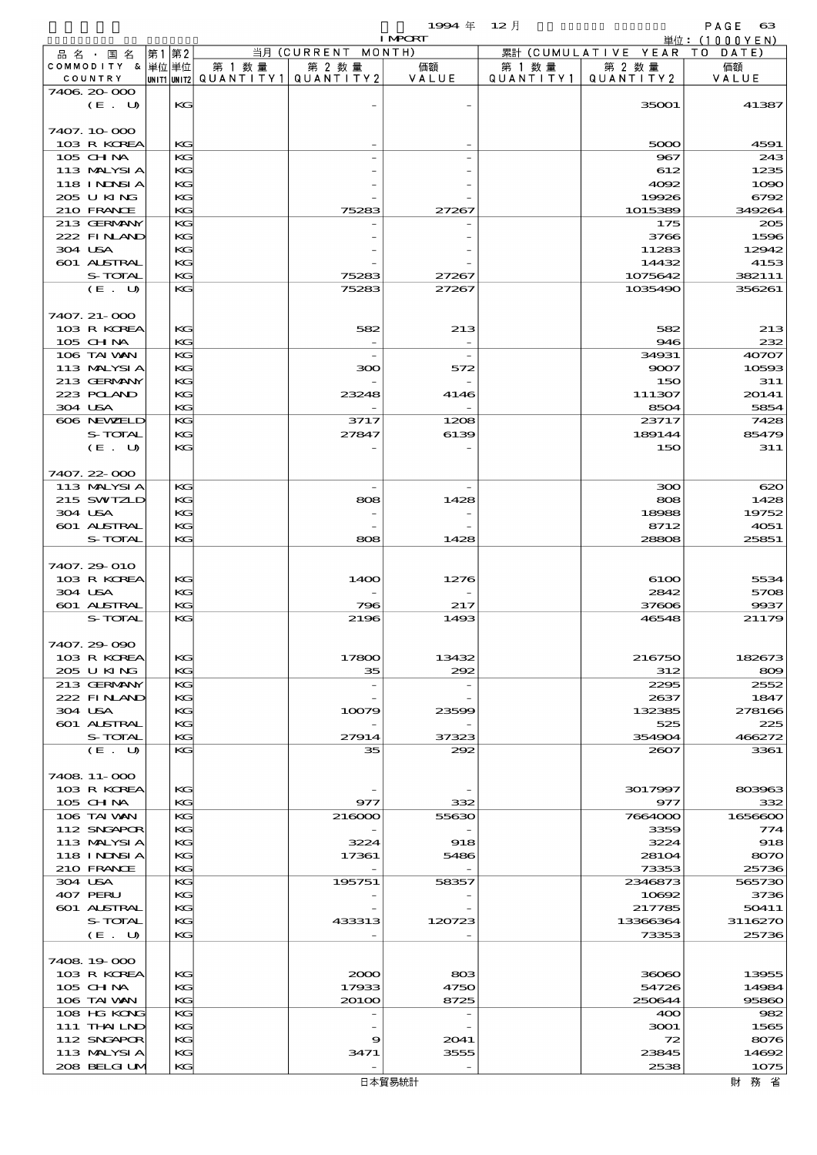|                            |    |          |                          |                              | 1994 $#$       | $12$ 月               |                                        | PAGE<br>$_{\rm 63}$ |
|----------------------------|----|----------|--------------------------|------------------------------|----------------|----------------------|----------------------------------------|---------------------|
|                            |    |          |                          |                              | <b>I MPCRT</b> |                      |                                        | 単位: (1000YEN)       |
| 品名・国名<br>COMMODITY & 単位単位  | 第1 | 第2       | 第 1 数量                   | 当月 (CURRENT MONTH)<br>第 2 数量 |                |                      | 累計 (CUMULATIVE YEAR TO DATE)<br>第 2 数量 | 価額                  |
| COUNTRY                    |    |          | unit1 unit2  Q∪ANT   TY1 | QUANTITY 2                   | 価額<br>VALUE    | 第 1 数 量<br>QUANTITY1 | QUANTITY 2                             | VALUE               |
| 7406 20 000                |    |          |                          |                              |                |                      |                                        |                     |
| (E. U)                     |    | KG       |                          |                              |                |                      | 35001                                  | 41387               |
|                            |    |          |                          |                              |                |                      |                                        |                     |
| 7407.10-000                |    |          |                          |                              |                |                      |                                        |                     |
| 103 R KOREA<br>$105$ CHNA  |    | KG<br>KG |                          |                              |                |                      | 5000                                   | 4591<br>243         |
| 113 MALYSIA                |    | KG       |                          |                              |                |                      | 967<br>612                             | 1235                |
| 118 I NJNSI A              |    | KG       |                          |                              |                |                      | 4092                                   | 1090                |
| 205 U KING                 |    | KG       |                          |                              |                |                      | 19926                                  | 6792                |
| 210 FRANCE                 |    | KG       |                          | 75283                        | 27267          |                      | 1015389                                | 349264              |
| 213 GERMANY                |    | KG       |                          |                              |                |                      | 175                                    | 205                 |
| 222 FINAND                 |    | KG       |                          |                              |                |                      | 3766                                   | 1596                |
| 304 USA                    |    | KG       |                          |                              |                |                      | 11283                                  | 12942               |
| 601 ALSTRAL<br>S-TOTAL     |    | KG<br>KG |                          | 75283                        | 27267          |                      | 14432<br>1075642                       | 4153<br>382111      |
| (E. U)                     |    | KG       |                          | 75283                        | 27267          |                      | 1035490                                | 356261              |
|                            |    |          |                          |                              |                |                      |                                        |                     |
| 7407. 21-000               |    |          |                          |                              |                |                      |                                        |                     |
| 103 R KOREA                |    | KG       |                          | 582                          | 213            |                      | 582                                    | 213                 |
| 105 CHNA                   |    | KG       |                          | $\overline{\phantom{a}}$     |                |                      | 946                                    | 232                 |
| 106 TAI VAN                |    | KG       |                          |                              |                |                      | 34931                                  | 40707               |
| 113 MALYSIA<br>213 GERMANY |    | KG<br>KG |                          | 300                          | 572            |                      | 9007<br>150                            | 10593<br>311        |
| 223 POLAND                 |    | KG       |                          | 23248                        | 4146           |                      | 111307                                 | 20141               |
| 304 USA                    |    | KG       |                          |                              |                |                      | 8504                                   | 5854                |
| 606 NEWELD                 |    | KG       |                          | 3717                         | 1208           |                      | 23717                                  | 7428                |
| S-TOTAL                    |    | KG       |                          | 27847                        | 6139           |                      | 189144                                 | 85479               |
| (E. U)                     |    | KG       |                          |                              |                |                      | 150                                    | 311                 |
|                            |    |          |                          |                              |                |                      |                                        |                     |
| 7407.22-000                |    |          |                          |                              |                |                      |                                        |                     |
| 113 MALYSIA<br>215 SWIZLD  |    | KG<br>KG |                          | 808                          | 1428           |                      | 300<br>808                             | 620<br>1428         |
| 304 USA                    |    | KG       |                          |                              |                |                      | 18988                                  | 19752               |
| 601 ALSTRAL                |    | KG       |                          |                              |                |                      | 8712                                   | 4051                |
| S-TOTAL                    |    | KG       |                          | 808                          | 1428           |                      | 28808                                  | 25851               |
|                            |    |          |                          |                              |                |                      |                                        |                     |
| 7407.29-010                |    |          |                          |                              |                |                      |                                        |                     |
| 103 R KOREA                |    | KG       |                          | 1400                         | 1276           |                      | 6100                                   | 5534                |
| 304 USA                    |    | KG       |                          |                              |                |                      | 2842                                   | 5708                |
| 601 ALSTRAL<br>S-TOTAL     |    | KG<br>KG |                          | 796<br>2196                  | 217<br>1493    |                      | 37606<br>46548                         | 9937<br>21179       |
|                            |    |          |                          |                              |                |                      |                                        |                     |
| 7407.29-090                |    |          |                          |                              |                |                      |                                        |                     |
| 103 R KOREA                |    | KG       |                          | 17800                        | 13432          |                      | 216750                                 | 182673              |
| 205 U KING                 |    | KG       |                          | 35                           | 292            |                      | 312                                    | 809                 |
| 213 GERMANY                |    | KG       |                          |                              |                |                      | 2295                                   | 2552                |
| 222 FINAND                 |    | KG       |                          |                              |                |                      | 2637                                   | 1847                |
| 304 USA<br>601 ALSTRAL     |    | KG<br>KG |                          | 10079                        | 23599          |                      | 132385<br>525                          | 278166<br>225       |
| S-TOTAL                    |    | KG       |                          | 27914                        | 37323          |                      | 354904                                 | 466272              |
| (E. U)                     |    | KG       |                          | 35                           | 292            |                      | 2607                                   | 3361                |
|                            |    |          |                          |                              |                |                      |                                        |                     |
| 7408 11-000                |    |          |                          |                              |                |                      |                                        |                     |
| 103 R KOREA                |    | KG       |                          |                              |                |                      | 3017997                                | 803963              |
| 105 CH NA<br>106 TAI VAN   |    | KG<br>KG |                          | 977<br>216000                | 332<br>55630   |                      | 977                                    | 332<br>1656600      |
| 112 SNGAPOR                |    | KC       |                          |                              |                |                      | 7664000<br>3359                        | 774                 |
| 113 MALYSIA                |    | KG       |                          | 3224                         | 918            |                      | 3224                                   | 918                 |
| <b>118 INDSIA</b>          |    | KG       |                          | 17361                        | 5486           |                      | 28104                                  | 8070                |
| 210 FRANCE                 |    | KG       |                          |                              |                |                      | 73353                                  | 25736               |
| 304 USA                    |    | KG       |                          | 195751                       | 58357          |                      | 2346873                                | 565730              |
| 407 PERU                   |    | KC       |                          |                              |                |                      | 10692                                  | 3736                |
| 601 ALSTRAL<br>S-TOTAL     |    | KG       |                          |                              |                |                      | 217785                                 | 50411               |
| (E. U)                     |    | KG<br>KG |                          | 433313                       | 120723         |                      | 13366364<br>73353                      | 3116270<br>25736    |
|                            |    |          |                          |                              |                |                      |                                        |                     |
| 7408 19 000                |    |          |                          |                              |                |                      |                                        |                     |
| 103 R KOREA                |    | КG       |                          | 2000                         | 803            |                      | 36060                                  | 13955               |
| $105$ CHNA                 |    | KG       |                          | 17933                        | 4750           |                      | 54726                                  | 14984               |
| 106 TAI VAN                |    | KG       |                          | 20100                        | 8725           |                      | 250644                                 | 95860               |
| 108 HG KONG                |    | KG       |                          |                              |                |                      | 400                                    | 982                 |
| 111 THAILND                |    | KG       |                          |                              |                |                      | 3001                                   | 1565                |
| 112 SNGAPOR<br>113 MALYSIA |    | KG<br>KG |                          | 9<br>3471                    | 2041<br>3555   |                      | 72<br>23845                            | 8076<br>14692       |
| 208 BELGI UM               |    | KG       |                          |                              |                |                      | 2538                                   | 1075                |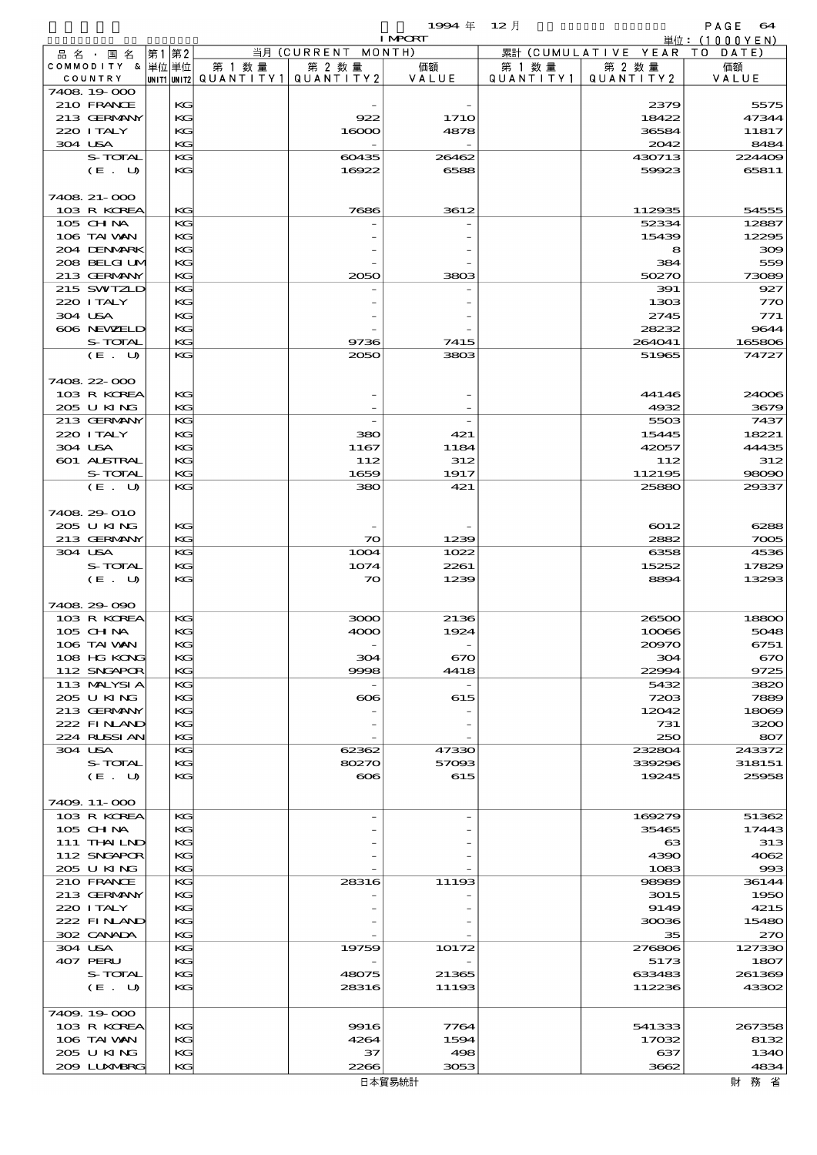$\begin{array}{cc}\n\text{PAGE} & \text{64} \\
\text{H}\ddot{\sigma} & (1000 \text{VEN})\n\end{array}$ 

 $1994 \text{ } \# \text{ } 12 \text{ } \frac{1}{2}$  INPORT

|         |                  |    |    |                                |                    | I MPORT     |           |                              | 単位: (1000YEN) |
|---------|------------------|----|----|--------------------------------|--------------------|-------------|-----------|------------------------------|---------------|
|         | 品名・国名            | 第1 | 第2 |                                | 当月 (CURRENT MONTH) |             |           | 累計 (CUMULATIVE YEAR TO DATE) |               |
|         | COMMODITY & 単位単位 |    |    | 第 1 数量                         | 第 2 数量             | 価額          | 第 1 数 量   | 第 2 数量                       | 価額            |
|         | COUNTRY          |    |    | UNITIUNIT2 QUANTITY1 QUANTITY2 |                    | VALUE       | QUANTITY1 | QUANTITY 2                   | VALUE         |
|         |                  |    |    |                                |                    |             |           |                              |               |
|         | 7408 19 000      |    |    |                                |                    |             |           |                              |               |
|         | 210 FRANCE       |    | KG |                                |                    |             |           | 2379                         | 5575          |
|         |                  |    |    |                                |                    |             |           |                              | 47344         |
|         | 213 GERMANY      |    | KG |                                | 922                | <b>1710</b> |           | 18422                        |               |
|         | 220 I TALY       |    | KG |                                | 16000              | 4878        |           | 36584                        | 11817         |
| 304 USA |                  |    | KG |                                |                    |             |           | 2042                         | 8484          |
|         |                  |    |    |                                |                    |             |           |                              |               |
|         | S-TOTAL          |    | KG |                                | 60435              | 26462       |           | 430713                       | 224409        |
|         | (E. U)           |    | KG |                                | 16922              | 6588        |           | 59923                        | 65811         |
|         |                  |    |    |                                |                    |             |           |                              |               |
|         |                  |    |    |                                |                    |             |           |                              |               |
|         | 7408 21-000      |    |    |                                |                    |             |           |                              |               |
|         | 103 R KOREA      |    | KG |                                | 7686               | 3612        |           | 112935                       | 54555         |
|         |                  |    |    |                                |                    |             |           |                              |               |
|         | 105 CH NA        |    | KG |                                |                    |             |           | 52334                        | 12887         |
|         | 106 TAI VAN      |    | KG |                                |                    |             |           | 15439                        | 12295         |
|         |                  |    |    |                                |                    |             |           |                              |               |
|         | 204 DENMARK      |    | KG |                                |                    |             |           | 8                            | 309           |
|         | 208 BELGI UM     |    | KG |                                |                    |             |           | 384                          | 559           |
|         | 213 GERMANY      |    | KG |                                | 2050               | 3803        |           | 50270                        | 73089         |
|         |                  |    |    |                                |                    |             |           |                              |               |
|         | 215 SWIZLD       |    | KG |                                |                    |             |           | 391                          | 927           |
|         | 220 I TALY       |    | KG |                                |                    |             |           | 1303                         | 770           |
|         |                  |    |    |                                |                    |             |           |                              |               |
| 304 USA |                  |    | KG |                                |                    |             |           | 2745                         | 771           |
|         | 606 NEWELD       |    | KG |                                |                    |             |           | 28232                        | 9644          |
|         | S-TOTAL          |    | KG |                                |                    |             |           |                              |               |
|         |                  |    |    |                                | 9736               | 7415        |           | 264041                       | 165806        |
|         | (E. U)           |    | KG |                                | 2050               | 3803        |           | 51965                        | 74727         |
|         |                  |    |    |                                |                    |             |           |                              |               |
|         |                  |    |    |                                |                    |             |           |                              |               |
|         | 7408 22 000      |    |    |                                |                    |             |           |                              |               |
|         | 103 R KOREA      |    | KG |                                |                    |             |           | 44146                        | 24006         |
|         |                  |    |    |                                |                    |             |           |                              |               |
|         | 205 U KING       |    | KG |                                |                    |             |           | 4932                         | 3679          |
|         | 213 GERMANY      |    | KG |                                |                    |             |           | 5503                         | 7437          |
|         |                  |    |    |                                |                    |             |           |                              |               |
|         | 220 I TALY       |    | KG |                                | 380                | 421         |           | 15445                        | 18221         |
| 304 USA |                  |    | KG |                                | 1167               | 1184        |           | 42057                        | 44435         |
|         | 601 ALSTRAL      |    | KG |                                | 112                | 312         |           | 112                          | 312           |
|         |                  |    |    |                                |                    |             |           |                              |               |
|         | S-TOTAL          |    | KG |                                | 1659               | 1917        |           | 112195                       | 98090         |
|         | (E. U)           |    | KG |                                | 380                | 421         |           | 25880                        | 29337         |
|         |                  |    |    |                                |                    |             |           |                              |               |
|         |                  |    |    |                                |                    |             |           |                              |               |
|         | 7408 29 010      |    |    |                                |                    |             |           |                              |               |
|         | 205 U KING       |    |    |                                |                    |             |           |                              |               |
|         |                  |    | KG |                                |                    |             |           | 6012                         | 6288          |
|         | 213 GERMANY      |    | KG |                                | $\infty$           | 1239        |           | 2882                         | 7005          |
| 304 USA |                  |    | KG |                                | 1004               | 1022        |           | 6358                         | 4536          |
|         |                  |    |    |                                |                    |             |           |                              |               |
|         | S-TOTAL          |    | KG |                                | 1074               | 2261        |           | 15252                        | 17829         |
|         | (E. U)           |    | KG |                                | $\infty$           | 1239        |           | 8894                         | 13293         |
|         |                  |    |    |                                |                    |             |           |                              |               |
|         |                  |    |    |                                |                    |             |           |                              |               |
|         | 7408 29 090      |    |    |                                |                    |             |           |                              |               |
|         |                  |    | KG |                                | 3000               | 2136        |           | 26500                        | 18800         |
|         | 103 R KOREA      |    |    |                                |                    |             |           |                              |               |
|         | 105 CHNA         |    | KG |                                | 4000               | 1924        |           | 10066                        | 5048          |
|         | 106 TAI VAN      |    | KG |                                |                    |             |           | 20970                        | 6751          |
|         |                  |    |    |                                |                    |             |           |                              |               |
|         | 108 HG KONG      |    | KG |                                | 304                | 670         |           | 304                          | 670           |
|         | 112 SNGAPOR      |    | КG |                                | 9998               | 4418        |           | 22994                        | 9725          |
|         |                  |    |    |                                |                    |             |           |                              |               |
|         | 113 MALYSIA      |    | KG |                                |                    |             |           | 5432                         | 3820          |
|         | 205 U KING       |    | KG |                                | $\infty$           | 615         |           | 7203                         | 7889          |
|         | 213 GERMANY      |    | KG |                                |                    |             |           | 12042                        | 18069         |
|         |                  |    |    |                                |                    |             |           |                              |               |
|         | 222 FINAND       |    | KG |                                |                    |             |           | 731                          | 3200          |
|         | 224 RUSSIAN      |    | KG |                                |                    |             |           | 250                          | 807           |
|         |                  |    |    |                                |                    |             |           |                              |               |
| 304 USA |                  |    | KG |                                | 62362              | 47330       |           | 232804                       | 243372        |
|         | S-TOTAL          |    | KG |                                | 80270              | 57093       |           | 339296                       | 318151        |
|         | (E. U)           |    | KG |                                | $\infty$           | 615         |           | 19245                        | 25958         |
|         |                  |    |    |                                |                    |             |           |                              |               |
|         |                  |    |    |                                |                    |             |           |                              |               |
|         | 7409. 11-000     |    |    |                                |                    |             |           |                              |               |
|         | 103 R KOREA      |    | KG |                                |                    |             |           | 169279                       | 51362         |
|         |                  |    |    |                                |                    |             |           |                              |               |
|         | 105 CH NA        |    | KG |                                |                    |             |           | 35465                        | 17443         |
|         | 111 THAILND      |    | KG |                                |                    |             |           | ങ                            | 313           |
|         |                  |    |    |                                |                    |             |           |                              |               |
|         | 112 SNGAPOR      |    | KG |                                |                    |             |           | 4390                         | 4062          |
|         | 205 U KING       |    | KG |                                |                    |             |           | 1083                         | 993           |
|         | 210 FRANCE       |    | KG |                                | 28316              | 11193       |           | 98989                        | 36144         |
|         |                  |    |    |                                |                    |             |           |                              |               |
|         | 213 GERMANY      |    | KG |                                |                    |             |           | 3015                         | 1950          |
|         | 220 I TALY       |    | KG |                                |                    |             |           | 9149                         | 4215          |
|         |                  |    |    |                                |                    |             |           |                              |               |
|         | 222 FINAND       |    | KG |                                |                    |             |           | 30036                        | 15480         |
|         | 302 CANADA       |    | KG |                                |                    |             |           | 35                           | 270           |
|         |                  |    |    |                                |                    |             |           |                              |               |
| 304 USA |                  |    | KG |                                | 19759              | 10172       |           | 276806                       | 127330        |
|         | 407 PERU         |    | KG |                                |                    |             |           | 5173                         | 1807          |
|         | S-TOTAL          |    | KG |                                |                    | 21365       |           | 633483                       | 261369        |
|         |                  |    |    |                                | 48075              |             |           |                              |               |
|         | (E. U)           |    | KG |                                | 28316              | 11193       |           | 112236                       | 43302         |
|         |                  |    |    |                                |                    |             |           |                              |               |
|         |                  |    |    |                                |                    |             |           |                              |               |
|         | 7409.19000       |    |    |                                |                    |             |           |                              |               |
|         | 103 R KOREA      |    | KG |                                | 9916               | 7764        |           | 541333                       | 267358        |
|         |                  |    |    |                                |                    |             |           |                              |               |
|         | 106 TAI VAN      |    | KG |                                | 4264               | 1594        |           | 17032                        | 8132          |
|         | 205 U KING       |    | KG |                                | 37                 | 498         |           | 637                          | 1340          |
|         | 200 LUNABRG      |    | KG |                                | 2266               | 3053        |           | 3662                         | 4834          |
|         |                  |    |    |                                |                    |             |           |                              |               |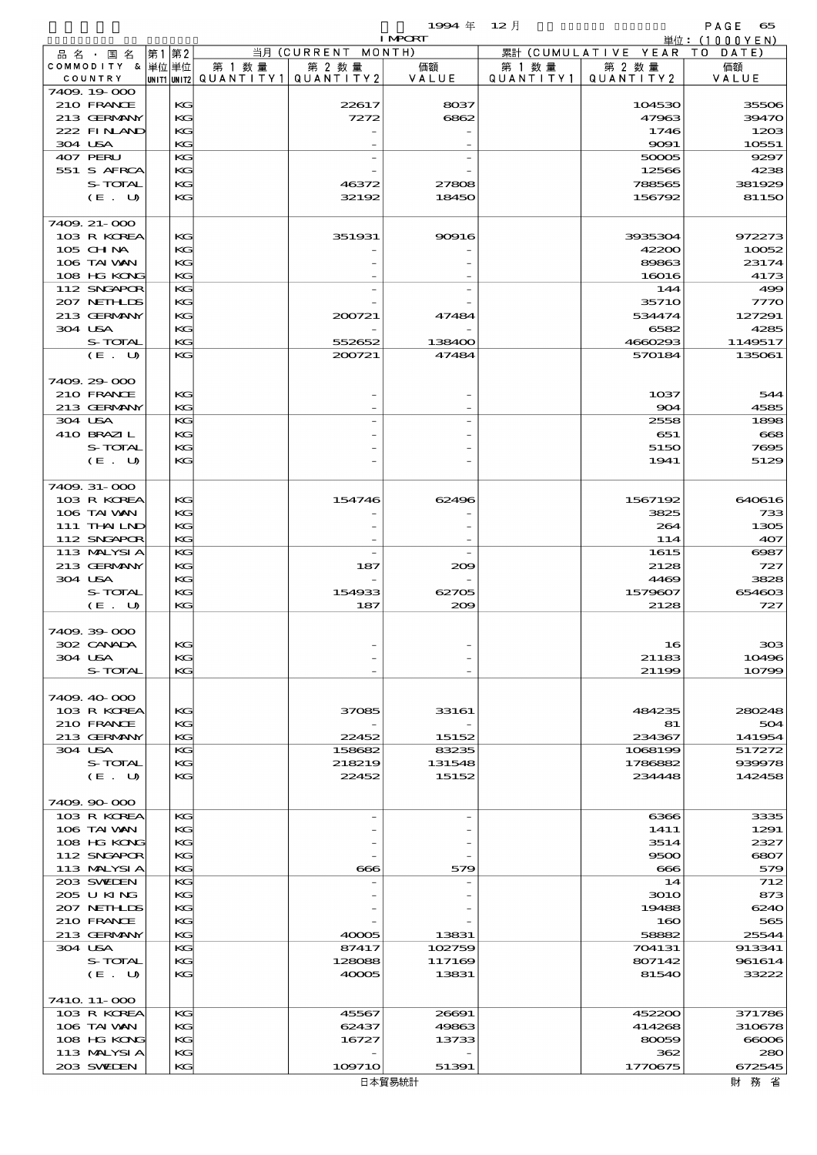品別国別表 輸 入 1994 12 確定 (Fixed Annual) 65 I MPORT

|         | 品名・国名                       | 第1 | 第2           |                                                  | 当月 (CURRENT MONTH) |                 |                     | 累計 (CUMULATIVE YEAR TO DATE) |                  |
|---------|-----------------------------|----|--------------|--------------------------------------------------|--------------------|-----------------|---------------------|------------------------------|------------------|
|         | COMMODITY & 単位単位<br>COUNTRY |    |              | 第 1 数量<br> unit1 unit2  Q∪ANT   TY1  Q∪ANT   TY2 | 第 2 数量             | 価額<br>VALUE     | 第 1 数量<br>QUANTITY1 | 第 2 数量<br>QUANTITY 2         | 価額<br>VALUE      |
|         | 7409.19-000                 |    |              |                                                  |                    |                 |                     |                              |                  |
|         | 210 FRANCE                  |    | KG           |                                                  | 22617              | 8037            |                     | 104530                       | 35506            |
|         | 213 GERMANY                 |    | KG           |                                                  | 7272               | 6862            |                     | 47963                        | 39470            |
| 304 USA | 222 FINAND                  |    | KG<br>KG     |                                                  |                    |                 |                     | 1746<br>9091                 | 1203<br>10551    |
|         | 407 PERU                    |    | KG           |                                                  |                    |                 |                     | 50005                        | 9297             |
|         | 551 S AFRCA                 |    | KG           |                                                  |                    |                 |                     | 12566                        | 4238             |
|         | S-TOTAL                     |    | KG           |                                                  | 46372              | 27808           |                     | 788565                       | 381929           |
|         | (E. U)                      |    | KG           |                                                  | 32192              | 18450           |                     | 156792                       | 81150            |
|         | 7409 21-000                 |    |              |                                                  |                    |                 |                     |                              |                  |
|         | 103 R KOREA                 |    | KG           |                                                  | 351931             | 90916           |                     | 3935304                      | 972273           |
|         | 105 CH NA                   |    | KG           |                                                  |                    |                 |                     | 42200                        | 10052            |
|         | 106 TAI VAN                 |    | KG           |                                                  |                    |                 |                     | 89863                        | 23174            |
|         | 108 HG KONG<br>112 SNGAPOR  |    | KG<br>KG     |                                                  |                    |                 |                     | 16016<br>144                 | 4173<br>499      |
|         | 207 NETHLIS                 |    | KG           |                                                  |                    |                 |                     | 3571O                        | 7770             |
|         | 213 GERMANY                 |    | KG           |                                                  | 200721             | 47484           |                     | 534474                       | 127291           |
| 304 USA |                             |    | KG           |                                                  |                    |                 |                     | 6582                         | 4285             |
|         | S-TOTAL                     |    | KG           |                                                  | 552652             | 138400          |                     | 4660293                      | 1149517          |
|         | (E. U)                      |    | KG           |                                                  | 200721             | 47484           |                     | 570184                       | 135061           |
|         | 7409.29-000                 |    |              |                                                  |                    |                 |                     |                              |                  |
|         | 210 FRANCE                  |    | KG           |                                                  |                    |                 |                     | 1037                         | 544              |
|         | 213 GERMANY                 |    | KG           |                                                  |                    |                 |                     | 904                          | 4585             |
| 304 USA |                             |    | KG           |                                                  |                    |                 |                     | 2558                         | 1898             |
|         | 410 BRAZIL                  |    | KG           |                                                  |                    |                 |                     | 651                          | 668              |
|         | S-TOTAL                     |    | KG           |                                                  |                    |                 |                     | 5150                         | 7695             |
|         | (E. U)                      |    | KG           |                                                  |                    |                 |                     | 1941                         | 5129             |
|         | 7409. 31-000                |    |              |                                                  |                    |                 |                     |                              |                  |
|         | 103 R KOREA                 |    | KG           |                                                  | 154746             | 62496           |                     | 1567192                      | 640616           |
|         | 106 TAI VAN                 |    | KG           |                                                  |                    |                 |                     | 3825                         | 733              |
|         | 111 THAILND                 |    | KG           |                                                  |                    |                 |                     | 264                          | 1305             |
|         | 112 SNGAPOR<br>113 MALYSIA  |    | KG<br>KG     |                                                  |                    |                 |                     | 114<br>1615                  | 407<br>$\cos 7$  |
|         | 213 GERMANY                 |    | KG           |                                                  | 187                | 209             |                     | 2128                         | 727              |
| 304 USA |                             |    | KG           |                                                  |                    |                 |                     | 4469                         | 3828             |
|         | S-TOTAL                     |    | KG           |                                                  | 154933             | 62705           |                     | 1579607                      | 654603           |
|         | (E. U)                      |    | KG           |                                                  | 187                | 200             |                     | 2128                         | 727              |
|         | 7409.39-000                 |    |              |                                                  |                    |                 |                     |                              |                  |
|         | 302 CANADA                  |    | KG           |                                                  |                    |                 |                     | 16                           | 308              |
| 304 USA |                             |    | $\mathbf{K}$ |                                                  |                    |                 |                     | 21183                        | 10496            |
|         | S-TOTAL                     |    | KG           |                                                  |                    |                 |                     | 21199                        | 10799            |
|         |                             |    |              |                                                  |                    |                 |                     |                              |                  |
|         | 7409.40-000<br>103 R KOREA  |    | KG           |                                                  | 37085              | 33161           |                     | 484235                       | 280248           |
|         | 210 FRANCE                  |    | KG           |                                                  |                    |                 |                     | 81                           | 504              |
|         | 213 GERMANY                 |    | KG           |                                                  | 22452              | 15152           |                     | 234367                       | 141954           |
| 304 USA |                             |    | KG           |                                                  | 158682             | 83235           |                     | 1068199                      | 517272           |
|         | S-TOTAL                     |    | KG           |                                                  | 218219             | 131548          |                     | 1786882                      | 939978           |
|         | (E. U)                      |    | KG           |                                                  | 22452              | 15152           |                     | 234448                       | 142458           |
|         | 7409.90-000                 |    |              |                                                  |                    |                 |                     |                              |                  |
|         | 103 R KOREA                 |    | KG           |                                                  |                    |                 |                     | 6366                         | 3335             |
|         | 106 TAI VAN                 |    | KG           |                                                  |                    |                 |                     | 1411                         | 1291             |
|         | 108 HG KONG                 |    | KС           |                                                  |                    |                 |                     | 3514                         | 2327             |
|         | 112 SNGAPOR<br>113 MALYSIA  |    | KG<br>KG     |                                                  | 666                | 579             |                     | 9500<br>$\bf{666}$           | 6807<br>579      |
|         | 203 SWIDEN                  |    | KG           |                                                  |                    |                 |                     | 14                           | 712              |
|         | 205 U KING                  |    | KG           |                                                  |                    |                 |                     | <b>3010</b>                  | 873              |
|         | 207 NETHLIS                 |    | КG           |                                                  |                    |                 |                     | 19488                        | 6240             |
|         | 210 FRANCE                  |    | KG           |                                                  |                    |                 |                     | 160                          | 565              |
| 304 USA | 213 GERMANY                 |    | KG<br>KG     |                                                  | 40005<br>87417     | 13831<br>102759 |                     | 58882<br>704131              | 25544<br>913341  |
|         | S-TOTAL                     |    | KG           |                                                  | 128088             | 117169          |                     | 807142                       | 961614           |
|         | (E. U)                      |    | KG           |                                                  | 40005              | 13831           |                     | 81540                        | 33222            |
|         |                             |    |              |                                                  |                    |                 |                     |                              |                  |
|         | 7410 11-000                 |    |              |                                                  |                    |                 |                     |                              |                  |
|         | 103 R KOREA<br>106 TAI VAN  |    | KG<br>KG     |                                                  | 45567<br>62437     | 26691<br>49863  |                     | 452200<br>414268             | 371786<br>310678 |
|         | 108 HG KONG                 |    | KG           |                                                  | 16727              | 13733           |                     | 80059                        | 66006            |
|         | 113 MALYSIA                 |    | KG           |                                                  |                    |                 |                     | 362                          | 280              |
|         | 203 SWIEN                   |    | KG           |                                                  | 109710             | 51391           |                     | 1770675                      | 672545           |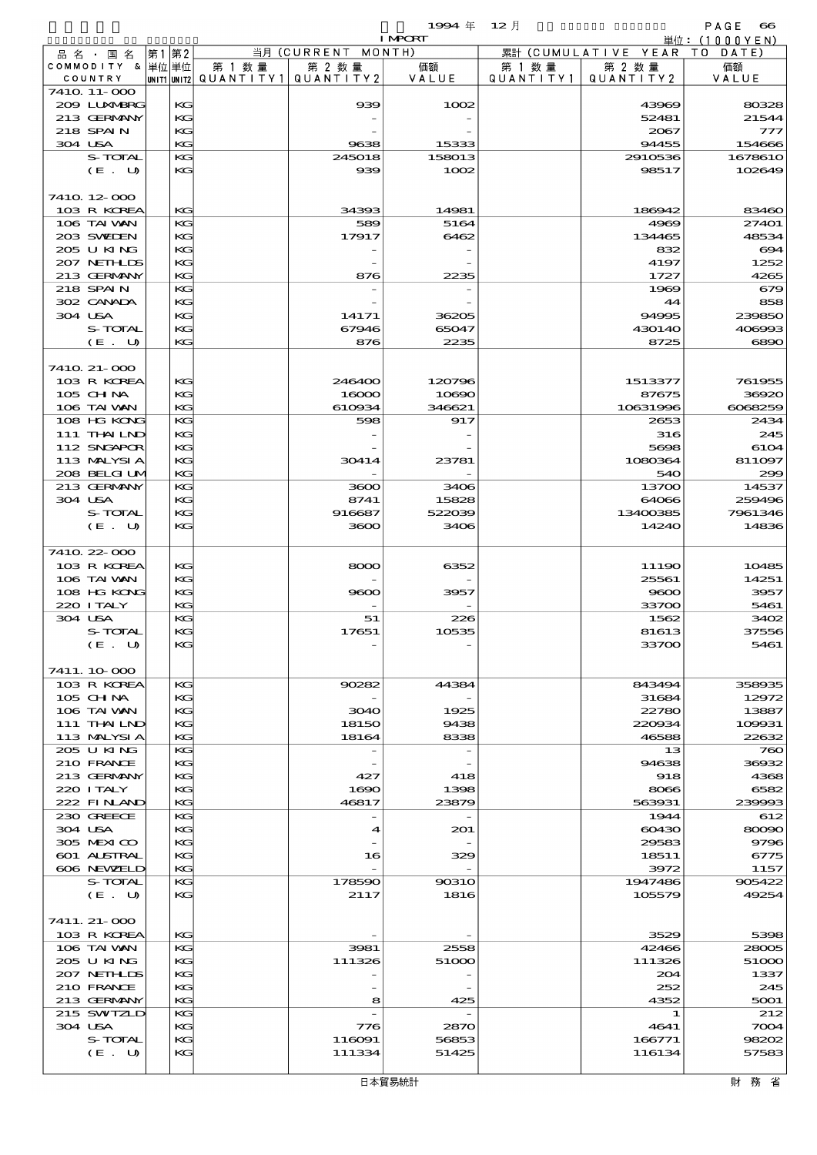$1994 \nleftrightarrow 12 \nparallel$  PAGE 66

|                             |          |        |                                       | <b>I MPORT</b>  |                   |                              | 単位: (1000 Y E N) |
|-----------------------------|----------|--------|---------------------------------------|-----------------|-------------------|------------------------------|------------------|
| 品名・国名                       | 第1 第2    |        | 当月 (CURRENT MONTH)                    |                 |                   | 累計 (CUMULATIVE YEAR TO DATE) |                  |
| COMMODITY & 単位単位            |          | 第 1 数量 | 第 2 数量                                | 価額              | 第 1 数 量           | 第 2 数量                       | 価額               |
| COUNTRY                     |          |        | unit1 unit2  QUANT   TY1  QUANT   TY2 | VALUE           | Q U A N T I T Y 1 | QUANTITY 2                   | VALUE            |
| 7410 11-000<br>2009 LUNABRG | КG       |        | 939                                   | 1002            |                   | 43969                        | 80328            |
| 213 GERMANY                 | KG       |        |                                       |                 |                   | 52481                        | 21544            |
| 218 SPAIN                   | KG       |        |                                       |                 |                   | 2067                         | 777              |
| 304 USA                     | KG       |        | 9638                                  | 15333           |                   | 94455                        | 154666           |
| S-TOTAL                     | KG       |        | 245018                                | 158013          |                   | 2910536                      | 1678610          |
| (E. U)                      | KG       |        | 939                                   | 1002            |                   | 98517                        | 102649           |
|                             |          |        |                                       |                 |                   |                              |                  |
| 7410 12 000                 |          |        |                                       |                 |                   |                              |                  |
| 103 R KOREA                 | KG       |        | 34393                                 | 14981           |                   | 186942                       | 83460            |
| 106 TAI VAN<br>203 SWIDEN   | KG<br>KG |        | 589<br>17917                          | 5164<br>6462    |                   | 4969                         | 27401<br>48534   |
| 205 U KING                  | KG       |        |                                       |                 |                   | 134465<br>832                | 694              |
| 207 NETHLIS                 | KG       |        |                                       |                 |                   | 4197                         | 1252             |
| 213 GERMANY                 | KG       |        | 876                                   | 2235            |                   | 1727                         | 4265             |
| 218 SPAIN                   | KG       |        |                                       |                 |                   | 1969                         | 679              |
| 302 CANADA                  | KG       |        |                                       |                 |                   | 44                           | 858              |
| 304 USA                     | KG       |        | 14171                                 | 36205           |                   | 94995                        | 239850           |
| S-TOTAL                     | KG       |        | 67946                                 | 65047           |                   | 430140                       | 406993           |
| (E. U)                      | KG       |        | 876                                   | 2235            |                   | 8725                         | 6890             |
|                             |          |        |                                       |                 |                   |                              |                  |
| 7410 21-000                 |          |        |                                       |                 |                   |                              |                  |
| 103 R KOREA                 | KG       |        | 246400                                | 120796          |                   | 1513377                      | 761955           |
| $105$ CHNA<br>106 TAI VAN   | KG<br>KG |        | 16000<br>610934                       | 10690<br>346621 |                   | 87675<br>10631996            | 36920<br>6068259 |
| 108 HG KONG                 | KG       |        | 598                                   | 917             |                   | 2653                         | 2434             |
| 111 THAILND                 | KG       |        |                                       |                 |                   | 316                          | 245              |
| 112 SNGAPOR                 | KG       |        |                                       |                 |                   | 5698                         | 6104             |
| 113 MALYSIA                 | KG       |        | 30414                                 | 23781           |                   | 1080364                      | 811097           |
| 208 BELGI UM                | KG       |        |                                       |                 |                   | 540                          | 299              |
| 213 GERMANY                 | KG       |        | 3600                                  | 3406            |                   | 13700                        | 14537            |
| 304 USA                     | KG       |        | 8741                                  | 15828           |                   | 64066                        | 259496           |
| S-TOTAL                     | KG       |        | 916687                                | 522039          |                   | 13400385                     | 7961346          |
| (E. U)                      | KG       |        | 3600                                  | 3406            |                   | 14240                        | 14836            |
|                             |          |        |                                       |                 |                   |                              |                  |
| 7410 22 000<br>103 R KOREA  | KG       |        | 8000                                  | 6352            |                   | 11190                        | 10485            |
| 106 TAI VAN                 | KG       |        |                                       |                 |                   | 25561                        | 14251            |
| 108 HG KONG                 | KG       |        | 9600                                  | 3957            |                   | 9600                         | 3957             |
| 220 I TALY                  | KG       |        |                                       |                 |                   | 33700                        | 5461             |
| 304 USA                     | KG       |        | 51                                    | 226             |                   | 1562                         | 3402             |
| S-TOTAL                     | KG       |        | 17651                                 | 10535           |                   | 81613                        | 37556            |
| (E. U)                      | KG       |        |                                       |                 |                   | 33700                        | 5461             |
|                             |          |        |                                       |                 |                   |                              |                  |
| 7411.10.000                 |          |        |                                       |                 |                   |                              |                  |
| 103 R KOREA                 | KG       |        | 90282                                 | 44384           |                   | 843494                       | 358935           |
| $105$ CHNA<br>106 TAI VAN   | KG<br>KG |        | 3040                                  | 1925            |                   | 31684<br>22780               | 12972<br>13887   |
| 111 THAILND                 | KG       |        | 18150                                 | 9438            |                   | 220934                       | 109931           |
| 113 MALYSIA                 | KG       |        | 18164                                 | 8338            |                   | 46588                        | 22632            |
| 205 U KING                  | KG       |        | $\overline{\phantom{a}}$              |                 |                   | 13                           | 760              |
| 210 FRANCE                  | KG       |        |                                       |                 |                   | 94638                        | 36932            |
| 213 GERMANY                 | KG       |        | 427                                   | 418             |                   | 918                          | 4368             |
| 220 I TALY                  | KG       |        | 1690                                  | 1398            |                   | 8066                         | 6582             |
| 222 FINAND                  | KG       |        | 46817                                 | 23879           |                   | 563931                       | 239993           |
| 230 GREECE                  | KG       |        |                                       |                 |                   | 1944                         | 612              |
| 304 USA                     | KG       |        | $\blacktriangleleft$                  | 201             |                   | 60430                        | 80090            |
| 305 MEXICO<br>601 ALSTRAL   | KG<br>KG |        | 16                                    | 329             |                   | 29583<br>18511               | 9796<br>6775     |
| 606 NEWELD                  | KG       |        |                                       |                 |                   | 3972                         | 1157             |
| S-TOTAL                     | KG       |        | 178590                                | 90310           |                   | 1947486                      | 905422           |
| (E. U)                      | KG       |        | 2117                                  | 1816            |                   | 105579                       | 49254            |
|                             |          |        |                                       |                 |                   |                              |                  |
| 7411. 21- 000               |          |        |                                       |                 |                   |                              |                  |
| 103 R KOREA                 | KG       |        |                                       |                 |                   | 3529                         | 5398             |
| 106 TAI VAN                 | КG       |        | 3981                                  | 2558            |                   | 42466                        | 28005            |
| 205 U KING                  | KG       |        | 111326                                | 51000           |                   | 111326                       | 51000            |
| 207 NETHLIS                 | KG       |        |                                       |                 |                   | 204                          | 1337             |
| 210 FRANCE                  | KG       |        |                                       |                 |                   | 252                          | 245              |
| 213 GERMANY<br>215 SWIZLD   | KG<br>KG |        | 8                                     | 425             |                   | 4352<br>1                    | 5001<br>212      |
| 304 USA                     | KG       |        | 776                                   | 2870            |                   | 4641                         | $\infty$ 004     |
| S-TOTAL                     | KG       |        | 116091                                | 56853           |                   | 166771                       | 98202            |
| (E. U)                      | KG       |        | 111334                                | 51425           |                   | 116134                       | 57583            |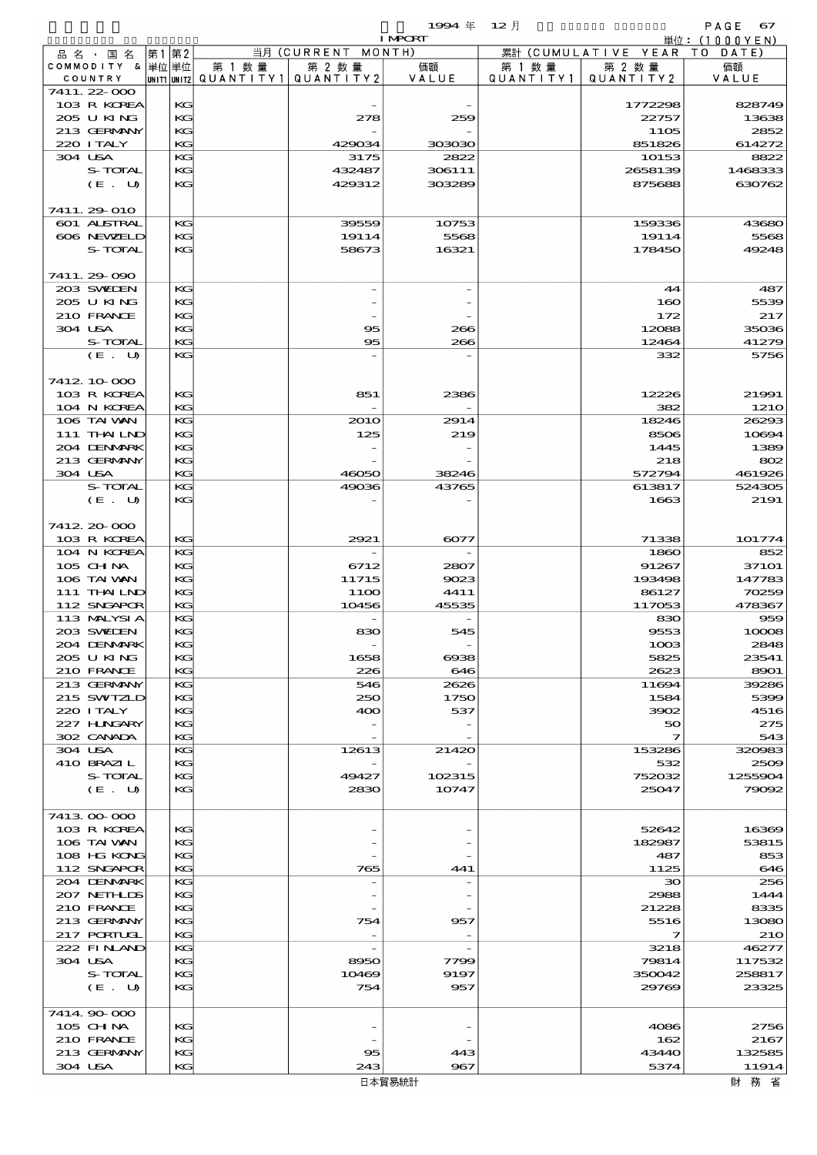|             | 1994年 12月                |           |                     | PAGE<br>-67     |
|-------------|--------------------------|-----------|---------------------|-----------------|
|             | <b>LARCRE</b>            |           |                     | 単位: $(1000YEN)$ |
| ENT MONTH)  |                          | 累計        | (CUMULATIVE YEAR TO | DATE)           |
| 2 数量        | 価額                       | 数量<br>第 1 | 第 2 数量              | 価額              |
| N T I T Y 2 | VALUE                    | QUANTITY1 | QUANTITY 2          | VALUE           |
|             |                          |           |                     |                 |
|             | $\overline{\phantom{a}}$ |           | 1772298             | 828749          |

|  | 品名・国名                       | 第1 第2 |          |         | 当月 (CURRENT MONTH)                    | TMCKT            |           | 累計 (CUMULATIVE YEAR TO DATE) | 単位:(IUUUYEN)      |
|--|-----------------------------|-------|----------|---------|---------------------------------------|------------------|-----------|------------------------------|-------------------|
|  | COMMODITY & 単位単位            |       |          | 第 1 数 量 | 第 2 数量                                | 価額               | 第 1 数 量   | 第 2 数量                       | 価額                |
|  | COUNTRY                     |       |          |         | UNIT1 UNIT2  QUANT   TY1  QUANT   TY2 | VALUE            | QUANTITY1 | QUANTITY 2                   | VALUE             |
|  | 7411.22-000<br>103 R KOREA  |       | KG       |         |                                       |                  |           | 1772298                      | 828749            |
|  | 205 U KING                  |       | KG       |         | 278                                   | 259              |           | 22757                        | 13638             |
|  | 213 GERMANY                 |       | KG       |         |                                       |                  |           | 1105                         | 2852              |
|  | 220 I TALY                  |       | KG       |         | 429034                                | 303030           |           | 851826                       | 614272            |
|  | 304 USA<br>S-TOTAL          |       | KG       |         | 3175                                  | 2822             |           | 10153                        | 8822              |
|  | (E. U)                      |       | KG<br>KG |         | 432487<br>429312                      | 306111<br>303289 |           | 2658139<br>875688            | 1468333<br>630762 |
|  |                             |       |          |         |                                       |                  |           |                              |                   |
|  | 7411.29-010                 |       |          |         |                                       |                  |           |                              |                   |
|  | 601 ALSTRAL                 |       | KG       |         | 39559                                 | 10753            |           | 159336                       | 43680             |
|  | 606 NEWELD<br>S-TOTAL       |       | KG<br>KG |         | 19114<br>58673                        | 5568<br>16321    |           | 19114<br>178450              | 5568<br>49248     |
|  |                             |       |          |         |                                       |                  |           |                              |                   |
|  | 7411.29-090                 |       |          |         |                                       |                  |           |                              |                   |
|  | 203 SWIEN                   |       | KG       |         |                                       |                  |           | 44                           | 487               |
|  | 205 U KING<br>210 FRANCE    |       | KG       |         |                                       |                  |           | 160                          | 5539              |
|  | 304 USA                     |       | KG<br>KG |         | 95                                    | 266              |           | 172<br>12088                 | 217<br>35036      |
|  | S-TOTAL                     |       | KG       |         | 95                                    | 266              |           | 12464                        | 41279             |
|  | (E. U)                      |       | KG       |         |                                       |                  |           | 332                          | 5756              |
|  |                             |       |          |         |                                       |                  |           |                              |                   |
|  | 7412 10 000<br>103 R KOREA  |       | KG       |         | 851                                   | 2386             |           | 12226                        | 21991             |
|  | 104 N KOREA                 |       | KG       |         |                                       |                  |           | 382                          | 121O              |
|  | 106 TAI VAN                 |       | KG       |         | <b>2010</b>                           | 2914             |           | 18246                        | 26293             |
|  | 111 THAILND                 |       | KG       |         | 125                                   | 219              |           | 8506                         | 10694             |
|  | 204 DENMARK                 |       | KG       |         |                                       |                  |           | 1445                         | 1389              |
|  | 213 GERMANY<br>304 USA      |       | KG<br>KG |         | 46050                                 | 38246            |           | 218<br>572794                | 802<br>461926     |
|  | S-TOTAL                     |       | KG       |         | 49036                                 | 43765            |           | 613817                       | 524305            |
|  | (E. U)                      |       | KG       |         |                                       |                  |           | 1663                         | 2191              |
|  |                             |       |          |         |                                       |                  |           |                              |                   |
|  | 7412.20-000                 |       |          |         |                                       |                  |           | 71338                        |                   |
|  | 103 R KOREA<br>104 N KOREA  |       | KG<br>KG |         | 2921                                  | 6077             |           | 1860                         | 101774<br>852     |
|  | 105 CH NA                   |       | KG       |         | 6712                                  | 2807             |           | 91267                        | 371O1             |
|  | 106 TAI VAN                 |       | KG       |         | 11715                                 | 9023             |           | 193498                       | 147783            |
|  | 111 THAILND                 |       | KG       |         | 11OO                                  | 4411             |           | 86127                        | 70259             |
|  | 112 SNGAPOR<br>113 MALYSIA  |       | KG<br>KG |         | 10456                                 | 45535            |           | 117053<br>830                | 478367<br>959     |
|  | 203 SWIDEN                  |       | KG       |         | 830                                   | 545              |           | 9553                         | 10008             |
|  | 204 DENMARK                 |       | KG       |         |                                       |                  |           | 1003                         | 2848              |
|  | 205 U KING                  |       | KG       |         | 1658                                  | $\cos$           |           | 5825                         | 23541             |
|  | 210 FRANCE<br>213 GERMANY   |       | KG<br>KG |         | 226<br>546                            | 646<br>2626      |           | 2623                         | 8901<br>39286     |
|  | 215 SWIZLD                  |       | KG       |         | 250                                   | 1750             |           | 11694<br>1584                | 5399              |
|  | 220 I TALY                  |       | KG       |         | 400                                   | 537              |           | 3902                         | 4516              |
|  | 227 H.NGARY                 |       | KG       |         |                                       |                  |           | 50                           | 275               |
|  | 302 CANADA                  |       | KG       |         |                                       |                  |           | 7                            | 543               |
|  | 304 USA<br>410 BRAZIL       |       | KG<br>KG |         | 12613                                 | 21420            |           | 153286<br>532                | 320983<br>2509    |
|  | S-TOTAL                     |       | KG       |         | 49427                                 | 102315           |           | 752032                       | 1255904           |
|  | (E. U)                      |       | KG       |         | 2830                                  | 10747            |           | 25047                        | 79092             |
|  |                             |       |          |         |                                       |                  |           |                              |                   |
|  | 741300000<br>103 R KOREA    |       | KG       |         |                                       |                  |           | 52642                        | 16369             |
|  | 106 TAI VAN                 |       | KG       |         |                                       |                  |           | 182987                       | 53815             |
|  | 108 HG KONG                 |       | KG       |         |                                       |                  |           | 487                          | 853               |
|  | 112 SNGAPOR                 |       | KG       |         | 765                                   | 441              |           | 1125                         | 646               |
|  | 204 DENMARK<br>207 NETH LIS |       | KG<br>KG |         |                                       |                  |           | 30<br>2988                   | 256<br>1444       |
|  | 210 FRANCE                  |       | КG       |         |                                       |                  |           | 21228                        | 8335              |
|  | 213 GERMANY                 |       | KG       |         | 754                                   | 957              |           | 5516                         | 13080             |
|  | <b>217 PORTUGL</b>          |       | KG       |         |                                       |                  |           | 7                            | 210               |
|  | 222 FINAND                  |       | KG       |         |                                       |                  |           | 3218                         | 46277             |
|  | 304 USA<br>S-TOTAL          |       | KG<br>КG |         | 8950<br>10469                         | 7799<br>9197     |           | 79814<br>350042              | 117532<br>258817  |
|  | (E. U)                      |       | KG       |         | 754                                   | 957              |           | 29769                        | 23325             |
|  |                             |       |          |         |                                       |                  |           |                              |                   |
|  | 7414.90-000                 |       |          |         |                                       |                  |           |                              |                   |
|  | 105 CH NA<br>210 FRANCE     |       | KG<br>КG |         |                                       |                  |           | 4086<br>162                  | 2756<br>2167      |
|  | 213 GERMANY                 |       | KG       |         | 95                                    | 443              |           | 43440                        | 132585            |
|  | 304 USA                     |       | KG       |         | 243                                   | 967              |           | 5374                         | 11914             |
|  |                             |       |          |         |                                       | 日本留見統計           |           |                              | け   な   少         |

財 務 省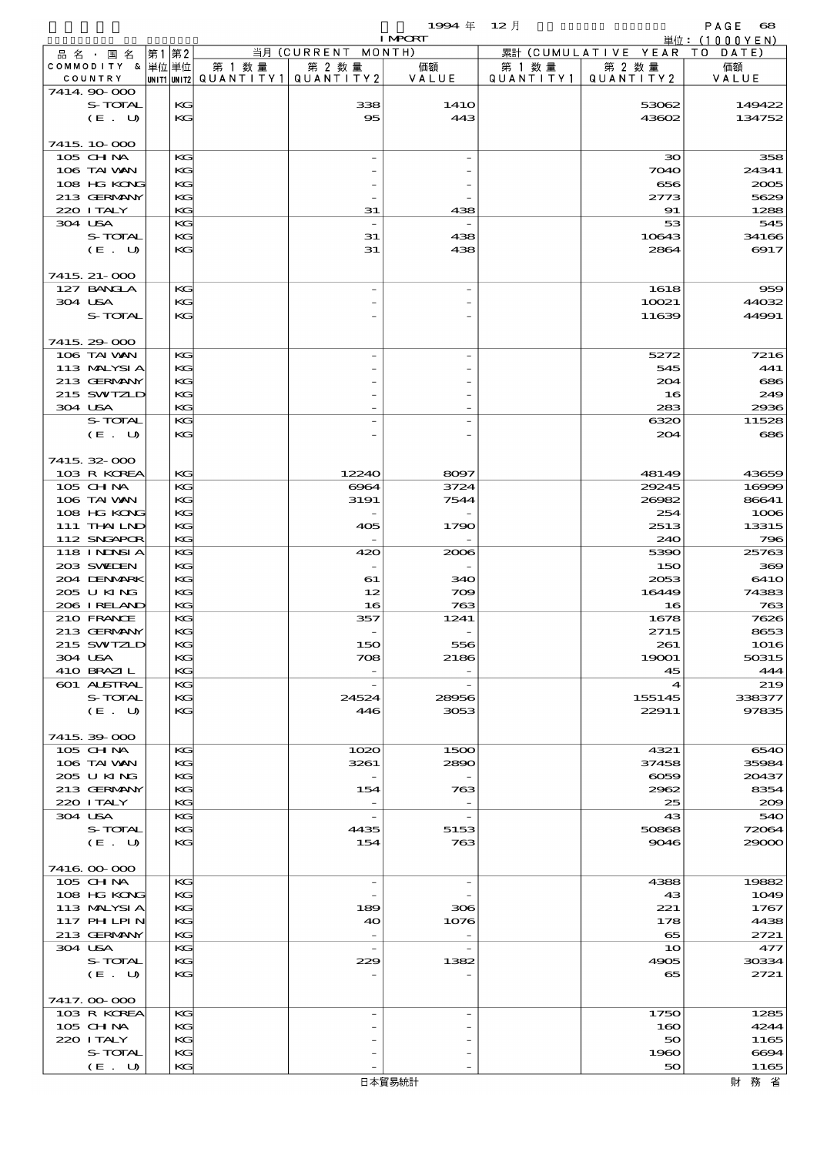|                                 |      |           |                                         |                                   | 1994 $#$                 | $12$ 月    |                                      | PAGE<br>$\mathbf{68}$ |
|---------------------------------|------|-----------|-----------------------------------------|-----------------------------------|--------------------------|-----------|--------------------------------------|-----------------------|
|                                 |      |           |                                         | 当月 (CURRENT                       | <b>I MPCRT</b><br>MONTH) |           |                                      | 単位:(1000YEN)          |
| 品名・国名<br>COMMODITY & 単位単位       | 第1第2 |           | 第 1 数 量                                 | 第 2 数量                            | 価額                       | 第 1 数 量   | 累計 (CUMULATIVE YEAR)<br>第 2 数量       | TO DATE)<br>価額        |
| COUNTRY                         |      |           | UNIT1 UNIT2   QUANT   TY1   QUANT   TY2 |                                   | VALUE                    | QUANTITY1 | QUANTITY2                            | VALUE                 |
| 7414.90-000                     |      |           |                                         |                                   |                          |           |                                      |                       |
| S-TOTAL<br>(E. U)               |      | KG<br>KG  |                                         | 338<br>95                         | 141O<br>443              |           | 53062<br>43602                       | 149422<br>134752      |
|                                 |      |           |                                         |                                   |                          |           |                                      |                       |
| 7415, 10,000                    |      |           |                                         |                                   |                          |           |                                      |                       |
| 105 CHNA                        |      | KG        |                                         |                                   |                          |           | $30^{\circ}$                         | 358                   |
| 106 TAI VAN<br>108 HG KONG      |      | KG<br>KG  |                                         |                                   |                          |           | 7040<br>656                          | 24341<br>2005         |
| 213 GERMANY                     |      | KG        |                                         |                                   |                          |           | 2773                                 | 5629                  |
| 220 I TALY                      |      | KG        |                                         | 31                                | 438                      |           | 91                                   | 1288                  |
| 304 USA<br>S-TOTAL              |      | KG<br>KG  |                                         | 31                                |                          |           | 53                                   | 545                   |
| (E. U)                          |      | KG        |                                         | 31                                | 438<br>438               |           | 10643<br>2864                        | 34166<br>6917         |
|                                 |      |           |                                         |                                   |                          |           |                                      |                       |
| 7415, 21-000                    |      |           |                                         |                                   |                          |           |                                      |                       |
| 127 BANCLA<br>304 USA           |      | KG<br>KG  |                                         |                                   |                          |           | 1618<br>10021                        | 959<br>44032          |
| S-TOTAL                         |      | KG        |                                         |                                   |                          |           | 11639                                | 44991                 |
|                                 |      |           |                                         |                                   |                          |           |                                      |                       |
| 7415.29.000                     |      |           |                                         |                                   |                          |           |                                      |                       |
| 106 TAI WAN<br>113 MALYSIA      |      | KG<br>KG  |                                         |                                   |                          |           | 5272<br>545                          | 7216<br>441           |
| 213 GERMANY                     |      | KG        |                                         |                                   |                          |           | 204                                  | 686                   |
| 215 SWIZLD                      |      | KG        |                                         |                                   |                          |           | 16                                   | 249                   |
| 304 USA                         |      | KG        |                                         |                                   |                          |           | 283                                  | 2936                  |
| S-TOTAL<br>(E. U)               |      | KG<br>KG  |                                         |                                   | ۰                        |           | 6320<br>204                          | 11528<br>686          |
|                                 |      |           |                                         |                                   |                          |           |                                      |                       |
| 7415.32-000                     |      |           |                                         |                                   |                          |           |                                      |                       |
| 103 R KOREA                     |      | КG        |                                         | 12240                             | 8097                     |           | 48149                                | 43659                 |
| 105 CHNA<br>106 TAI WAN         |      | KG<br>KG  |                                         | 6964<br>3191                      | 3724<br>7544             |           | 29245<br>26982                       | 16999<br>86641        |
| 108 HG KONG                     |      | KG        |                                         | $\overline{\phantom{0}}$          |                          |           | 254                                  | 1006                  |
| 111 THAILND                     |      | KG        |                                         | 405                               | 1790                     |           | 2513                                 | 13315                 |
| 112 SNGAPOR                     |      | KG        |                                         |                                   |                          |           | 240                                  | 796                   |
| <b>118 INNSIA</b><br>203 SWIDEN |      | KG<br>KG  |                                         | 420                               | 2006                     |           | 5390<br>150                          | 25763<br>369          |
| 204 DENMARK                     |      | KG        |                                         | 61                                | 340                      |           | 2053                                 | 641O                  |
| 205 U KING                      |      | KG        |                                         | 12                                | 709                      |           | 16449                                | 74383                 |
| 206 I RELAND                    |      | KG        |                                         | 16                                | 763                      |           | 16                                   | 763                   |
| 210 FRANCE<br>213 GERMANY       |      | KG<br>KG. |                                         | 357                               | 1241                     |           | 1678<br>2715                         | 7626<br>8653          |
| 215 SWIZLD                      |      | KG        |                                         | 150                               | 556                      |           | 261                                  | 1016                  |
| 304 USA                         |      | KG        |                                         | 708                               | 2186                     |           | 19001                                | 50315                 |
| 410 BRAZIL                      |      | KG        |                                         |                                   |                          |           | 45                                   | 444                   |
| 601 ALSTRAL<br>S-TOTAL          |      | KG<br>KG  |                                         | $\overline{\phantom{a}}$<br>24524 | 28956                    |           | $\boldsymbol{\mathcal{A}}$<br>155145 | 219<br>338377         |
| (E. U)                          |      | KG        |                                         | 446                               | 3053                     |           | 22911                                | 97835                 |
|                                 |      |           |                                         |                                   |                          |           |                                      |                       |
| 7415.39-000                     |      |           |                                         |                                   |                          |           |                                      |                       |
| 105 CHNA<br>106 TAI VAN         |      | KG<br>KG  |                                         | 1020<br>3261                      | 1500<br>2890             |           | 4321<br>37458                        | 6540<br>35984         |
| 205 U KING                      |      | KG        |                                         |                                   |                          |           | $\infty$                             | 20437                 |
| 213 GERMANY                     |      | KG        |                                         | 154                               | 763                      |           | 2962                                 | 8354                  |
| 220 I TALY<br>304 USA           |      | KG<br>KG  |                                         | $\overline{\phantom{a}}$          | $\overline{\phantom{a}}$ |           | 25<br>43                             | 200<br>540            |
| S-TOTAL                         |      | KC        |                                         | 4435                              | 5153                     |           | 50868                                | 72064                 |
| (E. U)                          |      | KG        |                                         | 154                               | 763                      |           | 9046                                 | 29000                 |
|                                 |      |           |                                         |                                   |                          |           |                                      |                       |
| 7416.000.000<br>105 CHNA        |      | KG        |                                         | $\overline{\phantom{a}}$          | $\overline{\phantom{a}}$ |           | 4388                                 | 19882                 |
| 108 HG KONG                     |      | KG        |                                         |                                   |                          |           | 43                                   | 1049                  |
| 113 MALYSIA                     |      | KG        |                                         | 189                               | 306                      |           | 221                                  | 1767                  |
| 117 PH LPIN                     |      | KG        |                                         | 40                                | 1076                     |           | 178                                  | 4438                  |
| 213 GERMANY<br>304 USA          |      | KG<br>KG  |                                         | $\overline{\phantom{a}}$          |                          |           | 65<br>10                             | 2721<br>477           |
| S-TOTAL                         |      | KG        |                                         | 229                               | 1382                     |           | 4905                                 | 30334                 |
| (E. U)                          |      | KG        |                                         |                                   |                          |           | 65                                   | 2721                  |
|                                 |      |           |                                         |                                   |                          |           |                                      |                       |
| 7417.000000<br>103 R KOREA      |      | KG        |                                         |                                   | $\overline{\phantom{a}}$ |           | 1750                                 | 1285                  |
| 105 CHNA                        |      | KG        |                                         |                                   |                          |           | 160                                  | 4244                  |
| 220 I TALY                      |      | KC        |                                         |                                   |                          |           | 50                                   | 1165                  |
| S-TOTAL                         |      | KG        |                                         |                                   |                          |           | 1960                                 | 6694                  |
| (E. U)                          |      | KG        |                                         |                                   |                          |           | 50                                   | 1165                  |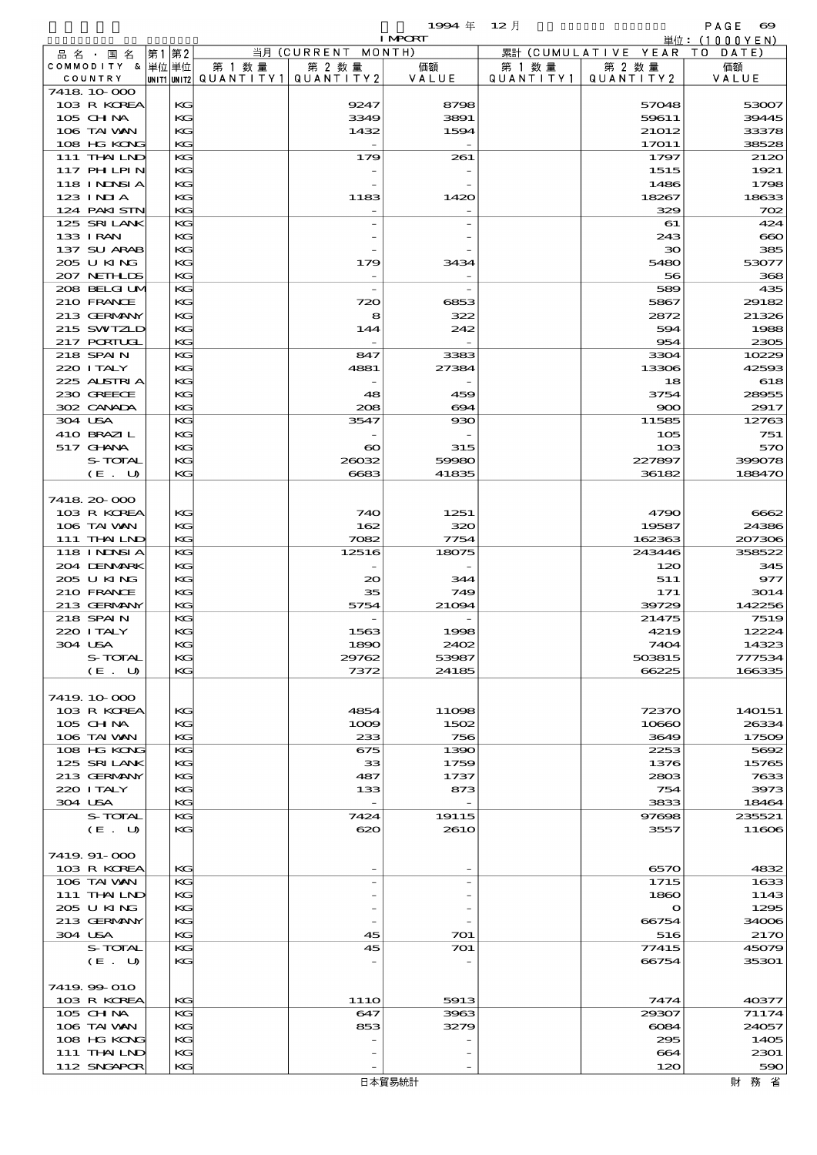|                            |          |                          |                                  | 1994年                    | - 12 月    |                              | PAGE<br>$\boldsymbol{\infty}$ |
|----------------------------|----------|--------------------------|----------------------------------|--------------------------|-----------|------------------------------|-------------------------------|
| 品 名 ・ 国 名                  | 第1第2     |                          | 当月 (CURRENT MONTH)               | <b>I MPORT</b>           |           | 累計 (CUMULATIVE YEAR TO DATE) | 単位:(1000YEN)                  |
| COMMODITY & 単位単位           |          | 第 1 数量                   | 第 2 数量                           | 価額                       | 第 1 数 量   | 第 2 数量                       | 価額                            |
| COUNTRY                    |          | unit1 unit2  Q∪ANT   TY1 | QUANTITY2                        | VALUE                    | QUANTITY1 | QUANTITY 2                   | VALUE                         |
| 7418 10 000<br>103 R KOREA | KG       |                          | 9247                             | 8798                     |           | 57048                        | 53007                         |
| 105 CH NA                  | KG       |                          | 3349                             | 3891                     |           | 59611                        | 39445                         |
| 106 TAI VAN                | KG       |                          | 1432                             | 1594                     |           | 21012                        | 33378                         |
| 108 HG KONG                | KG       |                          | $\overline{\phantom{a}}$         |                          |           | 17011                        | 38528                         |
| 111 THAILND<br>117 PHLPIN  | KG<br>KG |                          | 179                              | 261                      |           | 1797<br>1515                 | 2120<br>1921                  |
| 118 INNSI A                | KG       |                          |                                  |                          |           | 1486                         | 1798                          |
| $123$ INIA                 | KG       |                          | 1183                             | 1420                     |           | 18267                        | 18633                         |
| 124 PAKISTN                | KG       |                          |                                  |                          |           | 329                          | 702                           |
| 125 SRILANK                | KG       |                          |                                  |                          |           | 61                           | 424                           |
| 133 I RAN<br>137 SU ARAB   | KG<br>KG |                          |                                  |                          |           | 243<br>$30^{\circ}$          | 660<br>385                    |
| 205 U KING                 | KG       |                          | 179                              | 3434                     |           | 5480                         | 53077                         |
| 207 NETHLIS                | KG       |                          | $\overline{\phantom{a}}$         | $\overline{\phantom{0}}$ |           | 56                           | 368                           |
| 208 BELGI UM               | KG       |                          |                                  |                          |           | 589                          | 435                           |
| 210 FRANCE<br>213 GERMANY  | KG<br>KG |                          | 720<br>8                         | 6853<br>322              |           | 5867<br>2872                 | 29182<br>21326                |
| 215 SWIZLD                 | KG       |                          | 144                              | 242                      |           | 594                          | 1988                          |
| 217 PORTUGL                | KG       |                          |                                  |                          |           | 954                          | 2305                          |
| 218 SPAIN                  | KG       |                          | 847                              | 3383                     |           | 3304                         | 10229                         |
| 220 I TALY                 | KG       |                          | 4881                             | 27384                    |           | 13306                        | 42593                         |
| 225 ALSTRIA<br>230 GREECE  | KG<br>KG |                          | 48                               | 459                      |           | 18<br>3754                   | 618<br>28955                  |
| 302 CANADA                 | KG       |                          | 208                              | 694                      |           | 900                          | 2917                          |
| 304 USA                    | KG       |                          | 3547                             | 930                      |           | 11585                        | 12763                         |
| 410 BRAZIL                 | KG       |                          |                                  |                          |           | 105                          | 751                           |
| 517 GHNA<br>S-TOTAL        | KG<br>KG |                          | $\boldsymbol{\infty}$<br>26032   | 315<br>59980             |           | 10 <sub>3</sub><br>227897    | 570<br>399078                 |
| (E. U)                     | KG       |                          | 6683                             | 41835                    |           | 36182                        | 188470                        |
|                            |          |                          |                                  |                          |           |                              |                               |
| 7418 20 000                |          |                          |                                  |                          |           |                              |                               |
| 103 R KOREA                | KG       |                          | 740                              | 1251                     |           | 4790                         | 6662                          |
| 106 TAI VAN<br>111 THAILND | KG<br>KG |                          | 162<br>7082                      | 320<br>7754              |           | 19587<br>162363              | 24386<br>207306               |
| <b>118 INNSIA</b>          | KG       |                          | 12516                            | 18075                    |           | 243446                       | 358522                        |
| 204 DENMARK                | KG       |                          |                                  |                          |           | 120                          | 345                           |
| 205 U KING                 | KG       |                          | $\infty$                         | 344                      |           | 511                          | 977                           |
| 210 FRANCE<br>213 GERMANY  | KG<br>KG |                          | 35<br>5754                       | 749<br>21094             |           | 171<br>39729                 | 3014<br>142256                |
| 218 SPAIN                  | KG       |                          |                                  |                          |           | 21475                        | 7519                          |
| 220 I TALY                 | KG       |                          | 1563                             | 1998                     |           | 4219                         | 12224                         |
| 304 USA                    | KG       |                          | 1890                             | 2402                     |           | 7404                         | 14323                         |
| S-TOTAL<br>(E. U)          | KG<br>KG |                          | 29762<br>7372                    | 53987<br>24185           |           | 503815<br>66225              | 777534<br>166335              |
|                            |          |                          |                                  |                          |           |                              |                               |
| 7419 10 000                |          |                          |                                  |                          |           |                              |                               |
| 103 R KOREA                | KG       |                          | 4854                             | 11098                    |           | 72370                        | 140151                        |
| $105$ CHNA                 | KG       |                          | 1009                             | 1502                     |           | 10660                        | 26334                         |
| 106 TAI VAN<br>108 HG KONG | KG<br>KG |                          | 233<br>675                       | 756<br>1390              |           | 3649<br>2253                 | 17509<br>5692                 |
| 125 SRILANK                | KG       |                          | 33                               | 1759                     |           | 1376                         | 15765                         |
| 213 GERMANY                | KG       |                          | 487                              | 1737                     |           | 2803                         | 7633                          |
| 220 I TALY                 | KG       |                          | 133                              | 873                      |           | 754                          | 3973                          |
| 304 USA<br>S-TOTAL         | KG<br>KG |                          | $\overline{\phantom{a}}$<br>7424 | 19115                    |           | 3833<br>97698                | 18464<br>235521               |
| (E. U)                     | KG       |                          | 620                              | 261O                     |           | 3557                         | 11606                         |
|                            |          |                          |                                  |                          |           |                              |                               |
| 7419. 91-000               |          |                          |                                  |                          |           |                              |                               |
| 103 R KOREA<br>106 TAI VAN | KG<br>KG |                          | $\overline{a}$                   |                          |           | 6570<br>1715                 | 4832<br>1633                  |
| 111 THAILND                | KG       |                          |                                  |                          |           | 1860                         | 1143                          |
| 205 U KING                 | KG       |                          |                                  |                          |           | $\mathbf o$                  | 1295                          |
| 213 GERMANY                | KG       |                          |                                  |                          |           | 66754                        | 34006                         |
| 304 USA<br>S-TOTAL         | KG<br>KG |                          | 45<br>45                         | 701<br>701               |           | 516<br>77415                 | 2170<br>45079                 |
| (E. U)                     | KG       |                          |                                  |                          |           | 66754                        | 35301                         |
|                            |          |                          |                                  |                          |           |                              |                               |
| 7419.99-010                |          |                          |                                  |                          |           |                              |                               |
| 103 R KOREA                | KG       |                          | 111O                             | 5913                     |           | 7474                         | 40377                         |
| 105 CH NA<br>106 TAI VAN   | KG<br>KG |                          | 647<br>853                       | 3963<br>3279             |           | 29307<br>6084                | 71174<br>24057                |
| 108 HG KONG                | KG       |                          |                                  |                          |           | 295                          | 1405                          |
| 111 THAILND                | KG       |                          |                                  |                          |           | 664                          | 2301                          |
| 112 SNGAPOR                | KG       |                          |                                  |                          |           | 120                          | 590                           |
|                            |          |                          |                                  | 日本貿易統計                   |           |                              | 財 務 省                         |